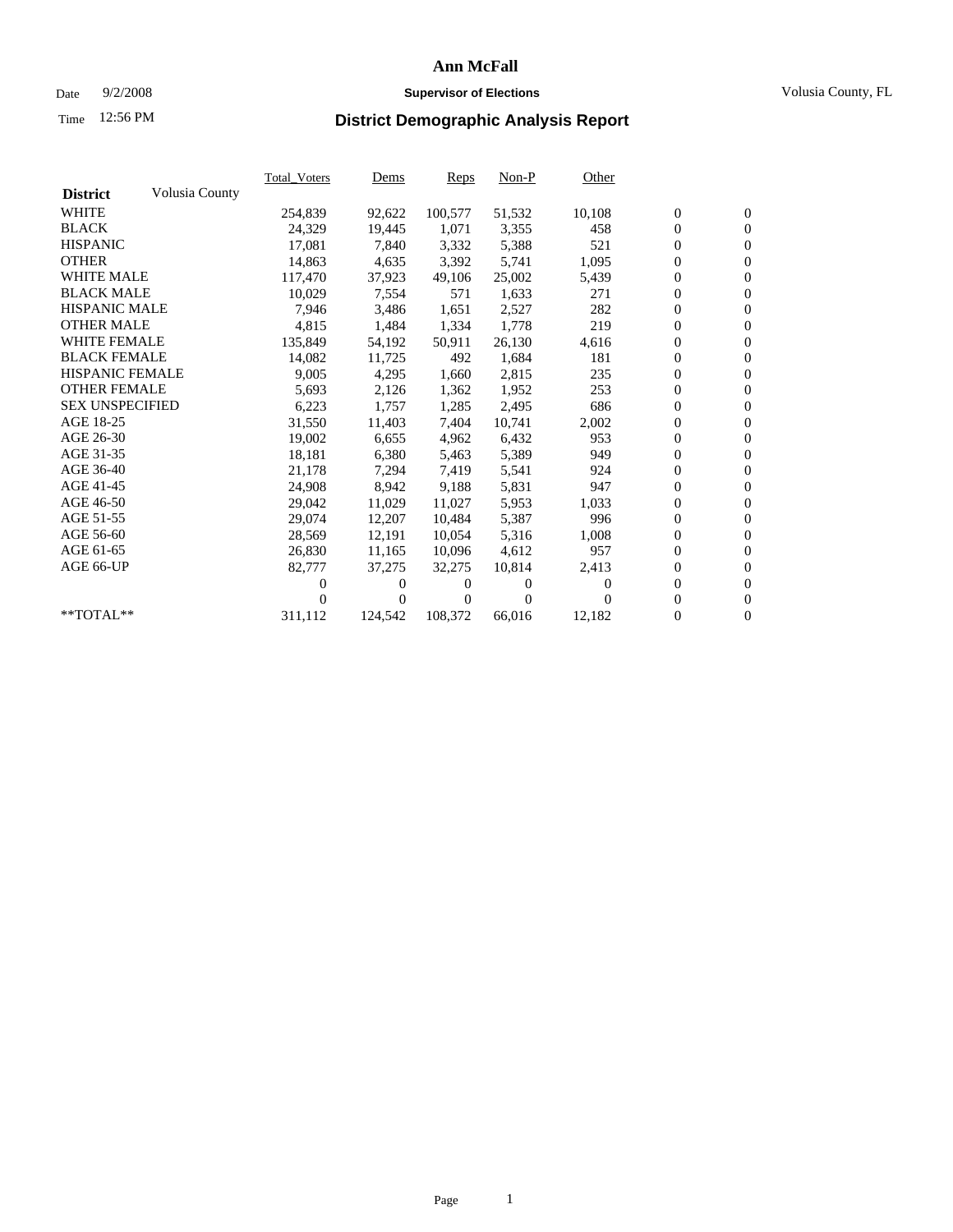## Date 9/2/2008 **Supervisor of Elections** Volusia County, FL

# Time **District Demographic Analysis Report** 12:56 PM

|                        |                | <b>Total_Voters</b> | <u>Dems</u> | Reps     | $Non-P$  | Other    |                  |                  |  |
|------------------------|----------------|---------------------|-------------|----------|----------|----------|------------------|------------------|--|
| <b>District</b>        | Volusia County |                     |             |          |          |          |                  |                  |  |
| <b>WHITE</b>           |                | 254,839             | 92,622      | 100,577  | 51,532   | 10,108   | $\boldsymbol{0}$ | $\boldsymbol{0}$ |  |
| <b>BLACK</b>           |                | 24,329              | 19,445      | 1,071    | 3,355    | 458      | $\overline{0}$   | $\mathbf{0}$     |  |
| <b>HISPANIC</b>        |                | 17,081              | 7.840       | 3,332    | 5,388    | 521      | $\overline{0}$   | $\mathbf{0}$     |  |
| <b>OTHER</b>           |                | 14,863              | 4,635       | 3,392    | 5,741    | 1,095    | $\mathbf{0}$     | $\mathbf{0}$     |  |
| <b>WHITE MALE</b>      |                | 117,470             | 37,923      | 49,106   | 25,002   | 5,439    | $\boldsymbol{0}$ | $\mathbf{0}$     |  |
| <b>BLACK MALE</b>      |                | 10,029              | 7,554       | 571      | 1,633    | 271      | $\overline{0}$   | $\mathbf{0}$     |  |
| <b>HISPANIC MALE</b>   |                | 7,946               | 3,486       | 1,651    | 2,527    | 282      | $\overline{0}$   | $\overline{0}$   |  |
| <b>OTHER MALE</b>      |                | 4,815               | 1,484       | 1,334    | 1,778    | 219      | $\boldsymbol{0}$ | $\mathbf{0}$     |  |
| <b>WHITE FEMALE</b>    |                | 135,849             | 54,192      | 50,911   | 26,130   | 4,616    | 0                | $\mathbf{0}$     |  |
| <b>BLACK FEMALE</b>    |                | 14,082              | 11,725      | 492      | 1,684    | 181      | $\boldsymbol{0}$ | $\mathbf{0}$     |  |
| <b>HISPANIC FEMALE</b> |                | 9,005               | 4,295       | 1.660    | 2,815    | 235      | 0                | $\mathbf{0}$     |  |
| <b>OTHER FEMALE</b>    |                | 5,693               | 2,126       | 1,362    | 1,952    | 253      | 0                | $\overline{0}$   |  |
| <b>SEX UNSPECIFIED</b> |                | 6,223               | 1,757       | 1,285    | 2,495    | 686      | $\overline{0}$   | $\mathbf{0}$     |  |
| AGE 18-25              |                | 31,550              | 11,403      | 7,404    | 10,741   | 2,002    | 0                | $\mathbf{0}$     |  |
| AGE 26-30              |                | 19,002              | 6,655       | 4.962    | 6,432    | 953      | 0                | $\mathbf{0}$     |  |
| AGE 31-35              |                | 18,181              | 6,380       | 5,463    | 5,389    | 949      | $\boldsymbol{0}$ | $\overline{0}$   |  |
| AGE 36-40              |                | 21,178              | 7,294       | 7,419    | 5,541    | 924      | 0                | $\mathbf{0}$     |  |
| AGE 41-45              |                | 24,908              | 8,942       | 9,188    | 5,831    | 947      | 0                | $\mathbf{0}$     |  |
| AGE 46-50              |                | 29,042              | 11,029      | 11,027   | 5,953    | 1,033    | $\boldsymbol{0}$ | $\mathbf{0}$     |  |
| AGE 51-55              |                | 29,074              | 12,207      | 10,484   | 5,387    | 996      | $\boldsymbol{0}$ | $\mathbf{0}$     |  |
| AGE 56-60              |                | 28,569              | 12,191      | 10,054   | 5,316    | 1,008    | 0                | $\mathbf{0}$     |  |
| AGE 61-65              |                | 26,830              | 11,165      | 10,096   | 4,612    | 957      | $\overline{0}$   | $\mathbf{0}$     |  |
| AGE 66-UP              |                | 82,777              | 37,275      | 32,275   | 10,814   | 2,413    | $\boldsymbol{0}$ | $\mathbf{0}$     |  |
|                        |                | 0                   | 0           | $^{(1)}$ | 0        | $\Omega$ | $\overline{0}$   | $\mathbf{0}$     |  |
|                        |                |                     | $\theta$    | 0        | $\Omega$ | $\Omega$ | $\overline{0}$   | $\mathbf{0}$     |  |
| **TOTAL**              |                | 311,112             | 124,542     | 108,372  | 66,016   | 12,182   | 0                | $\mathbf{0}$     |  |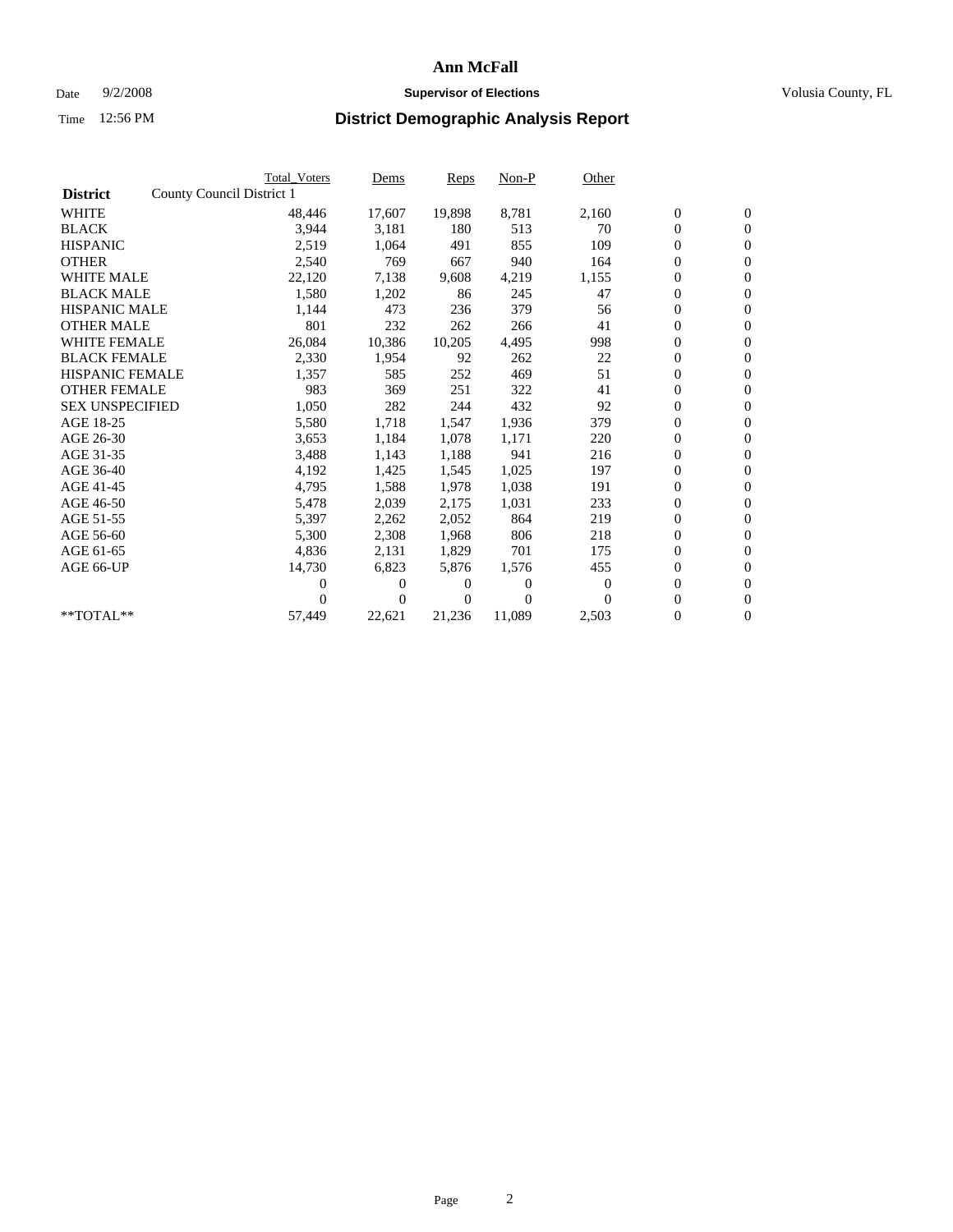## Date 9/2/2008 **Supervisor of Elections Supervisor of Elections** Volusia County, FL

|                        |                           | <b>Total Voters</b> | Dems           | <b>Reps</b> | Non-P    | Other    |                  |                  |  |
|------------------------|---------------------------|---------------------|----------------|-------------|----------|----------|------------------|------------------|--|
| <b>District</b>        | County Council District 1 |                     |                |             |          |          |                  |                  |  |
| <b>WHITE</b>           |                           | 48,446              | 17,607         | 19,898      | 8,781    | 2,160    | $\boldsymbol{0}$ | $\boldsymbol{0}$ |  |
| <b>BLACK</b>           |                           | 3,944               | 3,181          | 180         | 513      | 70       | $\boldsymbol{0}$ | $\mathbf{0}$     |  |
| <b>HISPANIC</b>        |                           | 2,519               | 1,064          | 491         | 855      | 109      | $\overline{0}$   | $\mathbf{0}$     |  |
| <b>OTHER</b>           |                           | 2,540               | 769            | 667         | 940      | 164      | 0                | $\mathbf{0}$     |  |
| <b>WHITE MALE</b>      |                           | 22,120              | 7,138          | 9,608       | 4,219    | 1,155    | $\boldsymbol{0}$ | $\mathbf{0}$     |  |
| <b>BLACK MALE</b>      |                           | 1,580               | 1,202          | 86          | 245      | 47       | $\overline{0}$   | $\mathbf{0}$     |  |
| <b>HISPANIC MALE</b>   |                           | 1,144               | 473            | 236         | 379      | 56       | 0                | $\mathbf{0}$     |  |
| <b>OTHER MALE</b>      |                           | 801                 | 232            | 262         | 266      | 41       | 0                | $\mathbf{0}$     |  |
| <b>WHITE FEMALE</b>    |                           | 26,084              | 10,386         | 10,205      | 4,495    | 998      | $\boldsymbol{0}$ | $\mathbf{0}$     |  |
| <b>BLACK FEMALE</b>    |                           | 2,330               | 1,954          | 92          | 262      | 22       | 0                | $\mathbf{0}$     |  |
| <b>HISPANIC FEMALE</b> |                           | 1,357               | 585            | 252         | 469      | 51       | $\boldsymbol{0}$ | $\mathbf{0}$     |  |
| <b>OTHER FEMALE</b>    |                           | 983                 | 369            | 251         | 322      | 41       | $\overline{0}$   | $\mathbf{0}$     |  |
| <b>SEX UNSPECIFIED</b> |                           | 1,050               | 282            | 244         | 432      | 92       | 0                | $\mathbf{0}$     |  |
| AGE 18-25              |                           | 5,580               | 1,718          | 1,547       | 1,936    | 379      | $\overline{0}$   | $\mathbf{0}$     |  |
| AGE 26-30              |                           | 3,653               | 1,184          | 1,078       | 1,171    | 220      | 0                | $\mathbf{0}$     |  |
| AGE 31-35              |                           | 3,488               | 1,143          | 1,188       | 941      | 216      | $\boldsymbol{0}$ | $\mathbf{0}$     |  |
| AGE 36-40              |                           | 4,192               | 1,425          | 1,545       | 1,025    | 197      | 0                | $\mathbf{0}$     |  |
| AGE 41-45              |                           | 4,795               | 1,588          | 1,978       | 1,038    | 191      | 0                | $\mathbf{0}$     |  |
| AGE 46-50              |                           | 5,478               | 2,039          | 2,175       | 1,031    | 233      | 0                | $\mathbf{0}$     |  |
| AGE 51-55              |                           | 5,397               | 2,262          | 2,052       | 864      | 219      | $\boldsymbol{0}$ | $\mathbf{0}$     |  |
| AGE 56-60              |                           | 5,300               | 2,308          | 1.968       | 806      | 218      | 0                | $\mathbf{0}$     |  |
| AGE 61-65              |                           | 4,836               | 2,131          | 1,829       | 701      | 175      | 0                | $\mathbf{0}$     |  |
| AGE 66-UP              |                           | 14,730              | 6,823          | 5,876       | 1,576    | 455      | $\boldsymbol{0}$ | $\mathbf{0}$     |  |
|                        |                           | 0                   | 0              | 0           | $\theta$ | $\theta$ | $\overline{0}$   | $\mathbf{0}$     |  |
|                        |                           | 0                   | $\overline{0}$ | 0           | $\Omega$ | $\Omega$ | 0                | $\mathbf{0}$     |  |
| **TOTAL**              |                           | 57,449              | 22,621         | 21,236      | 11,089   | 2,503    | 0                | $\boldsymbol{0}$ |  |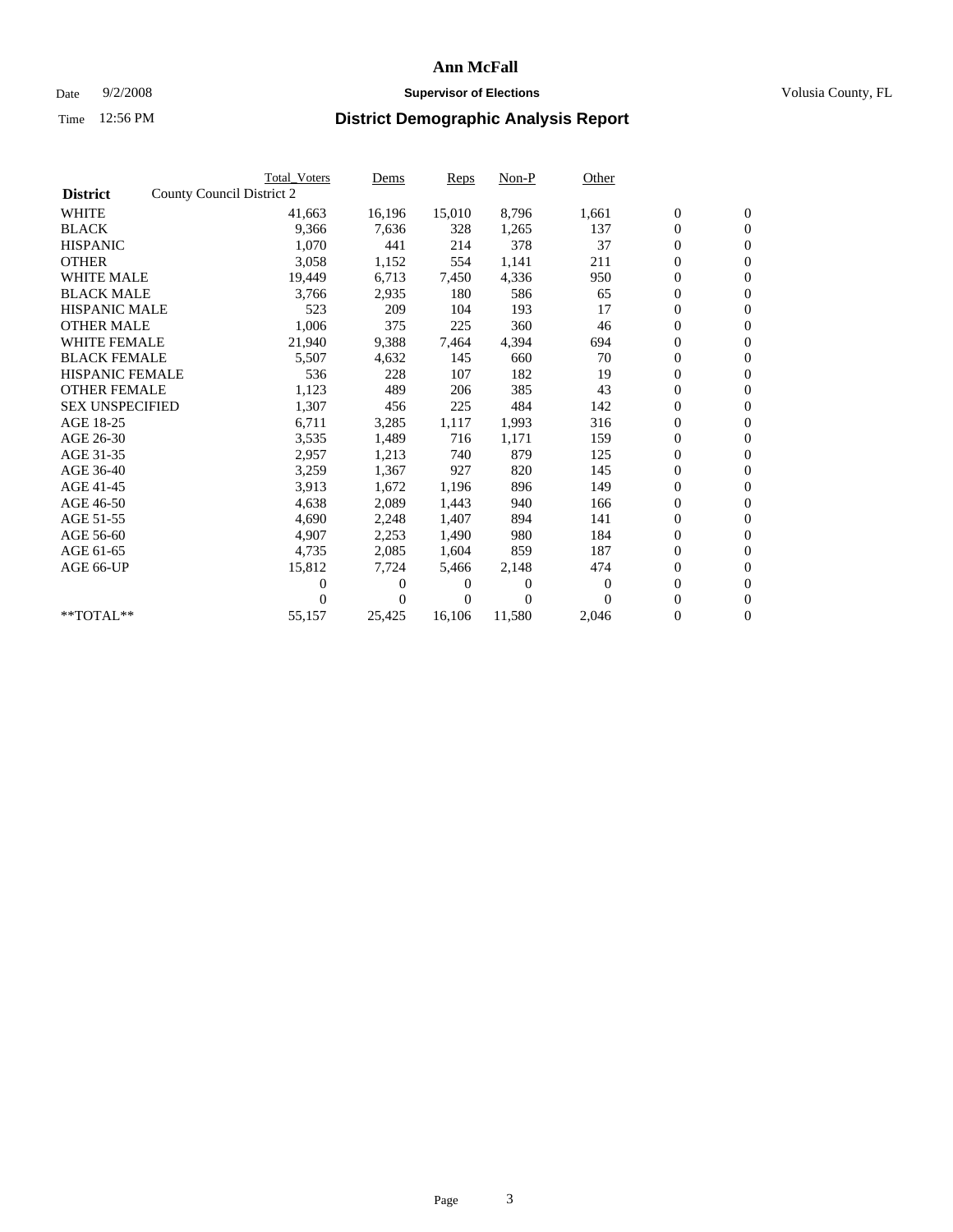## Date 9/2/2008 **Supervisor of Elections Supervisor of Elections** Volusia County, FL

|                        |                           | <b>Total Voters</b> | Dems   | <b>Reps</b> | Non-P    | Other    |                  |                  |  |
|------------------------|---------------------------|---------------------|--------|-------------|----------|----------|------------------|------------------|--|
| <b>District</b>        | County Council District 2 |                     |        |             |          |          |                  |                  |  |
| <b>WHITE</b>           |                           | 41,663              | 16,196 | 15,010      | 8,796    | 1,661    | $\boldsymbol{0}$ | $\boldsymbol{0}$ |  |
| <b>BLACK</b>           |                           | 9,366               | 7,636  | 328         | 1,265    | 137      | 0                | $\mathbf{0}$     |  |
| <b>HISPANIC</b>        |                           | 1,070               | 441    | 214         | 378      | 37       | $\boldsymbol{0}$ | $\mathbf{0}$     |  |
| <b>OTHER</b>           |                           | 3,058               | 1,152  | 554         | 1,141    | 211      | 0                | $\mathbf{0}$     |  |
| <b>WHITE MALE</b>      |                           | 19,449              | 6,713  | 7,450       | 4,336    | 950      | 0                | $\mathbf{0}$     |  |
| <b>BLACK MALE</b>      |                           | 3,766               | 2,935  | 180         | 586      | 65       | $\overline{0}$   | $\mathbf{0}$     |  |
| <b>HISPANIC MALE</b>   |                           | 523                 | 209    | 104         | 193      | 17       | 0                | $\mathbf{0}$     |  |
| <b>OTHER MALE</b>      |                           | 1,006               | 375    | 225         | 360      | 46       | 0                | $\mathbf{0}$     |  |
| <b>WHITE FEMALE</b>    |                           | 21,940              | 9,388  | 7,464       | 4,394    | 694      | $\boldsymbol{0}$ | $\mathbf{0}$     |  |
| <b>BLACK FEMALE</b>    |                           | 5,507               | 4,632  | 145         | 660      | 70       | 0                | $\mathbf{0}$     |  |
| <b>HISPANIC FEMALE</b> |                           | 536                 | 228    | 107         | 182      | 19       | 0                | $\mathbf{0}$     |  |
| <b>OTHER FEMALE</b>    |                           | 1,123               | 489    | 206         | 385      | 43       | 0                | $\mathbf{0}$     |  |
| <b>SEX UNSPECIFIED</b> |                           | 1,307               | 456    | 225         | 484      | 142      | 0                | $\mathbf{0}$     |  |
| AGE 18-25              |                           | 6,711               | 3,285  | 1,117       | 1,993    | 316      | 0                | $\mathbf{0}$     |  |
| AGE 26-30              |                           | 3,535               | 1,489  | 716         | 1,171    | 159      | 0                | $\mathbf{0}$     |  |
| AGE 31-35              |                           | 2,957               | 1,213  | 740         | 879      | 125      | 0                | $\mathbf{0}$     |  |
| AGE 36-40              |                           | 3,259               | 1,367  | 927         | 820      | 145      | 0                | $\mathbf{0}$     |  |
| AGE 41-45              |                           | 3,913               | 1,672  | 1,196       | 896      | 149      | 0                | $\mathbf{0}$     |  |
| AGE 46-50              |                           | 4,638               | 2,089  | 1,443       | 940      | 166      | 0                | $\mathbf{0}$     |  |
| AGE 51-55              |                           | 4,690               | 2,248  | 1,407       | 894      | 141      | 0                | $\mathbf{0}$     |  |
| AGE 56-60              |                           | 4,907               | 2,253  | 1.490       | 980      | 184      | 0                | $\mathbf{0}$     |  |
| AGE 61-65              |                           | 4,735               | 2,085  | 1,604       | 859      | 187      | 0                | $\mathbf{0}$     |  |
| AGE 66-UP              |                           | 15,812              | 7,724  | 5,466       | 2,148    | 474      | 0                | $\mathbf{0}$     |  |
|                        |                           | 0                   | 0      | 0           | $\theta$ | $\bf{0}$ | $\overline{0}$   | $\mathbf{0}$     |  |
|                        |                           | 0                   | 0      | 0           | $\Omega$ | $\Omega$ | 0                | $\mathbf{0}$     |  |
| **TOTAL**              |                           | 55,157              | 25,425 | 16,106      | 11,580   | 2,046    | 0                | $\boldsymbol{0}$ |  |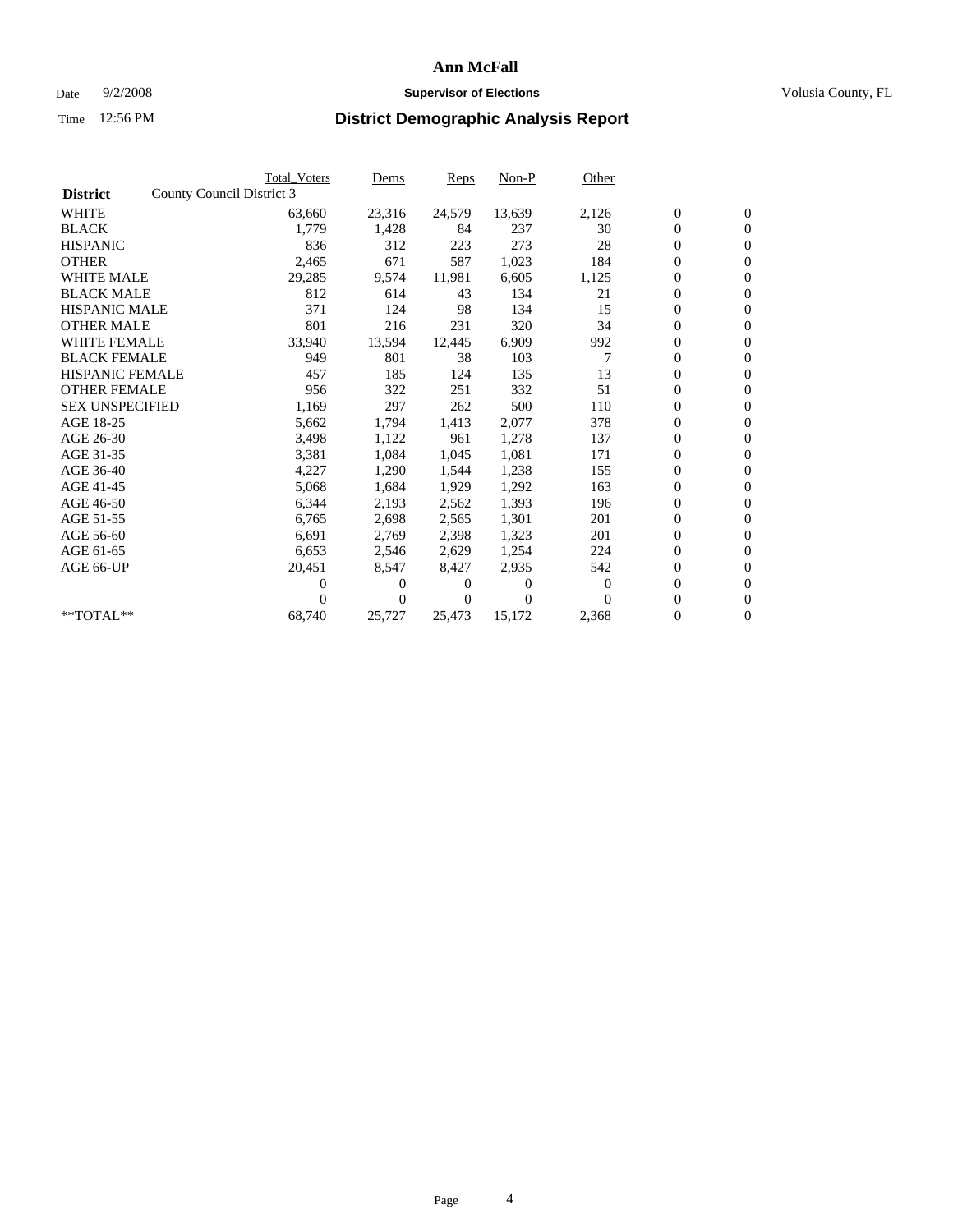## Date 9/2/2008 **Supervisor of Elections Supervisor of Elections** Volusia County, FL

|                        |                           | <b>Total Voters</b> | Dems           | <b>Reps</b> | $Non-P$        | Other    |                  |                  |  |
|------------------------|---------------------------|---------------------|----------------|-------------|----------------|----------|------------------|------------------|--|
| <b>District</b>        | County Council District 3 |                     |                |             |                |          |                  |                  |  |
| <b>WHITE</b>           |                           | 63,660              | 23,316         | 24,579      | 13,639         | 2,126    | $\boldsymbol{0}$ | $\boldsymbol{0}$ |  |
| <b>BLACK</b>           |                           | 1,779               | 1,428          | 84          | 237            | 30       | $\overline{0}$   | $\mathbf{0}$     |  |
| <b>HISPANIC</b>        |                           | 836                 | 312            | 223         | 273            | 28       | $\overline{0}$   | $\mathbf{0}$     |  |
| <b>OTHER</b>           |                           | 2,465               | 671            | 587         | 1,023          | 184      | 0                | $\mathbf{0}$     |  |
| <b>WHITE MALE</b>      |                           | 29,285              | 9,574          | 11,981      | 6,605          | 1,125    | $\boldsymbol{0}$ | $\mathbf{0}$     |  |
| <b>BLACK MALE</b>      |                           | 812                 | 614            | 43          | 134            | 21       | $\boldsymbol{0}$ | $\mathbf{0}$     |  |
| <b>HISPANIC MALE</b>   |                           | 371                 | 124            | 98          | 134            | 15       | $\boldsymbol{0}$ | $\mathbf{0}$     |  |
| <b>OTHER MALE</b>      |                           | 801                 | 216            | 231         | 320            | 34       | $\boldsymbol{0}$ | $\mathbf{0}$     |  |
| <b>WHITE FEMALE</b>    |                           | 33,940              | 13,594         | 12,445      | 6,909          | 992      | 0                | $\mathbf{0}$     |  |
| <b>BLACK FEMALE</b>    |                           | 949                 | 801            | 38          | 103            | 7        | 0                | $\Omega$         |  |
| <b>HISPANIC FEMALE</b> |                           | 457                 | 185            | 124         | 135            | 13       | $\boldsymbol{0}$ | $\mathbf{0}$     |  |
| <b>OTHER FEMALE</b>    |                           | 956                 | 322            | 251         | 332            | 51       | 0                | $\mathbf{0}$     |  |
| <b>SEX UNSPECIFIED</b> |                           | 1,169               | 297            | 262         | 500            | 110      | 0                | $\Omega$         |  |
| AGE 18-25              |                           | 5,662               | 1,794          | 1,413       | 2,077          | 378      | $\overline{0}$   | $\mathbf{0}$     |  |
| AGE 26-30              |                           | 3,498               | 1,122          | 961         | 1,278          | 137      | 0                | $\mathbf{0}$     |  |
| AGE 31-35              |                           | 3,381               | 1,084          | 1,045       | 1,081          | 171      | 0                | $\mathbf{0}$     |  |
| AGE 36-40              |                           | 4,227               | 1,290          | 1,544       | 1,238          | 155      | $\overline{0}$   | $\mathbf{0}$     |  |
| AGE 41-45              |                           | 5,068               | 1,684          | 1,929       | 1,292          | 163      | 0                | $\mathbf{0}$     |  |
| AGE 46-50              |                           | 6,344               | 2,193          | 2,562       | 1,393          | 196      | 0                | $\Omega$         |  |
| AGE 51-55              |                           | 6,765               | 2,698          | 2,565       | 1,301          | 201      | $\boldsymbol{0}$ | $\mathbf{0}$     |  |
| AGE 56-60              |                           | 6,691               | 2.769          | 2.398       | 1,323          | 201      | 0                | $\mathbf{0}$     |  |
| AGE 61-65              |                           | 6,653               | 2,546          | 2,629       | 1,254          | 224      | 0                | $\Omega$         |  |
| AGE 66-UP              |                           | 20,451              | 8,547          | 8,427       | 2,935          | 542      | $\overline{0}$   | $\mathbf{0}$     |  |
|                        |                           | 0                   | $\theta$       | 0           | $\overline{0}$ | $\Omega$ | 0                | $\mathbf{0}$     |  |
|                        |                           | 0                   | $\overline{0}$ | 0           | $\Omega$       | $\Omega$ | 0                | $\mathbf{0}$     |  |
| $*$ TOTAL $**$         |                           | 68,740              | 25,727         | 25,473      | 15,172         | 2,368    | 0                | $\boldsymbol{0}$ |  |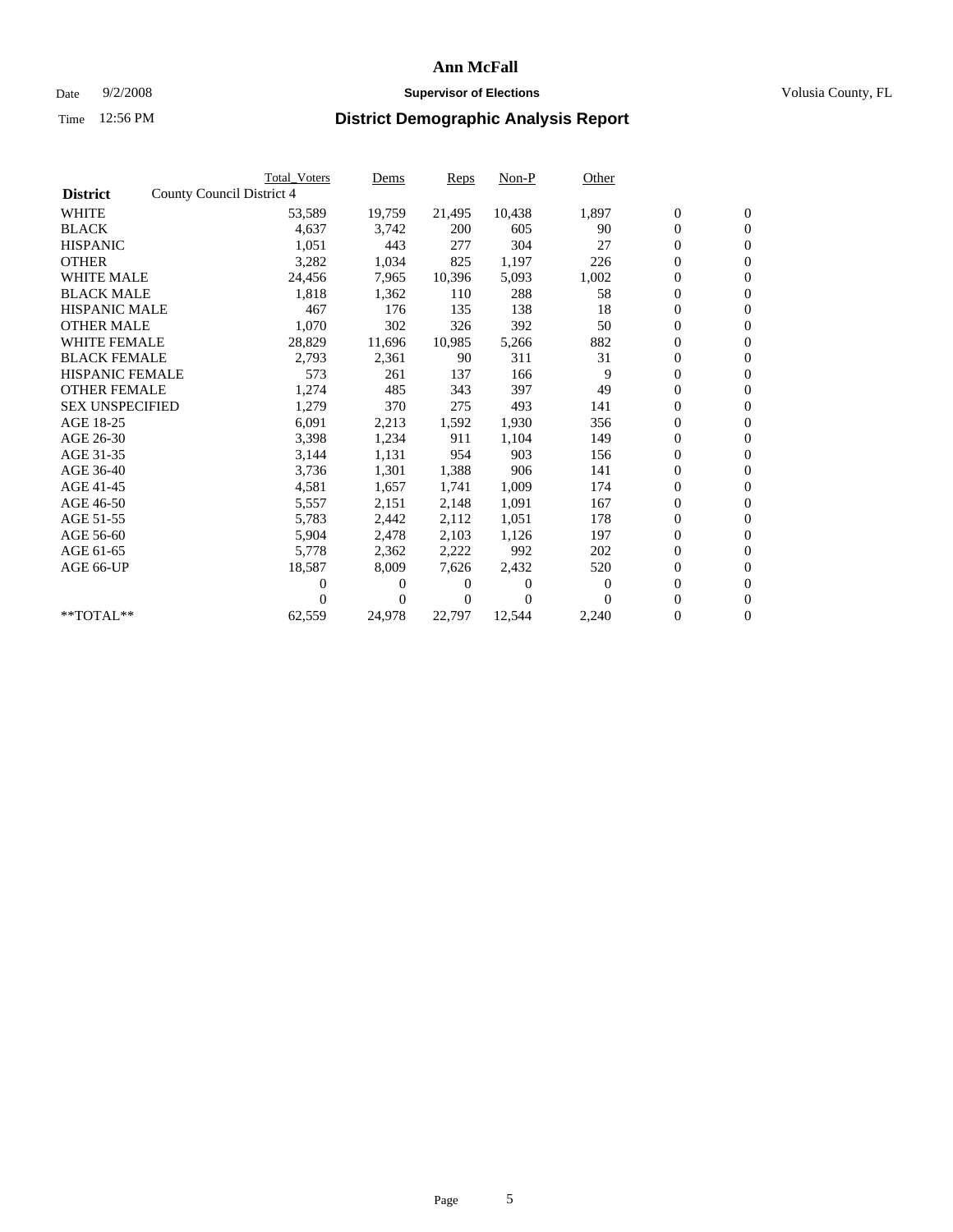## Date 9/2/2008 **Supervisor of Elections Supervisor of Elections** Volusia County, FL

|                        | <b>Total Voters</b>       | Dems           | <b>Reps</b> | $Non-P$  | Other    |                  |                  |  |
|------------------------|---------------------------|----------------|-------------|----------|----------|------------------|------------------|--|
| <b>District</b>        | County Council District 4 |                |             |          |          |                  |                  |  |
| <b>WHITE</b>           | 53,589                    | 19,759         | 21,495      | 10,438   | 1,897    | $\boldsymbol{0}$ | $\boldsymbol{0}$ |  |
| <b>BLACK</b>           | 4,637                     | 3,742          | 200         | 605      | 90       | $\overline{0}$   | $\mathbf{0}$     |  |
| <b>HISPANIC</b>        | 1,051                     | 443            | 277         | 304      | 27       | $\overline{0}$   | $\mathbf{0}$     |  |
| <b>OTHER</b>           | 3,282                     | 1,034          | 825         | 1,197    | 226      | 0                | $\mathbf{0}$     |  |
| <b>WHITE MALE</b>      | 24,456                    | 7,965          | 10,396      | 5,093    | 1,002    | $\boldsymbol{0}$ | $\mathbf{0}$     |  |
| <b>BLACK MALE</b>      | 1,818                     | 1,362          | 110         | 288      | 58       | $\boldsymbol{0}$ | $\mathbf{0}$     |  |
| <b>HISPANIC MALE</b>   | 467                       | 176            | 135         | 138      | 18       | 0                | $\mathbf{0}$     |  |
| <b>OTHER MALE</b>      | 1,070                     | 302            | 326         | 392      | 50       | $\boldsymbol{0}$ | $\mathbf{0}$     |  |
| <b>WHITE FEMALE</b>    | 28,829                    | 11,696         | 10,985      | 5,266    | 882      | 0                | $\mathbf{0}$     |  |
| <b>BLACK FEMALE</b>    | 2,793                     | 2,361          | 90          | 311      | 31       | 0                | $\Omega$         |  |
| <b>HISPANIC FEMALE</b> | 573                       | 261            | 137         | 166      | 9        | $\boldsymbol{0}$ | $\mathbf{0}$     |  |
| <b>OTHER FEMALE</b>    | 1,274                     | 485            | 343         | 397      | 49       | 0                | $\mathbf{0}$     |  |
| <b>SEX UNSPECIFIED</b> | 1,279                     | 370            | 275         | 493      | 141      | 0                | $\Omega$         |  |
| AGE 18-25              | 6,091                     | 2,213          | 1,592       | 1,930    | 356      | $\overline{0}$   | $\mathbf{0}$     |  |
| AGE 26-30              | 3,398                     | 1,234          | 911         | 1,104    | 149      | 0                | $\mathbf{0}$     |  |
| AGE 31-35              | 3,144                     | 1,131          | 954         | 903      | 156      | 0                | $\mathbf{0}$     |  |
| AGE 36-40              | 3,736                     | 1,301          | 1,388       | 906      | 141      | $\overline{0}$   | $\mathbf{0}$     |  |
| AGE 41-45              | 4,581                     | 1,657          | 1,741       | 1,009    | 174      | $\boldsymbol{0}$ | $\mathbf{0}$     |  |
| AGE 46-50              | 5,557                     | 2,151          | 2,148       | 1,091    | 167      | 0                | $\Omega$         |  |
| AGE 51-55              | 5,783                     | 2,442          | 2,112       | 1,051    | 178      | $\boldsymbol{0}$ | $\mathbf{0}$     |  |
| AGE 56-60              | 5,904                     | 2,478          | 2,103       | 1,126    | 197      | $\overline{0}$   | $\mathbf{0}$     |  |
| AGE 61-65              | 5,778                     | 2,362          | 2,222       | 992      | 202      | 0                | $\Omega$         |  |
| AGE 66-UP              | 18,587                    | 8,009          | 7,626       | 2,432    | 520      | $\overline{0}$   | $\mathbf{0}$     |  |
|                        | 0                         | 0              | 0           | $\theta$ | $\Omega$ | 0                | $\mathbf{0}$     |  |
|                        | 0                         | $\overline{0}$ | 0           | $\Omega$ | $\Omega$ | 0                | $\mathbf{0}$     |  |
| $*$ TOTAL $**$         | 62,559                    | 24,978         | 22,797      | 12,544   | 2,240    | 0                | $\boldsymbol{0}$ |  |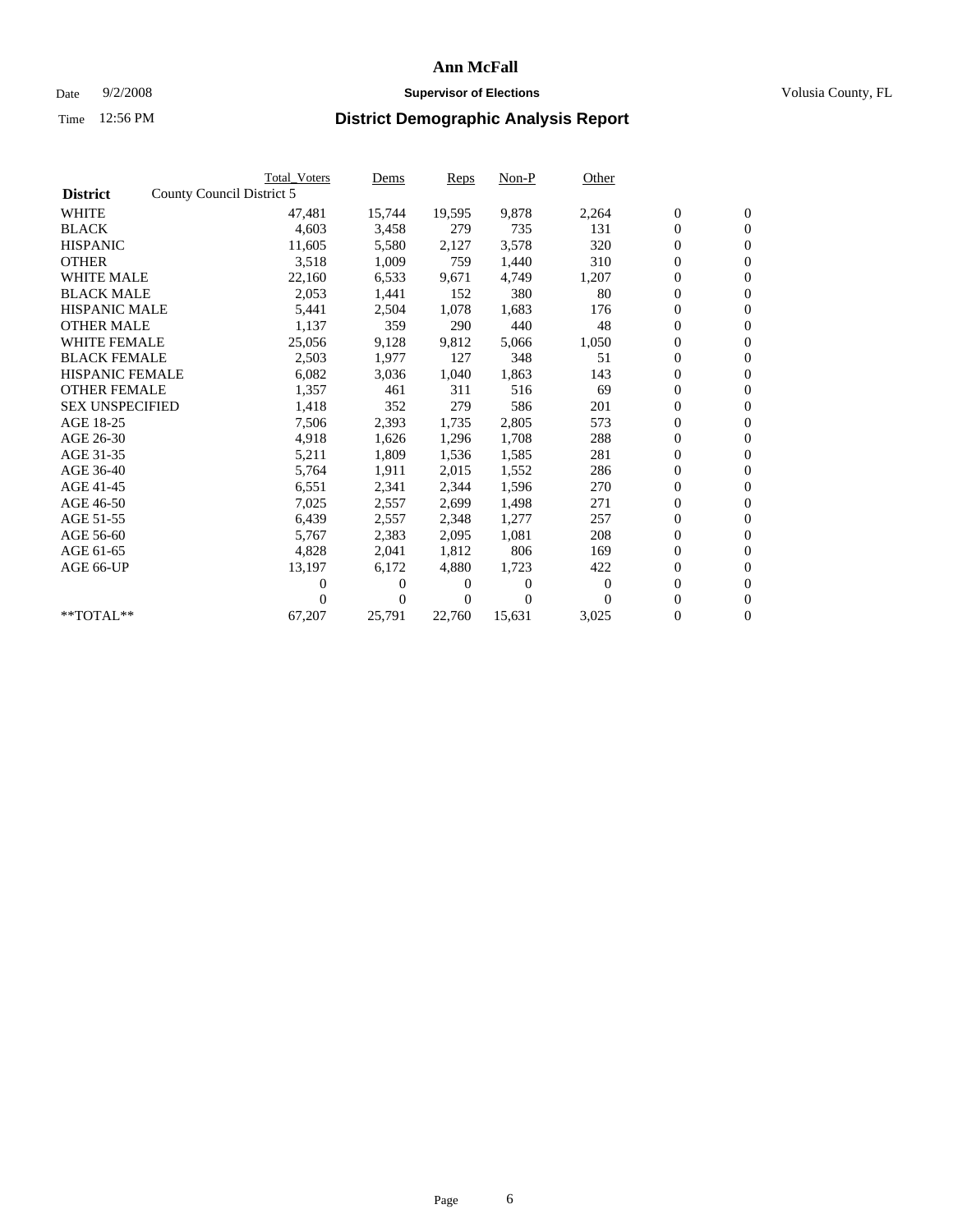## Date 9/2/2008 **Supervisor of Elections Supervisor of Elections** Volusia County, FL

|                        |                           | <b>Total Voters</b> | Dems           | <b>Reps</b> | $Non-P$  | Other    |                  |                  |  |
|------------------------|---------------------------|---------------------|----------------|-------------|----------|----------|------------------|------------------|--|
| <b>District</b>        | County Council District 5 |                     |                |             |          |          |                  |                  |  |
| <b>WHITE</b>           |                           | 47,481              | 15,744         | 19,595      | 9,878    | 2,264    | $\boldsymbol{0}$ | $\boldsymbol{0}$ |  |
| <b>BLACK</b>           |                           | 4,603               | 3,458          | 279         | 735      | 131      | $\overline{0}$   | $\mathbf{0}$     |  |
| <b>HISPANIC</b>        |                           | 11,605              | 5,580          | 2,127       | 3,578    | 320      | $\overline{0}$   | $\mathbf{0}$     |  |
| <b>OTHER</b>           |                           | 3,518               | 1,009          | 759         | 1,440    | 310      | 0                | $\mathbf{0}$     |  |
| <b>WHITE MALE</b>      |                           | 22,160              | 6,533          | 9,671       | 4,749    | 1,207    | $\boldsymbol{0}$ | $\mathbf{0}$     |  |
| <b>BLACK MALE</b>      |                           | 2,053               | 1,441          | 152         | 380      | 80       | $\boldsymbol{0}$ | $\mathbf{0}$     |  |
| <b>HISPANIC MALE</b>   |                           | 5,441               | 2,504          | 1,078       | 1,683    | 176      | 0                | $\mathbf{0}$     |  |
| <b>OTHER MALE</b>      |                           | 1,137               | 359            | 290         | 440      | 48       | $\boldsymbol{0}$ | $\mathbf{0}$     |  |
| <b>WHITE FEMALE</b>    |                           | 25,056              | 9,128          | 9,812       | 5,066    | 1,050    | 0                | $\mathbf{0}$     |  |
| <b>BLACK FEMALE</b>    |                           | 2,503               | 1,977          | 127         | 348      | 51       | $\boldsymbol{0}$ | $\mathbf{0}$     |  |
| <b>HISPANIC FEMALE</b> |                           | 6,082               | 3,036          | 1,040       | 1,863    | 143      | $\boldsymbol{0}$ | $\mathbf{0}$     |  |
| <b>OTHER FEMALE</b>    |                           | 1,357               | 461            | 311         | 516      | 69       | $\boldsymbol{0}$ | $\mathbf{0}$     |  |
| <b>SEX UNSPECIFIED</b> |                           | 1,418               | 352            | 279         | 586      | 201      | 0                | $\mathbf{0}$     |  |
| AGE 18-25              |                           | 7,506               | 2,393          | 1,735       | 2,805    | 573      | $\overline{0}$   | $\mathbf{0}$     |  |
| AGE 26-30              |                           | 4,918               | 1,626          | 1,296       | 1,708    | 288      | 0                | $\mathbf{0}$     |  |
| AGE 31-35              |                           | 5,211               | 1,809          | 1,536       | 1,585    | 281      | 0                | $\mathbf{0}$     |  |
| AGE 36-40              |                           | 5,764               | 1,911          | 2,015       | 1,552    | 286      | $\boldsymbol{0}$ | $\mathbf{0}$     |  |
| AGE 41-45              |                           | 6,551               | 2,341          | 2,344       | 1,596    | 270      | $\boldsymbol{0}$ | $\mathbf{0}$     |  |
| AGE 46-50              |                           | 7,025               | 2,557          | 2,699       | 1,498    | 271      | 0                | $\Omega$         |  |
| AGE 51-55              |                           | 6,439               | 2,557          | 2,348       | 1,277    | 257      | $\boldsymbol{0}$ | $\boldsymbol{0}$ |  |
| AGE 56-60              |                           | 5,767               | 2,383          | 2.095       | 1,081    | 208      | 0                | $\mathbf{0}$     |  |
| AGE 61-65              |                           | 4,828               | 2,041          | 1,812       | 806      | 169      | 0                | $\mathbf{0}$     |  |
| AGE 66-UP              |                           | 13,197              | 6,172          | 4,880       | 1,723    | 422      | $\overline{0}$   | $\mathbf{0}$     |  |
|                        |                           | 0                   | 0              | 0           | $\theta$ | $\theta$ | $\boldsymbol{0}$ | $\mathbf{0}$     |  |
|                        |                           | 0                   | $\overline{0}$ | 0           | $\Omega$ | $\Omega$ | 0                | $\boldsymbol{0}$ |  |
| $*$ TOTAL $**$         |                           | 67,207              | 25,791         | 22,760      | 15,631   | 3,025    | $\overline{0}$   | $\boldsymbol{0}$ |  |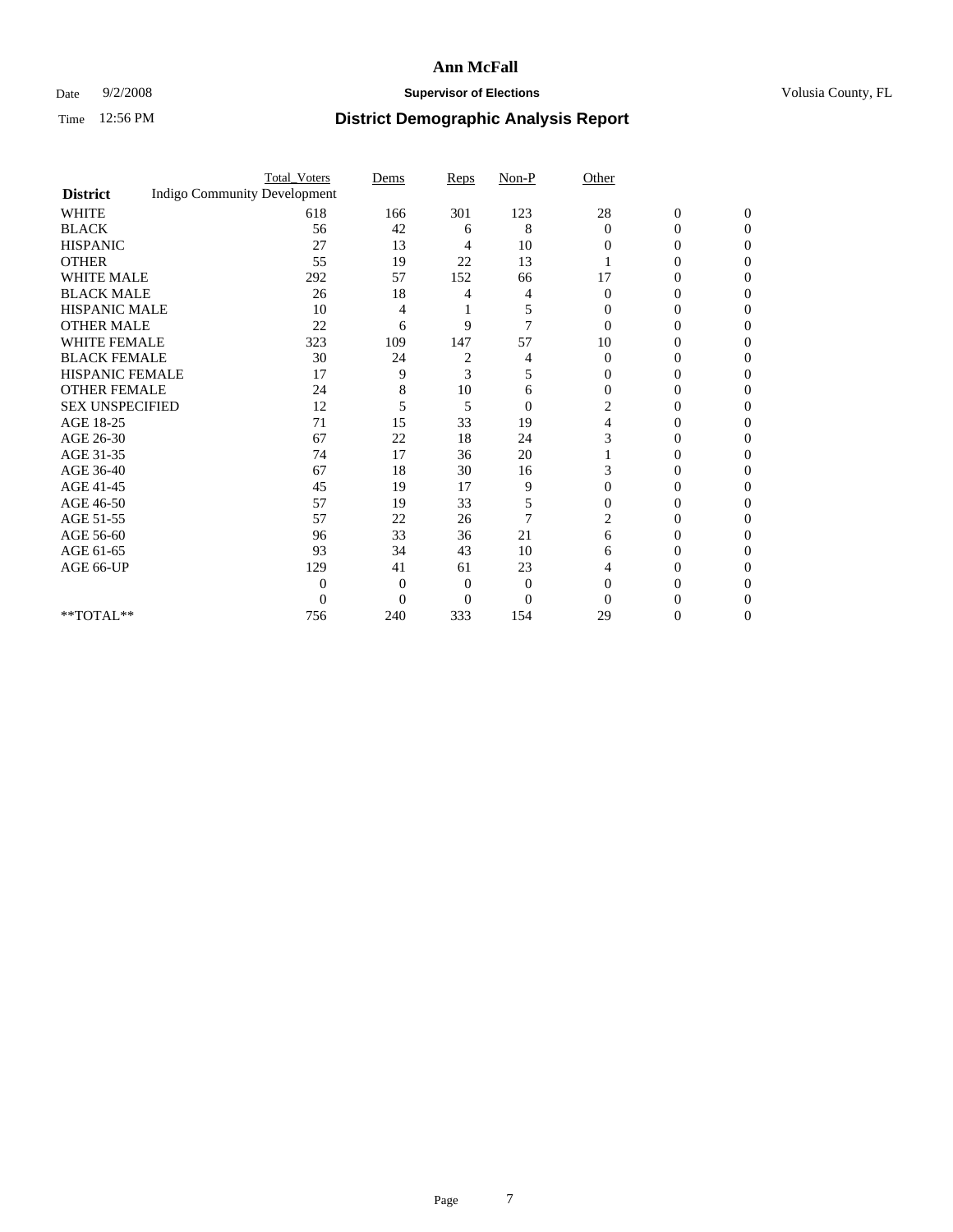## Date 9/2/2008 **Supervisor of Elections Supervisor of Elections** Volusia County, FL

|                        |                                     | <b>Total_Voters</b> | Dems     | Reps | $Non-P$        | Other          |                  |              |  |
|------------------------|-------------------------------------|---------------------|----------|------|----------------|----------------|------------------|--------------|--|
| <b>District</b>        | <b>Indigo Community Development</b> |                     |          |      |                |                |                  |              |  |
| <b>WHITE</b>           |                                     | 618                 | 166      | 301  | 123            | 28             | $\boldsymbol{0}$ | $\mathbf{0}$ |  |
| <b>BLACK</b>           |                                     | 56                  | 42       | 6    | 8              | $\Omega$       | 0                | $\Omega$     |  |
| <b>HISPANIC</b>        |                                     | 27                  | 13       | 4    | 10             | $\Omega$       | 0                | 0            |  |
| <b>OTHER</b>           |                                     | 55                  | 19       | 22   | 13             |                | 0                | 0            |  |
| <b>WHITE MALE</b>      |                                     | 292                 | 57       | 152  | 66             | 17             | 0                | 0            |  |
| <b>BLACK MALE</b>      |                                     | 26                  | 18       | 4    | 4              | $\Omega$       | 0                | 0            |  |
| HISPANIC MALE          |                                     | 10                  | 4        |      | 5              | $\Omega$       | 0                | 0            |  |
| <b>OTHER MALE</b>      |                                     | 22                  | 6        | 9    | 7              | $\Omega$       | 0                | 0            |  |
| <b>WHITE FEMALE</b>    |                                     | 323                 | 109      | 147  | 57             | 10             | 0                | 0            |  |
| <b>BLACK FEMALE</b>    |                                     | 30                  | 24       | 2    | 4              | $\overline{0}$ | 0                | 0            |  |
| <b>HISPANIC FEMALE</b> |                                     | 17                  | 9        | 3    | 5              | $\Omega$       | 0                | 0            |  |
| <b>OTHER FEMALE</b>    |                                     | 24                  | 8        | 10   | 6              | $\Omega$       | 0                | 0            |  |
| <b>SEX UNSPECIFIED</b> |                                     | 12                  | 5        | 5    | $\overline{0}$ | 2              | 0                | 0            |  |
| AGE 18-25              |                                     | 71                  | 15       | 33   | 19             | 4              | 0                | 0            |  |
| AGE 26-30              |                                     | 67                  | 22       | 18   | 24             | 3              | 0                | 0            |  |
| AGE 31-35              |                                     | 74                  | 17       | 36   | 20             |                | 0                | 0            |  |
| AGE 36-40              |                                     | 67                  | 18       | 30   | 16             | 3              | 0                | 0            |  |
| AGE 41-45              |                                     | 45                  | 19       | 17   | 9              | $\Omega$       | 0                | 0            |  |
| AGE 46-50              |                                     | 57                  | 19       | 33   | 5              | $\overline{0}$ | 0                | 0            |  |
| AGE 51-55              |                                     | 57                  | 22       | 26   | 7              | 2              | 0                | 0            |  |
| AGE 56-60              |                                     | 96                  | 33       | 36   | 21             | 6              | 0                | 0            |  |
| AGE 61-65              |                                     | 93                  | 34       | 43   | 10             | 6              | 0                | 0            |  |
| AGE 66-UP              |                                     | 129                 | 41       | 61   | 23             | 4              | 0                | $\theta$     |  |
|                        |                                     | $\Omega$            | 0        | 0    | $\theta$       | $\Omega$       |                  | 0            |  |
|                        |                                     | 0                   | $\theta$ | 0    | $\overline{0}$ | $\Omega$       |                  |              |  |
| $**TOTAL**$            |                                     | 756                 | 240      | 333  | 154            | 29             | 0                | 0            |  |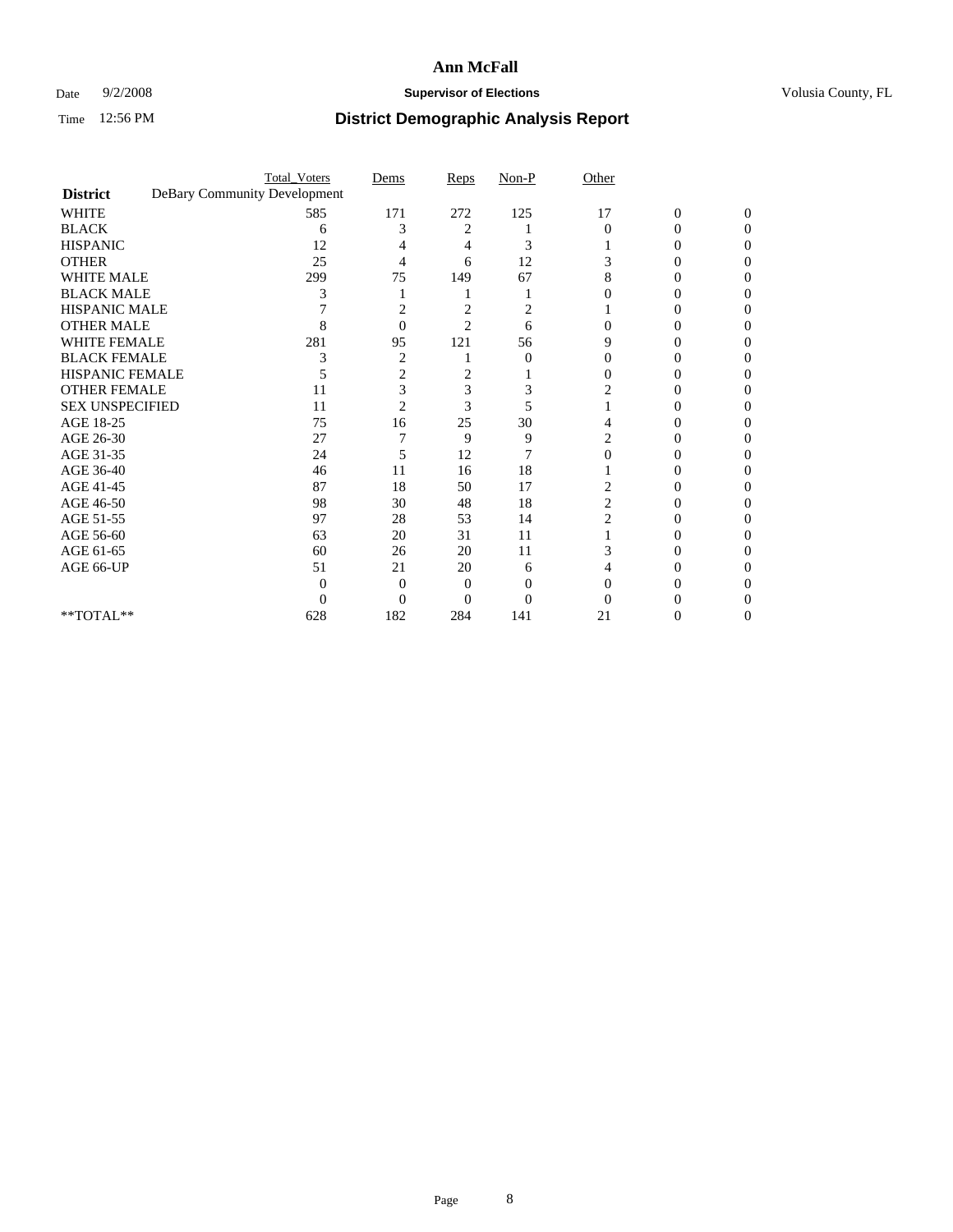## Date 9/2/2008 **Supervisor of Elections Supervisor of Elections** Volusia County, FL

|                        | <b>Total_Voters</b>          | Dems           | Reps           | $Non-P$  | Other             |                  |              |
|------------------------|------------------------------|----------------|----------------|----------|-------------------|------------------|--------------|
| <b>District</b>        | DeBary Community Development |                |                |          |                   |                  |              |
| <b>WHITE</b>           | 585                          | 171            | 272            | 125      | 17                | $\boldsymbol{0}$ | $\mathbf{0}$ |
| <b>BLACK</b>           | 6                            | 3              | 2              |          | $\Omega$          | 0                | 0            |
| <b>HISPANIC</b>        | 12                           |                | 4              | 3        |                   |                  | 0            |
| <b>OTHER</b>           | 25                           | 4              | 6              | 12       |                   |                  | 0            |
| <b>WHITE MALE</b>      | 299                          | 75             | 149            | 67       |                   | 0                | 0            |
| <b>BLACK MALE</b>      | 3                            |                |                |          |                   |                  | 0            |
| HISPANIC MALE          |                              | 2              | 2              | 2        |                   |                  |              |
| <b>OTHER MALE</b>      | 8                            | $\Omega$       | $\overline{2}$ | 6        |                   |                  |              |
| <b>WHITE FEMALE</b>    | 281                          | 95             | 121            | 56       | 9                 |                  | 0            |
| <b>BLACK FEMALE</b>    |                              | 2              |                | $\theta$ | 0                 |                  | 0            |
| <b>HISPANIC FEMALE</b> |                              | 2              | 2              |          |                   | 0                | 0            |
| <b>OTHER FEMALE</b>    | 11                           | 3              | 3              | 3        |                   |                  | 0            |
| <b>SEX UNSPECIFIED</b> | 11                           | $\overline{2}$ | 3              | 5        |                   |                  |              |
| AGE 18-25              | 75                           | 16             | 25             | 30       |                   | 0                | 0            |
| AGE 26-30              | 27                           |                | 9              | 9        |                   |                  | 0            |
| AGE 31-35              | 24                           | 5              | 12             | 7        |                   |                  |              |
| AGE 36-40              | 46                           | 11             | 16             | 18       |                   | 0                | 0            |
| AGE 41-45              | 87                           | 18             | 50             | 17       |                   |                  | 0            |
| AGE 46-50              | 98                           | 30             | 48             | 18       | 2                 |                  |              |
| AGE 51-55              | 97                           | 28             | 53             | 14       | 2                 | 0                | 0            |
| AGE 56-60              | 63                           | 20             | 31             | 11       |                   |                  | 0            |
| AGE 61-65              | 60                           | 26             | 20             | 11       | 3                 |                  |              |
| AGE 66-UP              | 51                           | 21             | 20             | 6        |                   |                  | 0            |
|                        | 0                            | 0              | 0              | 0        | $\mathbf{\Omega}$ |                  |              |
|                        | 0                            | 0              | 0              | $\theta$ |                   |                  |              |
| **TOTAL**              | 628                          | 182            | 284            | 141      | 21                | $_{0}$           | 0            |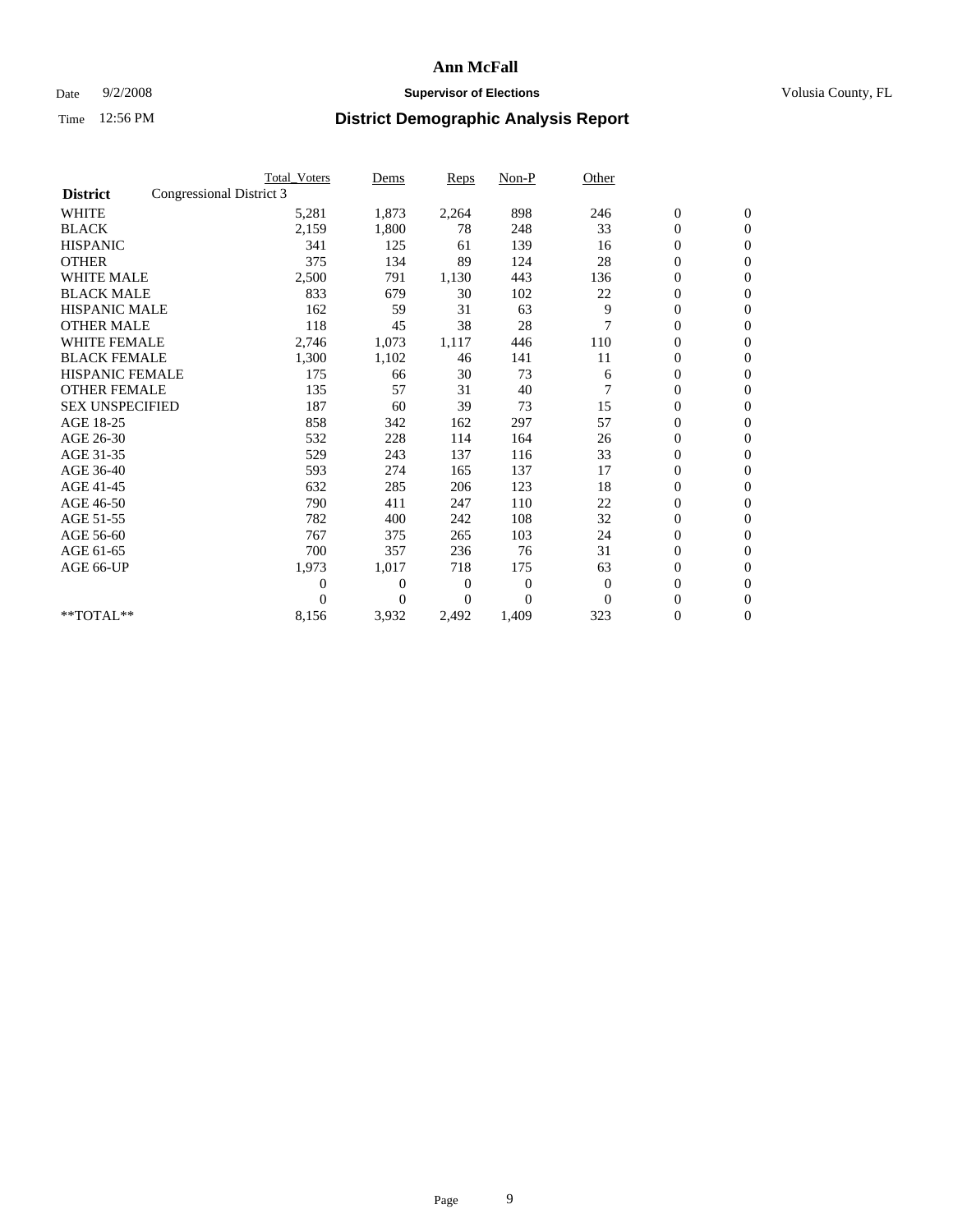## Date 9/2/2008 **Supervisor of Elections Supervisor of Elections** Volusia County, FL

|                        | <b>Total Voters</b>      | Dems           | <b>Reps</b> | $Non-P$      | Other          |                  |                  |  |
|------------------------|--------------------------|----------------|-------------|--------------|----------------|------------------|------------------|--|
| <b>District</b>        | Congressional District 3 |                |             |              |                |                  |                  |  |
| <b>WHITE</b>           | 5,281                    | 1,873          | 2,264       | 898          | 246            | $\boldsymbol{0}$ | $\boldsymbol{0}$ |  |
| <b>BLACK</b>           | 2,159                    | 1,800          | 78          | 248          | 33             | $\boldsymbol{0}$ | $\mathbf{0}$     |  |
| <b>HISPANIC</b>        | 341                      | 125            | 61          | 139          | 16             | $\overline{0}$   | $\mathbf{0}$     |  |
| <b>OTHER</b>           | 375                      | 134            | 89          | 124          | 28             | $\boldsymbol{0}$ | $\Omega$         |  |
| <b>WHITE MALE</b>      | 2,500                    | 791            | 1,130       | 443          | 136            | $\overline{0}$   | $\mathbf{0}$     |  |
| <b>BLACK MALE</b>      | 833                      | 679            | 30          | 102          | 22             | $\boldsymbol{0}$ | $\mathbf{0}$     |  |
| <b>HISPANIC MALE</b>   | 162                      | 59             | 31          | 63           | 9              | $\boldsymbol{0}$ | $\mathbf{0}$     |  |
| <b>OTHER MALE</b>      | 118                      | 45             | 38          | 28           | 7              | 0                | $\mathbf{0}$     |  |
| <b>WHITE FEMALE</b>    | 2,746                    | 1,073          | 1,117       | 446          | 110            | $\overline{0}$   | $\mathbf{0}$     |  |
| <b>BLACK FEMALE</b>    | 1,300                    | 1,102          | 46          | 141          | 11             | $\boldsymbol{0}$ | $\mathbf{0}$     |  |
| <b>HISPANIC FEMALE</b> | 175                      | 66             | 30          | 73           | 6              | $\boldsymbol{0}$ | $\mathbf{0}$     |  |
| <b>OTHER FEMALE</b>    | 135                      | 57             | 31          | 40           | $\overline{7}$ | $\mathbf{0}$     | $\mathbf{0}$     |  |
| <b>SEX UNSPECIFIED</b> | 187                      | 60             | 39          | 73           | 15             | $\boldsymbol{0}$ | $\mathbf{0}$     |  |
| AGE 18-25              | 858                      | 342            | 162         | 297          | 57             | $\overline{0}$   | $\mathbf{0}$     |  |
| AGE 26-30              | 532                      | 228            | 114         | 164          | 26             | $\overline{0}$   | $\mathbf{0}$     |  |
| AGE 31-35              | 529                      | 243            | 137         | 116          | 33             | $\boldsymbol{0}$ | $\mathbf{0}$     |  |
| AGE 36-40              | 593                      | 274            | 165         | 137          | 17             | 0                | $\mathbf{0}$     |  |
| AGE 41-45              | 632                      | 285            | 206         | 123          | 18             | $\overline{0}$   | $\mathbf{0}$     |  |
| AGE 46-50              | 790                      | 411            | 247         | 110          | 22             | $\boldsymbol{0}$ | $\mathbf{0}$     |  |
| AGE 51-55              | 782                      | 400            | 242         | 108          | 32             | $\boldsymbol{0}$ | $\mathbf{0}$     |  |
| AGE 56-60              | 767                      | 375            | 265         | 103          | 24             | $\overline{0}$   | $\Omega$         |  |
| AGE 61-65              | 700                      | 357            | 236         | 76           | 31             | $\overline{0}$   | $\mathbf{0}$     |  |
| AGE 66-UP              | 1,973                    | 1,017          | 718         | 175          | 63             | $\boldsymbol{0}$ | $\mathbf{0}$     |  |
|                        | $\overline{0}$           | $\overline{0}$ | 0           | $\mathbf{0}$ | $\mathbf{0}$   | $\overline{0}$   | $\mathbf{0}$     |  |
|                        | $\Omega$                 | $\overline{0}$ | $\Omega$    | $\Omega$     | $\Omega$       | $\boldsymbol{0}$ | $\mathbf{0}$     |  |
| **TOTAL**              | 8,156                    | 3,932          | 2,492       | 1,409        | 323            | 0                | $\mathbf{0}$     |  |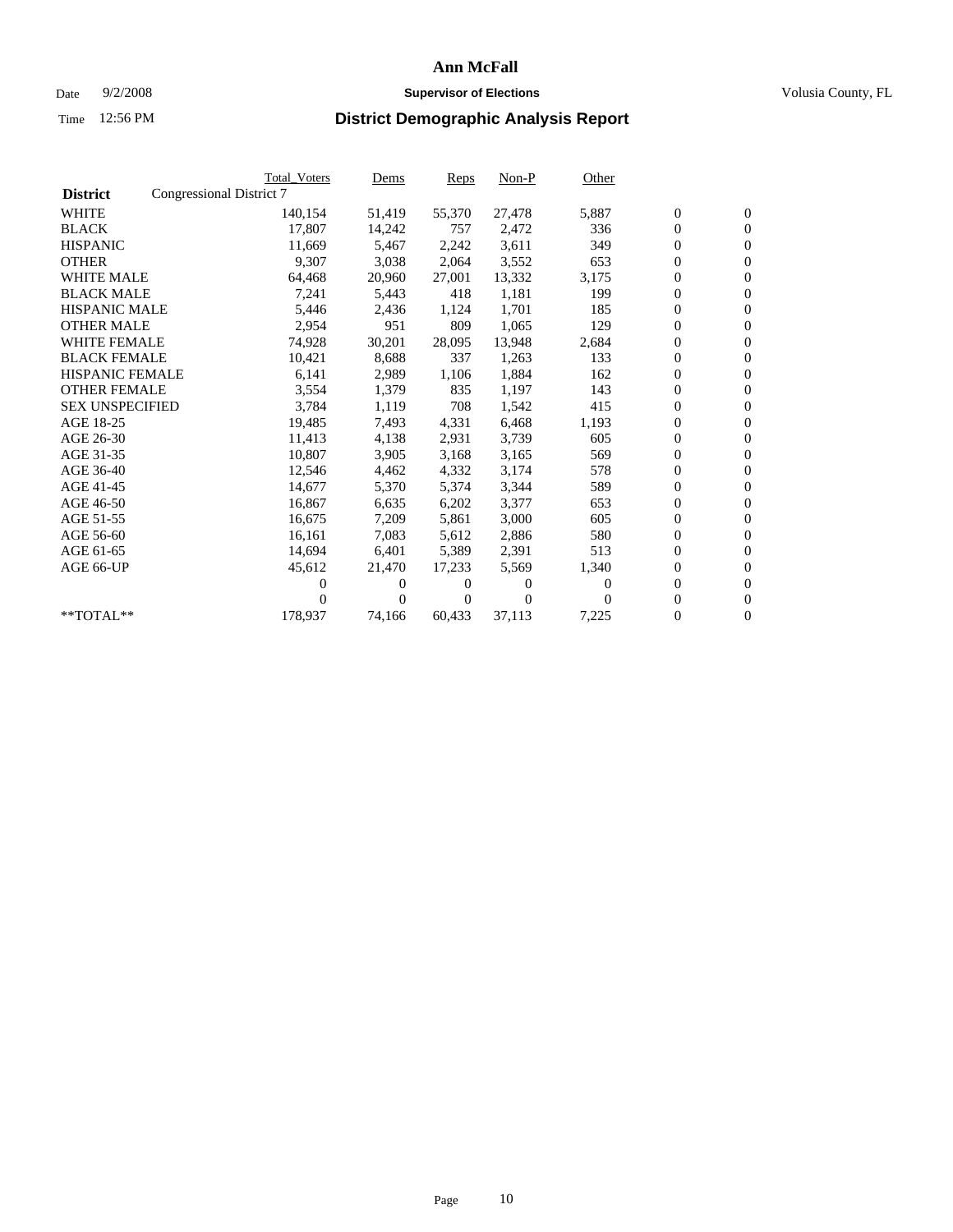## Date 9/2/2008 **Supervisor of Elections Supervisor of Elections** Volusia County, FL

|                        | <b>Total Voters</b>      | <u>Dems</u>         | <b>Reps</b> | $Non-P$  | Other    |                  |                  |  |
|------------------------|--------------------------|---------------------|-------------|----------|----------|------------------|------------------|--|
| <b>District</b>        | Congressional District 7 |                     |             |          |          |                  |                  |  |
| <b>WHITE</b>           | 140,154                  | 51,419              | 55,370      | 27,478   | 5,887    | $\boldsymbol{0}$ | $\boldsymbol{0}$ |  |
| <b>BLACK</b>           | 17,807                   | 14,242              | 757         | 2,472    | 336      | $\boldsymbol{0}$ | $\mathbf{0}$     |  |
| <b>HISPANIC</b>        | 11,669                   | 5,467               | 2,242       | 3,611    | 349      | $\boldsymbol{0}$ | $\mathbf{0}$     |  |
| <b>OTHER</b>           | 9,307                    | 3,038               | 2,064       | 3,552    | 653      | 0                | $\mathbf{0}$     |  |
| <b>WHITE MALE</b>      | 64,468                   | 20,960              | 27,001      | 13,332   | 3,175    | $\boldsymbol{0}$ | $\mathbf{0}$     |  |
| <b>BLACK MALE</b>      | 7,241                    | 5,443               | 418         | 1,181    | 199      | $\overline{0}$   | $\mathbf{0}$     |  |
| <b>HISPANIC MALE</b>   | 5,446                    | 2,436               | 1,124       | 1,701    | 185      | 0                | $\mathbf{0}$     |  |
| <b>OTHER MALE</b>      | 2,954                    | 951                 | 809         | 1,065    | 129      | $\overline{0}$   | $\mathbf{0}$     |  |
| <b>WHITE FEMALE</b>    | 74,928                   | 30,201              | 28,095      | 13,948   | 2,684    | $\boldsymbol{0}$ | $\mathbf{0}$     |  |
| <b>BLACK FEMALE</b>    | 10,421                   | 8,688               | 337         | 1,263    | 133      | $\boldsymbol{0}$ | $\mathbf{0}$     |  |
| <b>HISPANIC FEMALE</b> | 6,141                    | 2,989               | 1,106       | 1,884    | 162      | 0                | $\mathbf{0}$     |  |
| <b>OTHER FEMALE</b>    | 3,554                    | 1,379               | 835         | 1,197    | 143      | $\mathbf{0}$     | $\mathbf{0}$     |  |
| <b>SEX UNSPECIFIED</b> | 3,784                    | 1,119               | 708         | 1,542    | 415      | $\boldsymbol{0}$ | $\mathbf{0}$     |  |
| AGE 18-25              | 19,485                   | 7,493               | 4,331       | 6,468    | 1,193    | $\boldsymbol{0}$ | $\mathbf{0}$     |  |
| AGE 26-30              | 11,413                   | 4,138               | 2,931       | 3,739    | 605      | $\overline{0}$   | $\mathbf{0}$     |  |
| AGE 31-35              | 10,807                   | 3,905               | 3,168       | 3,165    | 569      | $\boldsymbol{0}$ | $\mathbf{0}$     |  |
| AGE 36-40              | 12,546                   | 4,462               | 4,332       | 3,174    | 578      | $\boldsymbol{0}$ | $\mathbf{0}$     |  |
| AGE 41-45              | 14,677                   | 5,370               | 5,374       | 3,344    | 589      | 0                | $\mathbf{0}$     |  |
| AGE 46-50              | 16,867                   | 6,635               | 6,202       | 3,377    | 653      | 0                | $\Omega$         |  |
| AGE 51-55              | 16,675                   | 7,209               | 5,861       | 3,000    | 605      | $\boldsymbol{0}$ | $\mathbf{0}$     |  |
| AGE 56-60              | 16,161                   | 7.083               | 5,612       | 2,886    | 580      | $\overline{0}$   | $\mathbf{0}$     |  |
| AGE 61-65              | 14,694                   | 6,401               | 5,389       | 2,391    | 513      | $\overline{0}$   | $\mathbf{0}$     |  |
| AGE 66-UP              | 45,612                   | 21,470              | 17,233      | 5,569    | 1,340    | 0                | $\mathbf{0}$     |  |
|                        |                          | 0<br>0              | $^{(1)}$    | $\Omega$ | $\Omega$ | $\mathbf{0}$     | $\mathbf{0}$     |  |
|                        |                          | $\overline{0}$<br>0 | 0           | $\Omega$ | 0        | 0                | $\mathbf{0}$     |  |
| **TOTAL**              | 178,937                  | 74,166              | 60,433      | 37,113   | 7,225    | 0                | $\boldsymbol{0}$ |  |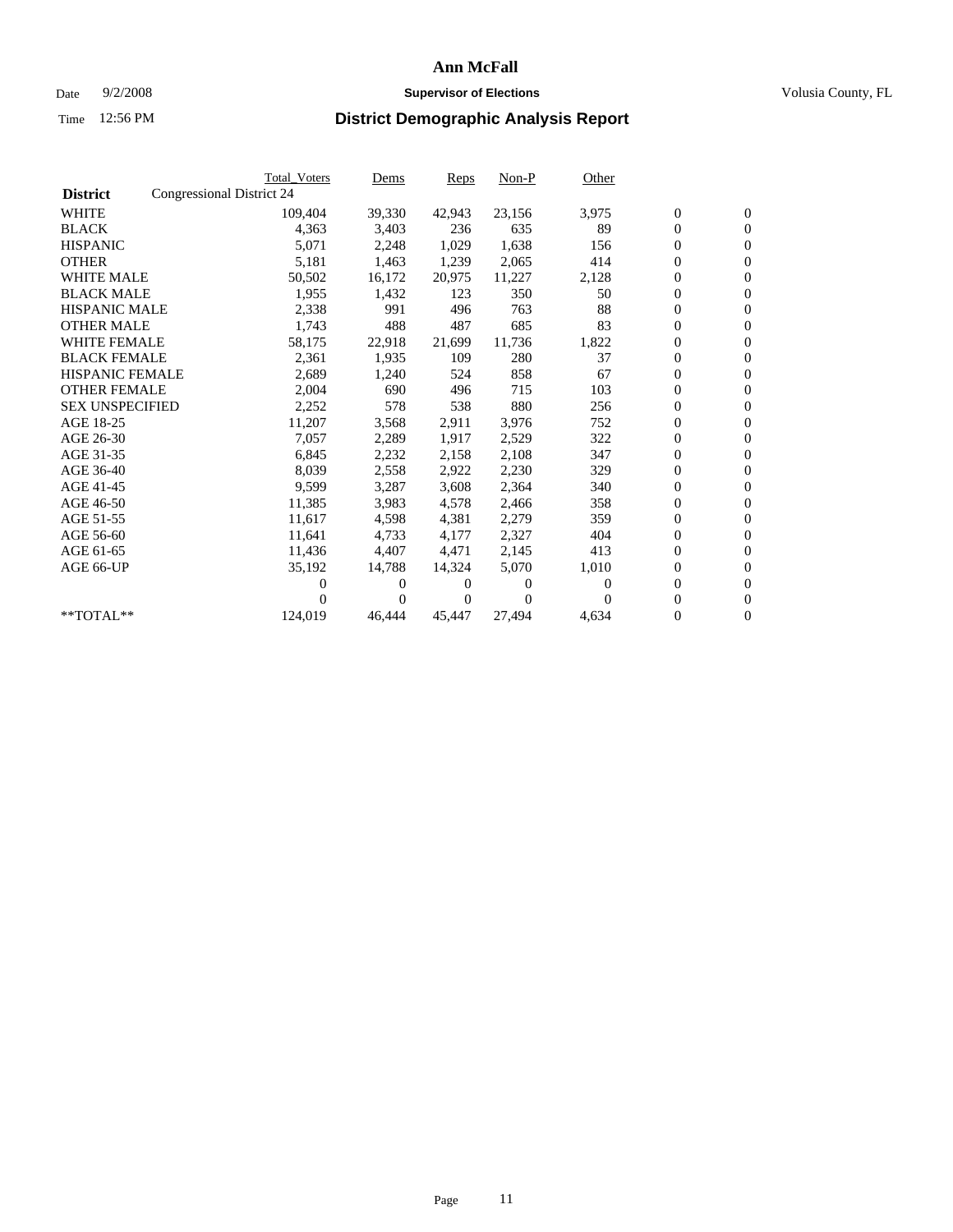## Date 9/2/2008 **Supervisor of Elections Supervisor of Elections** Volusia County, FL

|                        |                           | <b>Total Voters</b> | Dems     | <b>Reps</b> | Non-P    | Other    |                  |                  |  |
|------------------------|---------------------------|---------------------|----------|-------------|----------|----------|------------------|------------------|--|
| <b>District</b>        | Congressional District 24 |                     |          |             |          |          |                  |                  |  |
| <b>WHITE</b>           |                           | 109,404             | 39,330   | 42,943      | 23,156   | 3,975    | $\boldsymbol{0}$ | $\boldsymbol{0}$ |  |
| <b>BLACK</b>           |                           | 4,363               | 3,403    | 236         | 635      | 89       | $\overline{0}$   | $\mathbf{0}$     |  |
| <b>HISPANIC</b>        |                           | 5,071               | 2,248    | 1,029       | 1,638    | 156      | 0                | $\mathbf{0}$     |  |
| <b>OTHER</b>           |                           | 5,181               | 1,463    | 1,239       | 2,065    | 414      | 0                | $\mathbf{0}$     |  |
| <b>WHITE MALE</b>      |                           | 50,502              | 16,172   | 20,975      | 11,227   | 2,128    | 0                | $\mathbf{0}$     |  |
| <b>BLACK MALE</b>      |                           | 1,955               | 1,432    | 123         | 350      | 50       | $\overline{0}$   | $\mathbf{0}$     |  |
| <b>HISPANIC MALE</b>   |                           | 2,338               | 991      | 496         | 763      | 88       | 0                | $\mathbf{0}$     |  |
| <b>OTHER MALE</b>      |                           | 1,743               | 488      | 487         | 685      | 83       | 0                | $\mathbf{0}$     |  |
| <b>WHITE FEMALE</b>    |                           | 58,175              | 22,918   | 21,699      | 11,736   | 1,822    | $\boldsymbol{0}$ | $\mathbf{0}$     |  |
| <b>BLACK FEMALE</b>    |                           | 2,361               | 1,935    | 109         | 280      | 37       | 0                | $\mathbf{0}$     |  |
| HISPANIC FEMALE        |                           | 2,689               | 1,240    | 524         | 858      | 67       | $\boldsymbol{0}$ | $\mathbf{0}$     |  |
| <b>OTHER FEMALE</b>    |                           | 2,004               | 690      | 496         | 715      | 103      | 0                | $\mathbf{0}$     |  |
| <b>SEX UNSPECIFIED</b> |                           | 2,252               | 578      | 538         | 880      | 256      | 0                | $\mathbf{0}$     |  |
| AGE 18-25              |                           | 11,207              | 3,568    | 2,911       | 3,976    | 752      | $\overline{0}$   | $\mathbf{0}$     |  |
| AGE 26-30              |                           | 7,057               | 2,289    | 1,917       | 2,529    | 322      | 0                | $\mathbf{0}$     |  |
| AGE 31-35              |                           | 6,845               | 2,232    | 2,158       | 2,108    | 347      | 0                | $\mathbf{0}$     |  |
| AGE 36-40              |                           | 8,039               | 2,558    | 2,922       | 2,230    | 329      | $\boldsymbol{0}$ | $\mathbf{0}$     |  |
| AGE 41-45              |                           | 9,599               | 3,287    | 3,608       | 2,364    | 340      | 0                | $\mathbf{0}$     |  |
| AGE 46-50              |                           | 11,385              | 3,983    | 4,578       | 2,466    | 358      | 0                | $\mathbf{0}$     |  |
| AGE 51-55              |                           | 11,617              | 4,598    | 4,381       | 2,279    | 359      | $\overline{0}$   | $\mathbf{0}$     |  |
| AGE 56-60              |                           | 11.641              | 4,733    | 4.177       | 2,327    | 404      | 0                | $\mathbf{0}$     |  |
| AGE 61-65              |                           | 11,436              | 4,407    | 4,471       | 2,145    | 413      | 0                | $\mathbf{0}$     |  |
| AGE 66-UP              |                           | 35,192              | 14,788   | 14,324      | 5,070    | 1,010    | 0                | $\mathbf{0}$     |  |
|                        |                           | 0                   | $\theta$ | 0           | $\Omega$ | $\Omega$ | $\overline{0}$   | $\mathbf{0}$     |  |
|                        |                           | 0                   | 0        | 0           | $\Omega$ |          | 0                | $\mathbf{0}$     |  |
| **TOTAL**              |                           | 124,019             | 46,444   | 45,447      | 27,494   | 4,634    | 0                | $\boldsymbol{0}$ |  |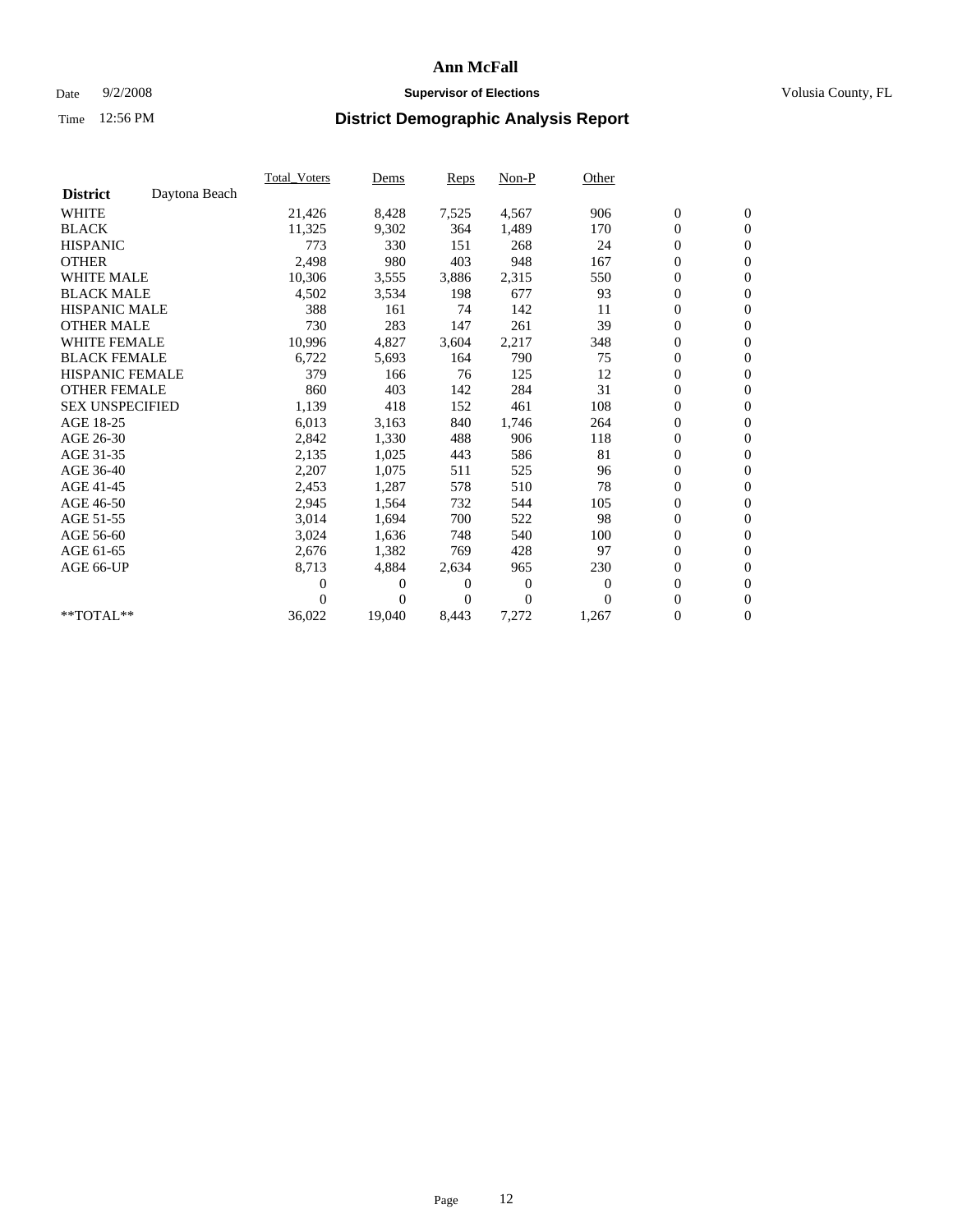## Date 9/2/2008 **Supervisor of Elections Supervisor of Elections** Volusia County, FL

|                        |               | Total_Voters | Dems     | <b>Reps</b> | Non-P    | Other    |                  |                  |  |
|------------------------|---------------|--------------|----------|-------------|----------|----------|------------------|------------------|--|
| <b>District</b>        | Daytona Beach |              |          |             |          |          |                  |                  |  |
| <b>WHITE</b>           |               | 21,426       | 8,428    | 7,525       | 4,567    | 906      | $\boldsymbol{0}$ | $\boldsymbol{0}$ |  |
| <b>BLACK</b>           |               | 11,325       | 9,302    | 364         | 1,489    | 170      | 0                | $\mathbf{0}$     |  |
| <b>HISPANIC</b>        |               | 773          | 330      | 151         | 268      | 24       | $\overline{0}$   | $\mathbf{0}$     |  |
| <b>OTHER</b>           |               | 2,498        | 980      | 403         | 948      | 167      | 0                | $\mathbf{0}$     |  |
| <b>WHITE MALE</b>      |               | 10,306       | 3,555    | 3,886       | 2,315    | 550      | $\boldsymbol{0}$ | $\mathbf{0}$     |  |
| <b>BLACK MALE</b>      |               | 4,502        | 3,534    | 198         | 677      | 93       | $\boldsymbol{0}$ | $\mathbf{0}$     |  |
| <b>HISPANIC MALE</b>   |               | 388          | 161      | 74          | 142      | 11       | 0                | $\mathbf{0}$     |  |
| <b>OTHER MALE</b>      |               | 730          | 283      | 147         | 261      | 39       | 0                | $\mathbf{0}$     |  |
| <b>WHITE FEMALE</b>    |               | 10,996       | 4,827    | 3,604       | 2,217    | 348      | $\overline{0}$   | $\mathbf{0}$     |  |
| <b>BLACK FEMALE</b>    |               | 6,722        | 5,693    | 164         | 790      | 75       | $\boldsymbol{0}$ | $\mathbf{0}$     |  |
| <b>HISPANIC FEMALE</b> |               | 379          | 166      | 76          | 125      | 12       | $\boldsymbol{0}$ | $\mathbf{0}$     |  |
| <b>OTHER FEMALE</b>    |               | 860          | 403      | 142         | 284      | 31       | $\overline{0}$   | $\mathbf{0}$     |  |
| <b>SEX UNSPECIFIED</b> |               | 1,139        | 418      | 152         | 461      | 108      | $\boldsymbol{0}$ | $\mathbf{0}$     |  |
| AGE 18-25              |               | 6,013        | 3,163    | 840         | 1,746    | 264      | 0                | $\mathbf{0}$     |  |
| AGE 26-30              |               | 2,842        | 1,330    | 488         | 906      | 118      | 0                | $\mathbf{0}$     |  |
| AGE 31-35              |               | 2,135        | 1,025    | 443         | 586      | 81       | $\boldsymbol{0}$ | $\boldsymbol{0}$ |  |
| AGE 36-40              |               | 2,207        | 1,075    | 511         | 525      | 96       | 0                | $\mathbf{0}$     |  |
| AGE 41-45              |               | 2,453        | 1,287    | 578         | 510      | 78       | 0                | $\mathbf{0}$     |  |
| AGE 46-50              |               | 2,945        | 1,564    | 732         | 544      | 105      | $\boldsymbol{0}$ | $\mathbf{0}$     |  |
| AGE 51-55              |               | 3,014        | 1,694    | 700         | 522      | 98       | 0                | $\mathbf{0}$     |  |
| AGE 56-60              |               | 3,024        | 1,636    | 748         | 540      | 100      | $\boldsymbol{0}$ | $\mathbf{0}$     |  |
| AGE 61-65              |               | 2,676        | 1,382    | 769         | 428      | 97       | $\boldsymbol{0}$ | $\mathbf{0}$     |  |
| AGE 66-UP              |               | 8,713        | 4,884    | 2,634       | 965      | 230      | 0                | $\boldsymbol{0}$ |  |
|                        |               | 0            | 0        | 0           | $\theta$ | $\bf{0}$ | 0                | $\mathbf{0}$     |  |
|                        |               | 0            | $\Omega$ | 0           | $\Omega$ | $\Omega$ | 0                | $\boldsymbol{0}$ |  |
| **TOTAL**              |               | 36,022       | 19,040   | 8,443       | 7,272    | 1,267    | 0                | $\overline{0}$   |  |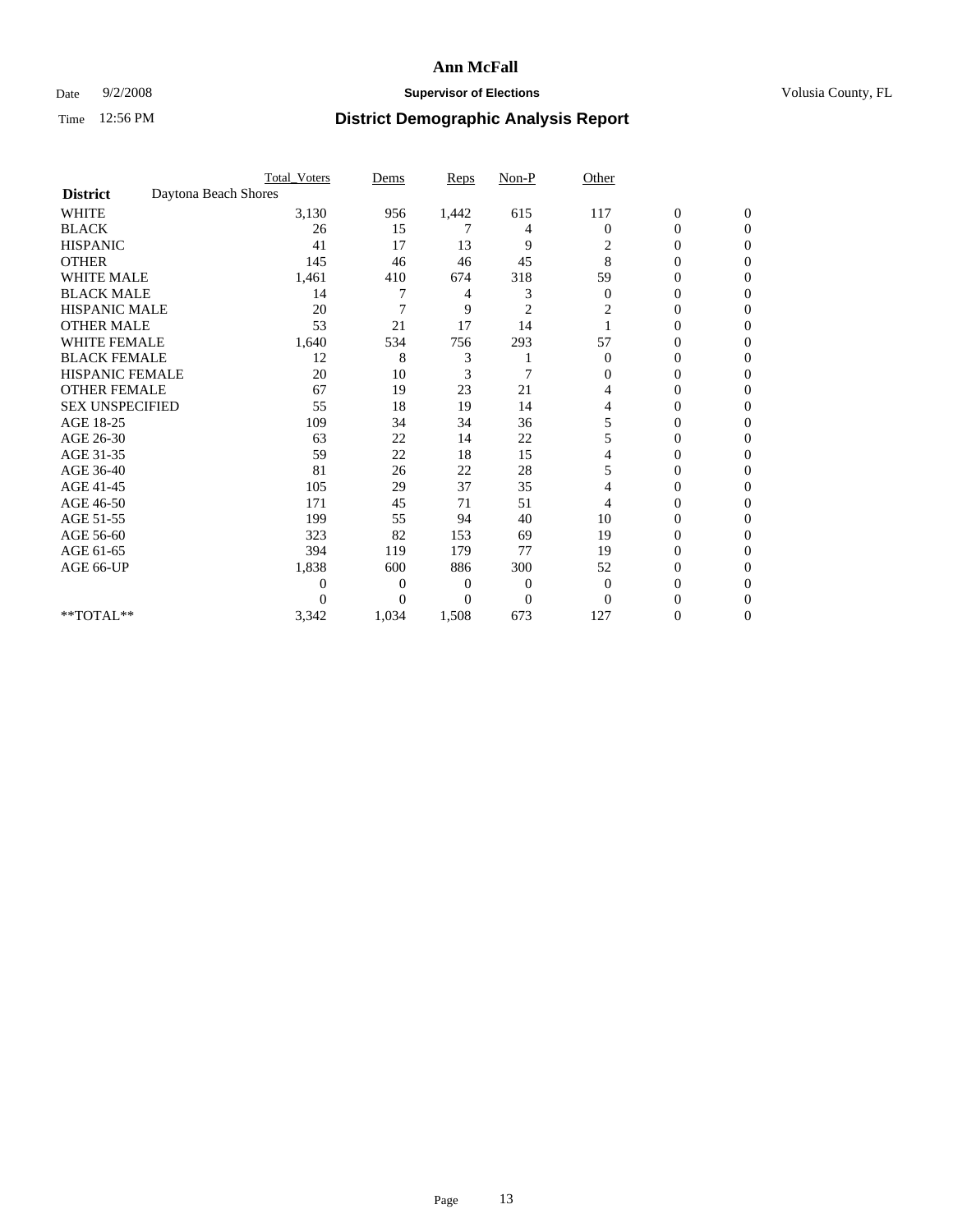## Date 9/2/2008 **Supervisor of Elections Supervisor of Elections** Volusia County, FL

|                        |                      | <b>Total_Voters</b> | Dems           | Reps           | $Non-P$        | Other        |                  |              |  |
|------------------------|----------------------|---------------------|----------------|----------------|----------------|--------------|------------------|--------------|--|
| <b>District</b>        | Daytona Beach Shores |                     |                |                |                |              |                  |              |  |
| <b>WHITE</b>           |                      | 3,130               | 956            | 1,442          | 615            | 117          | $\boldsymbol{0}$ | $\mathbf{0}$ |  |
| <b>BLACK</b>           |                      | 26                  | 15             | 7              | 4              | $\Omega$     | $\overline{0}$   | $\Omega$     |  |
| <b>HISPANIC</b>        |                      | 41                  | 17             | 13             | 9              | 2            | 0                | $\Omega$     |  |
| <b>OTHER</b>           |                      | 145                 | 46             | 46             | 45             | 8            | 0                | $\Omega$     |  |
| <b>WHITE MALE</b>      |                      | 1,461               | 410            | 674            | 318            | 59           | 0                | 0            |  |
| <b>BLACK MALE</b>      |                      | 14                  |                | 4              | 3              | $\mathbf{0}$ | 0                | $\Omega$     |  |
| HISPANIC MALE          |                      | 20                  | 7              | 9              | $\overline{c}$ | 2            | 0                | $\Omega$     |  |
| <b>OTHER MALE</b>      |                      | 53                  | 21             | 17             | 14             |              | 0                | 0            |  |
| <b>WHITE FEMALE</b>    |                      | 1,640               | 534            | 756            | 293            | 57           | 0                | $\Omega$     |  |
| <b>BLACK FEMALE</b>    |                      | 12                  | 8              | 3              |                | $\mathbf{0}$ | $\overline{0}$   | $\Omega$     |  |
| <b>HISPANIC FEMALE</b> |                      | 20                  | 10             | 3              | 7              | 0            | 0                | 0            |  |
| <b>OTHER FEMALE</b>    |                      | 67                  | 19             | 23             | 21             | 4            | 0                | 0            |  |
| <b>SEX UNSPECIFIED</b> |                      | 55                  | 18             | 19             | 14             | 4            | 0                | $\Omega$     |  |
| AGE 18-25              |                      | 109                 | 34             | 34             | 36             | 5            | 0                | $\Omega$     |  |
| AGE 26-30              |                      | 63                  | 22             | 14             | 22             | 5            | 0                | 0            |  |
| AGE 31-35              |                      | 59                  | 22             | 18             | 15             | 4            | 0                | $\Omega$     |  |
| AGE 36-40              |                      | 81                  | 26             | 22             | 28             | 5            | 0                | 0            |  |
| AGE 41-45              |                      | 105                 | 29             | 37             | 35             | 4            | 0                | $\Omega$     |  |
| AGE 46-50              |                      | 171                 | 45             | 71             | 51             | 4            | 0                | $\Omega$     |  |
| AGE 51-55              |                      | 199                 | 55             | 94             | 40             | 10           | 0                | 0            |  |
| AGE 56-60              |                      | 323                 | 82             | 153            | 69             | 19           | 0                | $\Omega$     |  |
| AGE 61-65              |                      | 394                 | 119            | 179            | 77             | 19           | $\overline{0}$   | 0            |  |
| AGE 66-UP              |                      | 1,838               | 600            | 886            | 300            | 52           | 0                | 0            |  |
|                        |                      | 0                   | $\overline{0}$ | 0              | $\overline{0}$ | $\Omega$     | 0                | $\Omega$     |  |
|                        |                      | 0                   | $\overline{0}$ | $\overline{0}$ | $\overline{0}$ | $\Omega$     |                  | 0            |  |
| **TOTAL**              |                      | 3,342               | 1,034          | 1,508          | 673            | 127          | 0                | 0            |  |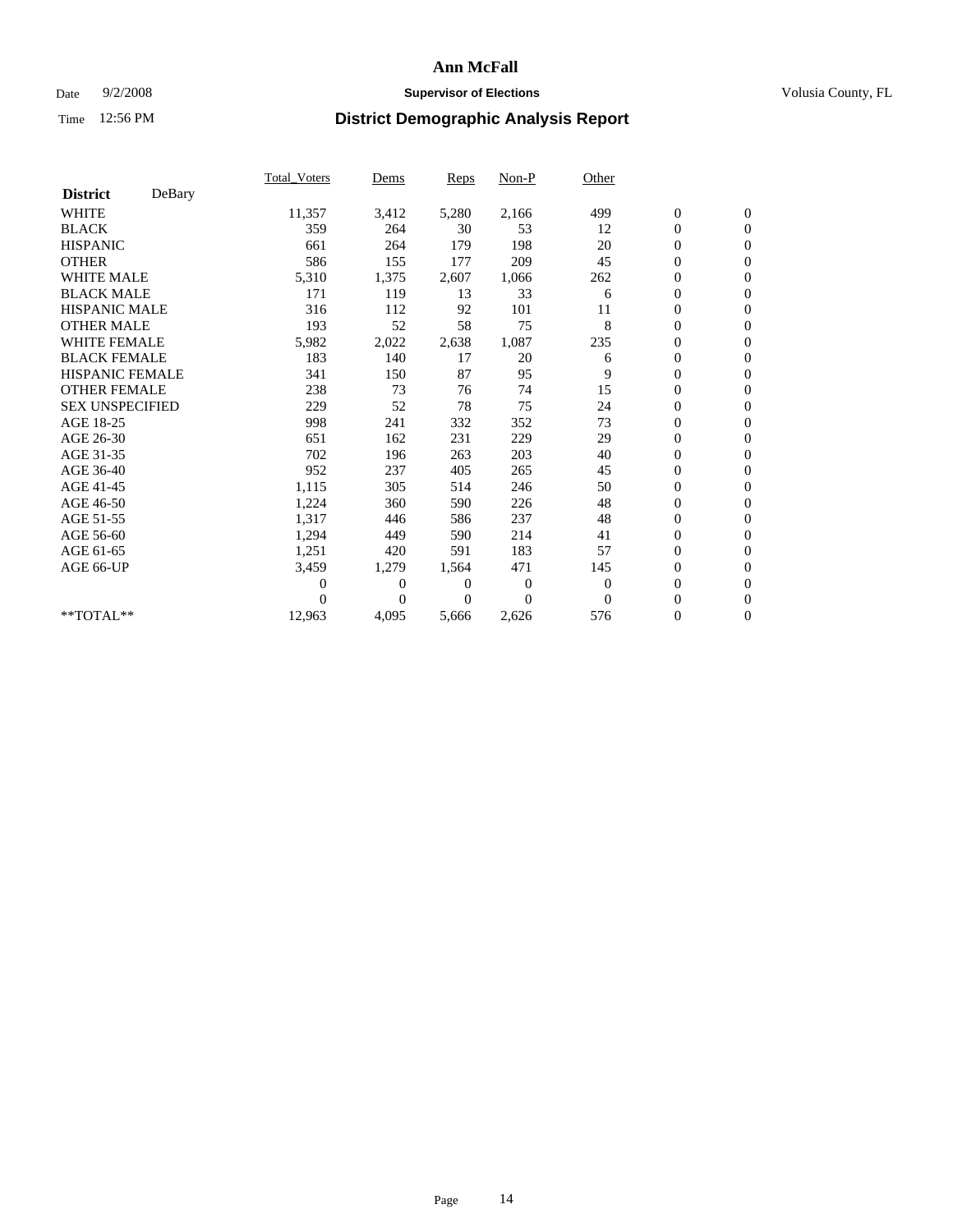## Date 9/2/2008 **Supervisor of Elections Supervisor of Elections** Volusia County, FL

|                        |        | <b>Total_Voters</b> | Dems           | Reps  | Non-P          | Other    |                  |                  |  |
|------------------------|--------|---------------------|----------------|-------|----------------|----------|------------------|------------------|--|
| <b>District</b>        | DeBary |                     |                |       |                |          |                  |                  |  |
| <b>WHITE</b>           |        | 11,357              | 3,412          | 5,280 | 2,166          | 499      | $\boldsymbol{0}$ | $\boldsymbol{0}$ |  |
| <b>BLACK</b>           |        | 359                 | 264            | 30    | 53             | 12       | 0                | $\mathbf{0}$     |  |
| <b>HISPANIC</b>        |        | 661                 | 264            | 179   | 198            | 20       | $\overline{0}$   | $\mathbf{0}$     |  |
| <b>OTHER</b>           |        | 586                 | 155            | 177   | 209            | 45       | 0                | $\mathbf{0}$     |  |
| <b>WHITE MALE</b>      |        | 5,310               | 1,375          | 2,607 | 1,066          | 262      | 0                | $\mathbf{0}$     |  |
| <b>BLACK MALE</b>      |        | 171                 | 119            | 13    | 33             | 6        | $\overline{0}$   | $\mathbf{0}$     |  |
| <b>HISPANIC MALE</b>   |        | 316                 | 112            | 92    | 101            | 11       | 0                | $\mathbf{0}$     |  |
| <b>OTHER MALE</b>      |        | 193                 | 52             | 58    | 75             | 8        | 0                | $\mathbf{0}$     |  |
| <b>WHITE FEMALE</b>    |        | 5,982               | 2,022          | 2,638 | 1,087          | 235      | $\boldsymbol{0}$ | $\mathbf{0}$     |  |
| <b>BLACK FEMALE</b>    |        | 183                 | 140            | 17    | 20             | 6        | 0                | $\mathbf{0}$     |  |
| <b>HISPANIC FEMALE</b> |        | 341                 | 150            | 87    | 95             | 9        | $\boldsymbol{0}$ | $\mathbf{0}$     |  |
| <b>OTHER FEMALE</b>    |        | 238                 | 73             | 76    | 74             | 15       | $\overline{0}$   | $\mathbf{0}$     |  |
| <b>SEX UNSPECIFIED</b> |        | 229                 | 52             | 78    | 75             | 24       | 0                | $\Omega$         |  |
| AGE 18-25              |        | 998                 | 241            | 332   | 352            | 73       | $\boldsymbol{0}$ | $\mathbf{0}$     |  |
| AGE 26-30              |        | 651                 | 162            | 231   | 229            | 29       | $\overline{0}$   | $\Omega$         |  |
| AGE 31-35              |        | 702                 | 196            | 263   | 203            | 40       | 0                | $\mathbf{0}$     |  |
| AGE 36-40              |        | 952                 | 237            | 405   | 265            | 45       | 0                | $\mathbf{0}$     |  |
| AGE 41-45              |        | 1,115               | 305            | 514   | 246            | 50       | $\boldsymbol{0}$ | $\mathbf{0}$     |  |
| AGE 46-50              |        | 1,224               | 360            | 590   | 226            | 48       | 0                | $\Omega$         |  |
| AGE 51-55              |        | 1,317               | 446            | 586   | 237            | 48       | $\boldsymbol{0}$ | $\mathbf{0}$     |  |
| AGE 56-60              |        | 1,294               | 449            | 590   | 214            | 41       | $\overline{0}$   | $\mathbf{0}$     |  |
| AGE 61-65              |        | 1,251               | 420            | 591   | 183            | 57       | 0                | $\mathbf{0}$     |  |
| AGE 66-UP              |        | 3,459               | 1,279          | 1,564 | 471            | 145      | $\boldsymbol{0}$ | $\mathbf{0}$     |  |
|                        |        | 0                   | $\overline{0}$ | 0     | $\overline{0}$ | $\theta$ | $\overline{0}$   | $\mathbf{0}$     |  |
|                        |        | 0                   | $\Omega$       | 0     | $\theta$       | $\theta$ | 0                | $\mathbf{0}$     |  |
| **TOTAL**              |        | 12,963              | 4,095          | 5,666 | 2,626          | 576      | 0                | $\boldsymbol{0}$ |  |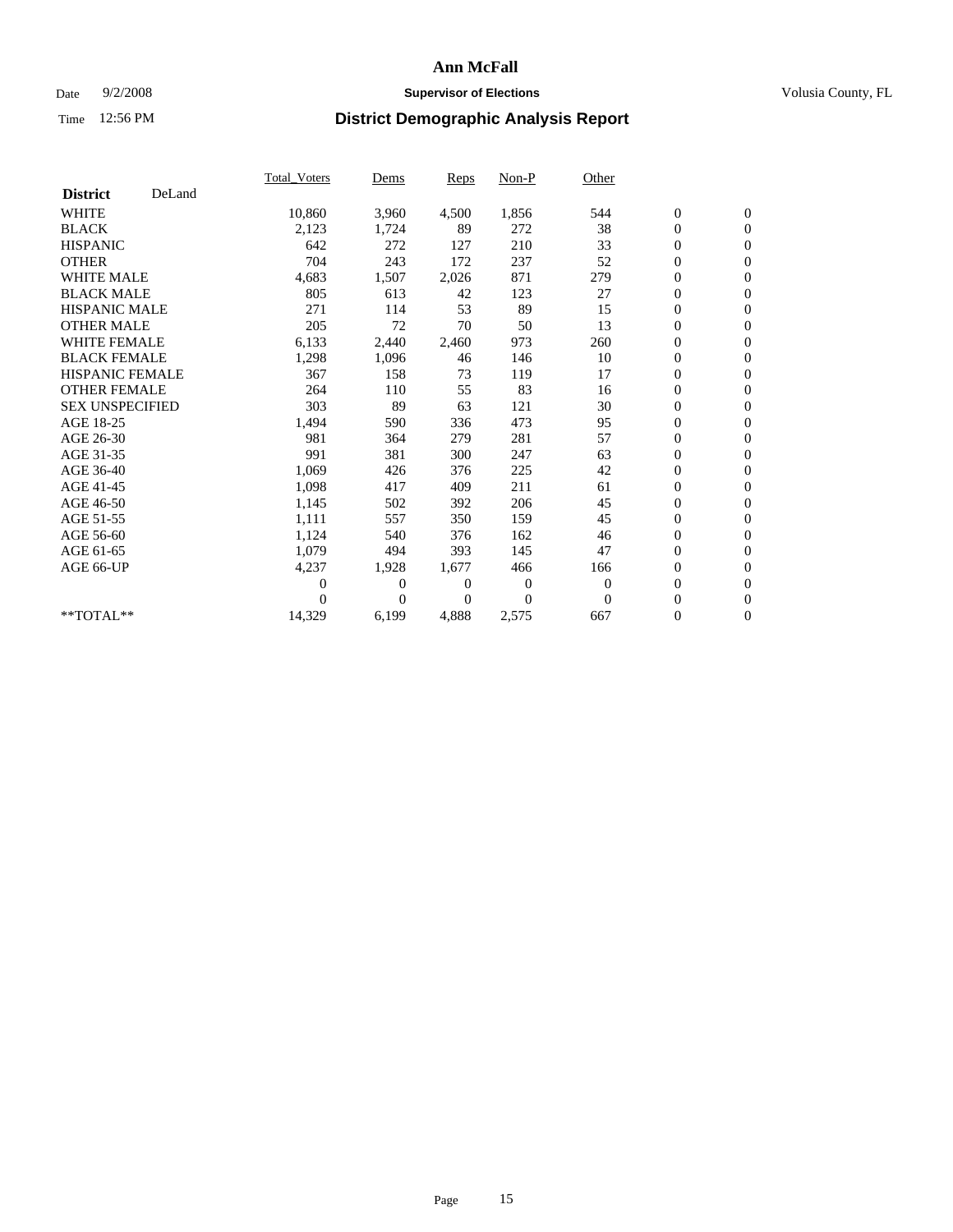## Date 9/2/2008 **Supervisor of Elections Supervisor of Elections** Volusia County, FL

|                        |        | <b>Total Voters</b> | Dems           | <b>Reps</b>    | Non-P    | Other    |                  |                  |  |
|------------------------|--------|---------------------|----------------|----------------|----------|----------|------------------|------------------|--|
| <b>District</b>        | DeLand |                     |                |                |          |          |                  |                  |  |
| <b>WHITE</b>           |        | 10,860              | 3,960          | 4,500          | 1,856    | 544      | $\boldsymbol{0}$ | $\boldsymbol{0}$ |  |
| <b>BLACK</b>           |        | 2,123               | 1,724          | 89             | 272      | 38       | $\boldsymbol{0}$ | $\mathbf{0}$     |  |
| <b>HISPANIC</b>        |        | 642                 | 272            | 127            | 210      | 33       | $\overline{0}$   | $\mathbf{0}$     |  |
| <b>OTHER</b>           |        | 704                 | 243            | 172            | 237      | 52       | 0                | $\mathbf{0}$     |  |
| WHITE MALE             |        | 4,683               | 1,507          | 2,026          | 871      | 279      | $\boldsymbol{0}$ | $\mathbf{0}$     |  |
| <b>BLACK MALE</b>      |        | 805                 | 613            | 42             | 123      | 27       | $\overline{0}$   | $\mathbf{0}$     |  |
| <b>HISPANIC MALE</b>   |        | 271                 | 114            | 53             | 89       | 15       | 0                | $\mathbf{0}$     |  |
| <b>OTHER MALE</b>      |        | 205                 | 72             | 70             | 50       | 13       | 0                | $\mathbf{0}$     |  |
| <b>WHITE FEMALE</b>    |        | 6,133               | 2,440          | 2,460          | 973      | 260      | $\boldsymbol{0}$ | $\mathbf{0}$     |  |
| <b>BLACK FEMALE</b>    |        | 1,298               | 1,096          | 46             | 146      | 10       | 0                | $\mathbf{0}$     |  |
| <b>HISPANIC FEMALE</b> |        | 367                 | 158            | 73             | 119      | 17       | $\boldsymbol{0}$ | $\mathbf{0}$     |  |
| <b>OTHER FEMALE</b>    |        | 264                 | 110            | 55             | 83       | 16       | $\overline{0}$   | $\mathbf{0}$     |  |
| <b>SEX UNSPECIFIED</b> |        | 303                 | 89             | 63             | 121      | 30       | 0                | $\mathbf{0}$     |  |
| AGE 18-25              |        | 1,494               | 590            | 336            | 473      | 95       | $\boldsymbol{0}$ | $\mathbf{0}$     |  |
| AGE 26-30              |        | 981                 | 364            | 279            | 281      | 57       | $\boldsymbol{0}$ | $\mathbf{0}$     |  |
| AGE 31-35              |        | 991                 | 381            | 300            | 247      | 63       | $\boldsymbol{0}$ | $\mathbf{0}$     |  |
| AGE 36-40              |        | 1,069               | 426            | 376            | 225      | 42       | 0                | $\mathbf{0}$     |  |
| AGE 41-45              |        | 1,098               | 417            | 409            | 211      | 61       | $\boldsymbol{0}$ | $\mathbf{0}$     |  |
| AGE 46-50              |        | 1,145               | 502            | 392            | 206      | 45       | 0                | $\mathbf{0}$     |  |
| AGE 51-55              |        | 1,111               | 557            | 350            | 159      | 45       | $\boldsymbol{0}$ | $\mathbf{0}$     |  |
| AGE 56-60              |        | 1,124               | 540            | 376            | 162      | 46       | 0                | $\mathbf{0}$     |  |
| AGE 61-65              |        | 1,079               | 494            | 393            | 145      | 47       | 0                | $\mathbf{0}$     |  |
| AGE 66-UP              |        | 4,237               | 1,928          | 1,677          | 466      | 166      | $\boldsymbol{0}$ | $\mathbf{0}$     |  |
|                        |        | 0                   | $\mathbf{0}$   | 0              | $\theta$ | $\theta$ | $\overline{0}$   | $\mathbf{0}$     |  |
|                        |        | 0                   | $\overline{0}$ | $\overline{0}$ | $\theta$ | $\theta$ | 0                | $\mathbf{0}$     |  |
| **TOTAL**              |        | 14,329              | 6,199          | 4,888          | 2,575    | 667      | 0                | $\boldsymbol{0}$ |  |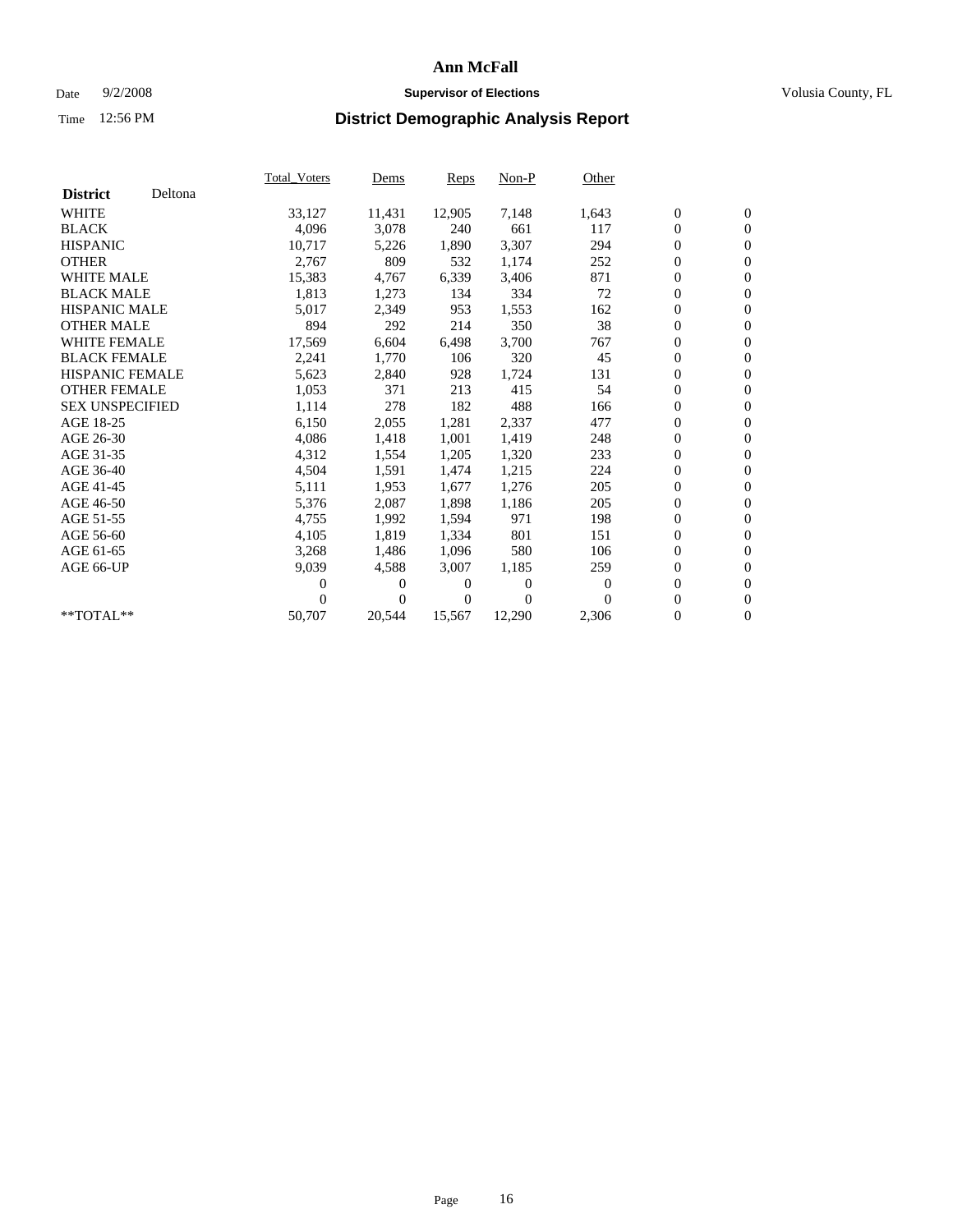## Date 9/2/2008 **Supervisor of Elections Supervisor of Elections** Volusia County, FL

|                        |         | <b>Total Voters</b> | Dems   | Reps   | $Non-P$          | Other          |                  |                  |  |
|------------------------|---------|---------------------|--------|--------|------------------|----------------|------------------|------------------|--|
| <b>District</b>        | Deltona |                     |        |        |                  |                |                  |                  |  |
| <b>WHITE</b>           |         | 33,127              | 11,431 | 12,905 | 7,148            | 1,643          | $\boldsymbol{0}$ | $\boldsymbol{0}$ |  |
| <b>BLACK</b>           |         | 4,096               | 3,078  | 240    | 661              | 117            | $\overline{0}$   | $\mathbf{0}$     |  |
| <b>HISPANIC</b>        |         | 10,717              | 5,226  | 1,890  | 3,307            | 294            | $\overline{0}$   | $\mathbf{0}$     |  |
| <b>OTHER</b>           |         | 2,767               | 809    | 532    | 1,174            | 252            | 0                | $\overline{0}$   |  |
| <b>WHITE MALE</b>      |         | 15,383              | 4,767  | 6,339  | 3,406            | 871            | $\boldsymbol{0}$ | $\mathbf{0}$     |  |
| <b>BLACK MALE</b>      |         | 1,813               | 1,273  | 134    | 334              | 72             | $\boldsymbol{0}$ | $\mathbf{0}$     |  |
| <b>HISPANIC MALE</b>   |         | 5,017               | 2,349  | 953    | 1,553            | 162            | $\boldsymbol{0}$ | $\overline{0}$   |  |
| <b>OTHER MALE</b>      |         | 894                 | 292    | 214    | 350              | 38             | $\boldsymbol{0}$ | $\mathbf{0}$     |  |
| <b>WHITE FEMALE</b>    |         | 17,569              | 6,604  | 6,498  | 3,700            | 767            | $\overline{0}$   | $\overline{0}$   |  |
| <b>BLACK FEMALE</b>    |         | 2,241               | 1,770  | 106    | 320              | 45             | $\boldsymbol{0}$ | $\Omega$         |  |
| <b>HISPANIC FEMALE</b> |         | 5,623               | 2,840  | 928    | 1,724            | 131            | $\boldsymbol{0}$ | $\mathbf{0}$     |  |
| <b>OTHER FEMALE</b>    |         | 1,053               | 371    | 213    | 415              | 54             | $\boldsymbol{0}$ | $\overline{0}$   |  |
| <b>SEX UNSPECIFIED</b> |         | 1,114               | 278    | 182    | 488              | 166            | $\boldsymbol{0}$ | $\overline{0}$   |  |
| AGE 18-25              |         | 6,150               | 2,055  | 1,281  | 2,337            | 477            | $\boldsymbol{0}$ | $\mathbf{0}$     |  |
| AGE 26-30              |         | 4,086               | 1,418  | 1,001  | 1,419            | 248            | $\boldsymbol{0}$ | $\overline{0}$   |  |
| AGE 31-35              |         | 4,312               | 1,554  | 1,205  | 1,320            | 233            | $\boldsymbol{0}$ | $\mathbf{0}$     |  |
| AGE 36-40              |         | 4,504               | 1,591  | 1,474  | 1,215            | 224            | $\boldsymbol{0}$ | $\mathbf{0}$     |  |
| AGE 41-45              |         | 5,111               | 1,953  | 1,677  | 1,276            | 205            | $\boldsymbol{0}$ | $\overline{0}$   |  |
| AGE 46-50              |         | 5,376               | 2,087  | 1,898  | 1,186            | 205            | $\boldsymbol{0}$ | $\Omega$         |  |
| AGE 51-55              |         | 4,755               | 1,992  | 1,594  | 971              | 198            | $\boldsymbol{0}$ | $\mathbf{0}$     |  |
| AGE 56-60              |         | 4,105               | 1,819  | 1,334  | 801              | 151            | $\overline{0}$   | $\overline{0}$   |  |
| AGE 61-65              |         | 3,268               | 1,486  | 1,096  | 580              | 106            | $\boldsymbol{0}$ | $\mathbf{0}$     |  |
| AGE 66-UP              |         | 9,039               | 4,588  | 3,007  | 1,185            | 259            | $\overline{0}$   | $\mathbf{0}$     |  |
|                        |         | 0                   | $_{0}$ | 0      | $\boldsymbol{0}$ | $\overline{0}$ | $\boldsymbol{0}$ | $\overline{0}$   |  |
|                        |         | 0                   | 0      | 0      | $\theta$         | $\Omega$       | 0                | $\overline{0}$   |  |
| $*$ TOTAL $**$         |         | 50,707              | 20,544 | 15,567 | 12,290           | 2,306          | $\overline{0}$   | $\boldsymbol{0}$ |  |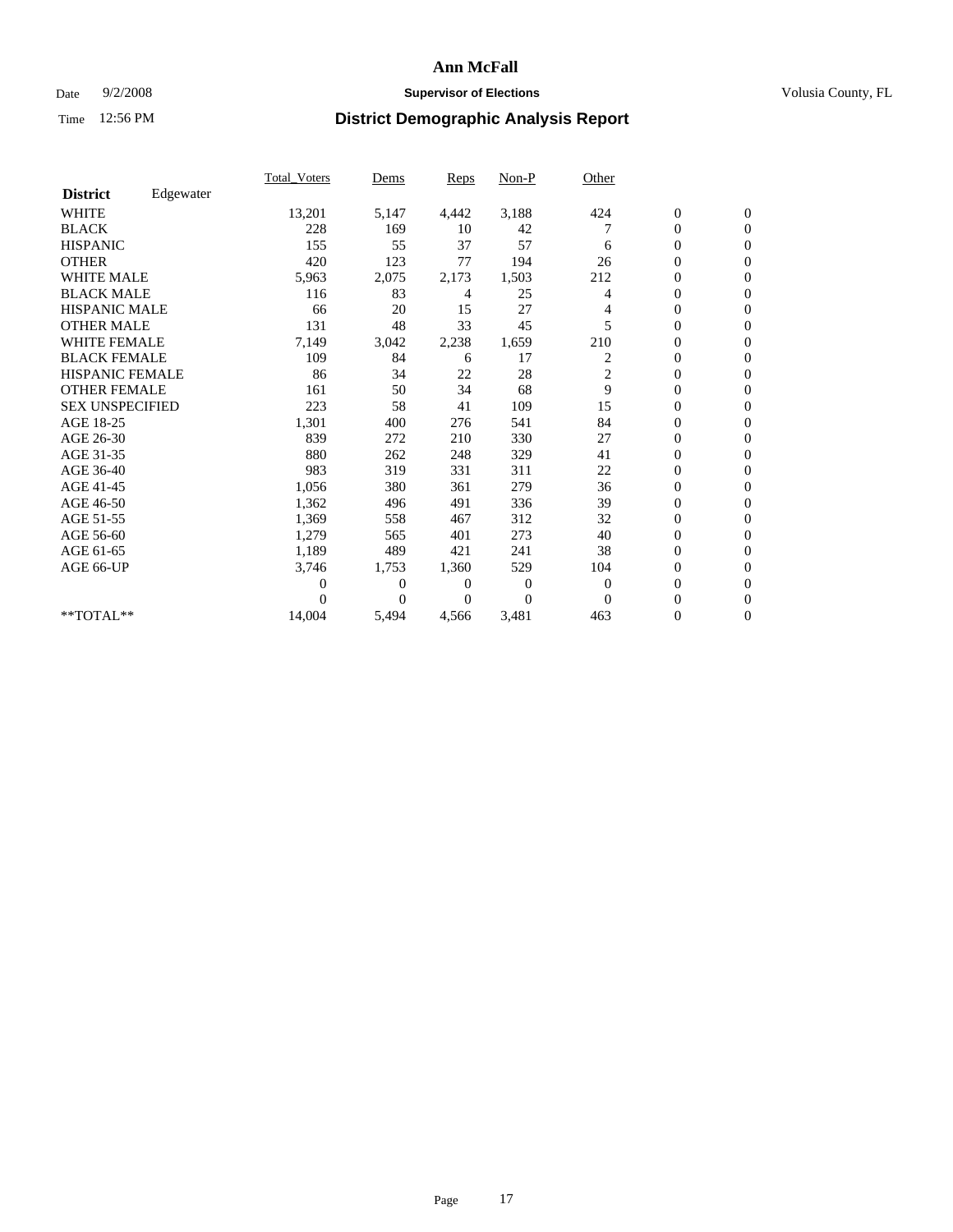## Date 9/2/2008 **Supervisor of Elections Supervisor of Elections** Volusia County, FL

|                        |           | <b>Total_Voters</b> | Dems     | Reps  | $Non-P$        | Other                   |                  |                  |  |
|------------------------|-----------|---------------------|----------|-------|----------------|-------------------------|------------------|------------------|--|
| <b>District</b>        | Edgewater |                     |          |       |                |                         |                  |                  |  |
| <b>WHITE</b>           |           | 13,201              | 5,147    | 4,442 | 3,188          | 424                     | $\boldsymbol{0}$ | $\boldsymbol{0}$ |  |
| <b>BLACK</b>           |           | 228                 | 169      | 10    | 42             |                         | 0                | $\mathbf{0}$     |  |
| <b>HISPANIC</b>        |           | 155                 | 55       | 37    | 57             | 6                       | $\mathbf{0}$     | $\mathbf{0}$     |  |
| <b>OTHER</b>           |           | 420                 | 123      | 77    | 194            | 26                      | 0                | $\Omega$         |  |
| <b>WHITE MALE</b>      |           | 5,963               | 2,075    | 2,173 | 1,503          | 212                     | 0                | $\mathbf{0}$     |  |
| <b>BLACK MALE</b>      |           | 116                 | 83       | 4     | 25             | 4                       | $\overline{0}$   | $\mathbf{0}$     |  |
| <b>HISPANIC MALE</b>   |           | 66                  | 20       | 15    | 27             | 4                       | 0                | $\mathbf{0}$     |  |
| <b>OTHER MALE</b>      |           | 131                 | 48       | 33    | 45             | 5                       | 0                | $\mathbf{0}$     |  |
| <b>WHITE FEMALE</b>    |           | 7,149               | 3,042    | 2,238 | 1,659          | 210                     | 0                | $\mathbf{0}$     |  |
| <b>BLACK FEMALE</b>    |           | 109                 | 84       | 6     | 17             | 2                       | 0                | $\mathbf{0}$     |  |
| <b>HISPANIC FEMALE</b> |           | 86                  | 34       | 22    | 28             | $\overline{\mathbf{c}}$ | 0                | $\mathbf{0}$     |  |
| <b>OTHER FEMALE</b>    |           | 161                 | 50       | 34    | 68             | 9                       | 0                | $\Omega$         |  |
| <b>SEX UNSPECIFIED</b> |           | 223                 | 58       | 41    | 109            | 15                      | 0                | $\mathbf{0}$     |  |
| AGE 18-25              |           | 1,301               | 400      | 276   | 541            | 84                      | 0                | $\mathbf{0}$     |  |
| AGE 26-30              |           | 839                 | 272      | 210   | 330            | 27                      | $\overline{0}$   | $\mathbf{0}$     |  |
| AGE 31-35              |           | 880                 | 262      | 248   | 329            | 41                      | 0                | $\mathbf{0}$     |  |
| AGE 36-40              |           | 983                 | 319      | 331   | 311            | 22                      | 0                | $\mathbf{0}$     |  |
| AGE 41-45              |           | 1,056               | 380      | 361   | 279            | 36                      | 0                | $\mathbf{0}$     |  |
| AGE 46-50              |           | 1,362               | 496      | 491   | 336            | 39                      | $\boldsymbol{0}$ | $\mathbf{0}$     |  |
| AGE 51-55              |           | 1,369               | 558      | 467   | 312            | 32                      | 0                | $\mathbf{0}$     |  |
| AGE 56-60              |           | 1,279               | 565      | 401   | 273            | 40                      | 0                | $\Omega$         |  |
| AGE 61-65              |           | 1,189               | 489      | 421   | 241            | 38                      | 0                | $\mathbf{0}$     |  |
| AGE 66-UP              |           | 3,746               | 1,753    | 1,360 | 529            | 104                     | 0                | $\mathbf{0}$     |  |
|                        |           | 0                   | 0        | 0     | $\overline{0}$ | $\theta$                | 0                | $\mathbf{0}$     |  |
|                        |           | 0                   | $\Omega$ | 0     | $\Omega$       | $\Omega$                | $\overline{0}$   | $\mathbf{0}$     |  |
| **TOTAL**              |           | 14,004              | 5,494    | 4,566 | 3,481          | 463                     | 0                | $\overline{0}$   |  |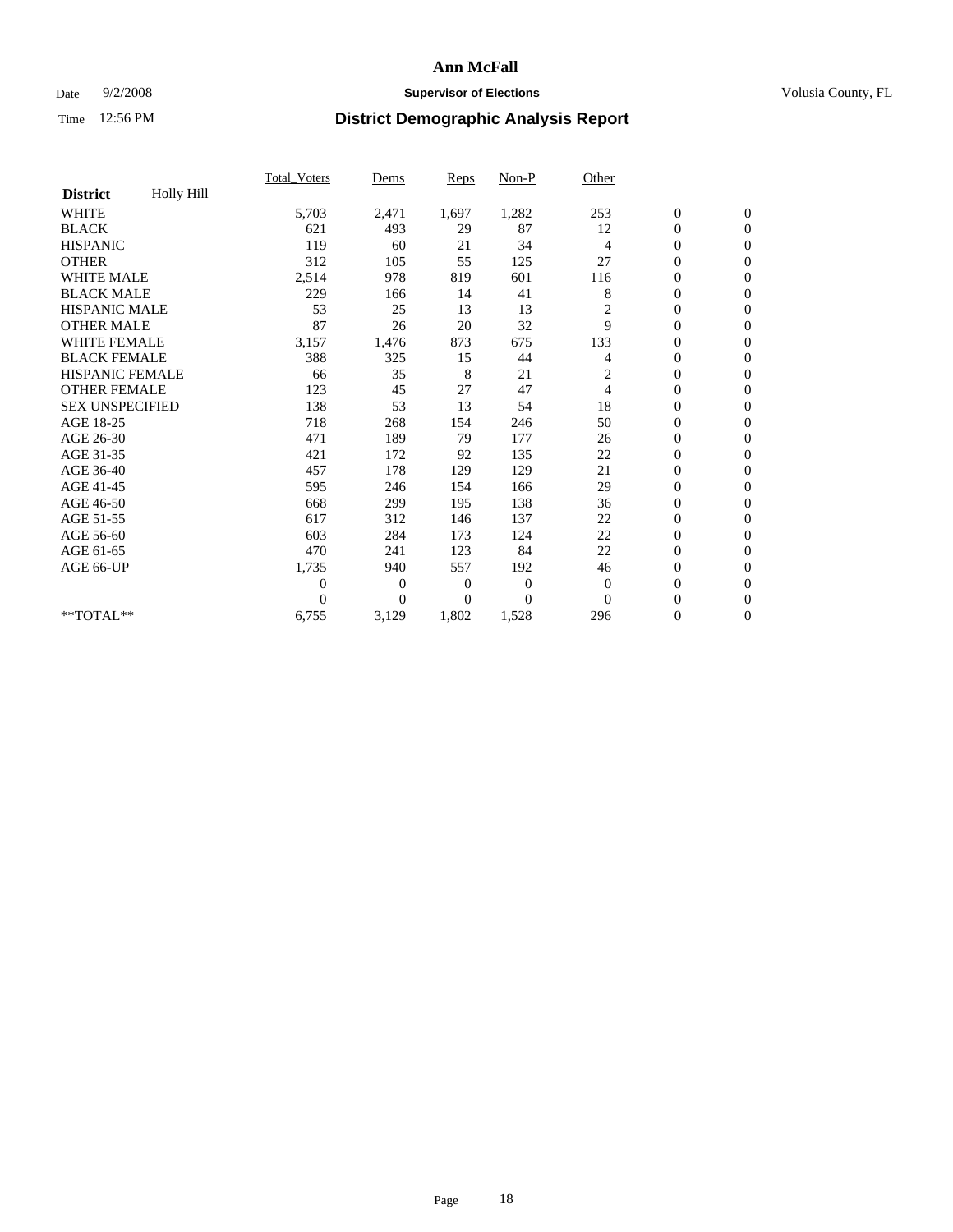## Date 9/2/2008 **Supervisor of Elections Supervisor of Elections** Volusia County, FL

|                        |                   | <b>Total_Voters</b> | Dems         | Reps           | Non-P          | Other          |                  |                |  |
|------------------------|-------------------|---------------------|--------------|----------------|----------------|----------------|------------------|----------------|--|
| <b>District</b>        | <b>Holly Hill</b> |                     |              |                |                |                |                  |                |  |
| <b>WHITE</b>           |                   | 5,703               | 2,471        | 1,697          | 1,282          | 253            | $\boldsymbol{0}$ | $\mathbf{0}$   |  |
| <b>BLACK</b>           |                   | 621                 | 493          | 29             | 87             | 12             | 0                | $\mathbf{0}$   |  |
| <b>HISPANIC</b>        |                   | 119                 | 60           | 21             | 34             | $\overline{4}$ | $\mathbf{0}$     | $\mathbf{0}$   |  |
| <b>OTHER</b>           |                   | 312                 | 105          | 55             | 125            | 27             | 0                | $\mathbf{0}$   |  |
| <b>WHITE MALE</b>      |                   | 2,514               | 978          | 819            | 601            | 116            | 0                | $\mathbf{0}$   |  |
| <b>BLACK MALE</b>      |                   | 229                 | 166          | 14             | 41             | 8              | $\boldsymbol{0}$ | $\mathbf{0}$   |  |
| HISPANIC MALE          |                   | 53                  | 25           | 13             | 13             | $\overline{c}$ | 0                | $\mathbf{0}$   |  |
| <b>OTHER MALE</b>      |                   | 87                  | 26           | 20             | 32             | 9              | 0                | $\mathbf{0}$   |  |
| <b>WHITE FEMALE</b>    |                   | 3,157               | 1,476        | 873            | 675            | 133            | 0                | $\mathbf{0}$   |  |
| <b>BLACK FEMALE</b>    |                   | 388                 | 325          | 15             | 44             | 4              | $\boldsymbol{0}$ | $\mathbf{0}$   |  |
| HISPANIC FEMALE        |                   | 66                  | 35           | 8              | 21             | 2              | 0                | $\mathbf{0}$   |  |
| <b>OTHER FEMALE</b>    |                   | 123                 | 45           | 27             | 47             | $\overline{4}$ | 0                | $\Omega$       |  |
| <b>SEX UNSPECIFIED</b> |                   | 138                 | 53           | 13             | 54             | 18             | 0                | $\mathbf{0}$   |  |
| AGE 18-25              |                   | 718                 | 268          | 154            | 246            | 50             | 0                | $\mathbf{0}$   |  |
| AGE 26-30              |                   | 471                 | 189          | 79             | 177            | 26             | $\overline{0}$   | $\mathbf{0}$   |  |
| AGE 31-35              |                   | 421                 | 172          | 92             | 135            | 22             | 0                | $\mathbf{0}$   |  |
| AGE 36-40              |                   | 457                 | 178          | 129            | 129            | 21             | 0                | $\mathbf{0}$   |  |
| AGE 41-45              |                   | 595                 | 246          | 154            | 166            | 29             | $\overline{0}$   | $\mathbf{0}$   |  |
| AGE 46-50              |                   | 668                 | 299          | 195            | 138            | 36             | $\overline{0}$   | $\mathbf{0}$   |  |
| AGE 51-55              |                   | 617                 | 312          | 146            | 137            | 22             | 0                | $\mathbf{0}$   |  |
| AGE 56-60              |                   | 603                 | 284          | 173            | 124            | 22             | 0                | $\Omega$       |  |
| AGE 61-65              |                   | 470                 | 241          | 123            | 84             | 22             | 0                | $\mathbf{0}$   |  |
| AGE 66-UP              |                   | 1,735               | 940          | 557            | 192            | 46             | 0                | $\mathbf{0}$   |  |
|                        |                   | $\overline{0}$      | $\mathbf{0}$ | $\overline{0}$ | $\theta$       | $\theta$       | $\overline{0}$   | $\Omega$       |  |
|                        |                   | $\Omega$            | $\theta$     | $\theta$       | $\overline{0}$ | $\Omega$       | $\overline{0}$   | $\overline{0}$ |  |
| **TOTAL**              |                   | 6,755               | 3,129        | 1,802          | 1,528          | 296            | 0                | $\overline{0}$ |  |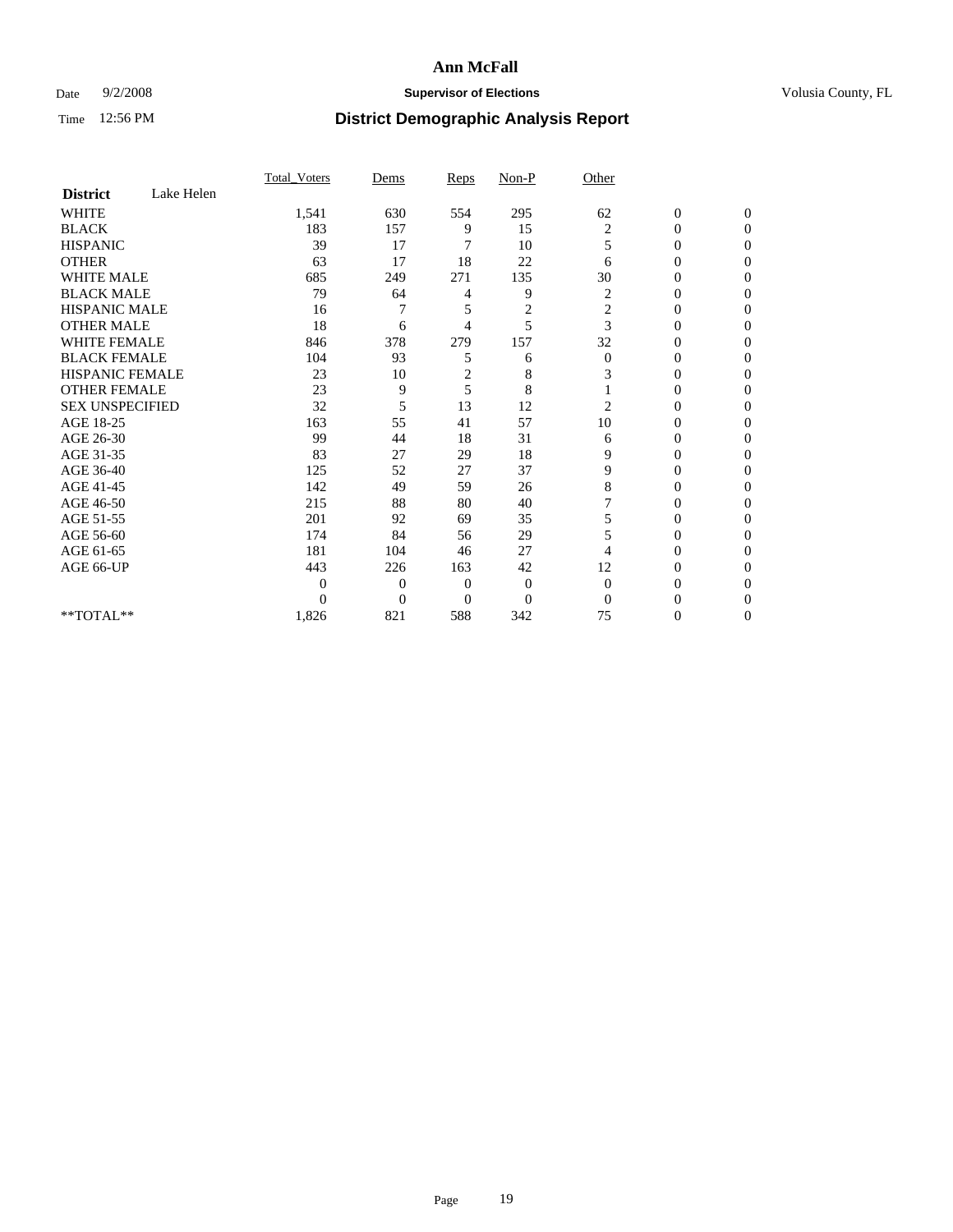## Date 9/2/2008 **Supervisor of Elections Supervisor of Elections** Volusia County, FL

|                        |            | Total Voters   | Dems           | Reps         | Non-P        | Other          |                  |                  |
|------------------------|------------|----------------|----------------|--------------|--------------|----------------|------------------|------------------|
| <b>District</b>        | Lake Helen |                |                |              |              |                |                  |                  |
| <b>WHITE</b>           |            | 1,541          | 630            | 554          | 295          | 62             | $\boldsymbol{0}$ | $\boldsymbol{0}$ |
| <b>BLACK</b>           |            | 183            | 157            | 9            | 15           | $\overline{c}$ | 0                | $\Omega$         |
| <b>HISPANIC</b>        |            | 39             | 17             | 7            | 10           | 5              | $\mathbf{0}$     | $\Omega$         |
| <b>OTHER</b>           |            | 63             | 17             | 18           | 22           | 6              | 0                | $\Omega$         |
| <b>WHITE MALE</b>      |            | 685            | 249            | 271          | 135          | 30             | $\theta$         | $\Omega$         |
| <b>BLACK MALE</b>      |            | 79             | 64             | 4            | 9            | $\overline{c}$ | $\overline{0}$   | $\Omega$         |
| <b>HISPANIC MALE</b>   |            | 16             | 7              | 5            | 2            | $\overline{c}$ | 0                | 0                |
| <b>OTHER MALE</b>      |            | 18             | 6              | 4            | 5            | 3              | $\theta$         | $\Omega$         |
| <b>WHITE FEMALE</b>    |            | 846            | 378            | 279          | 157          | 32             | $\overline{0}$   | $\Omega$         |
| <b>BLACK FEMALE</b>    |            | 104            | 93             | 5            | 6            | $\mathbf{0}$   | 0                | $\mathbf{0}$     |
| <b>HISPANIC FEMALE</b> |            | 23             | 10             | 2            | 8            | 3              | 0                | $\Omega$         |
| <b>OTHER FEMALE</b>    |            | 23             | 9              | 5            | 8            |                | 0                | $\Omega$         |
| <b>SEX UNSPECIFIED</b> |            | 32             | 5              | 13           | 12           | $\overline{c}$ | 0                | $\mathbf{0}$     |
| AGE 18-25              |            | 163            | 55             | 41           | 57           | 10             | 0                | $\Omega$         |
| AGE 26-30              |            | 99             | 44             | 18           | 31           | 6              | 0                | 0                |
| AGE 31-35              |            | 83             | 27             | 29           | 18           | 9              | $\overline{0}$   | 0                |
| AGE 36-40              |            | 125            | 52             | 27           | 37           | 9              | $\overline{0}$   | $\Omega$         |
| AGE 41-45              |            | 142            | 49             | 59           | 26           | 8              | 0                | 0                |
| AGE 46-50              |            | 215            | 88             | 80           | 40           |                | $\overline{0}$   | $\Omega$         |
| AGE 51-55              |            | 201            | 92             | 69           | 35           | 5              | 0                | $\Omega$         |
| AGE 56-60              |            | 174            | 84             | 56           | 29           | 5              | 0                | $\Omega$         |
| AGE 61-65              |            | 181            | 104            | 46           | 27           | 4              | $\overline{0}$   | $\Omega$         |
| AGE 66-UP              |            | 443            | 226            | 163          | 42           | 12             | $\overline{0}$   | $\mathbf{0}$     |
|                        |            | $\overline{0}$ | $\overline{0}$ | $\mathbf{0}$ | $\mathbf{0}$ | $\mathbf{0}$   | 0                | $\Omega$         |
|                        |            | $\theta$       | $\overline{0}$ | $\Omega$     | $\theta$     | $\Omega$       | $\theta$         | $\overline{0}$   |
| $**TOTAL**$            |            | 1,826          | 821            | 588          | 342          | 75             | 0                | $\mathbf{0}$     |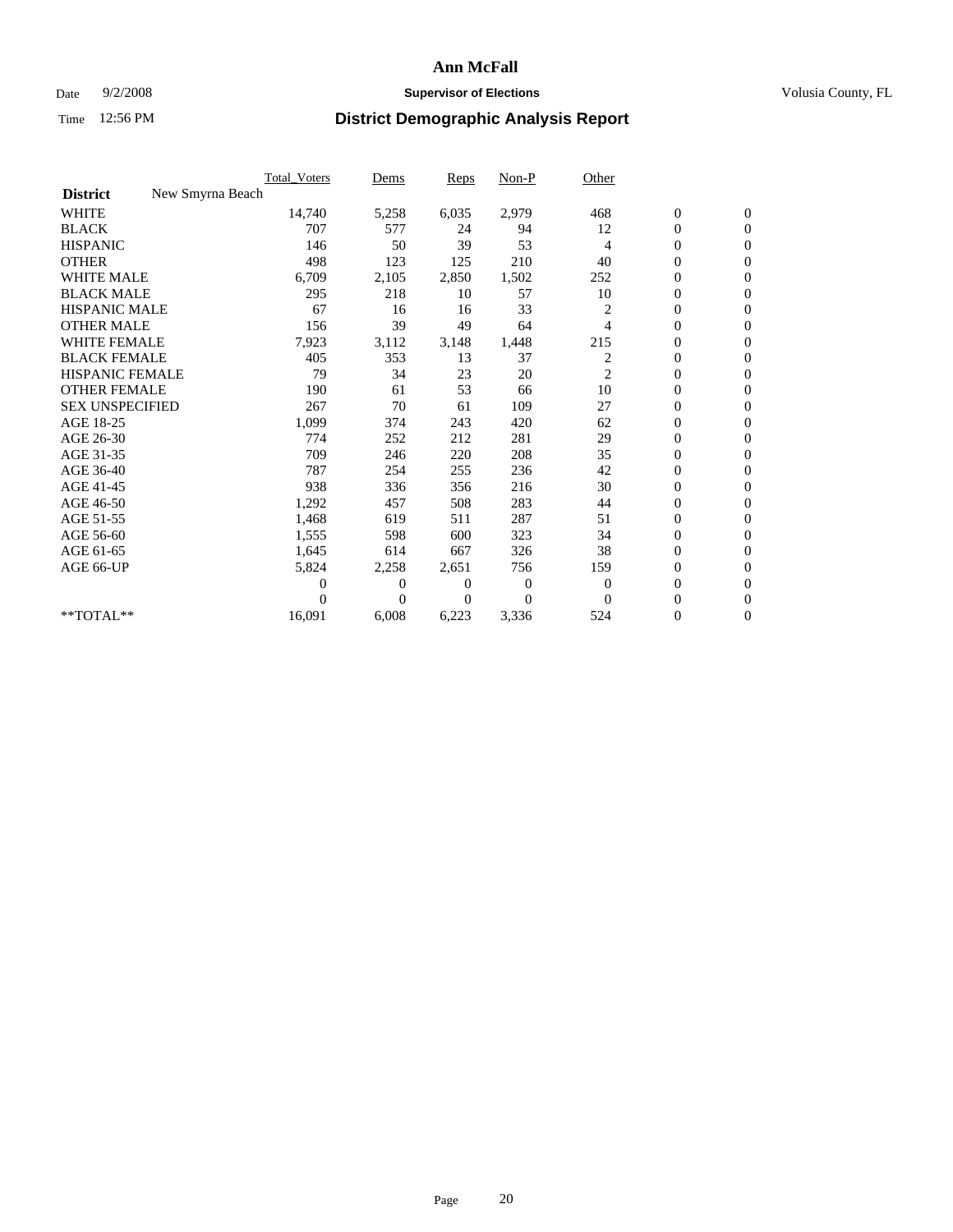## Date 9/2/2008 **Supervisor of Elections Supervisor of Elections** Volusia County, FL

|                        | Total Voters     | Dems     | <b>Reps</b> | Non-P        | Other          |                  |                  |  |
|------------------------|------------------|----------|-------------|--------------|----------------|------------------|------------------|--|
| <b>District</b>        | New Smyrna Beach |          |             |              |                |                  |                  |  |
| <b>WHITE</b>           | 14,740           | 5,258    | 6,035       | 2,979        | 468            | $\boldsymbol{0}$ | $\boldsymbol{0}$ |  |
| <b>BLACK</b>           | 707              | 577      | 24          | 94           | 12             | $\boldsymbol{0}$ | $\mathbf{0}$     |  |
| <b>HISPANIC</b>        | 146              | 50       | 39          | 53           | 4              | $\overline{0}$   | $\mathbf{0}$     |  |
| <b>OTHER</b>           | 498              | 123      | 125         | 210          | 40             | $\boldsymbol{0}$ | $\Omega$         |  |
| <b>WHITE MALE</b>      | 6,709            | 2,105    | 2,850       | 1,502        | 252            | $\overline{0}$   | $\mathbf{0}$     |  |
| <b>BLACK MALE</b>      | 295              | 218      | 10          | 57           | 10             | $\boldsymbol{0}$ | $\mathbf{0}$     |  |
| <b>HISPANIC MALE</b>   | 67               | 16       | 16          | 33           | 2              | $\boldsymbol{0}$ | $\mathbf{0}$     |  |
| <b>OTHER MALE</b>      | 156              | 39       | 49          | 64           | 4              | $\boldsymbol{0}$ | $\mathbf{0}$     |  |
| <b>WHITE FEMALE</b>    | 7,923            | 3,112    | 3,148       | 1,448        | 215            | $\overline{0}$   | $\mathbf{0}$     |  |
| <b>BLACK FEMALE</b>    | 405              | 353      | 13          | 37           | 2              | $\boldsymbol{0}$ | $\mathbf{0}$     |  |
| <b>HISPANIC FEMALE</b> | 79               | 34       | 23          | 20           | $\overline{c}$ | $\boldsymbol{0}$ | $\mathbf{0}$     |  |
| <b>OTHER FEMALE</b>    | 190              | 61       | 53          | 66           | 10             | $\mathbf{0}$     | $\mathbf{0}$     |  |
| <b>SEX UNSPECIFIED</b> | 267              | 70       | 61          | 109          | 27             | $\boldsymbol{0}$ | $\mathbf{0}$     |  |
| AGE 18-25              | 1,099            | 374      | 243         | 420          | 62             | $\overline{0}$   | $\mathbf{0}$     |  |
| AGE 26-30              | 774              | 252      | 212         | 281          | 29             | $\overline{0}$   | $\mathbf{0}$     |  |
| AGE 31-35              | 709              | 246      | 220         | 208          | 35             | $\boldsymbol{0}$ | $\mathbf{0}$     |  |
| AGE 36-40              | 787              | 254      | 255         | 236          | 42             | 0                | $\mathbf{0}$     |  |
| AGE 41-45              | 938              | 336      | 356         | 216          | 30             | $\overline{0}$   | $\mathbf{0}$     |  |
| AGE 46-50              | 1,292            | 457      | 508         | 283          | 44             | $\boldsymbol{0}$ | $\mathbf{0}$     |  |
| AGE 51-55              | 1,468            | 619      | 511         | 287          | 51             | $\boldsymbol{0}$ | $\mathbf{0}$     |  |
| AGE 56-60              | 1,555            | 598      | 600         | 323          | 34             | $\overline{0}$   | $\Omega$         |  |
| AGE 61-65              | 1,645            | 614      | 667         | 326          | 38             | $\overline{0}$   | $\mathbf{0}$     |  |
| AGE 66-UP              | 5,824            | 2,258    | 2,651       | 756          | 159            | $\boldsymbol{0}$ | $\mathbf{0}$     |  |
|                        | 0                | 0        | 0           | $\mathbf{0}$ | $\mathbf{0}$   | $\overline{0}$   | $\mathbf{0}$     |  |
|                        | $\theta$         | $\theta$ | $\Omega$    | $\Omega$     | $\Omega$       | $\boldsymbol{0}$ | $\mathbf{0}$     |  |
| **TOTAL**              | 16,091           | 6,008    | 6,223       | 3,336        | 524            | 0                | $\mathbf{0}$     |  |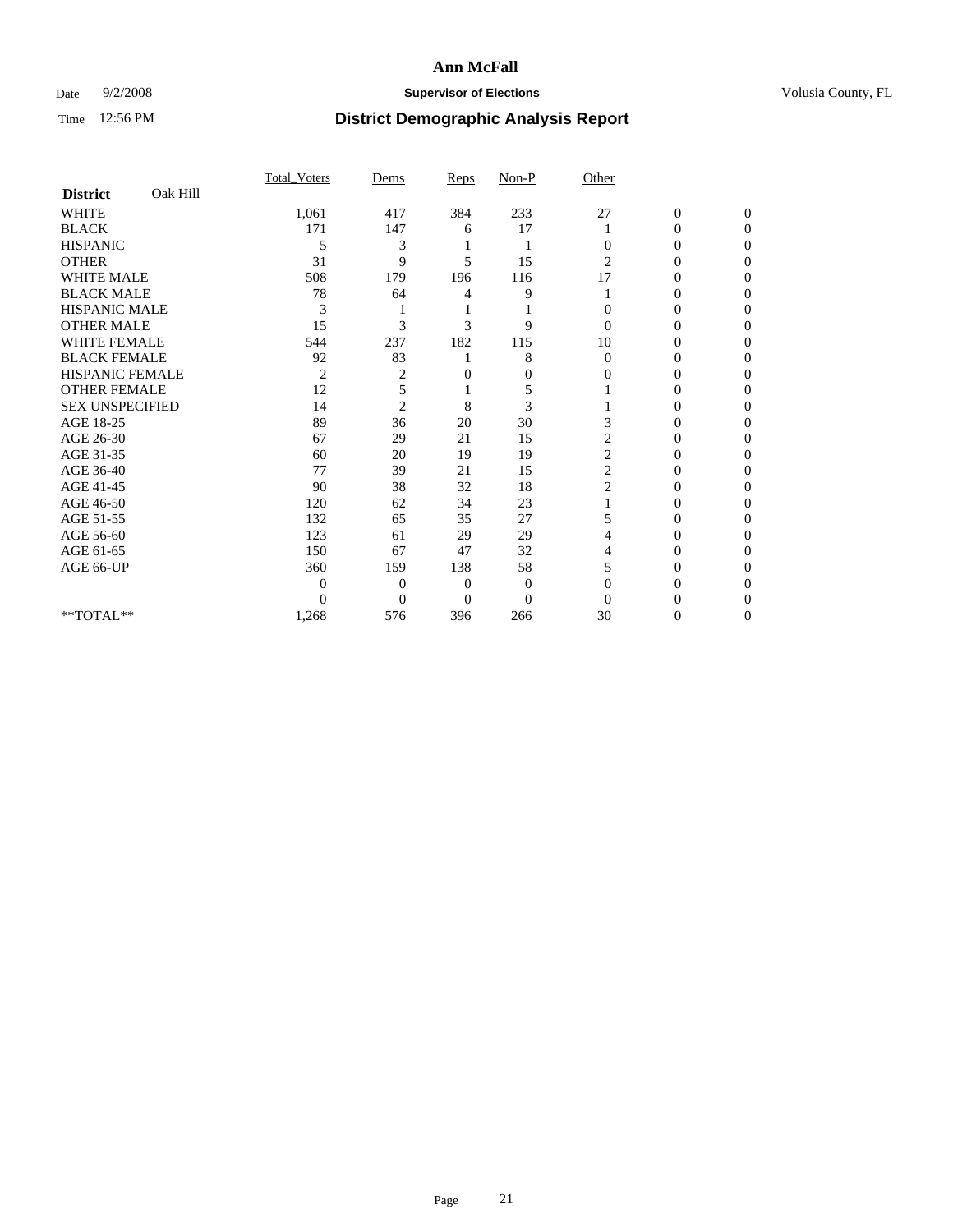## Date 9/2/2008 **Supervisor of Elections Supervisor of Elections** Volusia County, FL

|                        |          | Total Voters   | Dems           | Reps     | $Non-P$        | Other          |                  |              |  |
|------------------------|----------|----------------|----------------|----------|----------------|----------------|------------------|--------------|--|
| <b>District</b>        | Oak Hill |                |                |          |                |                |                  |              |  |
| <b>WHITE</b>           |          | 1,061          | 417            | 384      | 233            | 27             | $\boldsymbol{0}$ | $\mathbf{0}$ |  |
| <b>BLACK</b>           |          | 171            | 147            | 6        | 17             |                | $\overline{0}$   | 0            |  |
| <b>HISPANIC</b>        |          | 5              | 3              |          |                | $\Omega$       | 0                | $\Omega$     |  |
| <b>OTHER</b>           |          | 31             | 9              | 5        | 15             | 2              | 0                | 0            |  |
| <b>WHITE MALE</b>      |          | 508            | 179            | 196      | 116            | 17             | 0                | 0            |  |
| <b>BLACK MALE</b>      |          | 78             | 64             | 4        | 9              |                | 0                | 0            |  |
| <b>HISPANIC MALE</b>   |          | 3              |                |          |                | 0              | 0                | 0            |  |
| <b>OTHER MALE</b>      |          | 15             | 3              | 3        | 9              | $\Omega$       | 0                | 0            |  |
| WHITE FEMALE           |          | 544            | 237            | 182      | 115            | 10             | 0                | 0            |  |
| <b>BLACK FEMALE</b>    |          | 92             | 83             |          | 8              | $\Omega$       | 0                | 0            |  |
| HISPANIC FEMALE        |          | $\overline{2}$ | 2              | $\theta$ | $\overline{0}$ | $\theta$       | 0                | 0            |  |
| <b>OTHER FEMALE</b>    |          | 12             | 5              |          | 5              |                | 0                | $\Omega$     |  |
| <b>SEX UNSPECIFIED</b> |          | 14             | $\overline{2}$ | 8        | 3              |                | 0                | 0            |  |
| AGE 18-25              |          | 89             | 36             | 20       | 30             | 3              | 0                | 0            |  |
| AGE 26-30              |          | 67             | 29             | 21       | 15             | 2              | 0                | 0            |  |
| AGE 31-35              |          | 60             | 20             | 19       | 19             | $\overline{c}$ | 0                | 0            |  |
| AGE 36-40              |          | 77             | 39             | 21       | 15             | $\overline{c}$ | 0                | 0            |  |
| AGE 41-45              |          | 90             | 38             | 32       | 18             | $\overline{c}$ | 0                | 0            |  |
| AGE 46-50              |          | 120            | 62             | 34       | 23             |                | 0                | 0            |  |
| AGE 51-55              |          | 132            | 65             | 35       | 27             | 5              | 0                | 0            |  |
| AGE 56-60              |          | 123            | 61             | 29       | 29             | 4              | 0                | 0            |  |
| AGE 61-65              |          | 150            | 67             | 47       | 32             | 4              | 0                | 0            |  |
| AGE 66-UP              |          | 360            | 159            | 138      | 58             | 5              | 0                | 0            |  |
|                        |          | 0              | $\overline{0}$ | 0        | $\bf{0}$       | $\Omega$       | 0                | 0            |  |
|                        |          | $\Omega$       | $\overline{0}$ | $\Omega$ | $\Omega$       | $\Omega$       |                  | 0            |  |
| **TOTAL**              |          | 1,268          | 576            | 396      | 266            | 30             | 0                | $\mathbf{0}$ |  |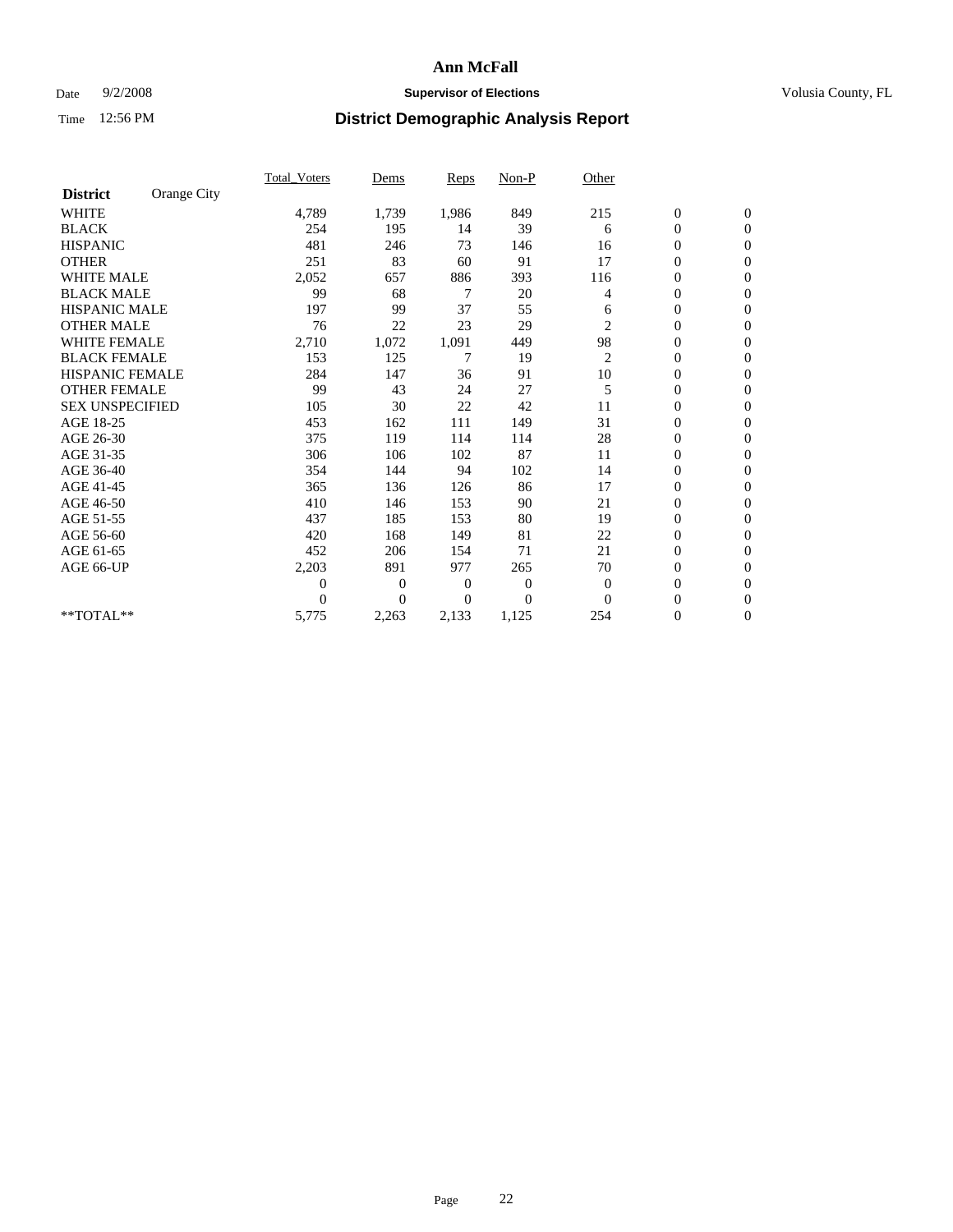## Date 9/2/2008 **Supervisor of Elections Supervisor of Elections** Volusia County, FL

|                        |             | <b>Total_Voters</b> | Dems         | Reps           | $Non-P$          | Other          |                  |                |  |
|------------------------|-------------|---------------------|--------------|----------------|------------------|----------------|------------------|----------------|--|
| <b>District</b>        | Orange City |                     |              |                |                  |                |                  |                |  |
| <b>WHITE</b>           |             | 4,789               | 1,739        | 1,986          | 849              | 215            | $\boldsymbol{0}$ | $\mathbf{0}$   |  |
| <b>BLACK</b>           |             | 254                 | 195          | 14             | 39               | 6              | 0                | $\mathbf{0}$   |  |
| <b>HISPANIC</b>        |             | 481                 | 246          | 73             | 146              | 16             | 0                | $\mathbf{0}$   |  |
| <b>OTHER</b>           |             | 251                 | 83           | 60             | 91               | 17             | 0                | $\mathbf{0}$   |  |
| <b>WHITE MALE</b>      |             | 2,052               | 657          | 886            | 393              | 116            | 0                | $\mathbf{0}$   |  |
| <b>BLACK MALE</b>      |             | 99                  | 68           | 7              | 20               | 4              | 0                | $\mathbf{0}$   |  |
| HISPANIC MALE          |             | 197                 | 99           | 37             | 55               | 6              | 0                | $\mathbf{0}$   |  |
| <b>OTHER MALE</b>      |             | 76                  | 22           | 23             | 29               | $\overline{c}$ | 0                | $\mathbf{0}$   |  |
| <b>WHITE FEMALE</b>    |             | 2,710               | 1,072        | 1,091          | 449              | 98             | 0                | $\mathbf{0}$   |  |
| <b>BLACK FEMALE</b>    |             | 153                 | 125          | 7              | 19               | $\overline{2}$ | $\boldsymbol{0}$ | $\mathbf{0}$   |  |
| HISPANIC FEMALE        |             | 284                 | 147          | 36             | 91               | 10             | 0                | $\mathbf{0}$   |  |
| <b>OTHER FEMALE</b>    |             | 99                  | 43           | 24             | 27               | 5              | 0                | $\Omega$       |  |
| <b>SEX UNSPECIFIED</b> |             | 105                 | 30           | 22             | 42               | 11             | 0                | $\mathbf{0}$   |  |
| AGE 18-25              |             | 453                 | 162          | 111            | 149              | 31             | 0                | $\mathbf{0}$   |  |
| AGE 26-30              |             | 375                 | 119          | 114            | 114              | 28             | 0                | $\mathbf{0}$   |  |
| AGE 31-35              |             | 306                 | 106          | 102            | 87               | 11             | 0                | $\mathbf{0}$   |  |
| AGE 36-40              |             | 354                 | 144          | 94             | 102              | 14             | 0                | $\mathbf{0}$   |  |
| AGE 41-45              |             | 365                 | 136          | 126            | 86               | 17             | $\overline{0}$   | $\mathbf{0}$   |  |
| AGE 46-50              |             | 410                 | 146          | 153            | 90               | 21             | 0                | $\mathbf{0}$   |  |
| AGE 51-55              |             | 437                 | 185          | 153            | 80               | 19             | 0                | $\mathbf{0}$   |  |
| AGE 56-60              |             | 420                 | 168          | 149            | 81               | 22             | 0                | $\Omega$       |  |
| AGE 61-65              |             | 452                 | 206          | 154            | 71               | 21             | 0                | $\mathbf{0}$   |  |
| AGE 66-UP              |             | 2,203               | 891          | 977            | 265              | 70             | 0                | $\mathbf{0}$   |  |
|                        |             | $\overline{0}$      | $\mathbf{0}$ | $\overline{0}$ | $\boldsymbol{0}$ | $\theta$       | 0                | $\Omega$       |  |
|                        |             | $\theta$            | $\Omega$     | $\theta$       | $\overline{0}$   | $\Omega$       | $\overline{0}$   | $\overline{0}$ |  |
| **TOTAL**              |             | 5,775               | 2,263        | 2,133          | 1,125            | 254            | 0                | $\overline{0}$ |  |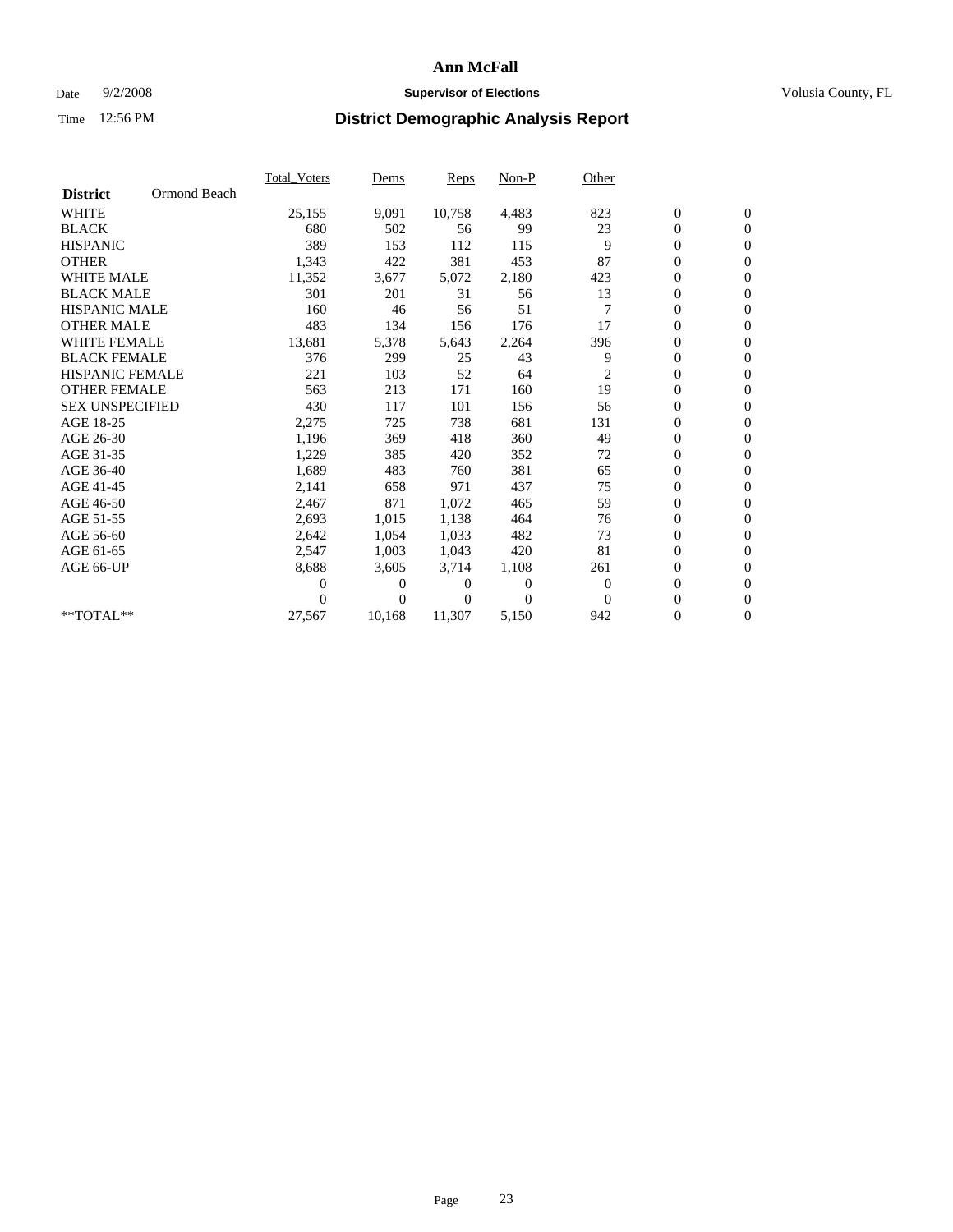## Date 9/2/2008 **Supervisor of Elections Supervisor of Elections** Volusia County, FL

|                        |              | <b>Total Voters</b> | Dems           | Reps   | Non-P    | Other    |                  |                  |  |
|------------------------|--------------|---------------------|----------------|--------|----------|----------|------------------|------------------|--|
| <b>District</b>        | Ormond Beach |                     |                |        |          |          |                  |                  |  |
| <b>WHITE</b>           |              | 25,155              | 9,091          | 10,758 | 4,483    | 823      | $\boldsymbol{0}$ | $\boldsymbol{0}$ |  |
| <b>BLACK</b>           |              | 680                 | 502            | 56     | 99       | 23       | 0                | $\mathbf{0}$     |  |
| <b>HISPANIC</b>        |              | 389                 | 153            | 112    | 115      | 9        | $\overline{0}$   | $\mathbf{0}$     |  |
| <b>OTHER</b>           |              | 1,343               | 422            | 381    | 453      | 87       | 0                | $\mathbf{0}$     |  |
| <b>WHITE MALE</b>      |              | 11,352              | 3,677          | 5,072  | 2,180    | 423      | 0                | $\mathbf{0}$     |  |
| <b>BLACK MALE</b>      |              | 301                 | 201            | 31     | 56       | 13       | $\overline{0}$   | $\mathbf{0}$     |  |
| <b>HISPANIC MALE</b>   |              | 160                 | 46             | 56     | 51       | 7        | 0                | $\mathbf{0}$     |  |
| <b>OTHER MALE</b>      |              | 483                 | 134            | 156    | 176      | 17       | 0                | $\mathbf{0}$     |  |
| <b>WHITE FEMALE</b>    |              | 13,681              | 5,378          | 5,643  | 2,264    | 396      | $\boldsymbol{0}$ | $\mathbf{0}$     |  |
| <b>BLACK FEMALE</b>    |              | 376                 | 299            | 25     | 43       | 9        | 0                | $\mathbf{0}$     |  |
| HISPANIC FEMALE        |              | 221                 | 103            | 52     | 64       | 2        | 0                | $\mathbf{0}$     |  |
| <b>OTHER FEMALE</b>    |              | 563                 | 213            | 171    | 160      | 19       | 0                | $\mathbf{0}$     |  |
| <b>SEX UNSPECIFIED</b> |              | 430                 | 117            | 101    | 156      | 56       | 0                | $\Omega$         |  |
| AGE 18-25              |              | 2,275               | 725            | 738    | 681      | 131      | 0                | $\mathbf{0}$     |  |
| AGE 26-30              |              | 1,196               | 369            | 418    | 360      | 49       | $\overline{0}$   | $\mathbf{0}$     |  |
| AGE 31-35              |              | 1,229               | 385            | 420    | 352      | 72       | 0                | $\mathbf{0}$     |  |
| AGE 36-40              |              | 1,689               | 483            | 760    | 381      | 65       | 0                | $\mathbf{0}$     |  |
| AGE 41-45              |              | 2,141               | 658            | 971    | 437      | 75       | 0                | $\mathbf{0}$     |  |
| AGE 46-50              |              | 2,467               | 871            | 1,072  | 465      | 59       | 0                | $\mathbf{0}$     |  |
| AGE 51-55              |              | 2,693               | 1,015          | 1,138  | 464      | 76       | 0                | $\mathbf{0}$     |  |
| AGE 56-60              |              | 2,642               | 1,054          | 1,033  | 482      | 73       | 0                | $\mathbf{0}$     |  |
| AGE 61-65              |              | 2,547               | 1,003          | 1,043  | 420      | 81       | 0                | $\mathbf{0}$     |  |
| AGE 66-UP              |              | 8,688               | 3,605          | 3,714  | 1,108    | 261      | 0                | $\mathbf{0}$     |  |
|                        |              | 0                   | 0              | 0      | $\theta$ | $\theta$ | $\overline{0}$   | $\mathbf{0}$     |  |
|                        |              | 0                   | $\overline{0}$ | 0      | $\theta$ | $\theta$ | 0                | $\mathbf{0}$     |  |
| **TOTAL**              |              | 27,567              | 10,168         | 11,307 | 5,150    | 942      | 0                | $\boldsymbol{0}$ |  |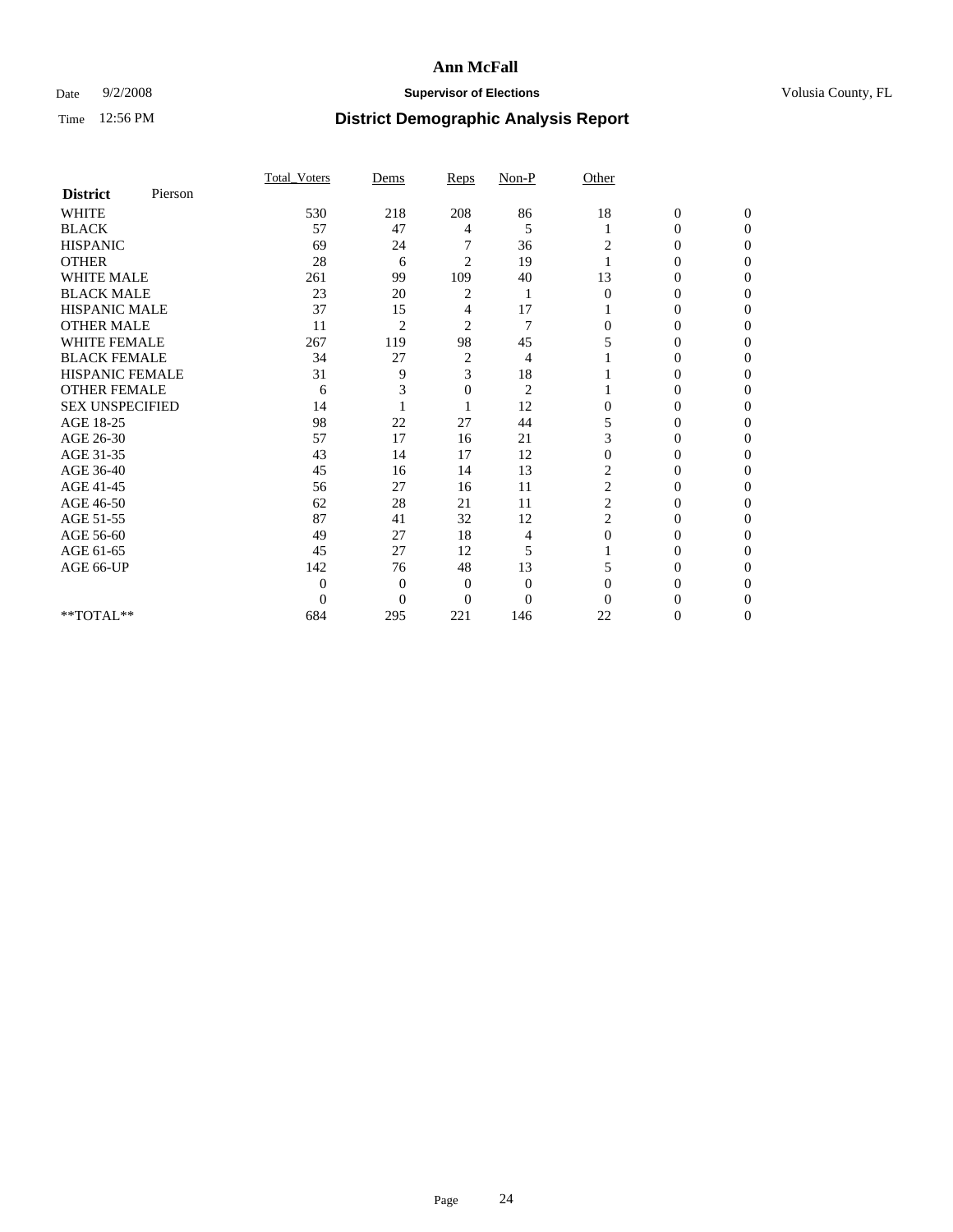## Date 9/2/2008 **Supervisor of Elections Supervisor of Elections** Volusia County, FL

|                        |         | Total Voters | Dems           | Reps           | $Non-P$        | Other          |                  |              |  |
|------------------------|---------|--------------|----------------|----------------|----------------|----------------|------------------|--------------|--|
| <b>District</b>        | Pierson |              |                |                |                |                |                  |              |  |
| <b>WHITE</b>           |         | 530          | 218            | 208            | 86             | 18             | $\boldsymbol{0}$ | $\mathbf{0}$ |  |
| <b>BLACK</b>           |         | 57           | 47             | 4              | 5              |                | $\mathbf{0}$     | $\Omega$     |  |
| <b>HISPANIC</b>        |         | 69           | 24             |                | 36             | 2              | 0                | $\Omega$     |  |
| <b>OTHER</b>           |         | 28           | 6              | $\overline{2}$ | 19             |                | 0                | 0            |  |
| <b>WHITE MALE</b>      |         | 261          | 99             | 109            | 40             | 13             | $\theta$         | 0            |  |
| <b>BLACK MALE</b>      |         | 23           | 20             | 2              | 1              | $\Omega$       | 0                | $\Omega$     |  |
| HISPANIC MALE          |         | 37           | 15             | 4              | 17             |                | 0                | 0            |  |
| <b>OTHER MALE</b>      |         | 11           | $\overline{2}$ | $\overline{2}$ | 7              | 0              | 0                | 0            |  |
| <b>WHITE FEMALE</b>    |         | 267          | 119            | 98             | 45             | 5              | 0                | $\Omega$     |  |
| <b>BLACK FEMALE</b>    |         | 34           | 27             | $\overline{c}$ | 4              |                | 0                | 0            |  |
| <b>HISPANIC FEMALE</b> |         | 31           | 9              | 3              | 18             |                | 0                | 0            |  |
| <b>OTHER FEMALE</b>    |         | 6            | 3              | 0              | $\overline{2}$ |                | 0                | 0            |  |
| <b>SEX UNSPECIFIED</b> |         | 14           |                |                | 12             | $\overline{0}$ | 0                | 0            |  |
| AGE 18-25              |         | 98           | 22             | 27             | 44             | 5              | 0                | $\Omega$     |  |
| AGE 26-30              |         | 57           | 17             | 16             | 21             | 3              | 0                | 0            |  |
| AGE 31-35              |         | 43           | 14             | 17             | 12             | $\overline{0}$ | 0                | 0            |  |
| AGE 36-40              |         | 45           | 16             | 14             | 13             | $\overline{c}$ | 0                | 0            |  |
| AGE 41-45              |         | 56           | 27             | 16             | 11             | 2              | 0                | $\Omega$     |  |
| AGE 46-50              |         | 62           | 28             | 21             | 11             | $\overline{c}$ | 0                | $\Omega$     |  |
| AGE 51-55              |         | 87           | 41             | 32             | 12             | $\overline{c}$ | 0                | 0            |  |
| AGE 56-60              |         | 49           | 27             | 18             | 4              | $\theta$       | 0                | 0            |  |
| AGE 61-65              |         | 45           | 27             | 12             | 5              |                | 0                | 0            |  |
| AGE 66-UP              |         | 142          | 76             | 48             | 13             | 5              | 0                | 0            |  |
|                        |         | $\theta$     | $\overline{0}$ | $\mathbf{0}$   | $\Omega$       | $\Omega$       | 0                | 0            |  |
|                        |         | $\theta$     | $\overline{0}$ | $\overline{0}$ | $\overline{0}$ | $\Omega$       |                  | 0            |  |
| **TOTAL**              |         | 684          | 295            | 221            | 146            | 22             | 0                | 0            |  |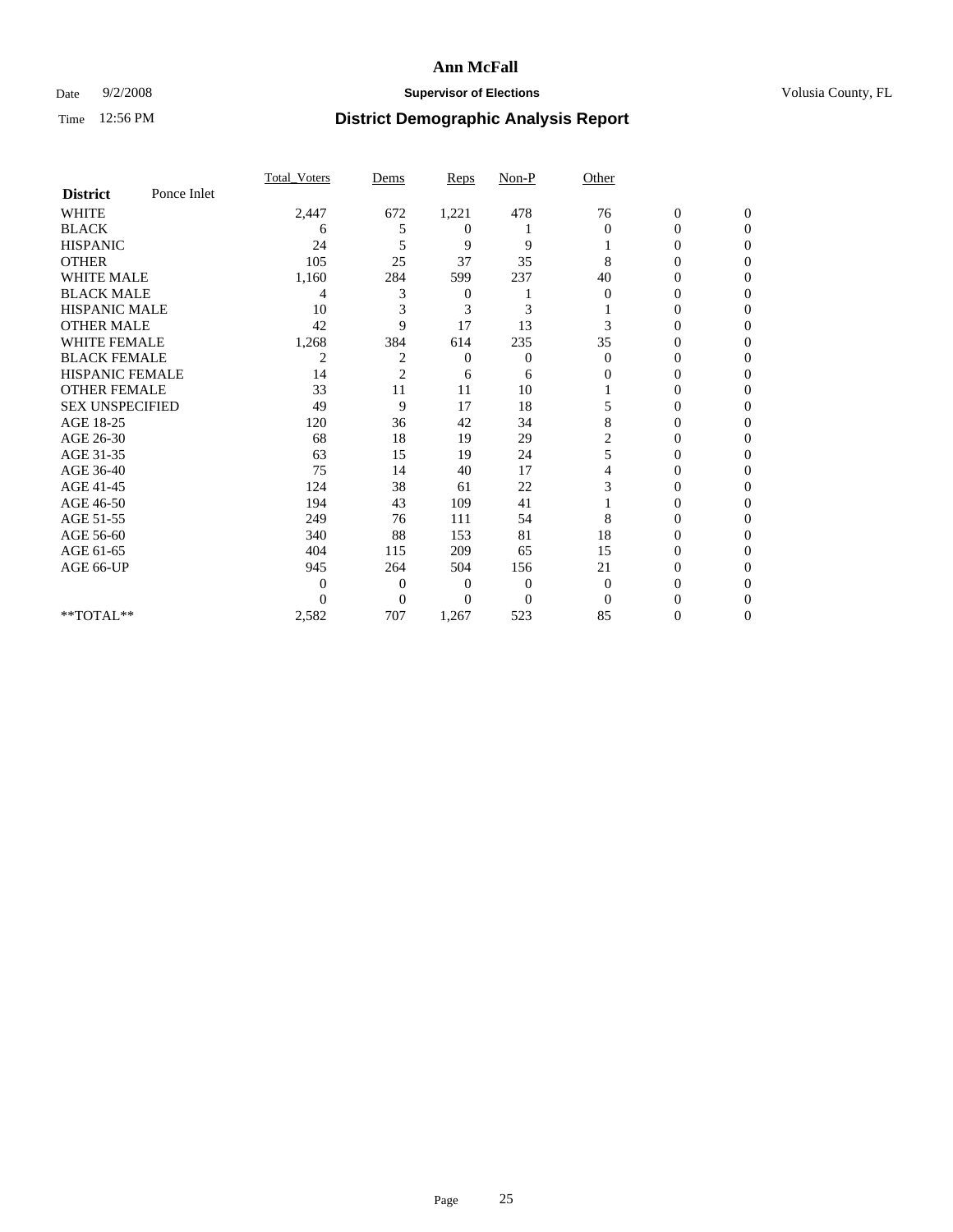## Date 9/2/2008 **Supervisor of Elections Supervisor of Elections** Volusia County, FL

|                        |             | Total Voters   | Dems           | <b>Reps</b>  | $Non-P$        | Other        |                  |              |  |
|------------------------|-------------|----------------|----------------|--------------|----------------|--------------|------------------|--------------|--|
| <b>District</b>        | Ponce Inlet |                |                |              |                |              |                  |              |  |
| <b>WHITE</b>           |             | 2,447          | 672            | 1,221        | 478            | 76           | $\boldsymbol{0}$ | $\mathbf{0}$ |  |
| <b>BLACK</b>           |             | 6              | 5              | 0            |                | $\Omega$     | $\overline{0}$   | $\Omega$     |  |
| <b>HISPANIC</b>        |             | 24             | 5              | 9            | 9              |              | 0                | $\Omega$     |  |
| <b>OTHER</b>           |             | 105            | 25             | 37           | 35             | 8            | 0                | $\Omega$     |  |
| <b>WHITE MALE</b>      |             | 1,160          | 284            | 599          | 237            | 40           | $\theta$         | 0            |  |
| <b>BLACK MALE</b>      |             | 4              | 3              | 0            |                | $\Omega$     | 0                | $\Omega$     |  |
| HISPANIC MALE          |             | 10             | 3              | 3            | 3              |              | 0                | $\Omega$     |  |
| <b>OTHER MALE</b>      |             | 42             | 9              | 17           | 13             | 3            | 0                | 0            |  |
| <b>WHITE FEMALE</b>    |             | 1,268          | 384            | 614          | 235            | 35           | 0                | $\Omega$     |  |
| <b>BLACK FEMALE</b>    |             | $\overline{2}$ | $\overline{c}$ | $\mathbf{0}$ | $\overline{0}$ | $\mathbf{0}$ | 0                | 0            |  |
| <b>HISPANIC FEMALE</b> |             | 14             | $\overline{2}$ | 6            | 6              | 0            | 0                | 0            |  |
| <b>OTHER FEMALE</b>    |             | 33             | 11             | 11           | 10             |              | 0                | 0            |  |
| <b>SEX UNSPECIFIED</b> |             | 49             | 9              | 17           | 18             | 5            | 0                | 0            |  |
| AGE 18-25              |             | 120            | 36             | 42           | 34             | 8            | 0                | $\Omega$     |  |
| AGE 26-30              |             | 68             | 18             | 19           | 29             | 2            | 0                | 0            |  |
| AGE 31-35              |             | 63             | 15             | 19           | 24             | 5            | 0                | 0            |  |
| AGE 36-40              |             | 75             | 14             | 40           | 17             | 4            | 0                | 0            |  |
| AGE 41-45              |             | 124            | 38             | 61           | 22             | 3            | 0                | $\Omega$     |  |
| AGE 46-50              |             | 194            | 43             | 109          | 41             |              | 0                | $\Omega$     |  |
| AGE 51-55              |             | 249            | 76             | 111          | 54             | 8            | 0                | 0            |  |
| AGE 56-60              |             | 340            | 88             | 153          | 81             | 18           | 0                | 0            |  |
| AGE 61-65              |             | 404            | 115            | 209          | 65             | 15           | $\overline{0}$   | 0            |  |
| AGE 66-UP              |             | 945            | 264            | 504          | 156            | 21           | 0                | 0            |  |
|                        |             | 0              | $\overline{0}$ | 0            | $\mathbf{0}$   | $\Omega$     | 0                | 0            |  |
|                        |             | $\Omega$       | $\overline{0}$ | 0            | $\overline{0}$ | $\Omega$     |                  | 0            |  |
| **TOTAL**              |             | 2,582          | 707            | 1,267        | 523            | 85           | 0                | 0            |  |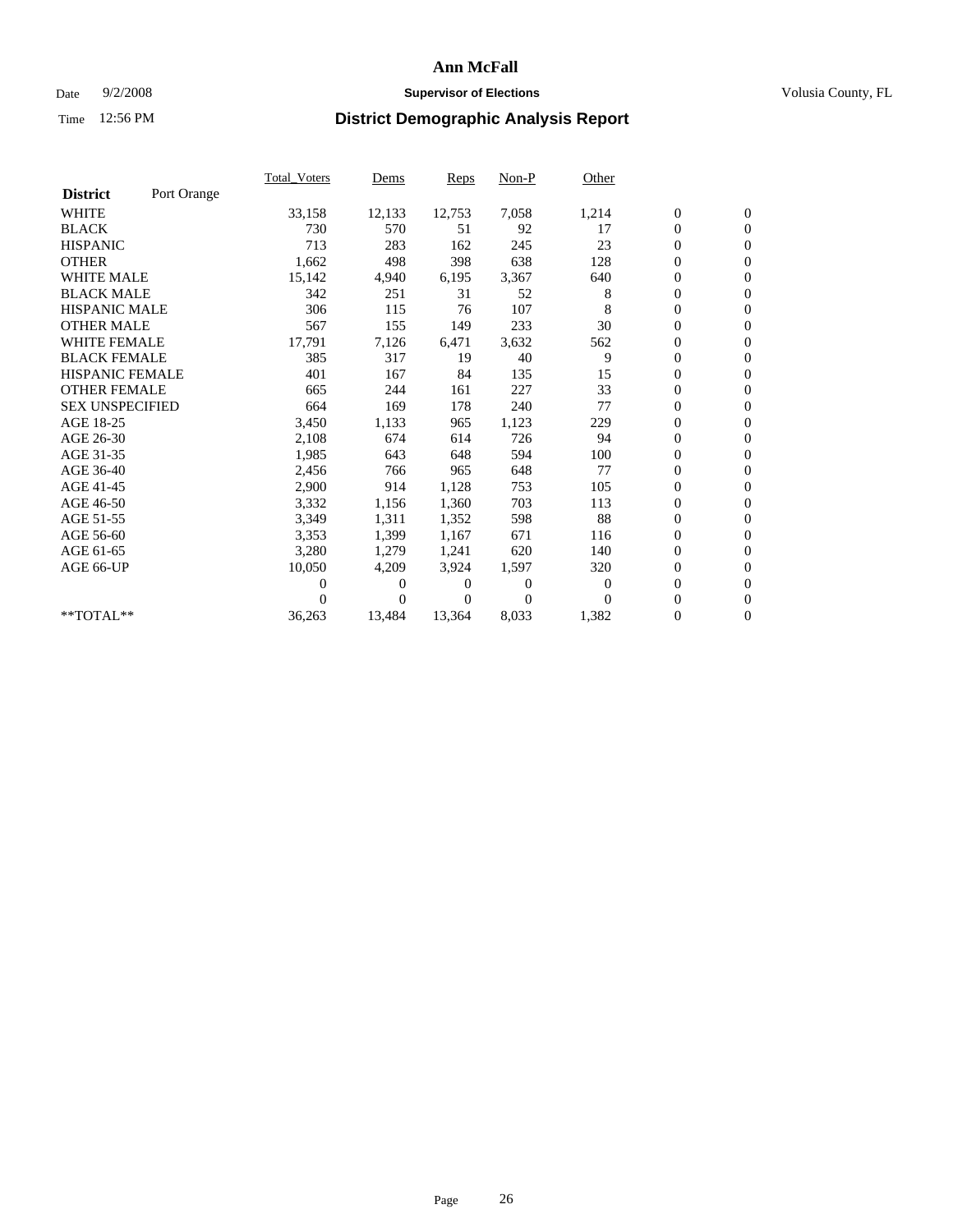## Date 9/2/2008 **Supervisor of Elections Supervisor of Elections** Volusia County, FL

|                        |             | <b>Total_Voters</b> | Dems     | Reps   | Non-P    | Other    |                  |                  |  |
|------------------------|-------------|---------------------|----------|--------|----------|----------|------------------|------------------|--|
| <b>District</b>        | Port Orange |                     |          |        |          |          |                  |                  |  |
| <b>WHITE</b>           |             | 33,158              | 12,133   | 12,753 | 7,058    | 1,214    | $\boldsymbol{0}$ | $\boldsymbol{0}$ |  |
| <b>BLACK</b>           |             | 730                 | 570      | 51     | 92       | 17       | $\boldsymbol{0}$ | $\mathbf{0}$     |  |
| <b>HISPANIC</b>        |             | 713                 | 283      | 162    | 245      | 23       | $\overline{0}$   | $\mathbf{0}$     |  |
| <b>OTHER</b>           |             | 1,662               | 498      | 398    | 638      | 128      | 0                | $\mathbf{0}$     |  |
| WHITE MALE             |             | 15,142              | 4,940    | 6,195  | 3,367    | 640      | $\boldsymbol{0}$ | $\mathbf{0}$     |  |
| <b>BLACK MALE</b>      |             | 342                 | 251      | 31     | 52       | 8        | $\overline{0}$   | $\mathbf{0}$     |  |
| <b>HISPANIC MALE</b>   |             | 306                 | 115      | 76     | 107      | 8        | 0                | $\Omega$         |  |
| <b>OTHER MALE</b>      |             | 567                 | 155      | 149    | 233      | 30       | $\mathbf{0}$     | $\mathbf{0}$     |  |
| <b>WHITE FEMALE</b>    |             | 17,791              | 7,126    | 6,471  | 3,632    | 562      | $\boldsymbol{0}$ | $\mathbf{0}$     |  |
| <b>BLACK FEMALE</b>    |             | 385                 | 317      | 19     | 40       | 9        | $\boldsymbol{0}$ | $\mathbf{0}$     |  |
| <b>HISPANIC FEMALE</b> |             | 401                 | 167      | 84     | 135      | 15       | $\boldsymbol{0}$ | $\mathbf{0}$     |  |
| <b>OTHER FEMALE</b>    |             | 665                 | 244      | 161    | 227      | 33       | $\overline{0}$   | $\mathbf{0}$     |  |
| <b>SEX UNSPECIFIED</b> |             | 664                 | 169      | 178    | 240      | 77       | 0                | $\Omega$         |  |
| AGE 18-25              |             | 3,450               | 1,133    | 965    | 1,123    | 229      | $\overline{0}$   | $\mathbf{0}$     |  |
| AGE 26-30              |             | 2,108               | 674      | 614    | 726      | 94       | $\overline{0}$   | $\Omega$         |  |
| AGE 31-35              |             | 1,985               | 643      | 648    | 594      | 100      | $\boldsymbol{0}$ | $\mathbf{0}$     |  |
| AGE 36-40              |             | 2,456               | 766      | 965    | 648      | 77       | $\boldsymbol{0}$ | $\mathbf{0}$     |  |
| AGE 41-45              |             | 2,900               | 914      | 1,128  | 753      | 105      | $\boldsymbol{0}$ | $\mathbf{0}$     |  |
| AGE 46-50              |             | 3,332               | 1,156    | 1,360  | 703      | 113      | 0                | $\Omega$         |  |
| AGE 51-55              |             | 3,349               | 1,311    | 1,352  | 598      | 88       | $\overline{0}$   | $\mathbf{0}$     |  |
| AGE 56-60              |             | 3,353               | 1,399    | 1,167  | 671      | 116      | 0                | $\mathbf{0}$     |  |
| AGE 61-65              |             | 3,280               | 1,279    | 1,241  | 620      | 140      | 0                | $\mathbf{0}$     |  |
| AGE 66-UP              |             | 10,050              | 4,209    | 3,924  | 1,597    | 320      | $\boldsymbol{0}$ | $\mathbf{0}$     |  |
|                        |             | 0                   | $\theta$ | 0      | $\theta$ | $\theta$ | $\overline{0}$   | $\mathbf{0}$     |  |
|                        |             | 0                   | $\Omega$ | 0      | $\Omega$ | $\Omega$ | 0                | $\mathbf{0}$     |  |
| **TOTAL**              |             | 36,263              | 13,484   | 13,364 | 8,033    | 1,382    | 0                | $\boldsymbol{0}$ |  |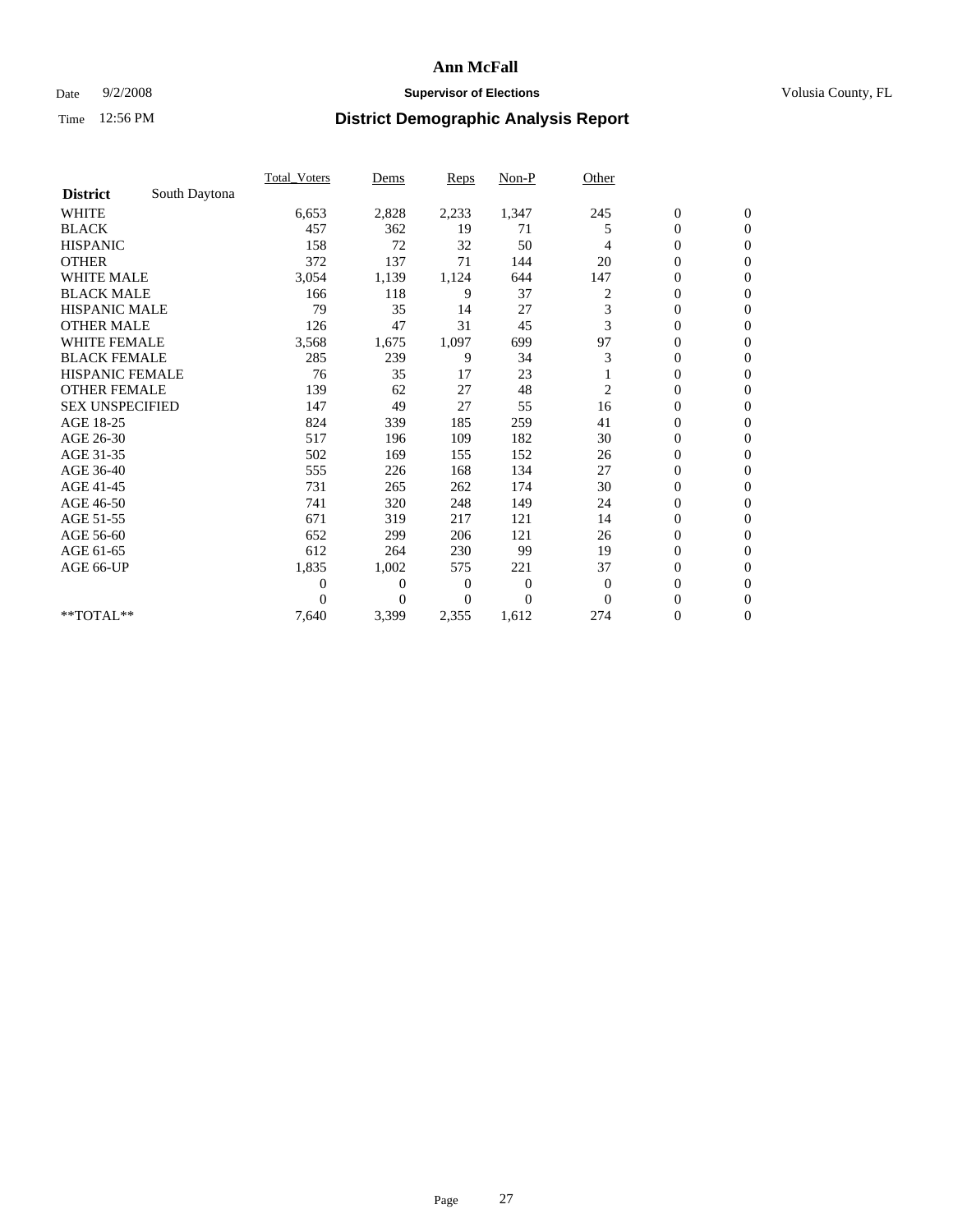## Date 9/2/2008 **Supervisor of Elections Supervisor of Elections** Volusia County, FL

|                        |               | Total Voters   | Dems           | <b>Reps</b> | $Non-P$      | Other          |                  |                  |  |
|------------------------|---------------|----------------|----------------|-------------|--------------|----------------|------------------|------------------|--|
| <b>District</b>        | South Daytona |                |                |             |              |                |                  |                  |  |
| <b>WHITE</b>           |               | 6,653          | 2,828          | 2,233       | 1,347        | 245            | $\boldsymbol{0}$ | $\boldsymbol{0}$ |  |
| <b>BLACK</b>           |               | 457            | 362            | 19          | 71           | 5              | $\boldsymbol{0}$ | $\mathbf{0}$     |  |
| <b>HISPANIC</b>        |               | 158            | 72             | 32          | 50           | 4              | $\overline{0}$   | $\mathbf{0}$     |  |
| <b>OTHER</b>           |               | 372            | 137            | 71          | 144          | 20             | $\boldsymbol{0}$ | $\Omega$         |  |
| <b>WHITE MALE</b>      |               | 3,054          | 1,139          | 1,124       | 644          | 147            | $\overline{0}$   | $\mathbf{0}$     |  |
| <b>BLACK MALE</b>      |               | 166            | 118            | 9           | 37           | 2              | $\boldsymbol{0}$ | $\mathbf{0}$     |  |
| <b>HISPANIC MALE</b>   |               | 79             | 35             | 14          | 27           | 3              | $\boldsymbol{0}$ | $\mathbf{0}$     |  |
| <b>OTHER MALE</b>      |               | 126            | 47             | 31          | 45           | 3              | $\boldsymbol{0}$ | $\mathbf{0}$     |  |
| WHITE FEMALE           |               | 3,568          | 1,675          | 1,097       | 699          | 97             | $\overline{0}$   | $\mathbf{0}$     |  |
| <b>BLACK FEMALE</b>    |               | 285            | 239            | 9           | 34           | 3              | $\boldsymbol{0}$ | $\mathbf{0}$     |  |
| <b>HISPANIC FEMALE</b> |               | 76             | 35             | 17          | 23           |                | $\boldsymbol{0}$ | $\mathbf{0}$     |  |
| <b>OTHER FEMALE</b>    |               | 139            | 62             | 27          | 48           | $\overline{c}$ | $\mathbf{0}$     | $\Omega$         |  |
| <b>SEX UNSPECIFIED</b> |               | 147            | 49             | 27          | 55           | 16             | $\overline{0}$   | $\mathbf{0}$     |  |
| AGE 18-25              |               | 824            | 339            | 185         | 259          | 41             | $\overline{0}$   | $\mathbf{0}$     |  |
| AGE 26-30              |               | 517            | 196            | 109         | 182          | 30             | $\overline{0}$   | $\mathbf{0}$     |  |
| AGE 31-35              |               | 502            | 169            | 155         | 152          | 26             | $\boldsymbol{0}$ | $\mathbf{0}$     |  |
| AGE 36-40              |               | 555            | 226            | 168         | 134          | 27             | $\boldsymbol{0}$ | $\mathbf{0}$     |  |
| AGE 41-45              |               | 731            | 265            | 262         | 174          | 30             | $\overline{0}$   | $\mathbf{0}$     |  |
| AGE 46-50              |               | 741            | 320            | 248         | 149          | 24             | $\boldsymbol{0}$ | $\mathbf{0}$     |  |
| AGE 51-55              |               | 671            | 319            | 217         | 121          | 14             | $\boldsymbol{0}$ | $\mathbf{0}$     |  |
| AGE 56-60              |               | 652            | 299            | 206         | 121          | 26             | $\overline{0}$   | $\Omega$         |  |
| AGE 61-65              |               | 612            | 264            | 230         | 99           | 19             | $\mathbf{0}$     | $\mathbf{0}$     |  |
| AGE 66-UP              |               | 1,835          | 1,002          | 575         | 221          | 37             | $\boldsymbol{0}$ | $\mathbf{0}$     |  |
|                        |               | $\overline{0}$ | $\overline{0}$ | 0           | $\mathbf{0}$ | $\mathbf{0}$   | $\overline{0}$   | $\mathbf{0}$     |  |
|                        |               | $\theta$       | $\overline{0}$ | $\Omega$    | $\theta$     | $\Omega$       | $\overline{0}$   | $\mathbf{0}$     |  |
| **TOTAL**              |               | 7,640          | 3,399          | 2,355       | 1,612        | 274            | 0                | $\mathbf{0}$     |  |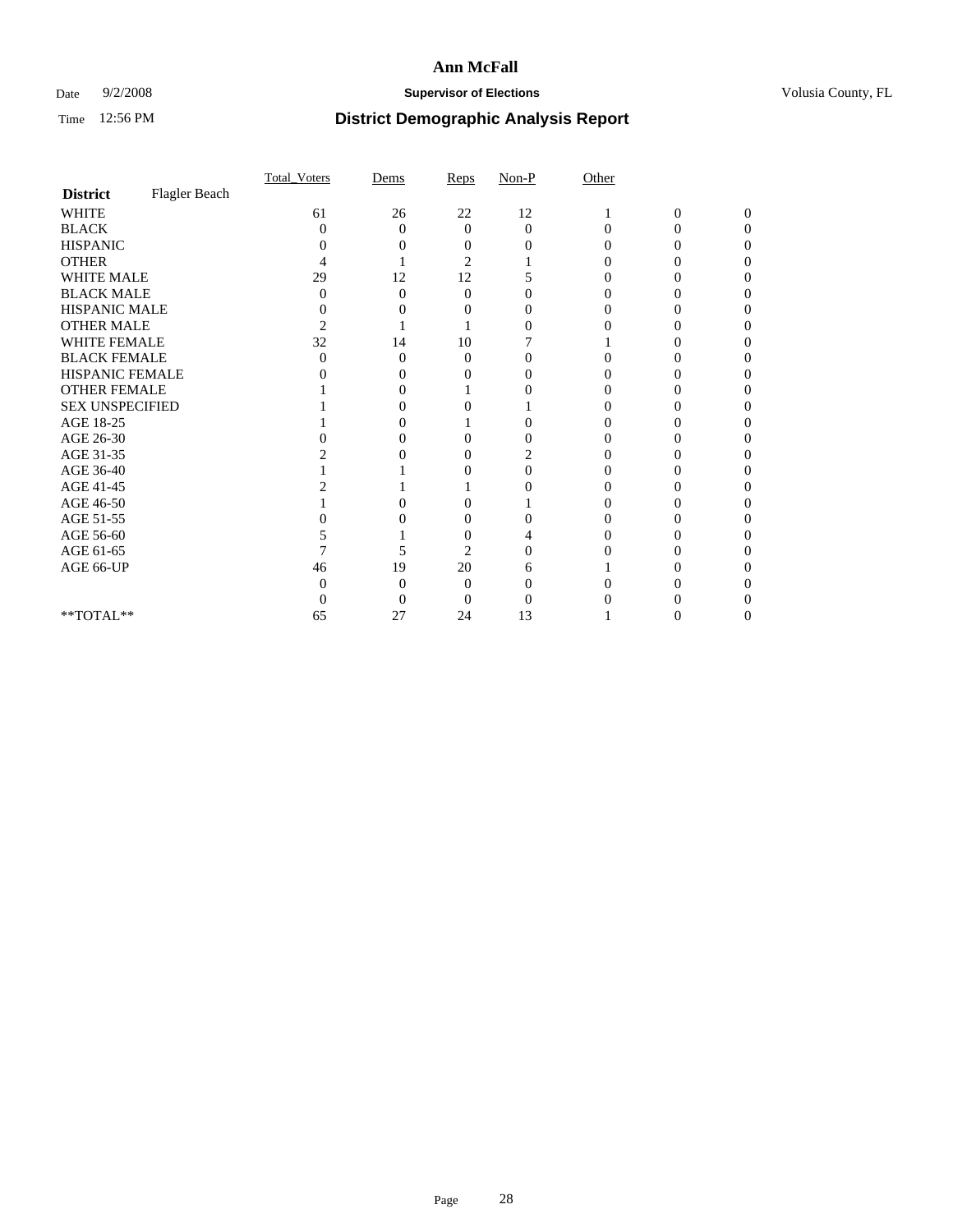## Date 9/2/2008 **Supervisor of Elections Supervisor of Elections** Volusia County, FL

|                        |               | Total Voters   | Dems              | Reps              | $Non-P$  | Other    |                |              |  |
|------------------------|---------------|----------------|-------------------|-------------------|----------|----------|----------------|--------------|--|
| <b>District</b>        | Flagler Beach |                |                   |                   |          |          |                |              |  |
| <b>WHITE</b>           |               | 61             | 26                | 22                | 12       |          | $\overline{0}$ | $\mathbf{0}$ |  |
| <b>BLACK</b>           |               | 0              | $\theta$          | $\Omega$          | $\Omega$ | $\Omega$ | 0              | 0            |  |
| <b>HISPANIC</b>        |               |                |                   | $\mathbf{\Omega}$ |          |          |                |              |  |
| <b>OTHER</b>           |               |                |                   | 2                 |          |          |                |              |  |
| WHITE MALE             |               | 29             | 12                | 12                |          |          |                |              |  |
| <b>BLACK MALE</b>      |               | 0              | 0                 | $\Omega$          |          |          |                |              |  |
| HISPANIC MALE          |               | 0              |                   |                   |          |          |                |              |  |
| <b>OTHER MALE</b>      |               | $\overline{c}$ |                   |                   | 0        |          |                |              |  |
| WHITE FEMALE           |               | 32             | 14                | 10                |          |          |                |              |  |
| <b>BLACK FEMALE</b>    |               | 0              | $\theta$          | $\theta$          | 0        |          |                |              |  |
| HISPANIC FEMALE        |               |                |                   |                   | 0        |          |                |              |  |
| <b>OTHER FEMALE</b>    |               |                |                   |                   |          |          |                |              |  |
| <b>SEX UNSPECIFIED</b> |               |                |                   |                   |          |          |                |              |  |
| AGE 18-25              |               |                |                   |                   | 0        |          |                |              |  |
| AGE 26-30              |               |                | $\mathbf{\Omega}$ | 0                 |          |          |                |              |  |
| AGE 31-35              |               |                |                   |                   | 2        |          |                |              |  |
| AGE 36-40              |               |                |                   |                   | 0        |          |                |              |  |
| AGE 41-45              |               |                |                   |                   |          |          |                |              |  |
| AGE 46-50              |               |                |                   |                   |          |          |                |              |  |
| AGE 51-55              |               |                |                   | 0                 |          |          |                |              |  |
| AGE 56-60              |               |                |                   |                   |          |          |                |              |  |
| AGE 61-65              |               |                | 5                 | $\overline{2}$    |          |          |                |              |  |
| AGE 66-UP              |               | 46             | 19                | 20                | h        |          |                |              |  |
|                        |               |                | 0                 | $\Omega$          |          |          |                |              |  |
|                        |               |                | 0                 | 0                 |          |          |                |              |  |
| **TOTAL**              |               | 65             | 27                | 24                | 13       |          |                |              |  |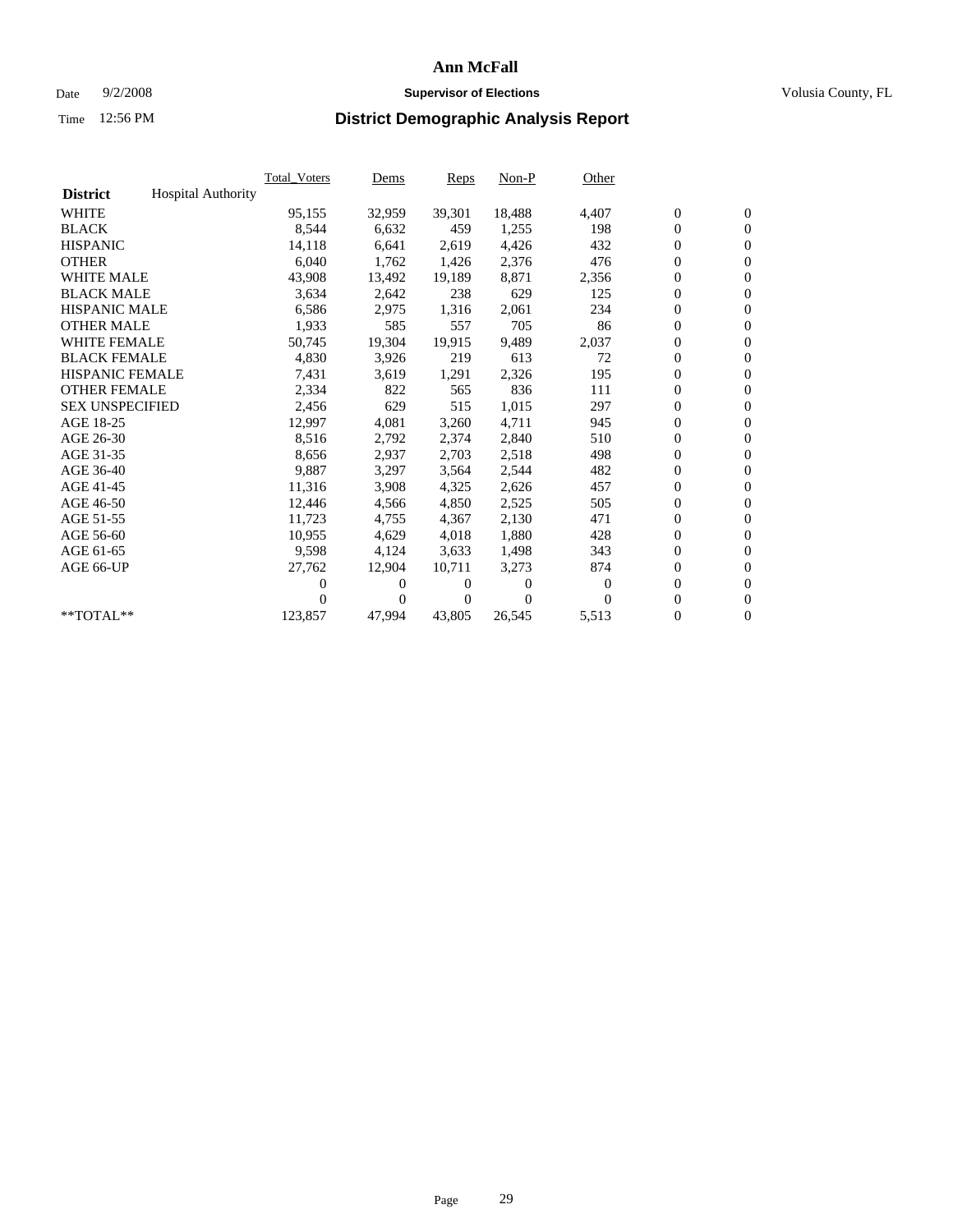## Date 9/2/2008 **Supervisor of Elections Supervisor of Elections** Volusia County, FL

|                        |                           | Total Voters | Dems           | <b>Reps</b> | $Non-P$  | Other    |                  |                  |  |
|------------------------|---------------------------|--------------|----------------|-------------|----------|----------|------------------|------------------|--|
| <b>District</b>        | <b>Hospital Authority</b> |              |                |             |          |          |                  |                  |  |
| <b>WHITE</b>           |                           | 95,155       | 32,959         | 39,301      | 18,488   | 4,407    | $\boldsymbol{0}$ | $\boldsymbol{0}$ |  |
| <b>BLACK</b>           |                           | 8,544        | 6,632          | 459         | 1,255    | 198      | $\boldsymbol{0}$ | $\mathbf{0}$     |  |
| <b>HISPANIC</b>        |                           | 14,118       | 6,641          | 2,619       | 4,426    | 432      | $\mathbf{0}$     | $\mathbf{0}$     |  |
| <b>OTHER</b>           |                           | 6,040        | 1,762          | 1,426       | 2,376    | 476      | $\overline{0}$   | $\mathbf{0}$     |  |
| <b>WHITE MALE</b>      |                           | 43,908       | 13,492         | 19,189      | 8,871    | 2,356    | $\boldsymbol{0}$ | $\mathbf{0}$     |  |
| <b>BLACK MALE</b>      |                           | 3,634        | 2,642          | 238         | 629      | 125      | $\boldsymbol{0}$ | $\mathbf{0}$     |  |
| <b>HISPANIC MALE</b>   |                           | 6,586        | 2,975          | 1,316       | 2,061    | 234      | $\boldsymbol{0}$ | $\overline{0}$   |  |
| <b>OTHER MALE</b>      |                           | 1,933        | 585            | 557         | 705      | 86       | $\boldsymbol{0}$ | $\mathbf{0}$     |  |
| <b>WHITE FEMALE</b>    |                           | 50,745       | 19,304         | 19,915      | 9,489    | 2,037    | $\mathbf{0}$     | $\mathbf{0}$     |  |
| <b>BLACK FEMALE</b>    |                           | 4,830        | 3,926          | 219         | 613      | 72       | $\boldsymbol{0}$ | $\Omega$         |  |
| <b>HISPANIC FEMALE</b> |                           | 7,431        | 3,619          | 1,291       | 2,326    | 195      | $\boldsymbol{0}$ | $\boldsymbol{0}$ |  |
| <b>OTHER FEMALE</b>    |                           | 2,334        | 822            | 565         | 836      | 111      | $\mathbf{0}$     | $\mathbf{0}$     |  |
| <b>SEX UNSPECIFIED</b> |                           | 2,456        | 629            | 515         | 1,015    | 297      | $\boldsymbol{0}$ | $\mathbf{0}$     |  |
| AGE 18-25              |                           | 12,997       | 4,081          | 3,260       | 4,711    | 945      | $\boldsymbol{0}$ | $\mathbf{0}$     |  |
| AGE 26-30              |                           | 8,516        | 2,792          | 2,374       | 2,840    | 510      | $\boldsymbol{0}$ | $\mathbf{0}$     |  |
| AGE 31-35              |                           | 8,656        | 2,937          | 2,703       | 2,518    | 498      | $\boldsymbol{0}$ | $\mathbf{0}$     |  |
| AGE 36-40              |                           | 9,887        | 3,297          | 3,564       | 2,544    | 482      | $\boldsymbol{0}$ | $\mathbf{0}$     |  |
| AGE 41-45              |                           | 11,316       | 3,908          | 4,325       | 2,626    | 457      | $\boldsymbol{0}$ | $\mathbf{0}$     |  |
| AGE 46-50              |                           | 12,446       | 4,566          | 4,850       | 2,525    | 505      | $\boldsymbol{0}$ | $\mathbf{0}$     |  |
| AGE 51-55              |                           | 11,723       | 4,755          | 4,367       | 2,130    | 471      | $\boldsymbol{0}$ | $\boldsymbol{0}$ |  |
| AGE 56-60              |                           | 10,955       | 4,629          | 4.018       | 1,880    | 428      | $\mathbf{0}$     | $\mathbf{0}$     |  |
| AGE 61-65              |                           | 9,598        | 4,124          | 3,633       | 1,498    | 343      | $\boldsymbol{0}$ | $\mathbf{0}$     |  |
| AGE 66-UP              |                           | 27,762       | 12,904         | 10,711      | 3,273    | 874      | $\mathbf{0}$     | $\mathbf{0}$     |  |
|                        |                           | 0            | 0              | 0           | 0        | $\Omega$ | $\boldsymbol{0}$ | $\mathbf{0}$     |  |
|                        |                           | 0            | $\overline{0}$ | 0           | $\Omega$ | 0        | 0                | $\mathbf{0}$     |  |
| $*$ TOTAL $**$         |                           | 123,857      | 47,994         | 43,805      | 26,545   | 5,513    | $\boldsymbol{0}$ | $\boldsymbol{0}$ |  |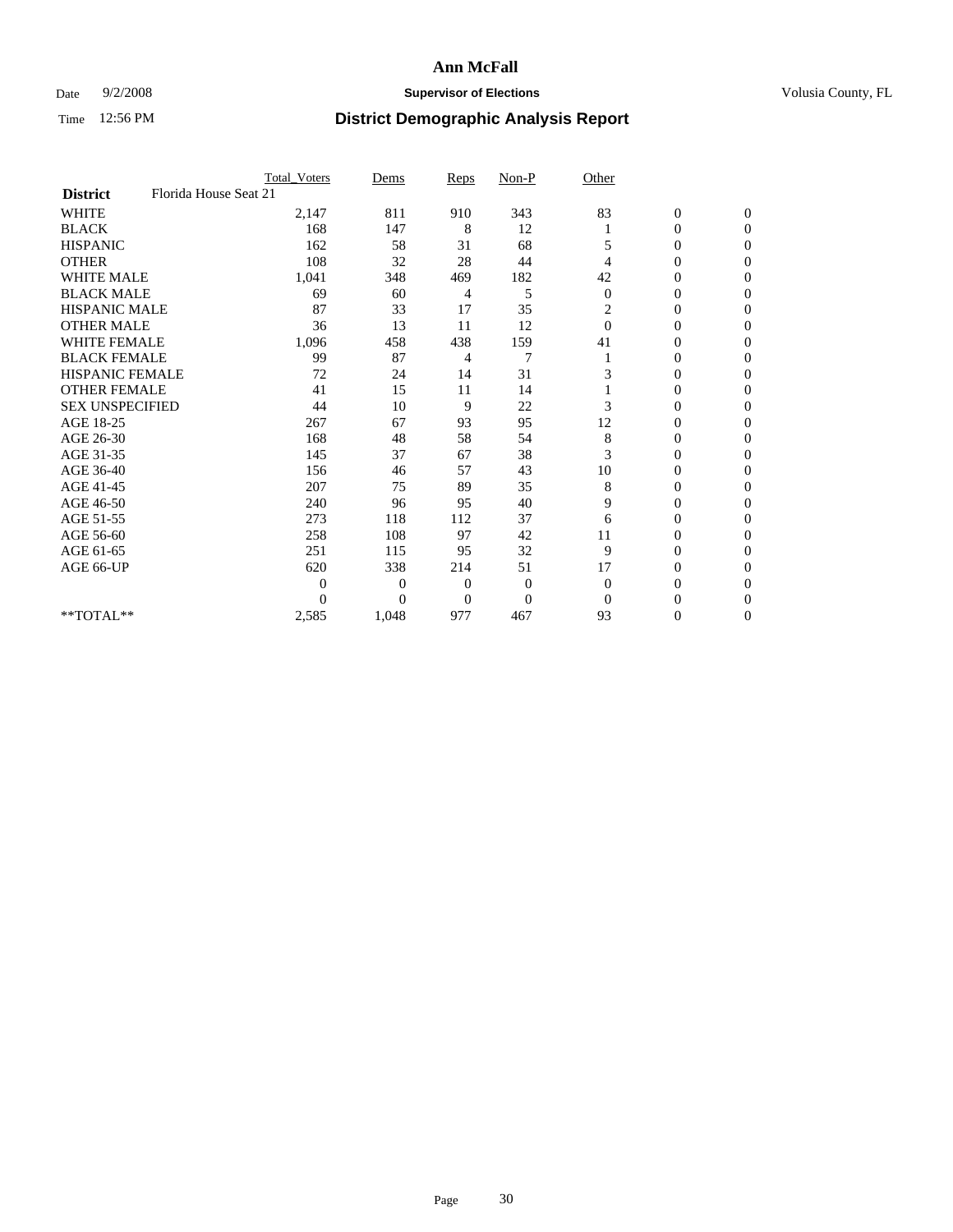## Date 9/2/2008 **Supervisor of Elections Supervisor of Elections** Volusia County, FL

|                        | Total Voters          | Dems           | <b>Reps</b>    | $Non-P$        | Other        |                  |                |  |
|------------------------|-----------------------|----------------|----------------|----------------|--------------|------------------|----------------|--|
| <b>District</b>        | Florida House Seat 21 |                |                |                |              |                  |                |  |
| <b>WHITE</b>           | 2,147                 | 811            | 910            | 343            | 83           | $\boldsymbol{0}$ | $\mathbf{0}$   |  |
| <b>BLACK</b>           | 168                   | 147            | 8              | 12             |              | $\boldsymbol{0}$ | $\Omega$       |  |
| <b>HISPANIC</b>        | 162                   | 58             | 31             | 68             | 5            | $\mathbf{0}$     | $\Omega$       |  |
| <b>OTHER</b>           | 108                   | 32             | 28             | 44             | 4            | 0                | $\Omega$       |  |
| <b>WHITE MALE</b>      | 1,041                 | 348            | 469            | 182            | 42           | 0                | $\Omega$       |  |
| <b>BLACK MALE</b>      | 69                    | 60             | 4              | 5              | $\mathbf{0}$ | $\mathbf{0}$     | $\Omega$       |  |
| <b>HISPANIC MALE</b>   | 87                    | 33             | 17             | 35             | 2            | $\boldsymbol{0}$ | $\Omega$       |  |
| <b>OTHER MALE</b>      | 36                    | 13             | 11             | 12             | $\Omega$     | 0                | 0              |  |
| <b>WHITE FEMALE</b>    | 1,096                 | 458            | 438            | 159            | 41           | 0                | $\Omega$       |  |
| <b>BLACK FEMALE</b>    | 99                    | 87             | 4              | $\overline{7}$ |              | $\overline{0}$   | $\overline{0}$ |  |
| <b>HISPANIC FEMALE</b> | 72                    | 24             | 14             | 31             | 3            | 0                | $\Omega$       |  |
| <b>OTHER FEMALE</b>    | 41                    | 15             | 11             | 14             |              | 0                | 0              |  |
| <b>SEX UNSPECIFIED</b> | 44                    | 10             | 9              | 22             | 3            | $\overline{0}$   | $\Omega$       |  |
| AGE 18-25              | 267                   | 67             | 93             | 95             | 12           | 0                | $\mathbf{0}$   |  |
| AGE 26-30              | 168                   | 48             | 58             | 54             | 8            | 0                | $\Omega$       |  |
| AGE 31-35              | 145                   | 37             | 67             | 38             | 3            | $\overline{0}$   | $\Omega$       |  |
| AGE 36-40              | 156                   | 46             | 57             | 43             | 10           | 0                | $\Omega$       |  |
| AGE 41-45              | 207                   | 75             | 89             | 35             | 8            | 0                | $\Omega$       |  |
| AGE 46-50              | 240                   | 96             | 95             | 40             | 9            | $\overline{0}$   | $\Omega$       |  |
| AGE 51-55              | 273                   | 118            | 112            | 37             | 6            | 0                | 0              |  |
| AGE 56-60              | 258                   | 108            | 97             | 42             | 11           | 0                | $\Omega$       |  |
| AGE 61-65              | 251                   | 115            | 95             | 32             | 9            | 0                | $\Omega$       |  |
| AGE 66-UP              | 620                   | 338            | 214            | 51             | 17           | 0                | 0              |  |
|                        | $\theta$              | $\overline{0}$ | $\overline{0}$ | $\mathbf{0}$   | $\Omega$     | 0                | $\Omega$       |  |
|                        | $\Omega$              | $\overline{0}$ | $\overline{0}$ | $\overline{0}$ | $\Omega$     | $\theta$         | $\Omega$       |  |
| **TOTAL**              | 2,585                 | 1,048          | 977            | 467            | 93           | 0                | $\mathbf{0}$   |  |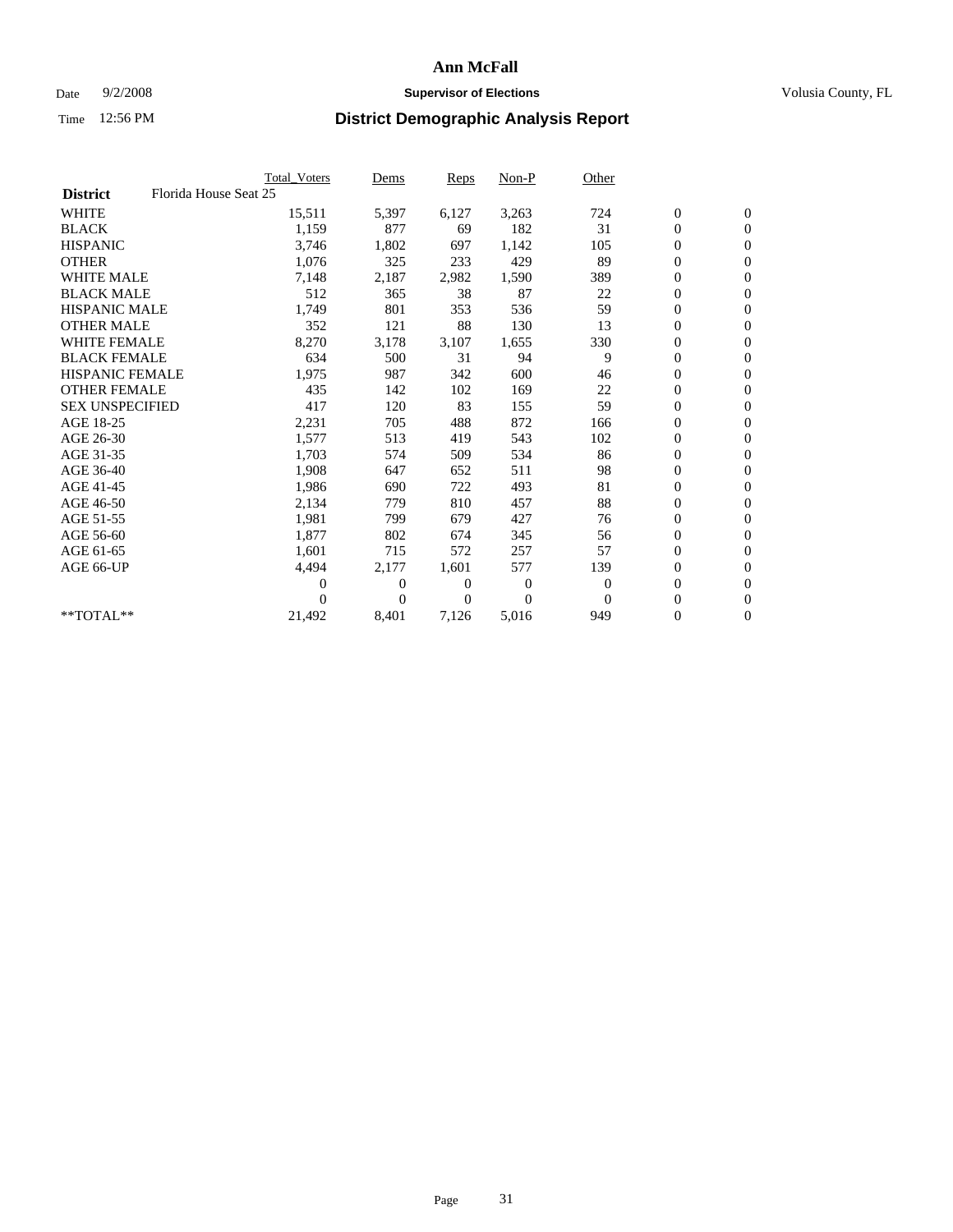## Date 9/2/2008 **Supervisor of Elections Supervisor of Elections** Volusia County, FL

|                        |                       | Total Voters   | Dems           | <b>Reps</b>  | $Non-P$      | Other        |                  |                  |  |
|------------------------|-----------------------|----------------|----------------|--------------|--------------|--------------|------------------|------------------|--|
| <b>District</b>        | Florida House Seat 25 |                |                |              |              |              |                  |                  |  |
| <b>WHITE</b>           |                       | 15,511         | 5,397          | 6,127        | 3,263        | 724          | $\boldsymbol{0}$ | $\boldsymbol{0}$ |  |
| <b>BLACK</b>           |                       | 1,159          | 877            | 69           | 182          | 31           | $\boldsymbol{0}$ | $\mathbf{0}$     |  |
| <b>HISPANIC</b>        |                       | 3,746          | 1,802          | 697          | 1,142        | 105          | $\overline{0}$   | $\mathbf{0}$     |  |
| <b>OTHER</b>           |                       | 1,076          | 325            | 233          | 429          | 89           | $\boldsymbol{0}$ | $\mathbf{0}$     |  |
| <b>WHITE MALE</b>      |                       | 7,148          | 2,187          | 2,982        | 1,590        | 389          | $\boldsymbol{0}$ | $\mathbf{0}$     |  |
| <b>BLACK MALE</b>      |                       | 512            | 365            | 38           | 87           | 22           | $\overline{0}$   | $\mathbf{0}$     |  |
| <b>HISPANIC MALE</b>   |                       | 1,749          | 801            | 353          | 536          | 59           | $\boldsymbol{0}$ | $\Omega$         |  |
| <b>OTHER MALE</b>      |                       | 352            | 121            | 88           | 130          | 13           | $\overline{0}$   | $\mathbf{0}$     |  |
| <b>WHITE FEMALE</b>    |                       | 8,270          | 3,178          | 3,107        | 1,655        | 330          | $\boldsymbol{0}$ | $\mathbf{0}$     |  |
| <b>BLACK FEMALE</b>    |                       | 634            | 500            | 31           | 94           | 9            | $\boldsymbol{0}$ | $\mathbf{0}$     |  |
| <b>HISPANIC FEMALE</b> |                       | 1,975          | 987            | 342          | 600          | 46           | 0                | $\mathbf{0}$     |  |
| <b>OTHER FEMALE</b>    |                       | 435            | 142            | 102          | 169          | 22           | $\mathbf{0}$     | $\mathbf{0}$     |  |
| <b>SEX UNSPECIFIED</b> |                       | 417            | 120            | 83           | 155          | 59           | $\boldsymbol{0}$ | $\mathbf{0}$     |  |
| AGE 18-25              |                       | 2,231          | 705            | 488          | 872          | 166          | $\boldsymbol{0}$ | $\mathbf{0}$     |  |
| AGE 26-30              |                       | 1,577          | 513            | 419          | 543          | 102          | $\overline{0}$   | $\mathbf{0}$     |  |
| AGE 31-35              |                       | 1,703          | 574            | 509          | 534          | 86           | $\boldsymbol{0}$ | $\mathbf{0}$     |  |
| AGE 36-40              |                       | 1,908          | 647            | 652          | 511          | 98           | $\boldsymbol{0}$ | $\mathbf{0}$     |  |
| AGE 41-45              |                       | 1,986          | 690            | 722          | 493          | 81           | $\boldsymbol{0}$ | $\mathbf{0}$     |  |
| AGE 46-50              |                       | 2,134          | 779            | 810          | 457          | 88           | $\boldsymbol{0}$ | $\Omega$         |  |
| AGE 51-55              |                       | 1,981          | 799            | 679          | 427          | 76           | $\boldsymbol{0}$ | $\mathbf{0}$     |  |
| AGE 56-60              |                       | 1.877          | 802            | 674          | 345          | 56           | $\overline{0}$   | $\mathbf{0}$     |  |
| AGE 61-65              |                       | 1,601          | 715            | 572          | 257          | 57           | $\overline{0}$   | $\mathbf{0}$     |  |
| AGE 66-UP              |                       | 4,494          | 2,177          | 1,601        | 577          | 139          | $\boldsymbol{0}$ | $\mathbf{0}$     |  |
|                        |                       | $\overline{0}$ | $\overline{0}$ | 0            | $\mathbf{0}$ | $\mathbf{0}$ | $\mathbf{0}$     | $\mathbf{0}$     |  |
|                        |                       | 0              | $\overline{0}$ | $\mathbf{0}$ | $\theta$     | $\mathbf{0}$ | $\boldsymbol{0}$ | $\mathbf{0}$     |  |
| **TOTAL**              |                       | 21,492         | 8,401          | 7,126        | 5,016        | 949          | 0                | $\boldsymbol{0}$ |  |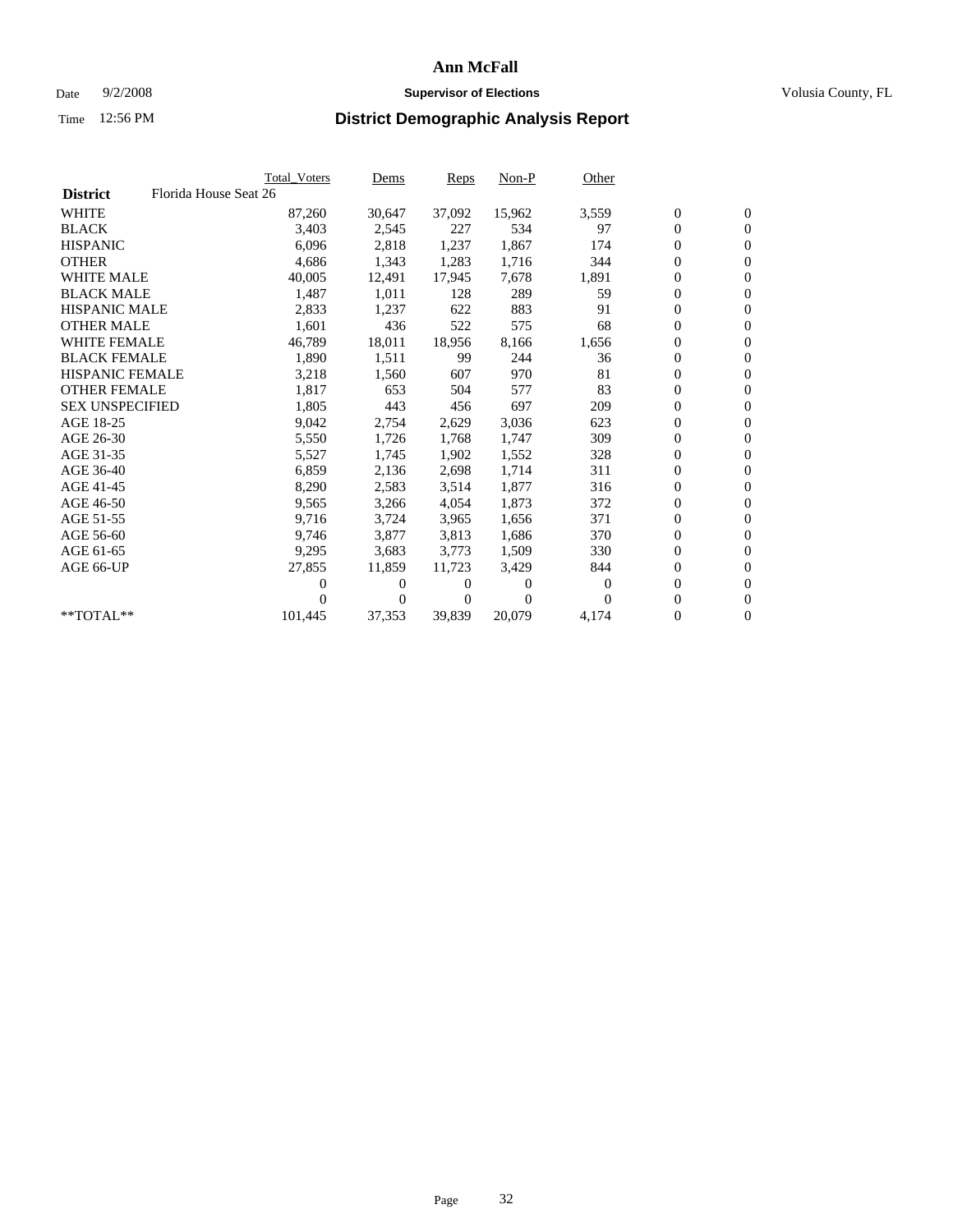## Date 9/2/2008 **Supervisor of Elections Supervisor of Elections** Volusia County, FL

|                        | <b>Total Voters</b>   | Dems           | Reps   | $Non-P$        | Other    |                  |                  |  |
|------------------------|-----------------------|----------------|--------|----------------|----------|------------------|------------------|--|
| <b>District</b>        | Florida House Seat 26 |                |        |                |          |                  |                  |  |
| <b>WHITE</b>           | 87,260                | 30,647         | 37,092 | 15,962         | 3,559    | $\boldsymbol{0}$ | $\boldsymbol{0}$ |  |
| <b>BLACK</b>           | 3,403                 | 2,545          | 227    | 534            | 97       | $\overline{0}$   | $\mathbf{0}$     |  |
| <b>HISPANIC</b>        | 6,096                 | 2,818          | 1,237  | 1,867          | 174      | 0                | $\mathbf{0}$     |  |
| <b>OTHER</b>           | 4,686                 | 1,343          | 1,283  | 1,716          | 344      | 0                | $\mathbf{0}$     |  |
| <b>WHITE MALE</b>      | 40,005                | 12,491         | 17,945 | 7,678          | 1,891    | 0                | $\mathbf{0}$     |  |
| <b>BLACK MALE</b>      | 1,487                 | 1,011          | 128    | 289            | 59       | $\boldsymbol{0}$ | $\mathbf{0}$     |  |
| <b>HISPANIC MALE</b>   | 2,833                 | 1,237          | 622    | 883            | 91       | 0                | $\mathbf{0}$     |  |
| <b>OTHER MALE</b>      | 1,601                 | 436            | 522    | 575            | 68       | 0                | $\mathbf{0}$     |  |
| <b>WHITE FEMALE</b>    | 46,789                | 18,011         | 18.956 | 8,166          | 1,656    | 0                | $\mathbf{0}$     |  |
| <b>BLACK FEMALE</b>    | 1,890                 | 1,511          | 99     | 244            | 36       | 0                | $\Omega$         |  |
| <b>HISPANIC FEMALE</b> | 3,218                 | 1,560          | 607    | 970            | 81       | $\boldsymbol{0}$ | $\mathbf{0}$     |  |
| <b>OTHER FEMALE</b>    | 1,817                 | 653            | 504    | 577            | 83       | 0                | $\mathbf{0}$     |  |
| <b>SEX UNSPECIFIED</b> | 1,805                 | 443            | 456    | 697            | 209      | 0                | $\mathbf{0}$     |  |
| AGE 18-25              | 9,042                 | 2,754          | 2,629  | 3,036          | 623      | $\overline{0}$   | $\mathbf{0}$     |  |
| AGE 26-30              | 5,550                 | 1,726          | 1,768  | 1,747          | 309      | 0                | $\mathbf{0}$     |  |
| AGE 31-35              | 5,527                 | 1,745          | 1,902  | 1,552          | 328      | 0                | $\mathbf{0}$     |  |
| AGE 36-40              | 6,859                 | 2,136          | 2,698  | 1,714          | 311      | 0                | $\mathbf{0}$     |  |
| AGE 41-45              | 8,290                 | 2,583          | 3,514  | 1,877          | 316      | 0                | $\mathbf{0}$     |  |
| AGE 46-50              | 9,565                 | 3,266          | 4,054  | 1,873          | 372      | 0                | $\Omega$         |  |
| AGE 51-55              | 9,716                 | 3,724          | 3,965  | 1,656          | 371      | $\boldsymbol{0}$ | $\mathbf{0}$     |  |
| AGE 56-60              | 9.746                 | 3,877          | 3,813  | 1,686          | 370      | 0                | $\mathbf{0}$     |  |
| AGE 61-65              | 9,295                 | 3,683          | 3,773  | 1,509          | 330      | 0                | $\mathbf{0}$     |  |
| AGE 66-UP              | 27,855                | 11,859         | 11,723 | 3,429          | 844      | 0                | $\mathbf{0}$     |  |
|                        | 0                     | 0              | 0      | $\overline{0}$ | $\Omega$ | 0                | $\mathbf{0}$     |  |
|                        | 0                     | $\overline{0}$ | 0      | $\Omega$       | $\Omega$ | 0                | $\mathbf{0}$     |  |
| $*$ TOTAL $**$         | 101,445               | 37,353         | 39,839 | 20,079         | 4,174    | 0                | $\boldsymbol{0}$ |  |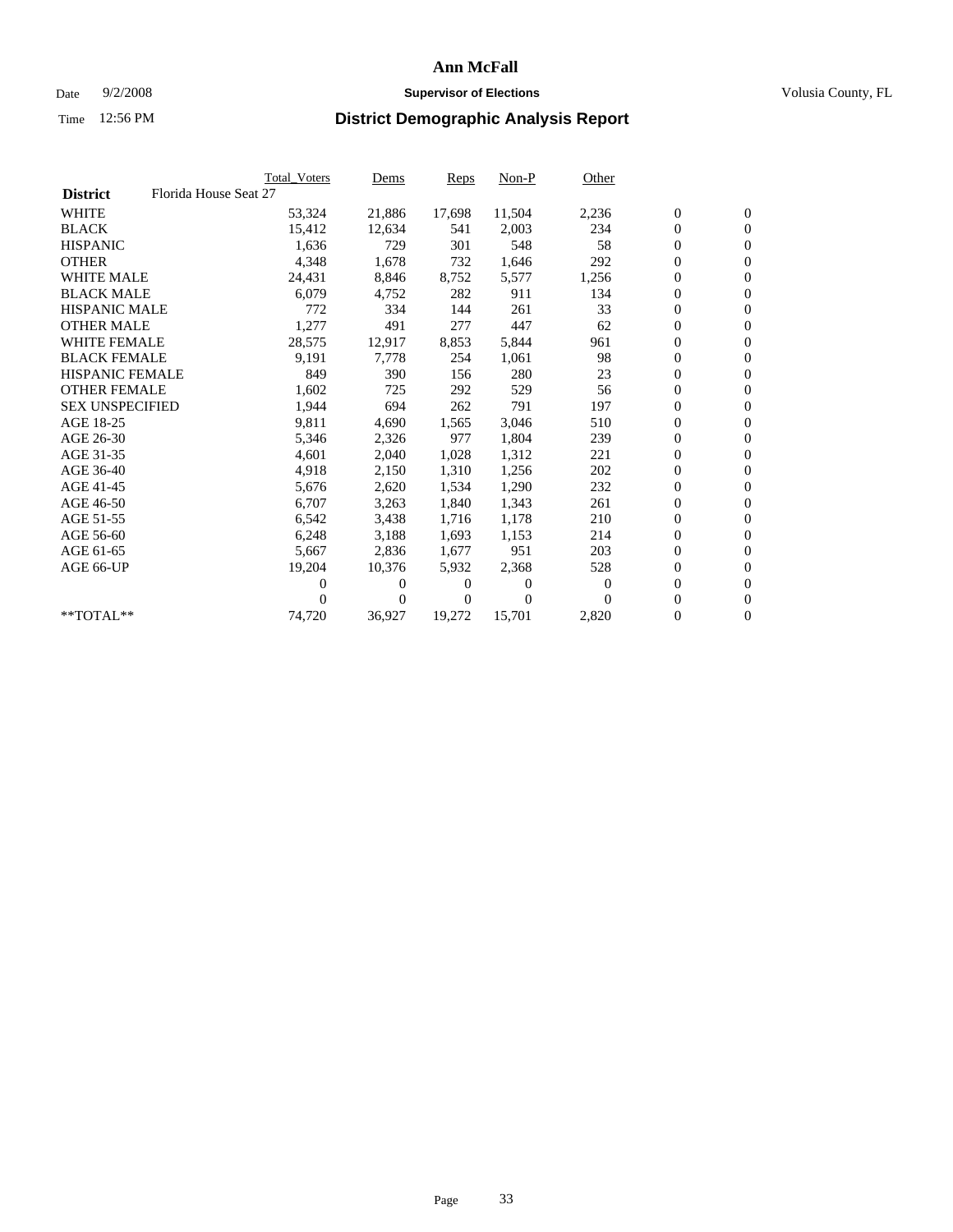## Date 9/2/2008 **Supervisor of Elections Supervisor of Elections** Volusia County, FL

|                        |                       | Total Voters | <u>Dems</u>    | <b>Reps</b> | $Non-P$        | Other    |                  |                  |
|------------------------|-----------------------|--------------|----------------|-------------|----------------|----------|------------------|------------------|
| <b>District</b>        | Florida House Seat 27 |              |                |             |                |          |                  |                  |
| <b>WHITE</b>           |                       | 53,324       | 21,886         | 17,698      | 11,504         | 2,236    | $\boldsymbol{0}$ | $\boldsymbol{0}$ |
| <b>BLACK</b>           |                       | 15,412       | 12,634         | 541         | 2,003          | 234      | $\boldsymbol{0}$ | $\mathbf{0}$     |
| <b>HISPANIC</b>        |                       | 1,636        | 729            | 301         | 548            | 58       | $\boldsymbol{0}$ | $\mathbf{0}$     |
| <b>OTHER</b>           |                       | 4,348        | 1,678          | 732         | 1,646          | 292      | 0                | $\mathbf{0}$     |
| <b>WHITE MALE</b>      |                       | 24,431       | 8,846          | 8,752       | 5,577          | 1,256    | $\boldsymbol{0}$ | $\mathbf{0}$     |
| <b>BLACK MALE</b>      |                       | 6,079        | 4,752          | 282         | 911            | 134      | $\overline{0}$   | $\mathbf{0}$     |
| <b>HISPANIC MALE</b>   |                       | 772          | 334            | 144         | 261            | 33       | $\boldsymbol{0}$ | $\mathbf{0}$     |
| <b>OTHER MALE</b>      |                       | 1,277        | 491            | 277         | 447            | 62       | $\overline{0}$   | $\mathbf{0}$     |
| <b>WHITE FEMALE</b>    |                       | 28,575       | 12,917         | 8,853       | 5,844          | 961      | $\boldsymbol{0}$ | $\mathbf{0}$     |
| <b>BLACK FEMALE</b>    |                       | 9,191        | 7,778          | 254         | 1,061          | 98       | $\boldsymbol{0}$ | $\mathbf{0}$     |
| <b>HISPANIC FEMALE</b> |                       | 849          | 390            | 156         | 280            | 23       | 0                | $\mathbf{0}$     |
| <b>OTHER FEMALE</b>    |                       | 1,602        | 725            | 292         | 529            | 56       | $\mathbf{0}$     | $\mathbf{0}$     |
| <b>SEX UNSPECIFIED</b> |                       | 1,944        | 694            | 262         | 791            | 197      | $\boldsymbol{0}$ | $\mathbf{0}$     |
| AGE 18-25              |                       | 9,811        | 4,690          | 1,565       | 3,046          | 510      | $\boldsymbol{0}$ | $\mathbf{0}$     |
| AGE 26-30              |                       | 5,346        | 2,326          | 977         | 1,804          | 239      | 0                | $\mathbf{0}$     |
| AGE 31-35              |                       | 4,601        | 2,040          | 1,028       | 1,312          | 221      | $\boldsymbol{0}$ | $\mathbf{0}$     |
| AGE 36-40              |                       | 4,918        | 2,150          | 1,310       | 1,256          | 202      | $\boldsymbol{0}$ | $\mathbf{0}$     |
| AGE 41-45              |                       | 5,676        | 2,620          | 1,534       | 1,290          | 232      | 0                | $\mathbf{0}$     |
| AGE 46-50              |                       | 6,707        | 3,263          | 1,840       | 1,343          | 261      | $\boldsymbol{0}$ | $\Omega$         |
| AGE 51-55              |                       | 6,542        | 3,438          | 1,716       | 1,178          | 210      | $\boldsymbol{0}$ | $\mathbf{0}$     |
| AGE 56-60              |                       | 6,248        | 3,188          | 1.693       | 1,153          | 214      | 0                | $\mathbf{0}$     |
| AGE 61-65              |                       | 5,667        | 2,836          | 1,677       | 951            | 203      | 0                | $\mathbf{0}$     |
| AGE 66-UP              |                       | 19,204       | 10,376         | 5,932       | 2,368          | 528      | $\boldsymbol{0}$ | $\mathbf{0}$     |
|                        |                       | 0            | 0              | 0           | $\overline{0}$ | $\bf{0}$ | $\mathbf{0}$     | $\mathbf{0}$     |
|                        |                       | 0            | $\overline{0}$ | 0           | $\overline{0}$ | $\Omega$ | 0                | $\mathbf{0}$     |
| **TOTAL**              |                       | 74,720       | 36,927         | 19,272      | 15,701         | 2,820    | 0                | $\boldsymbol{0}$ |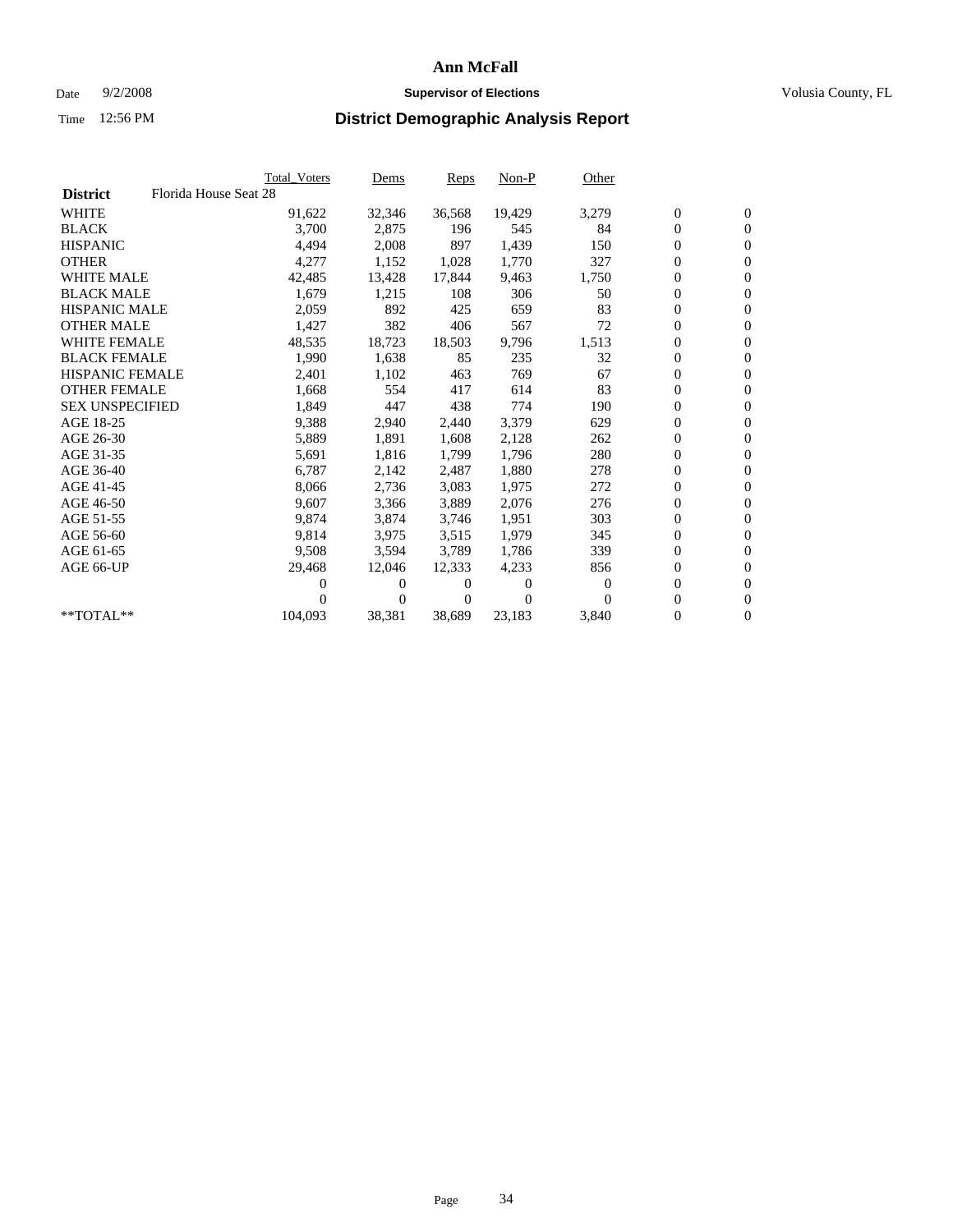## Date 9/2/2008 **Supervisor of Elections Supervisor of Elections** Volusia County, FL

|                        |                       | <b>Total Voters</b> | <u>Dems</u>    | <b>Reps</b>    | $Non-P$        | Other    |                  |                  |  |
|------------------------|-----------------------|---------------------|----------------|----------------|----------------|----------|------------------|------------------|--|
| <b>District</b>        | Florida House Seat 28 |                     |                |                |                |          |                  |                  |  |
| <b>WHITE</b>           |                       | 91,622              | 32,346         | 36,568         | 19,429         | 3,279    | $\boldsymbol{0}$ | $\boldsymbol{0}$ |  |
| <b>BLACK</b>           |                       | 3,700               | 2,875          | 196            | 545            | 84       | $\boldsymbol{0}$ | $\mathbf{0}$     |  |
| <b>HISPANIC</b>        |                       | 4,494               | 2,008          | 897            | 1,439          | 150      | $\boldsymbol{0}$ | $\mathbf{0}$     |  |
| <b>OTHER</b>           |                       | 4,277               | 1,152          | 1,028          | 1,770          | 327      | 0                | $\overline{0}$   |  |
| <b>WHITE MALE</b>      |                       | 42,485              | 13,428         | 17,844         | 9,463          | 1,750    | $\boldsymbol{0}$ | $\mathbf{0}$     |  |
| <b>BLACK MALE</b>      |                       | 1.679               | 1,215          | 108            | 306            | 50       | $\overline{0}$   | $\mathbf{0}$     |  |
| <b>HISPANIC MALE</b>   |                       | 2,059               | 892            | 425            | 659            | 83       | 0                | $\overline{0}$   |  |
| <b>OTHER MALE</b>      |                       | 1,427               | 382            | 406            | 567            | 72       | $\overline{0}$   | $\mathbf{0}$     |  |
| <b>WHITE FEMALE</b>    |                       | 48,535              | 18,723         | 18,503         | 9,796          | 1,513    | $\boldsymbol{0}$ | $\mathbf{0}$     |  |
| <b>BLACK FEMALE</b>    |                       | 1,990               | 1,638          | 85             | 235            | 32       | $\boldsymbol{0}$ | $\overline{0}$   |  |
| <b>HISPANIC FEMALE</b> |                       | 2,401               | 1,102          | 463            | 769            | 67       | $\boldsymbol{0}$ | $\mathbf{0}$     |  |
| <b>OTHER FEMALE</b>    |                       | 1,668               | 554            | 417            | 614            | 83       | $\mathbf{0}$     | $\mathbf{0}$     |  |
| <b>SEX UNSPECIFIED</b> |                       | 1,849               | 447            | 438            | 774            | 190      | $\boldsymbol{0}$ | $\mathbf{0}$     |  |
| AGE 18-25              |                       | 9,388               | 2,940          | 2,440          | 3,379          | 629      | $\boldsymbol{0}$ | $\mathbf{0}$     |  |
| AGE 26-30              |                       | 5,889               | 1,891          | 1,608          | 2,128          | 262      | 0                | $\mathbf{0}$     |  |
| AGE 31-35              |                       | 5,691               | 1,816          | 1,799          | 1,796          | 280      | $\boldsymbol{0}$ | $\mathbf{0}$     |  |
| AGE 36-40              |                       | 6,787               | 2,142          | 2,487          | 1,880          | 278      | $\boldsymbol{0}$ | $\mathbf{0}$     |  |
| AGE 41-45              |                       | 8,066               | 2,736          | 3,083          | 1,975          | 272      | 0                | $\mathbf{0}$     |  |
| AGE 46-50              |                       | 9,607               | 3,366          | 3,889          | 2,076          | 276      | 0                | $\Omega$         |  |
| AGE 51-55              |                       | 9,874               | 3,874          | 3,746          | 1,951          | 303      | $\overline{0}$   | $\mathbf{0}$     |  |
| AGE 56-60              |                       | 9.814               | 3.975          | 3,515          | 1.979          | 345      | 0                | $\mathbf{0}$     |  |
| AGE 61-65              |                       | 9,508               | 3,594          | 3,789          | 1,786          | 339      | 0                | $\overline{0}$   |  |
| AGE 66-UP              |                       | 29,468              | 12,046         | 12,333         | 4,233          | 856      | $\boldsymbol{0}$ | $\mathbf{0}$     |  |
|                        |                       | 0                   | $\overline{0}$ | $^{(1)}$       | $\overline{0}$ | $\bf{0}$ | $\mathbf{0}$     | $\mathbf{0}$     |  |
|                        |                       | 0                   | $\overline{0}$ | $\overline{0}$ | $\Omega$       | $\Omega$ | 0                | $\mathbf{0}$     |  |
| **TOTAL**              |                       | 104,093             | 38,381         | 38,689         | 23,183         | 3,840    | 0                | $\boldsymbol{0}$ |  |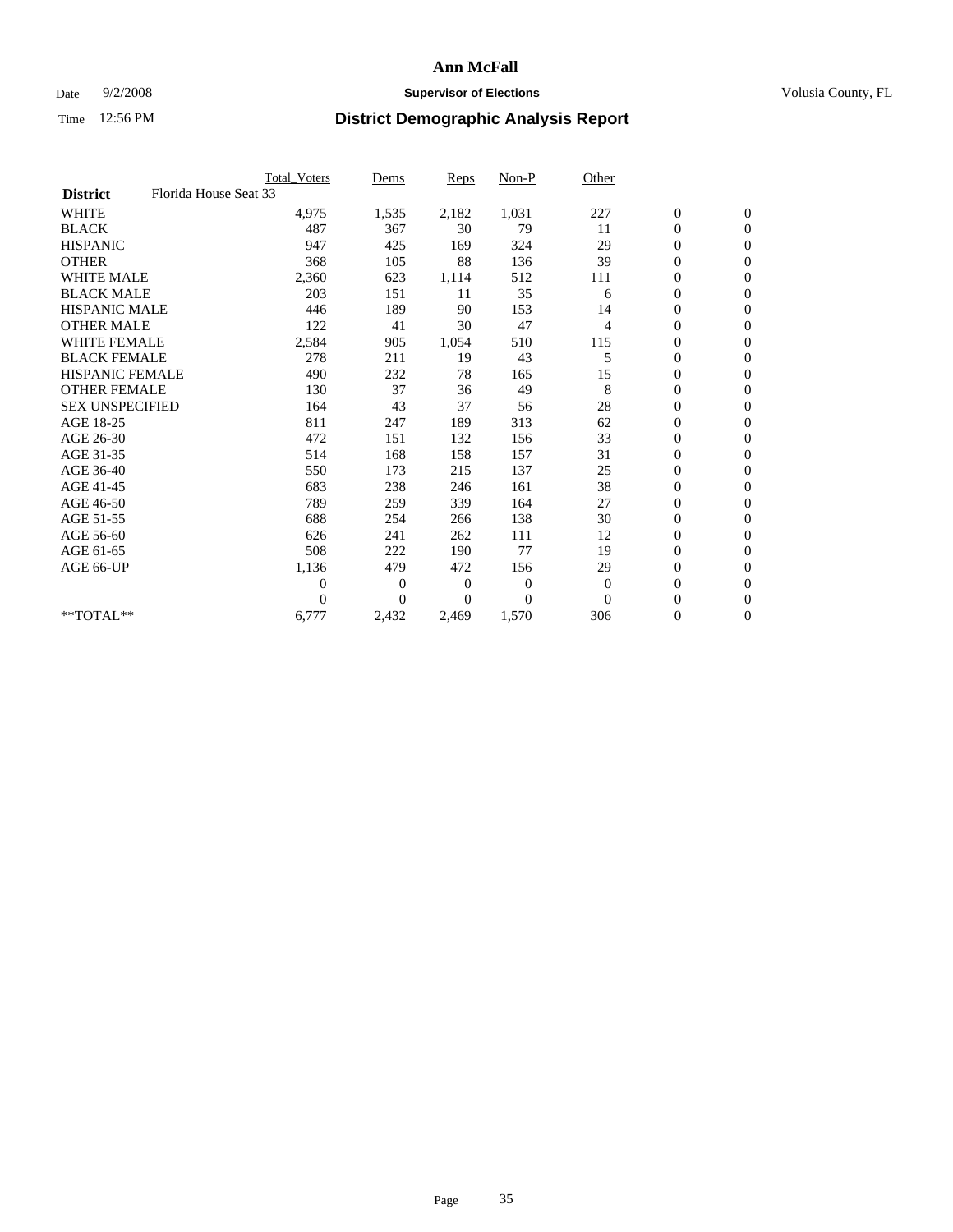### Date  $9/2/2008$  **Supervisor of Elections** Volusia County, FL

|                        |                       | Total Voters   | Dems           | <b>Reps</b> | Non-P        | Other        |                  |                  |  |
|------------------------|-----------------------|----------------|----------------|-------------|--------------|--------------|------------------|------------------|--|
| <b>District</b>        | Florida House Seat 33 |                |                |             |              |              |                  |                  |  |
| <b>WHITE</b>           |                       | 4,975          | 1,535          | 2,182       | 1,031        | 227          | $\boldsymbol{0}$ | $\boldsymbol{0}$ |  |
| <b>BLACK</b>           |                       | 487            | 367            | 30          | 79           | 11           | $\boldsymbol{0}$ | $\mathbf{0}$     |  |
| <b>HISPANIC</b>        |                       | 947            | 425            | 169         | 324          | 29           | $\overline{0}$   | $\mathbf{0}$     |  |
| <b>OTHER</b>           |                       | 368            | 105            | 88          | 136          | 39           | $\boldsymbol{0}$ | $\mathbf{0}$     |  |
| <b>WHITE MALE</b>      |                       | 2,360          | 623            | 1,114       | 512          | 111          | $\overline{0}$   | $\mathbf{0}$     |  |
| <b>BLACK MALE</b>      |                       | 203            | 151            | 11          | 35           | 6            | $\boldsymbol{0}$ | $\mathbf{0}$     |  |
| <b>HISPANIC MALE</b>   |                       | 446            | 189            | 90          | 153          | 14           | $\boldsymbol{0}$ | $\mathbf{0}$     |  |
| <b>OTHER MALE</b>      |                       | 122            | 41             | 30          | 47           | 4            | $\boldsymbol{0}$ | $\mathbf{0}$     |  |
| <b>WHITE FEMALE</b>    |                       | 2,584          | 905            | 1,054       | 510          | 115          | $\overline{0}$   | $\mathbf{0}$     |  |
| <b>BLACK FEMALE</b>    |                       | 278            | 211            | 19          | 43           | 5            | $\boldsymbol{0}$ | $\mathbf{0}$     |  |
| <b>HISPANIC FEMALE</b> |                       | 490            | 232            | 78          | 165          | 15           | $\boldsymbol{0}$ | $\mathbf{0}$     |  |
| <b>OTHER FEMALE</b>    |                       | 130            | 37             | 36          | 49           | 8            | $\mathbf{0}$     | $\mathbf{0}$     |  |
| <b>SEX UNSPECIFIED</b> |                       | 164            | 43             | 37          | 56           | 28           | $\boldsymbol{0}$ | $\mathbf{0}$     |  |
| AGE 18-25              |                       | 811            | 247            | 189         | 313          | 62           | 0                | $\mathbf{0}$     |  |
| AGE 26-30              |                       | 472            | 151            | 132         | 156          | 33           | $\overline{0}$   | $\mathbf{0}$     |  |
| AGE 31-35              |                       | 514            | 168            | 158         | 157          | 31           | $\boldsymbol{0}$ | $\mathbf{0}$     |  |
| AGE 36-40              |                       | 550            | 173            | 215         | 137          | 25           | 0                | $\mathbf{0}$     |  |
| AGE 41-45              |                       | 683            | 238            | 246         | 161          | 38           | $\overline{0}$   | $\mathbf{0}$     |  |
| AGE 46-50              |                       | 789            | 259            | 339         | 164          | 27           | $\boldsymbol{0}$ | $\mathbf{0}$     |  |
| AGE 51-55              |                       | 688            | 254            | 266         | 138          | 30           | $\boldsymbol{0}$ | $\mathbf{0}$     |  |
| AGE 56-60              |                       | 626            | 241            | 262         | 111          | 12           | $\overline{0}$   | $\Omega$         |  |
| AGE 61-65              |                       | 508            | 222            | 190         | 77           | 19           | $\overline{0}$   | $\mathbf{0}$     |  |
| AGE 66-UP              |                       | 1,136          | 479            | 472         | 156          | 29           | $\boldsymbol{0}$ | $\mathbf{0}$     |  |
|                        |                       | $\overline{0}$ | $\overline{0}$ | 0           | $\mathbf{0}$ | $\mathbf{0}$ | $\overline{0}$   | $\mathbf{0}$     |  |
|                        |                       | $\Omega$       | $\theta$       | $\Omega$    | $\theta$     | $\Omega$     | $\boldsymbol{0}$ | $\mathbf{0}$     |  |
| **TOTAL**              |                       | 6,777          | 2,432          | 2,469       | 1,570        | 306          | 0                | $\mathbf{0}$     |  |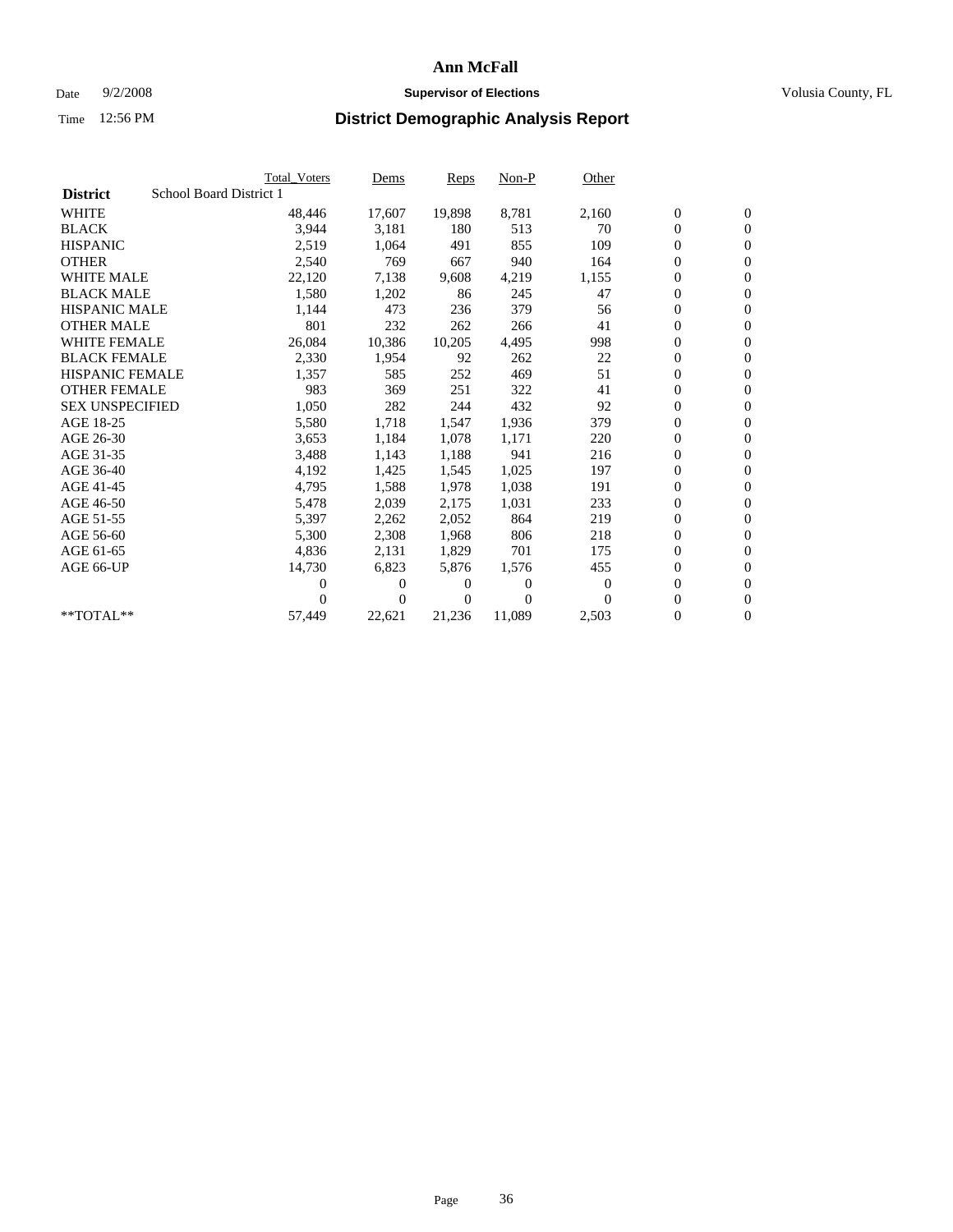## Date 9/2/2008 **Supervisor of Elections Supervisor of Elections** Volusia County, FL

|                        | <b>Total Voters</b>     | Dems           | <b>Reps</b> | $Non-P$        | Other    |                  |                  |  |
|------------------------|-------------------------|----------------|-------------|----------------|----------|------------------|------------------|--|
| <b>District</b>        | School Board District 1 |                |             |                |          |                  |                  |  |
| <b>WHITE</b>           | 48,446                  | 17,607         | 19,898      | 8,781          | 2,160    | $\boldsymbol{0}$ | $\boldsymbol{0}$ |  |
| <b>BLACK</b>           | 3,944                   | 3,181          | 180         | 513            | 70       | $\overline{0}$   | $\mathbf{0}$     |  |
| <b>HISPANIC</b>        | 2,519                   | 1,064          | 491         | 855            | 109      | $\overline{0}$   | $\mathbf{0}$     |  |
| <b>OTHER</b>           | 2,540                   | 769            | 667         | 940            | 164      | 0                | $\mathbf{0}$     |  |
| <b>WHITE MALE</b>      | 22,120                  | 7,138          | 9,608       | 4,219          | 1,155    | $\boldsymbol{0}$ | $\mathbf{0}$     |  |
| <b>BLACK MALE</b>      | 1,580                   | 1,202          | 86          | 245            | 47       | $\boldsymbol{0}$ | $\mathbf{0}$     |  |
| <b>HISPANIC MALE</b>   | 1,144                   | 473            | 236         | 379            | 56       | $\boldsymbol{0}$ | $\mathbf{0}$     |  |
| <b>OTHER MALE</b>      | 801                     | 232            | 262         | 266            | 41       | $\boldsymbol{0}$ | $\mathbf{0}$     |  |
| <b>WHITE FEMALE</b>    | 26,084                  | 10,386         | 10,205      | 4,495          | 998      | $\mathbf{0}$     | $\mathbf{0}$     |  |
| <b>BLACK FEMALE</b>    | 2,330                   | 1,954          | 92          | 262            | 22       | $\boldsymbol{0}$ | $\Omega$         |  |
| <b>HISPANIC FEMALE</b> | 1,357                   | 585            | 252         | 469            | 51       | $\boldsymbol{0}$ | $\mathbf{0}$     |  |
| <b>OTHER FEMALE</b>    | 983                     | 369            | 251         | 322            | 41       | $\overline{0}$   | $\mathbf{0}$     |  |
| <b>SEX UNSPECIFIED</b> | 1,050                   | 282            | 244         | 432            | 92       | $\boldsymbol{0}$ | $\mathbf{0}$     |  |
| AGE 18-25              | 5,580                   | 1,718          | 1,547       | 1,936          | 379      | $\overline{0}$   | $\mathbf{0}$     |  |
| AGE 26-30              | 3,653                   | 1,184          | 1,078       | 1,171          | 220      | $\overline{0}$   | $\mathbf{0}$     |  |
| AGE 31-35              | 3,488                   | 1,143          | 1,188       | 941            | 216      | $\boldsymbol{0}$ | $\mathbf{0}$     |  |
| AGE 36-40              | 4,192                   | 1,425          | 1,545       | 1,025          | 197      | $\boldsymbol{0}$ | $\mathbf{0}$     |  |
| AGE 41-45              | 4,795                   | 1,588          | 1,978       | 1,038          | 191      | $\boldsymbol{0}$ | $\mathbf{0}$     |  |
| AGE 46-50              | 5,478                   | 2,039          | 2,175       | 1,031          | 233      | 0                | $\Omega$         |  |
| AGE 51-55              | 5,397                   | 2,262          | 2,052       | 864            | 219      | $\boldsymbol{0}$ | $\mathbf{0}$     |  |
| AGE 56-60              | 5,300                   | 2,308          | 1.968       | 806            | 218      | $\mathbf{0}$     | $\mathbf{0}$     |  |
| AGE 61-65              | 4,836                   | 2,131          | 1,829       | 701            | 175      | 0                | $\mathbf{0}$     |  |
| AGE 66-UP              | 14,730                  | 6,823          | 5,876       | 1,576          | 455      | $\mathbf{0}$     | $\mathbf{0}$     |  |
|                        | 0                       | 0              | 0           | $\overline{0}$ | $\bf{0}$ | $\overline{0}$   | $\mathbf{0}$     |  |
|                        | 0                       | $\overline{0}$ | 0           | $\Omega$       | $\Omega$ | 0                | $\mathbf{0}$     |  |
| $*$ TOTAL $**$         | 57,449                  | 22,621         | 21,236      | 11,089         | 2,503    | $\boldsymbol{0}$ | $\boldsymbol{0}$ |  |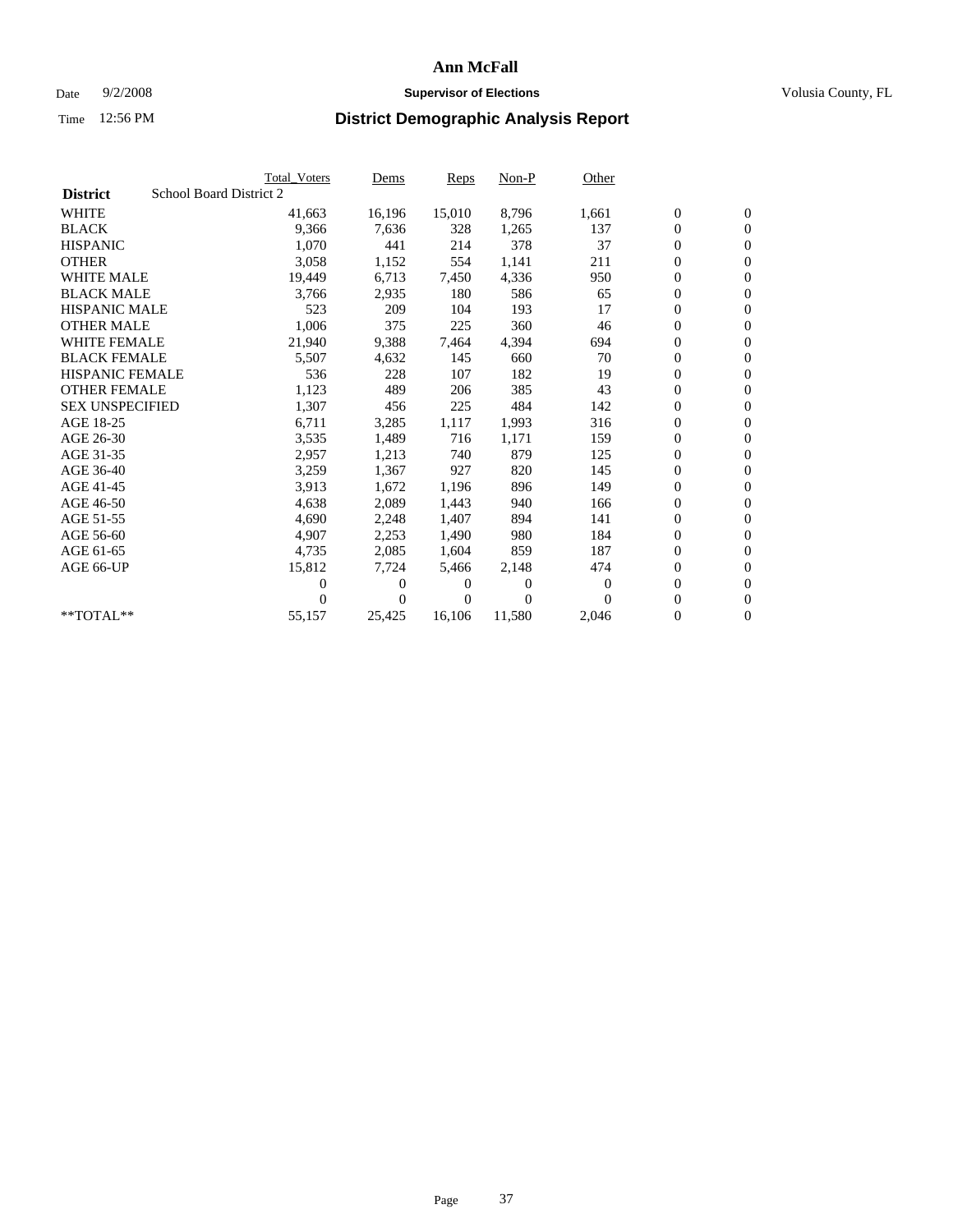## Date 9/2/2008 **Supervisor of Elections Supervisor of Elections** Volusia County, FL

|                        |                         | <b>Total Voters</b> | Dems   | <b>Reps</b> | $Non-P$  | Other            |                  |                  |  |
|------------------------|-------------------------|---------------------|--------|-------------|----------|------------------|------------------|------------------|--|
| <b>District</b>        | School Board District 2 |                     |        |             |          |                  |                  |                  |  |
| <b>WHITE</b>           |                         | 41,663              | 16,196 | 15,010      | 8,796    | 1,661            | $\boldsymbol{0}$ | $\boldsymbol{0}$ |  |
| <b>BLACK</b>           |                         | 9,366               | 7,636  | 328         | 1,265    | 137              | 0                | $\mathbf{0}$     |  |
| <b>HISPANIC</b>        |                         | 1,070               | 441    | 214         | 378      | 37               | $\overline{0}$   | $\mathbf{0}$     |  |
| <b>OTHER</b>           |                         | 3,058               | 1,152  | 554         | 1,141    | 211              | 0                | $\mathbf{0}$     |  |
| <b>WHITE MALE</b>      |                         | 19,449              | 6,713  | 7,450       | 4,336    | 950              | 0                | $\mathbf{0}$     |  |
| <b>BLACK MALE</b>      |                         | 3,766               | 2,935  | 180         | 586      | 65               | 0                | $\mathbf{0}$     |  |
| <b>HISPANIC MALE</b>   |                         | 523                 | 209    | 104         | 193      | 17               | 0                | $\mathbf{0}$     |  |
| <b>OTHER MALE</b>      |                         | 1,006               | 375    | 225         | 360      | 46               | 0                | $\mathbf{0}$     |  |
| <b>WHITE FEMALE</b>    |                         | 21,940              | 9,388  | 7,464       | 4,394    | 694              | $\overline{0}$   | $\mathbf{0}$     |  |
| <b>BLACK FEMALE</b>    |                         | 5,507               | 4,632  | 145         | 660      | 70               | 0                | $\mathbf{0}$     |  |
| <b>HISPANIC FEMALE</b> |                         | 536                 | 228    | 107         | 182      | 19               | 0                | $\mathbf{0}$     |  |
| <b>OTHER FEMALE</b>    |                         | 1,123               | 489    | 206         | 385      | 43               | 0                | $\mathbf{0}$     |  |
| <b>SEX UNSPECIFIED</b> |                         | 1,307               | 456    | 225         | 484      | 142              | 0                | $\mathbf{0}$     |  |
| AGE 18-25              |                         | 6,711               | 3,285  | 1,117       | 1,993    | 316              | 0                | $\mathbf{0}$     |  |
| AGE 26-30              |                         | 3,535               | 1,489  | 716         | 1,171    | 159              | 0                | $\mathbf{0}$     |  |
| AGE 31-35              |                         | 2,957               | 1,213  | 740         | 879      | 125              | 0                | $\mathbf{0}$     |  |
| AGE 36-40              |                         | 3,259               | 1,367  | 927         | 820      | 145              | 0                | $\mathbf{0}$     |  |
| AGE 41-45              |                         | 3,913               | 1,672  | 1,196       | 896      | 149              | 0                | $\mathbf{0}$     |  |
| AGE 46-50              |                         | 4,638               | 2,089  | 1,443       | 940      | 166              | 0                | $\mathbf{0}$     |  |
| AGE 51-55              |                         | 4,690               | 2,248  | 1,407       | 894      | 141              | 0                | $\mathbf{0}$     |  |
| AGE 56-60              |                         | 4,907               | 2,253  | 1.490       | 980      | 184              | 0                | $\mathbf{0}$     |  |
| AGE 61-65              |                         | 4,735               | 2,085  | 1,604       | 859      | 187              | 0                | $\mathbf{0}$     |  |
| AGE 66-UP              |                         | 15,812              | 7,724  | 5,466       | 2,148    | 474              | 0                | $\mathbf{0}$     |  |
|                        |                         | 0                   | 0      | 0           | $\theta$ | $\boldsymbol{0}$ | 0                | $\mathbf{0}$     |  |
|                        |                         | 0                   | 0      | 0           | $\Omega$ | $\Omega$         | 0                | $\mathbf{0}$     |  |
| **TOTAL**              |                         | 55,157              | 25,425 | 16,106      | 11,580   | 2,046            | 0                | $\boldsymbol{0}$ |  |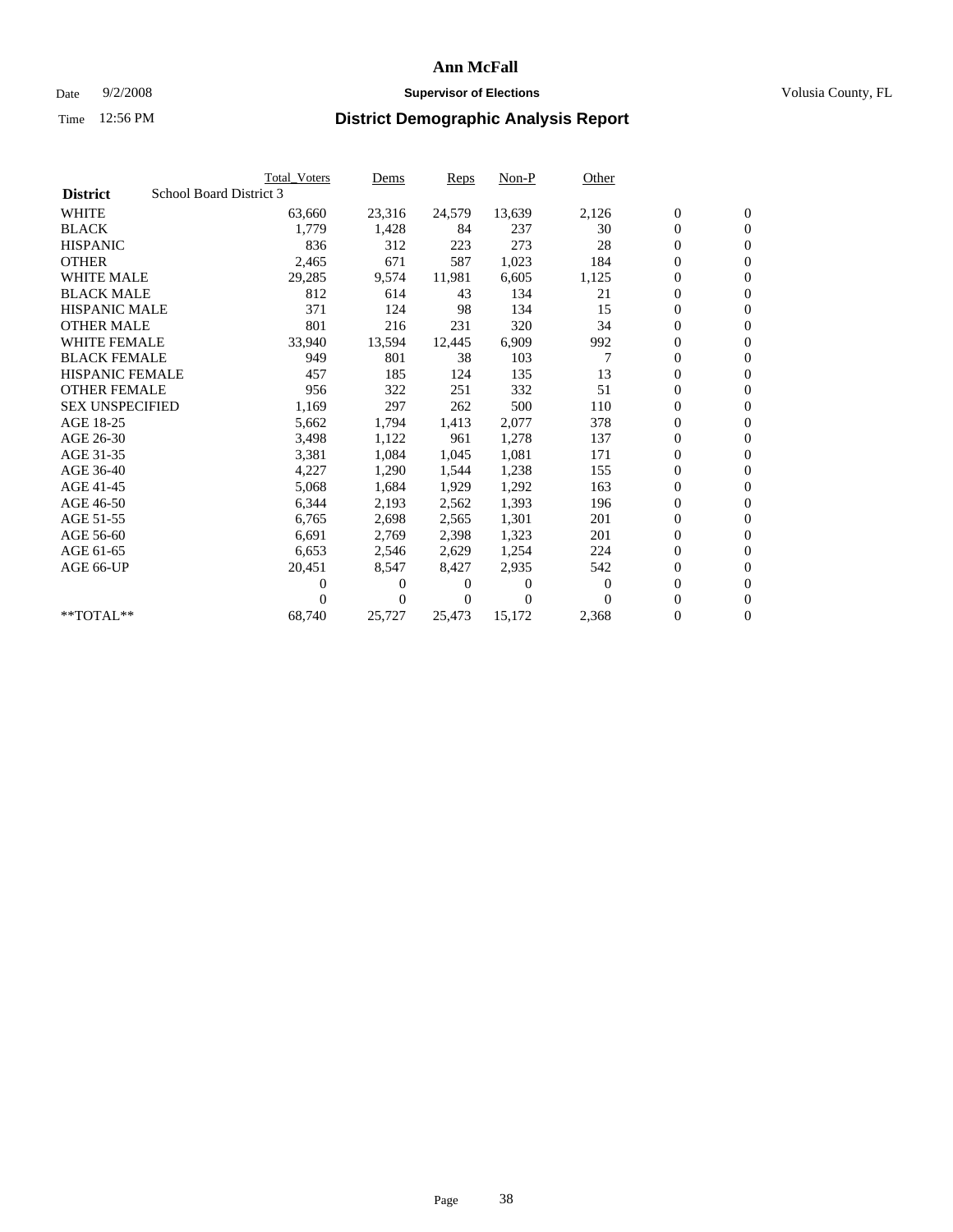### Date  $9/2/2008$  **Supervisor of Elections** Volusia County, FL

|                        |                         | <b>Total Voters</b> | Dems           | <b>Reps</b> | $Non-P$        | Other    |                  |                  |  |
|------------------------|-------------------------|---------------------|----------------|-------------|----------------|----------|------------------|------------------|--|
| <b>District</b>        | School Board District 3 |                     |                |             |                |          |                  |                  |  |
| <b>WHITE</b>           |                         | 63,660              | 23,316         | 24,579      | 13,639         | 2,126    | $\boldsymbol{0}$ | $\mathbf{0}$     |  |
| <b>BLACK</b>           |                         | 1,779               | 1,428          | 84          | 237            | 30       | $\overline{0}$   | $\mathbf{0}$     |  |
| <b>HISPANIC</b>        |                         | 836                 | 312            | 223         | 273            | 28       | 0                | $\mathbf{0}$     |  |
| <b>OTHER</b>           |                         | 2,465               | 671            | 587         | 1,023          | 184      | 0                | $\mathbf{0}$     |  |
| <b>WHITE MALE</b>      |                         | 29,285              | 9,574          | 11,981      | 6,605          | 1,125    | 0                | $\mathbf{0}$     |  |
| <b>BLACK MALE</b>      |                         | 812                 | 614            | 43          | 134            | 21       | $\boldsymbol{0}$ | $\mathbf{0}$     |  |
| <b>HISPANIC MALE</b>   |                         | 371                 | 124            | 98          | 134            | 15       | 0                | $\mathbf{0}$     |  |
| <b>OTHER MALE</b>      |                         | 801                 | 216            | 231         | 320            | 34       | 0                | $\mathbf{0}$     |  |
| <b>WHITE FEMALE</b>    |                         | 33,940              | 13,594         | 12,445      | 6,909          | 992      | 0                | $\mathbf{0}$     |  |
| <b>BLACK FEMALE</b>    |                         | 949                 | 801            | 38          | 103            | 7        | 0                | $\Omega$         |  |
| <b>HISPANIC FEMALE</b> |                         | 457                 | 185            | 124         | 135            | 13       | $\boldsymbol{0}$ | $\mathbf{0}$     |  |
| <b>OTHER FEMALE</b>    |                         | 956                 | 322            | 251         | 332            | 51       | 0                | $\mathbf{0}$     |  |
| <b>SEX UNSPECIFIED</b> |                         | 1,169               | 297            | 262         | 500            | 110      | 0                | $\Omega$         |  |
| AGE 18-25              |                         | 5,662               | 1,794          | 1,413       | 2,077          | 378      | $\overline{0}$   | $\mathbf{0}$     |  |
| AGE 26-30              |                         | 3,498               | 1,122          | 961         | 1,278          | 137      | 0                | $\mathbf{0}$     |  |
| AGE 31-35              |                         | 3,381               | 1,084          | 1,045       | 1,081          | 171      | 0                | $\mathbf{0}$     |  |
| AGE 36-40              |                         | 4,227               | 1,290          | 1,544       | 1,238          | 155      | $\overline{0}$   | $\mathbf{0}$     |  |
| AGE 41-45              |                         | 5,068               | 1,684          | 1,929       | 1,292          | 163      | 0                | $\mathbf{0}$     |  |
| AGE 46-50              |                         | 6,344               | 2,193          | 2,562       | 1,393          | 196      | 0                | $\Omega$         |  |
| AGE 51-55              |                         | 6,765               | 2,698          | 2,565       | 1,301          | 201      | $\boldsymbol{0}$ | $\mathbf{0}$     |  |
| AGE 56-60              |                         | 6,691               | 2.769          | 2.398       | 1,323          | 201      | 0                | $\mathbf{0}$     |  |
| AGE 61-65              |                         | 6,653               | 2,546          | 2,629       | 1,254          | 224      | 0                | $\Omega$         |  |
| AGE 66-UP              |                         | 20,451              | 8,547          | 8,427       | 2,935          | 542      | $\overline{0}$   | $\mathbf{0}$     |  |
|                        |                         | 0                   | $\theta$       | 0           | $\overline{0}$ | $\Omega$ | 0                | $\mathbf{0}$     |  |
|                        |                         | 0                   | $\overline{0}$ | 0           | $\Omega$       | $\Omega$ | 0                | $\mathbf{0}$     |  |
| $*$ TOTAL $**$         |                         | 68,740              | 25,727         | 25,473      | 15,172         | 2,368    | 0                | $\boldsymbol{0}$ |  |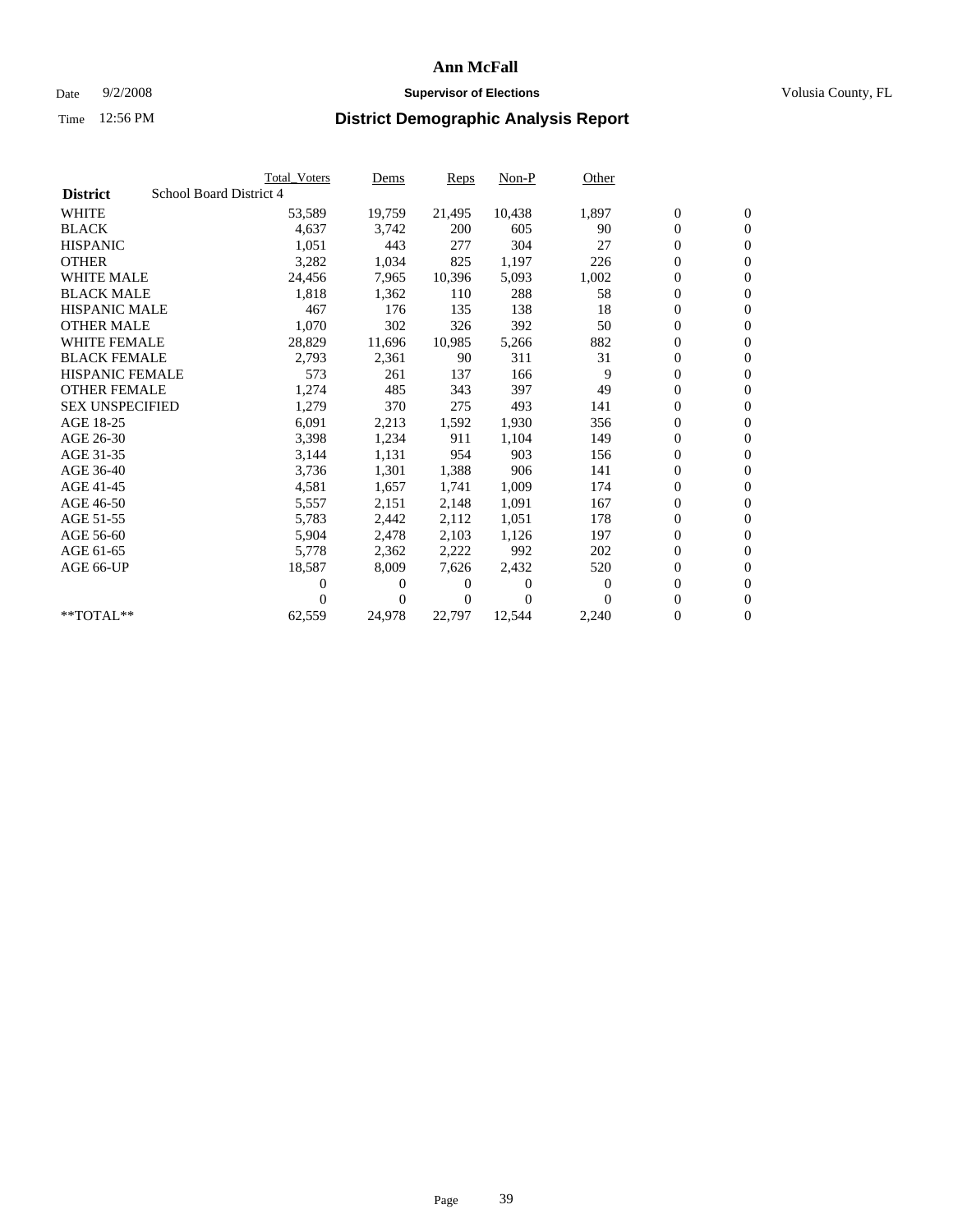## Date 9/2/2008 **Supervisor of Elections Supervisor of Elections** Volusia County, FL

|                        |                         | <b>Total Voters</b> | Dems         | <b>Reps</b> | $Non-P$  | Other            |                  |                  |
|------------------------|-------------------------|---------------------|--------------|-------------|----------|------------------|------------------|------------------|
| <b>District</b>        | School Board District 4 |                     |              |             |          |                  |                  |                  |
| <b>WHITE</b>           |                         | 53,589              | 19,759       | 21,495      | 10,438   | 1,897            | $\boldsymbol{0}$ | $\mathbf{0}$     |
| <b>BLACK</b>           |                         | 4,637               | 3,742        | 200         | 605      | 90               | $\overline{0}$   | $\mathbf{0}$     |
| <b>HISPANIC</b>        |                         | 1,051               | 443          | 277         | 304      | 27               | $\overline{0}$   | $\mathbf{0}$     |
| <b>OTHER</b>           |                         | 3,282               | 1,034        | 825         | 1,197    | 226              | 0                | $\mathbf{0}$     |
| <b>WHITE MALE</b>      |                         | 24,456              | 7,965        | 10,396      | 5,093    | 1,002            | 0                | $\mathbf{0}$     |
| <b>BLACK MALE</b>      |                         | 1,818               | 1,362        | 110         | 288      | 58               | $\boldsymbol{0}$ | $\mathbf{0}$     |
| <b>HISPANIC MALE</b>   |                         | 467                 | 176          | 135         | 138      | 18               | 0                | $\mathbf{0}$     |
| <b>OTHER MALE</b>      |                         | 1,070               | 302          | 326         | 392      | 50               | 0                | $\mathbf{0}$     |
| <b>WHITE FEMALE</b>    |                         | 28,829              | 11,696       | 10,985      | 5,266    | 882              | 0                | $\mathbf{0}$     |
| <b>BLACK FEMALE</b>    |                         | 2,793               | 2,361        | 90          | 311      | 31               | 0                | $\Omega$         |
| <b>HISPANIC FEMALE</b> |                         | 573                 | 261          | 137         | 166      | 9                | $\boldsymbol{0}$ | $\mathbf{0}$     |
| <b>OTHER FEMALE</b>    |                         | 1,274               | 485          | 343         | 397      | 49               | 0                | $\mathbf{0}$     |
| <b>SEX UNSPECIFIED</b> |                         | 1,279               | 370          | 275         | 493      | 141              | 0                | $\Omega$         |
| AGE 18-25              |                         | 6,091               | 2,213        | 1,592       | 1,930    | 356              | $\overline{0}$   | $\mathbf{0}$     |
| AGE 26-30              |                         | 3,398               | 1,234        | 911         | 1,104    | 149              | 0                | $\mathbf{0}$     |
| AGE 31-35              |                         | 3,144               | 1,131        | 954         | 903      | 156              | 0                | $\mathbf{0}$     |
| AGE 36-40              |                         | 3,736               | 1,301        | 1,388       | 906      | 141              | 0                | $\mathbf{0}$     |
| AGE 41-45              |                         | 4,581               | 1,657        | 1,741       | 1,009    | 174              | 0                | $\mathbf{0}$     |
| AGE 46-50              |                         | 5,557               | 2,151        | 2,148       | 1,091    | 167              | 0                | $\Omega$         |
| AGE 51-55              |                         | 5,783               | 2,442        | 2,112       | 1,051    | 178              | $\boldsymbol{0}$ | $\mathbf{0}$     |
| AGE 56-60              |                         | 5,904               | 2,478        | 2,103       | 1,126    | 197              | 0                | $\mathbf{0}$     |
| AGE 61-65              |                         | 5,778               | 2,362        | 2,222       | 992      | 202              | 0                | $\Omega$         |
| AGE 66-UP              |                         | 18,587              | 8,009        | 7,626       | 2,432    | 520              | $\overline{0}$   | $\mathbf{0}$     |
|                        |                         | 0                   | 0            | 0           | $\theta$ | $\boldsymbol{0}$ | 0                | $\mathbf{0}$     |
|                        |                         | 0                   | $\mathbf{0}$ | 0           | $\Omega$ | $\Omega$         | 0                | $\mathbf{0}$     |
| $*$ TOTAL $**$         |                         | 62,559              | 24,978       | 22,797      | 12,544   | 2,240            | 0                | $\boldsymbol{0}$ |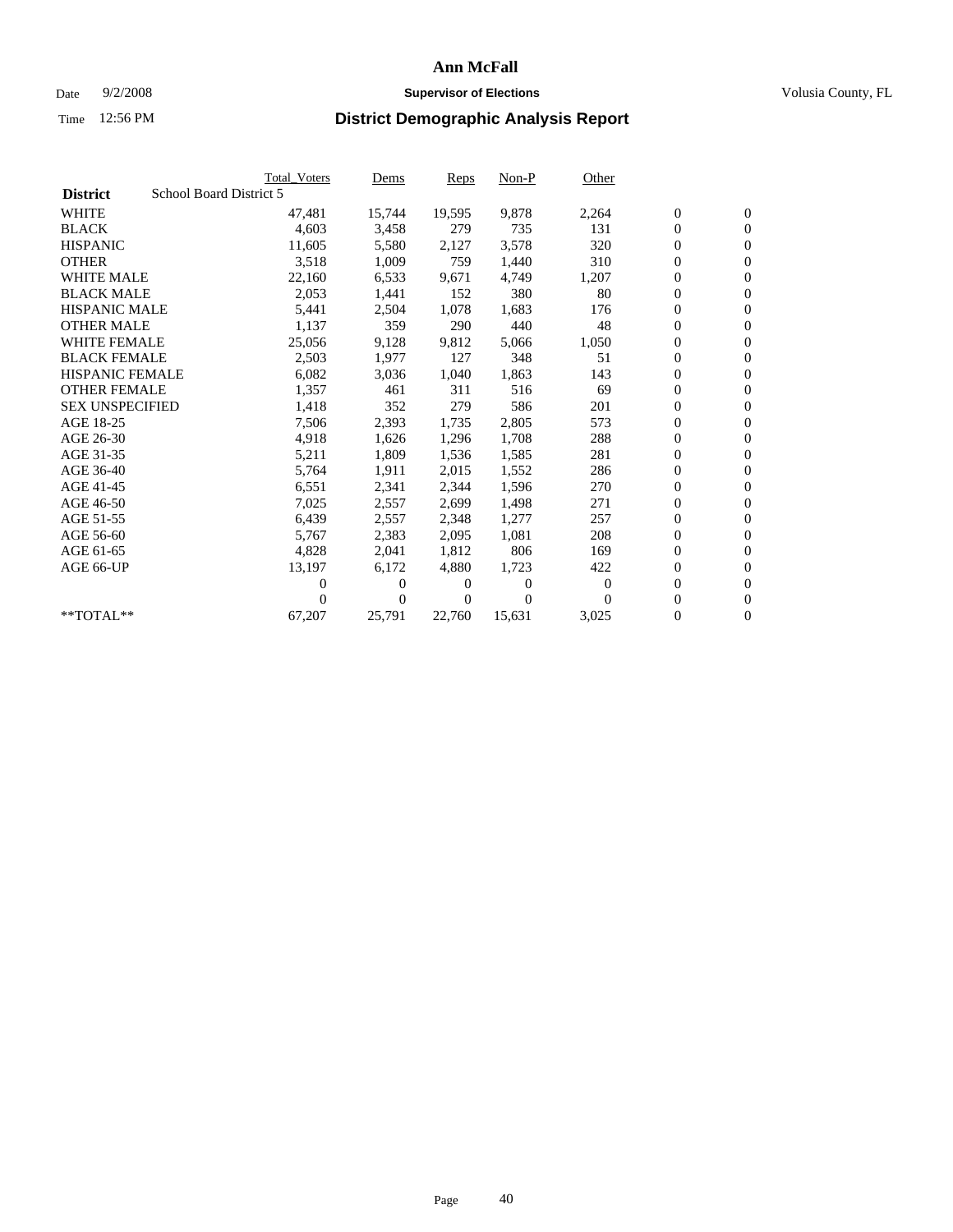### Date  $9/2/2008$  **Supervisor of Elections** Volusia County, FL

|                        |                         | <b>Total Voters</b> | Dems           | <b>Reps</b> | $Non-P$  | Other    |                  |                  |  |
|------------------------|-------------------------|---------------------|----------------|-------------|----------|----------|------------------|------------------|--|
| <b>District</b>        | School Board District 5 |                     |                |             |          |          |                  |                  |  |
| <b>WHITE</b>           |                         | 47,481              | 15,744         | 19,595      | 9,878    | 2,264    | $\boldsymbol{0}$ | $\boldsymbol{0}$ |  |
| <b>BLACK</b>           |                         | 4,603               | 3,458          | 279         | 735      | 131      | $\overline{0}$   | $\mathbf{0}$     |  |
| <b>HISPANIC</b>        |                         | 11,605              | 5,580          | 2,127       | 3,578    | 320      | $\overline{0}$   | $\mathbf{0}$     |  |
| <b>OTHER</b>           |                         | 3,518               | 1,009          | 759         | 1,440    | 310      | 0                | $\mathbf{0}$     |  |
| <b>WHITE MALE</b>      |                         | 22,160              | 6,533          | 9,671       | 4,749    | 1,207    | 0                | $\mathbf{0}$     |  |
| <b>BLACK MALE</b>      |                         | 2,053               | 1,441          | 152         | 380      | 80       | $\boldsymbol{0}$ | $\mathbf{0}$     |  |
| <b>HISPANIC MALE</b>   |                         | 5,441               | 2,504          | 1,078       | 1,683    | 176      | 0                | $\mathbf{0}$     |  |
| <b>OTHER MALE</b>      |                         | 1,137               | 359            | 290         | 440      | 48       | 0                | $\mathbf{0}$     |  |
| <b>WHITE FEMALE</b>    |                         | 25,056              | 9,128          | 9,812       | 5,066    | 1,050    | 0                | $\mathbf{0}$     |  |
| <b>BLACK FEMALE</b>    |                         | 2,503               | 1,977          | 127         | 348      | 51       | 0                | $\Omega$         |  |
| HISPANIC FEMALE        |                         | 6,082               | 3,036          | 1,040       | 1,863    | 143      | $\boldsymbol{0}$ | $\mathbf{0}$     |  |
| <b>OTHER FEMALE</b>    |                         | 1,357               | 461            | 311         | 516      | 69       | 0                | $\mathbf{0}$     |  |
| <b>SEX UNSPECIFIED</b> |                         | 1,418               | 352            | 279         | 586      | 201      | 0                | $\mathbf{0}$     |  |
| AGE 18-25              |                         | 7,506               | 2,393          | 1,735       | 2,805    | 573      | $\overline{0}$   | $\mathbf{0}$     |  |
| AGE 26-30              |                         | 4,918               | 1,626          | 1,296       | 1,708    | 288      | 0                | $\mathbf{0}$     |  |
| AGE 31-35              |                         | 5,211               | 1,809          | 1,536       | 1,585    | 281      | 0                | $\mathbf{0}$     |  |
| AGE 36-40              |                         | 5,764               | 1,911          | 2,015       | 1,552    | 286      | $\overline{0}$   | $\mathbf{0}$     |  |
| AGE 41-45              |                         | 6,551               | 2,341          | 2,344       | 1,596    | 270      | $\boldsymbol{0}$ | $\mathbf{0}$     |  |
| AGE 46-50              |                         | 7,025               | 2,557          | 2,699       | 1,498    | 271      | 0                | $\Omega$         |  |
| AGE 51-55              |                         | 6,439               | 2,557          | 2,348       | 1,277    | 257      | $\boldsymbol{0}$ | $\boldsymbol{0}$ |  |
| AGE 56-60              |                         | 5,767               | 2,383          | 2.095       | 1.081    | 208      | 0                | $\mathbf{0}$     |  |
| AGE 61-65              |                         | 4,828               | 2,041          | 1,812       | 806      | 169      | 0                | $\mathbf{0}$     |  |
| AGE 66-UP              |                         | 13,197              | 6,172          | 4,880       | 1,723    | 422      | $\overline{0}$   | $\mathbf{0}$     |  |
|                        |                         | 0                   | 0              | 0           | $\theta$ | $\theta$ | 0                | $\mathbf{0}$     |  |
|                        |                         | 0                   | $\overline{0}$ | 0           | $\Omega$ | $\Omega$ | 0                | $\mathbf{0}$     |  |
| $*$ TOTAL $**$         |                         | 67,207              | 25,791         | 22,760      | 15,631   | 3,025    | 0                | $\boldsymbol{0}$ |  |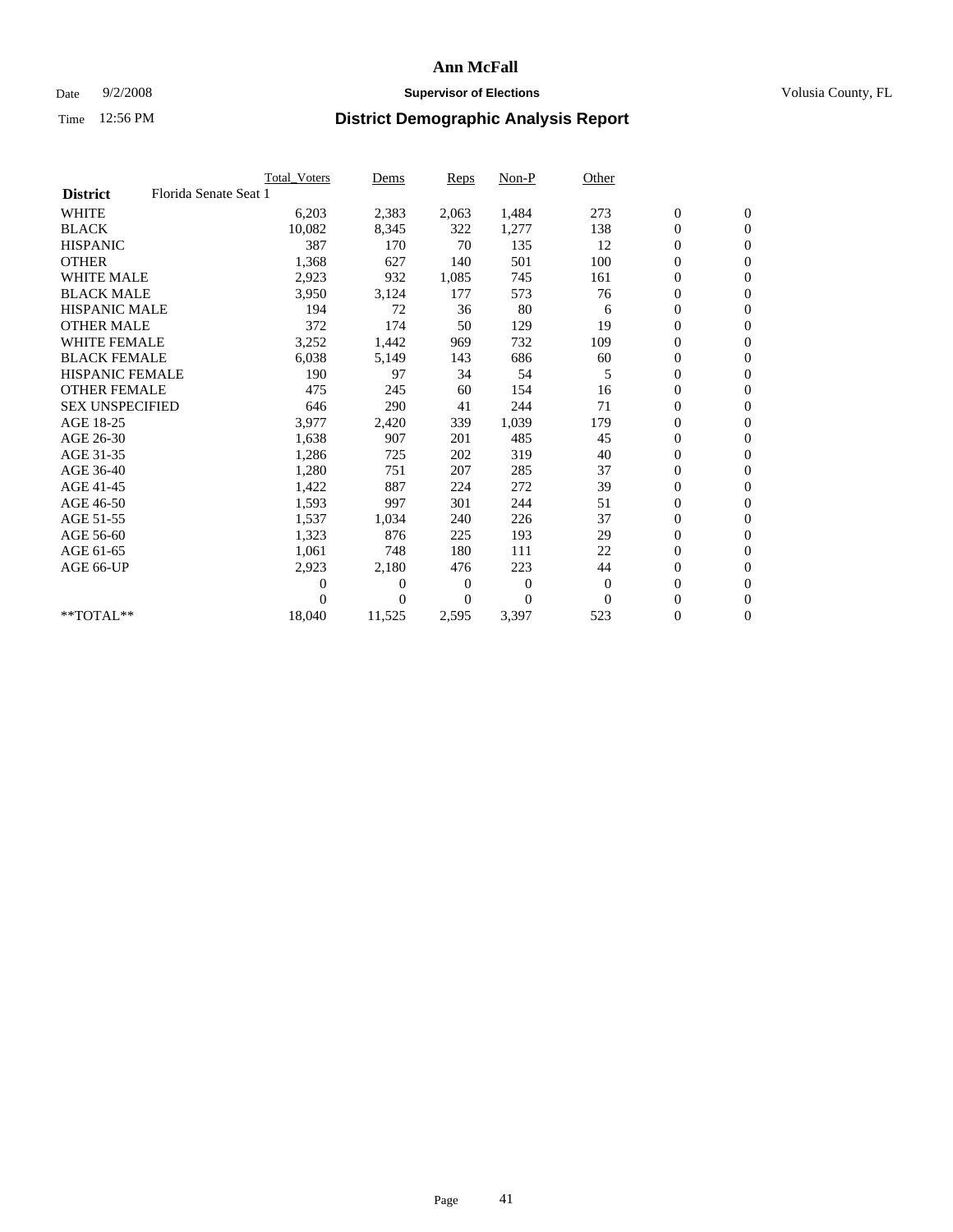## Date 9/2/2008 **Supervisor of Elections Supervisor of Elections** Volusia County, FL

|                        |                       | Total Voters | Dems           | <b>Reps</b>  | Non-P        | Other    |                  |                  |  |
|------------------------|-----------------------|--------------|----------------|--------------|--------------|----------|------------------|------------------|--|
| <b>District</b>        | Florida Senate Seat 1 |              |                |              |              |          |                  |                  |  |
| <b>WHITE</b>           |                       | 6,203        | 2,383          | 2,063        | 1,484        | 273      | $\boldsymbol{0}$ | $\mathbf{0}$     |  |
| <b>BLACK</b>           |                       | 10,082       | 8,345          | 322          | 1,277        | 138      | $\boldsymbol{0}$ | $\mathbf{0}$     |  |
| <b>HISPANIC</b>        |                       | 387          | 170            | 70           | 135          | 12       | $\overline{0}$   | $\mathbf{0}$     |  |
| <b>OTHER</b>           |                       | 1,368        | 627            | 140          | 501          | 100      | $\overline{0}$   | $\mathbf{0}$     |  |
| <b>WHITE MALE</b>      |                       | 2,923        | 932            | 1,085        | 745          | 161      | $\boldsymbol{0}$ | $\mathbf{0}$     |  |
| <b>BLACK MALE</b>      |                       | 3,950        | 3,124          | 177          | 573          | 76       | $\boldsymbol{0}$ | $\mathbf{0}$     |  |
| <b>HISPANIC MALE</b>   |                       | 194          | 72             | 36           | 80           | 6        | $\boldsymbol{0}$ | $\mathbf{0}$     |  |
| <b>OTHER MALE</b>      |                       | 372          | 174            | 50           | 129          | 19       | 0                | $\mathbf{0}$     |  |
| <b>WHITE FEMALE</b>    |                       | 3,252        | 1,442          | 969          | 732          | 109      | $\mathbf{0}$     | $\mathbf{0}$     |  |
| <b>BLACK FEMALE</b>    |                       | 6,038        | 5,149          | 143          | 686          | 60       | $\boldsymbol{0}$ | $\mathbf{0}$     |  |
| <b>HISPANIC FEMALE</b> |                       | 190          | 97             | 34           | 54           | 5        | $\boldsymbol{0}$ | $\boldsymbol{0}$ |  |
| <b>OTHER FEMALE</b>    |                       | 475          | 245            | 60           | 154          | 16       | $\overline{0}$   | $\mathbf{0}$     |  |
| <b>SEX UNSPECIFIED</b> |                       | 646          | 290            | 41           | 244          | 71       | $\mathbf{0}$     | $\mathbf{0}$     |  |
| AGE 18-25              |                       | 3,977        | 2,420          | 339          | 1,039        | 179      | $\boldsymbol{0}$ | $\mathbf{0}$     |  |
| AGE 26-30              |                       | 1,638        | 907            | 201          | 485          | 45       | $\overline{0}$   | $\mathbf{0}$     |  |
| AGE 31-35              |                       | 1,286        | 725            | 202          | 319          | 40       | $\boldsymbol{0}$ | $\mathbf{0}$     |  |
| AGE 36-40              |                       | 1,280        | 751            | 207          | 285          | 37       | $\boldsymbol{0}$ | $\mathbf{0}$     |  |
| AGE 41-45              |                       | 1,422        | 887            | 224          | 272          | 39       | $\overline{0}$   | $\mathbf{0}$     |  |
| AGE 46-50              |                       | 1,593        | 997            | 301          | 244          | 51       | $\mathbf{0}$     | $\mathbf{0}$     |  |
| AGE 51-55              |                       | 1,537        | 1,034          | 240          | 226          | 37       | $\boldsymbol{0}$ | $\mathbf{0}$     |  |
| AGE 56-60              |                       | 1,323        | 876            | 225          | 193          | 29       | $\boldsymbol{0}$ | $\mathbf{0}$     |  |
| AGE 61-65              |                       | 1,061        | 748            | 180          | 111          | 22       | $\boldsymbol{0}$ | $\mathbf{0}$     |  |
| AGE 66-UP              |                       | 2,923        | 2,180          | 476          | 223          | 44       | $\boldsymbol{0}$ | $\mathbf{0}$     |  |
|                        |                       | 0            | $\overline{0}$ | $\mathbf{0}$ | $\mathbf{0}$ | $\theta$ | $\boldsymbol{0}$ | $\mathbf{0}$     |  |
|                        |                       | $\Omega$     | $\theta$       | 0            | $\theta$     | $\Omega$ | $\overline{0}$   | $\mathbf{0}$     |  |
| **TOTAL**              |                       | 18,040       | 11,525         | 2,595        | 3,397        | 523      | 0                | $\mathbf{0}$     |  |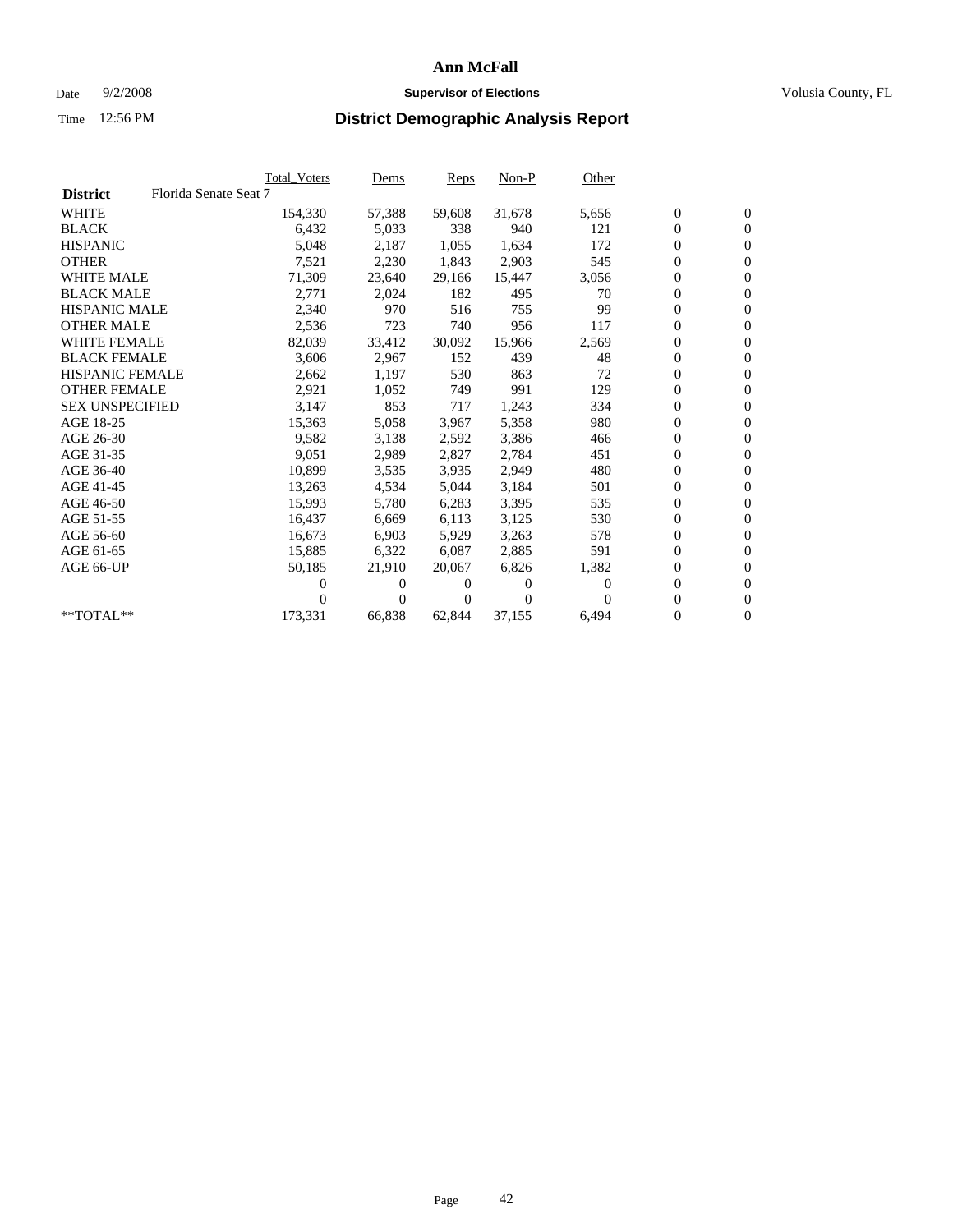### Date  $9/2/2008$  **Supervisor of Elections** Volusia County, FL

|                        |                       | <b>Total Voters</b> | Dems   | <b>Reps</b> | $Non-P$  | Other    |                  |                  |  |
|------------------------|-----------------------|---------------------|--------|-------------|----------|----------|------------------|------------------|--|
| <b>District</b>        | Florida Senate Seat 7 |                     |        |             |          |          |                  |                  |  |
| <b>WHITE</b>           |                       | 154,330             | 57,388 | 59,608      | 31,678   | 5,656    | $\boldsymbol{0}$ | $\boldsymbol{0}$ |  |
| <b>BLACK</b>           |                       | 6,432               | 5,033  | 338         | 940      | 121      | $\boldsymbol{0}$ | $\mathbf{0}$     |  |
| <b>HISPANIC</b>        |                       | 5,048               | 2,187  | 1,055       | 1,634    | 172      | 0                | $\mathbf{0}$     |  |
| <b>OTHER</b>           |                       | 7,521               | 2,230  | 1,843       | 2,903    | 545      | 0                | $\mathbf{0}$     |  |
| <b>WHITE MALE</b>      |                       | 71,309              | 23,640 | 29,166      | 15,447   | 3,056    | 0                | $\mathbf{0}$     |  |
| <b>BLACK MALE</b>      |                       | 2,771               | 2,024  | 182         | 495      | 70       | 0                | $\mathbf{0}$     |  |
| <b>HISPANIC MALE</b>   |                       | 2,340               | 970    | 516         | 755      | 99       | 0                | $\mathbf{0}$     |  |
| <b>OTHER MALE</b>      |                       | 2,536               | 723    | 740         | 956      | 117      | 0                | $\mathbf{0}$     |  |
| <b>WHITE FEMALE</b>    |                       | 82,039              | 33,412 | 30,092      | 15,966   | 2,569    | $\boldsymbol{0}$ | $\mathbf{0}$     |  |
| <b>BLACK FEMALE</b>    |                       | 3,606               | 2,967  | 152         | 439      | 48       | 0                | $\mathbf{0}$     |  |
| <b>HISPANIC FEMALE</b> |                       | 2,662               | 1,197  | 530         | 863      | 72       | 0                | $\mathbf{0}$     |  |
| <b>OTHER FEMALE</b>    |                       | 2,921               | 1,052  | 749         | 991      | 129      | 0                | $\mathbf{0}$     |  |
| <b>SEX UNSPECIFIED</b> |                       | 3,147               | 853    | 717         | 1,243    | 334      | 0                | $\mathbf{0}$     |  |
| AGE 18-25              |                       | 15,363              | 5,058  | 3,967       | 5,358    | 980      | 0                | $\mathbf{0}$     |  |
| AGE 26-30              |                       | 9,582               | 3,138  | 2,592       | 3,386    | 466      | 0                | $\mathbf{0}$     |  |
| AGE 31-35              |                       | 9,051               | 2,989  | 2,827       | 2,784    | 451      | 0                | $\mathbf{0}$     |  |
| AGE 36-40              |                       | 10,899              | 3,535  | 3,935       | 2,949    | 480      | 0                | $\mathbf{0}$     |  |
| AGE 41-45              |                       | 13,263              | 4,534  | 5,044       | 3,184    | 501      | 0                | $\mathbf{0}$     |  |
| AGE 46-50              |                       | 15,993              | 5,780  | 6,283       | 3,395    | 535      | 0                | $\mathbf{0}$     |  |
| AGE 51-55              |                       | 16,437              | 6,669  | 6,113       | 3,125    | 530      | 0                | $\mathbf{0}$     |  |
| AGE 56-60              |                       | 16.673              | 6.903  | 5.929       | 3,263    | 578      | 0                | $\mathbf{0}$     |  |
| AGE 61-65              |                       | 15,885              | 6,322  | 6.087       | 2,885    | 591      | 0                | $\mathbf{0}$     |  |
| AGE 66-UP              |                       | 50,185              | 21,910 | 20,067      | 6,826    | 1,382    | 0                | $\mathbf{0}$     |  |
|                        |                       | 0                   | 0      | 0           | $\Omega$ | $\Omega$ | 0                | $\mathbf{0}$     |  |
|                        |                       | 0                   | 0      | 0           | $\Omega$ |          | 0                | $\mathbf{0}$     |  |
| **TOTAL**              |                       | 173,331             | 66,838 | 62,844      | 37,155   | 6,494    | 0                | $\boldsymbol{0}$ |  |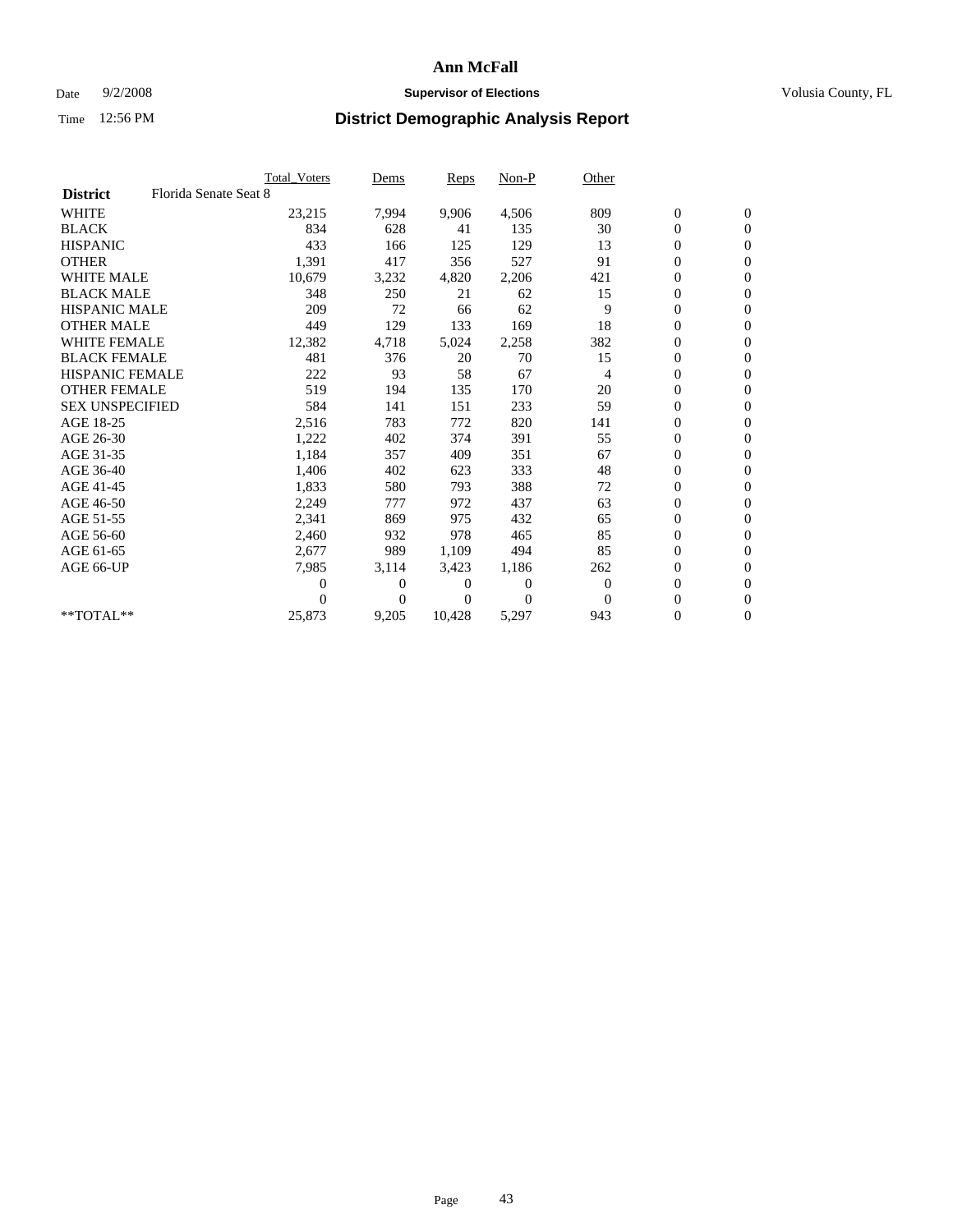### Date  $9/2/2008$  **Supervisor of Elections** Volusia County, FL

|                        |                       | Total Voters | Dems     | <b>Reps</b> | Non-P        | Other        |                  |                  |  |
|------------------------|-----------------------|--------------|----------|-------------|--------------|--------------|------------------|------------------|--|
| <b>District</b>        | Florida Senate Seat 8 |              |          |             |              |              |                  |                  |  |
| <b>WHITE</b>           |                       | 23,215       | 7,994    | 9,906       | 4,506        | 809          | $\boldsymbol{0}$ | $\boldsymbol{0}$ |  |
| <b>BLACK</b>           |                       | 834          | 628      | 41          | 135          | 30           | $\boldsymbol{0}$ | $\mathbf{0}$     |  |
| <b>HISPANIC</b>        |                       | 433          | 166      | 125         | 129          | 13           | $\overline{0}$   | $\mathbf{0}$     |  |
| <b>OTHER</b>           |                       | 1,391        | 417      | 356         | 527          | 91           | $\boldsymbol{0}$ | $\Omega$         |  |
| <b>WHITE MALE</b>      |                       | 10,679       | 3,232    | 4,820       | 2,206        | 421          | $\boldsymbol{0}$ | $\mathbf{0}$     |  |
| <b>BLACK MALE</b>      |                       | 348          | 250      | 21          | 62           | 15           | $\boldsymbol{0}$ | $\mathbf{0}$     |  |
| <b>HISPANIC MALE</b>   |                       | 209          | 72       | 66          | 62           | 9            | $\boldsymbol{0}$ | $\mathbf{0}$     |  |
| <b>OTHER MALE</b>      |                       | 449          | 129      | 133         | 169          | 18           | 0                | $\mathbf{0}$     |  |
| <b>WHITE FEMALE</b>    |                       | 12,382       | 4,718    | 5,024       | 2,258        | 382          | $\overline{0}$   | $\mathbf{0}$     |  |
| <b>BLACK FEMALE</b>    |                       | 481          | 376      | 20          | 70           | 15           | $\boldsymbol{0}$ | $\mathbf{0}$     |  |
| HISPANIC FEMALE        |                       | 222          | 93       | 58          | 67           | 4            | $\boldsymbol{0}$ | $\mathbf{0}$     |  |
| <b>OTHER FEMALE</b>    |                       | 519          | 194      | 135         | 170          | 20           | $\mathbf{0}$     | $\mathbf{0}$     |  |
| <b>SEX UNSPECIFIED</b> |                       | 584          | 141      | 151         | 233          | 59           | $\boldsymbol{0}$ | $\mathbf{0}$     |  |
| AGE 18-25              |                       | 2,516        | 783      | 772         | 820          | 141          | 0                | $\mathbf{0}$     |  |
| AGE 26-30              |                       | 1,222        | 402      | 374         | 391          | 55           | $\overline{0}$   | $\mathbf{0}$     |  |
| AGE 31-35              |                       | 1,184        | 357      | 409         | 351          | 67           | $\boldsymbol{0}$ | $\mathbf{0}$     |  |
| AGE 36-40              |                       | 1,406        | 402      | 623         | 333          | 48           | 0                | $\mathbf{0}$     |  |
| AGE 41-45              |                       | 1,833        | 580      | 793         | 388          | 72           | $\overline{0}$   | $\mathbf{0}$     |  |
| AGE 46-50              |                       | 2,249        | 777      | 972         | 437          | 63           | $\boldsymbol{0}$ | $\mathbf{0}$     |  |
| AGE 51-55              |                       | 2,341        | 869      | 975         | 432          | 65           | $\boldsymbol{0}$ | $\mathbf{0}$     |  |
| AGE 56-60              |                       | 2,460        | 932      | 978         | 465          | 85           | $\overline{0}$   | $\Omega$         |  |
| AGE 61-65              |                       | 2,677        | 989      | 1,109       | 494          | 85           | $\mathbf{0}$     | $\mathbf{0}$     |  |
| AGE 66-UP              |                       | 7,985        | 3,114    | 3,423       | 1,186        | 262          | $\boldsymbol{0}$ | $\mathbf{0}$     |  |
|                        |                       | 0            | 0        | 0           | $\mathbf{0}$ | $\mathbf{0}$ | $\overline{0}$   | $\mathbf{0}$     |  |
|                        |                       | $\theta$     | $\Omega$ | 0           | $\Omega$     | $\Omega$     | $\boldsymbol{0}$ | $\mathbf{0}$     |  |
| $*$ TOTAL $**$         |                       | 25,873       | 9,205    | 10,428      | 5,297        | 943          | 0                | $\mathbf{0}$     |  |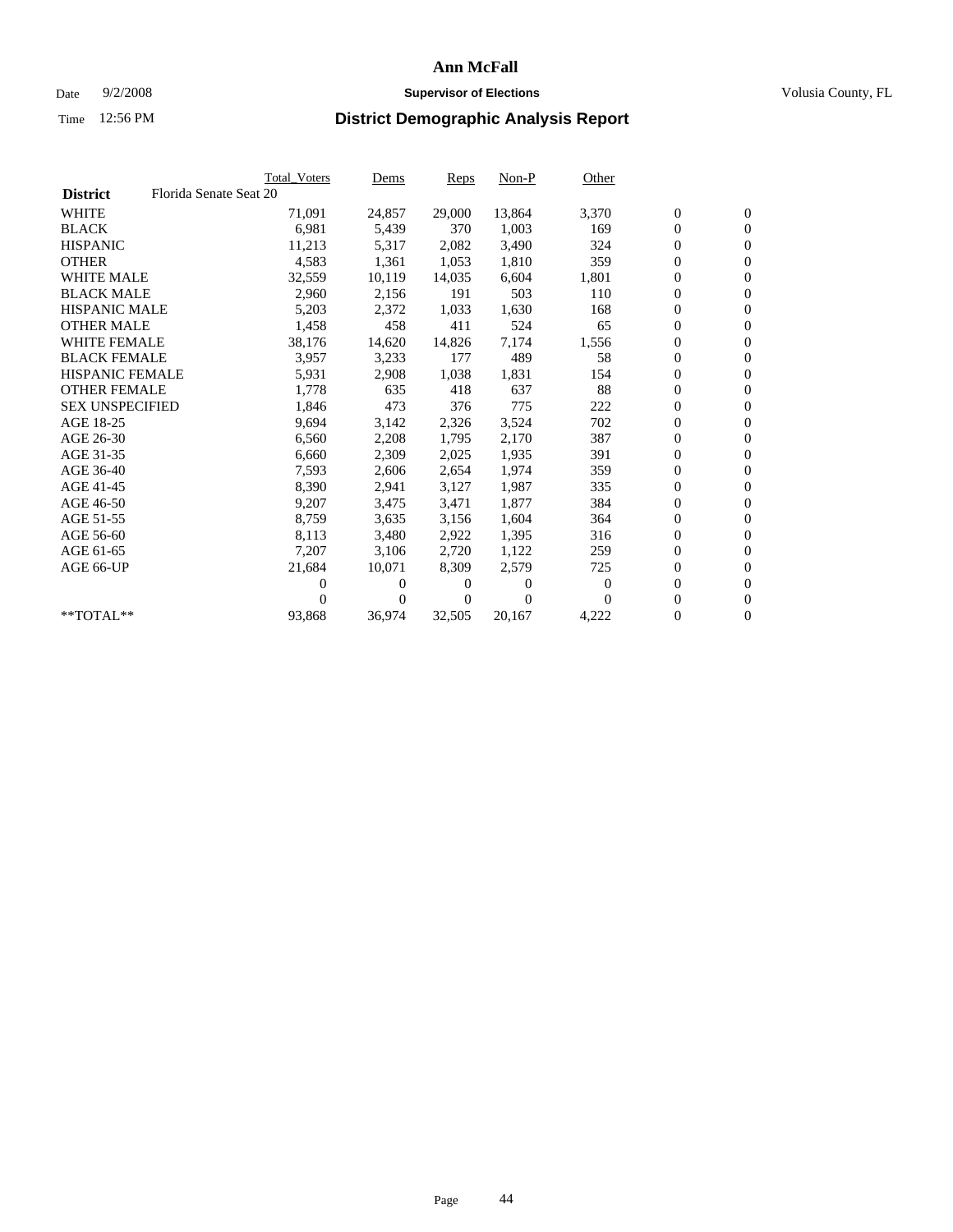## Date 9/2/2008 **Supervisor of Elections Supervisor of Elections** Volusia County, FL

|                        |                        | <b>Total Voters</b> | Dems           | <b>Reps</b> | $Non-P$  | Other    |                  |                  |  |
|------------------------|------------------------|---------------------|----------------|-------------|----------|----------|------------------|------------------|--|
| <b>District</b>        | Florida Senate Seat 20 |                     |                |             |          |          |                  |                  |  |
| <b>WHITE</b>           |                        | 71,091              | 24,857         | 29,000      | 13,864   | 3,370    | $\boldsymbol{0}$ | $\boldsymbol{0}$ |  |
| <b>BLACK</b>           |                        | 6,981               | 5,439          | 370         | 1,003    | 169      | $\overline{0}$   | $\mathbf{0}$     |  |
| <b>HISPANIC</b>        |                        | 11,213              | 5,317          | 2,082       | 3,490    | 324      | 0                | $\mathbf{0}$     |  |
| <b>OTHER</b>           |                        | 4,583               | 1,361          | 1,053       | 1,810    | 359      | 0                | $\mathbf{0}$     |  |
| <b>WHITE MALE</b>      |                        | 32,559              | 10,119         | 14,035      | 6,604    | 1,801    | 0                | $\mathbf{0}$     |  |
| <b>BLACK MALE</b>      |                        | 2,960               | 2,156          | 191         | 503      | 110      | $\boldsymbol{0}$ | $\mathbf{0}$     |  |
| <b>HISPANIC MALE</b>   |                        | 5,203               | 2,372          | 1,033       | 1,630    | 168      | 0                | $\mathbf{0}$     |  |
| <b>OTHER MALE</b>      |                        | 1,458               | 458            | 411         | 524      | 65       | 0                | $\mathbf{0}$     |  |
| <b>WHITE FEMALE</b>    |                        | 38,176              | 14,620         | 14,826      | 7,174    | 1,556    | 0                | $\mathbf{0}$     |  |
| <b>BLACK FEMALE</b>    |                        | 3,957               | 3,233          | 177         | 489      | 58       | 0                | $\Omega$         |  |
| HISPANIC FEMALE        |                        | 5,931               | 2,908          | 1,038       | 1,831    | 154      | 0                | $\mathbf{0}$     |  |
| <b>OTHER FEMALE</b>    |                        | 1,778               | 635            | 418         | 637      | 88       | 0                | $\mathbf{0}$     |  |
| <b>SEX UNSPECIFIED</b> |                        | 1,846               | 473            | 376         | 775      | 222      | 0                | $\mathbf{0}$     |  |
| AGE 18-25              |                        | 9,694               | 3,142          | 2,326       | 3,524    | 702      | $\overline{0}$   | $\mathbf{0}$     |  |
| AGE 26-30              |                        | 6,560               | 2,208          | 1,795       | 2,170    | 387      | 0                | $\mathbf{0}$     |  |
| AGE 31-35              |                        | 6,660               | 2,309          | 2,025       | 1,935    | 391      | 0                | $\mathbf{0}$     |  |
| AGE 36-40              |                        | 7,593               | 2,606          | 2,654       | 1,974    | 359      | $\overline{0}$   | $\mathbf{0}$     |  |
| AGE 41-45              |                        | 8,390               | 2,941          | 3,127       | 1,987    | 335      | 0                | $\mathbf{0}$     |  |
| AGE 46-50              |                        | 9,207               | 3,475          | 3,471       | 1,877    | 384      | 0                | $\Omega$         |  |
| AGE 51-55              |                        | 8,759               | 3,635          | 3,156       | 1,604    | 364      | $\boldsymbol{0}$ | $\mathbf{0}$     |  |
| AGE 56-60              |                        | 8,113               | 3,480          | 2.922       | 1.395    | 316      | 0                | $\mathbf{0}$     |  |
| AGE 61-65              |                        | 7,207               | 3,106          | 2,720       | 1,122    | 259      | 0                | $\mathbf{0}$     |  |
| AGE 66-UP              |                        | 21,684              | 10,071         | 8,309       | 2,579    | 725      | $\overline{0}$   | $\mathbf{0}$     |  |
|                        |                        | 0                   | 0              | 0           | $\theta$ | $\bf{0}$ | 0                | $\mathbf{0}$     |  |
|                        |                        | 0                   | $\overline{0}$ | 0           | $\Omega$ | $\Omega$ | 0                | $\mathbf{0}$     |  |
| $*$ TOTAL $**$         |                        | 93,868              | 36,974         | 32,505      | 20,167   | 4,222    | 0                | $\boldsymbol{0}$ |  |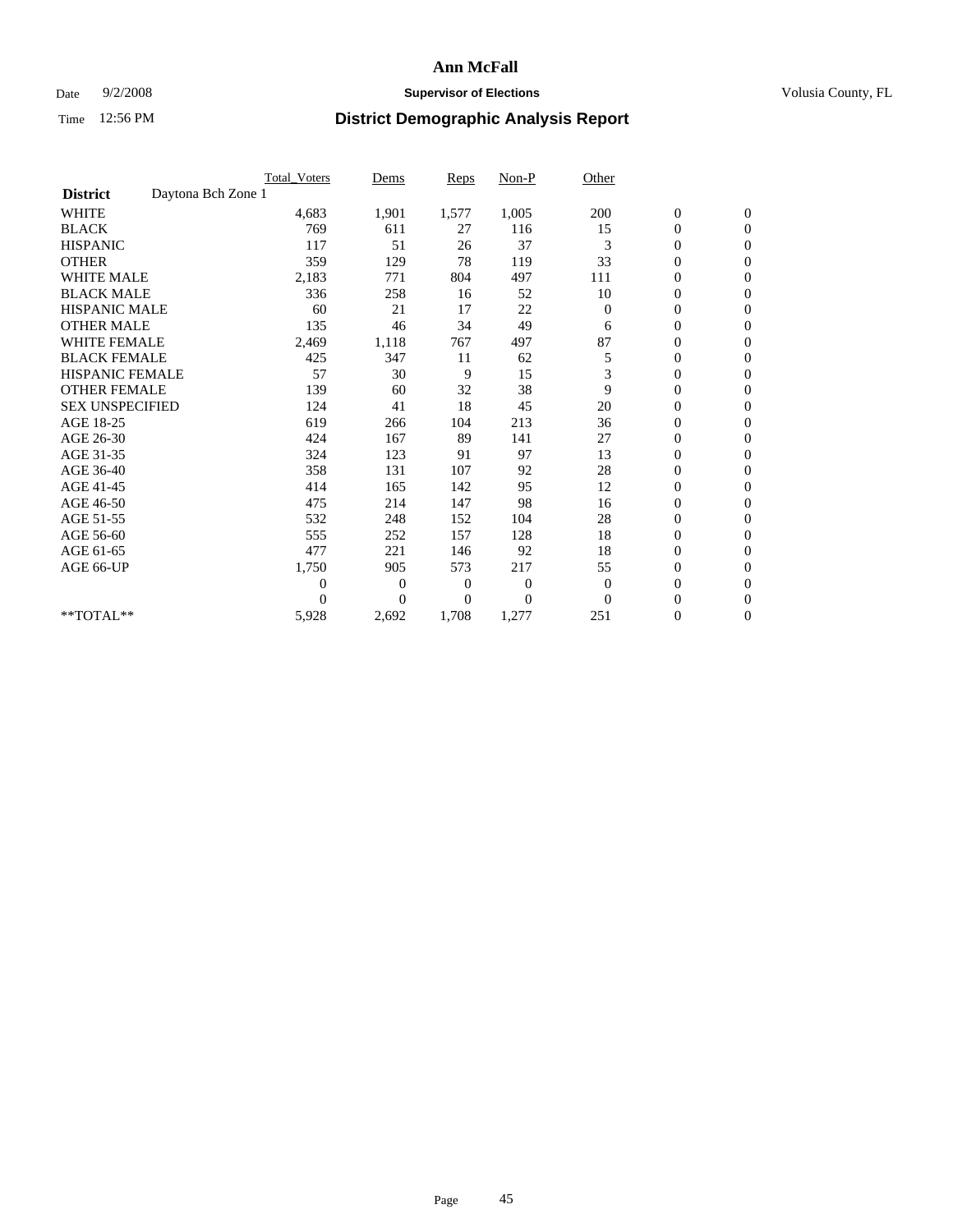## Date 9/2/2008 **Supervisor of Elections Supervisor of Elections** Volusia County, FL

|                        |                    | <b>Total_Voters</b> | Dems         | Reps     | $Non-P$        | Other          |                  |                  |  |
|------------------------|--------------------|---------------------|--------------|----------|----------------|----------------|------------------|------------------|--|
| <b>District</b>        | Daytona Bch Zone 1 |                     |              |          |                |                |                  |                  |  |
| <b>WHITE</b>           |                    | 4,683               | 1,901        | 1,577    | 1,005          | 200            | $\boldsymbol{0}$ | $\boldsymbol{0}$ |  |
| <b>BLACK</b>           |                    | 769                 | 611          | 27       | 116            | 15             | 0                | $\mathbf{0}$     |  |
| <b>HISPANIC</b>        |                    | 117                 | 51           | 26       | 37             | 3              | $\overline{0}$   | $\mathbf{0}$     |  |
| <b>OTHER</b>           |                    | 359                 | 129          | 78       | 119            | 33             | 0                | $\Omega$         |  |
| <b>WHITE MALE</b>      |                    | 2,183               | 771          | 804      | 497            | 111            | 0                | $\mathbf{0}$     |  |
| <b>BLACK MALE</b>      |                    | 336                 | 258          | 16       | 52             | 10             | $\boldsymbol{0}$ | $\mathbf{0}$     |  |
| <b>HISPANIC MALE</b>   |                    | 60                  | 21           | 17       | 22             | $\overline{0}$ | 0                | $\mathbf{0}$     |  |
| <b>OTHER MALE</b>      |                    | 135                 | 46           | 34       | 49             | 6              | 0                | $\mathbf{0}$     |  |
| <b>WHITE FEMALE</b>    |                    | 2,469               | 1,118        | 767      | 497            | 87             | 0                | $\mathbf{0}$     |  |
| <b>BLACK FEMALE</b>    |                    | 425                 | 347          | 11       | 62             | 5              | 0                | $\mathbf{0}$     |  |
| <b>HISPANIC FEMALE</b> |                    | 57                  | 30           | 9        | 15             | 3              | 0                | $\mathbf{0}$     |  |
| <b>OTHER FEMALE</b>    |                    | 139                 | 60           | 32       | 38             | 9              | 0                | $\Omega$         |  |
| <b>SEX UNSPECIFIED</b> |                    | 124                 | 41           | 18       | 45             | 20             | 0                | $\mathbf{0}$     |  |
| AGE 18-25              |                    | 619                 | 266          | 104      | 213            | 36             | 0                | $\mathbf{0}$     |  |
| AGE 26-30              |                    | 424                 | 167          | 89       | 141            | 27             | $\overline{0}$   | $\mathbf{0}$     |  |
| AGE 31-35              |                    | 324                 | 123          | 91       | 97             | 13             | 0                | $\mathbf{0}$     |  |
| AGE 36-40              |                    | 358                 | 131          | 107      | 92             | 28             | 0                | $\mathbf{0}$     |  |
| AGE 41-45              |                    | 414                 | 165          | 142      | 95             | 12             | $\overline{0}$   | $\Omega$         |  |
| AGE 46-50              |                    | 475                 | 214          | 147      | 98             | 16             | $\boldsymbol{0}$ | $\mathbf{0}$     |  |
| AGE 51-55              |                    | 532                 | 248          | 152      | 104            | 28             | 0                | $\mathbf{0}$     |  |
| AGE 56-60              |                    | 555                 | 252          | 157      | 128            | 18             | $\overline{0}$   | $\Omega$         |  |
| AGE 61-65              |                    | 477                 | 221          | 146      | 92             | 18             | 0                | $\mathbf{0}$     |  |
| AGE 66-UP              |                    | 1,750               | 905          | 573      | 217            | 55             | 0                | $\mathbf{0}$     |  |
|                        |                    | 0                   | $\mathbf{0}$ | 0        | $\overline{0}$ | $\theta$       | 0                | $\mathbf{0}$     |  |
|                        |                    | 0                   | $\Omega$     | $\Omega$ | $\Omega$       | $\Omega$       | $\overline{0}$   | $\mathbf{0}$     |  |
| **TOTAL**              |                    | 5,928               | 2,692        | 1,708    | 1,277          | 251            | 0                | $\overline{0}$   |  |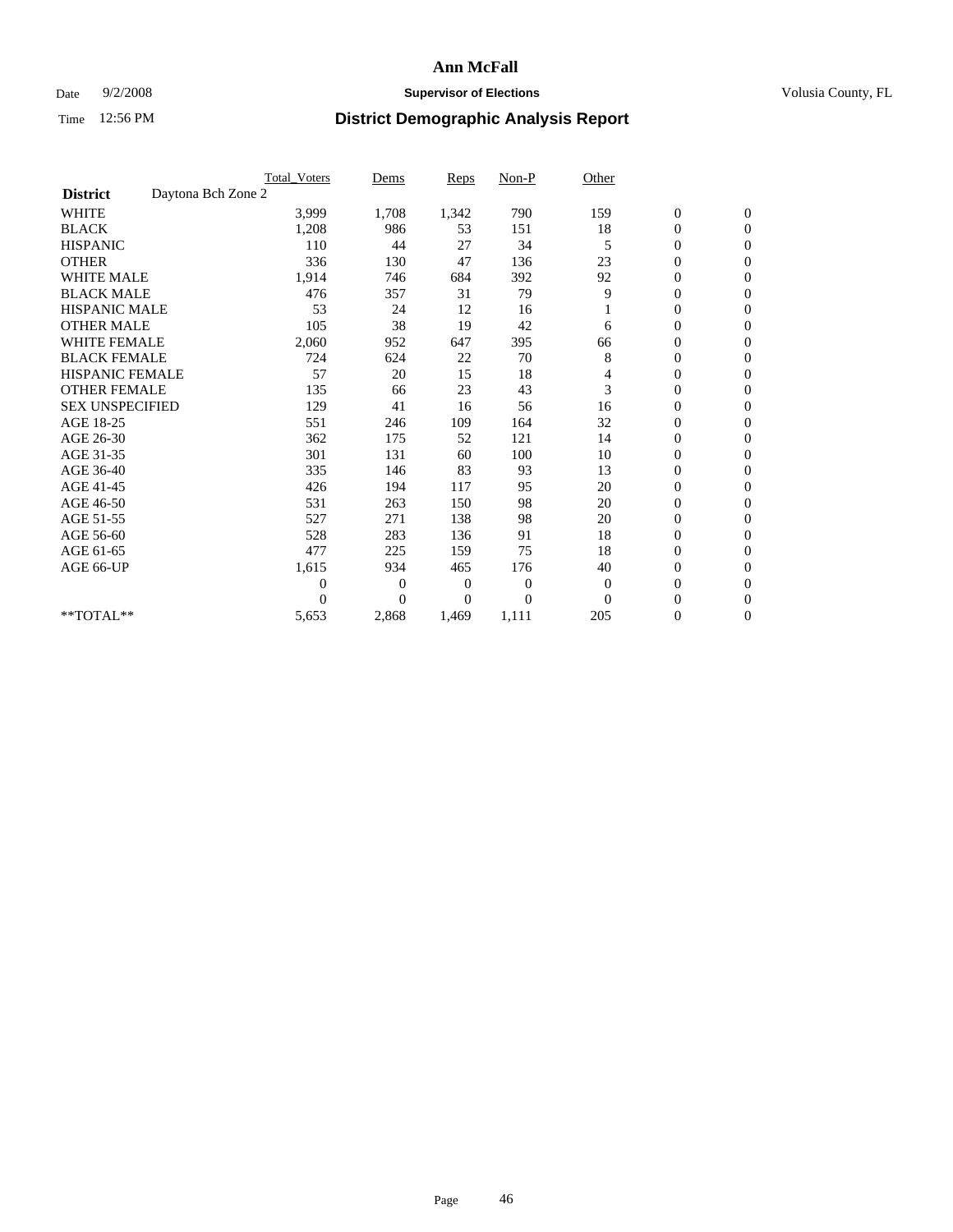## Date 9/2/2008 **Supervisor of Elections Supervisor of Elections** Volusia County, FL

|                        | <b>Total Voters</b> | Dems           | <b>Reps</b> | $Non-P$      | Other        |                  |                  |  |
|------------------------|---------------------|----------------|-------------|--------------|--------------|------------------|------------------|--|
| <b>District</b>        | Daytona Bch Zone 2  |                |             |              |              |                  |                  |  |
| <b>WHITE</b>           | 3,999               | 1,708          | 1,342       | 790          | 159          | $\boldsymbol{0}$ | $\boldsymbol{0}$ |  |
| <b>BLACK</b>           | 1,208               | 986            | 53          | 151          | 18           | $\boldsymbol{0}$ | $\mathbf{0}$     |  |
| <b>HISPANIC</b>        | 110                 | 44             | 27          | 34           | 5            | $\overline{0}$   | $\mathbf{0}$     |  |
| <b>OTHER</b>           | 336                 | 130            | 47          | 136          | 23           | $\boldsymbol{0}$ | $\Omega$         |  |
| <b>WHITE MALE</b>      | 1,914               | 746            | 684         | 392          | 92           | $\overline{0}$   | $\mathbf{0}$     |  |
| <b>BLACK MALE</b>      | 476                 | 357            | 31          | 79           | 9            | $\boldsymbol{0}$ | $\mathbf{0}$     |  |
| <b>HISPANIC MALE</b>   | 53                  | 24             | 12          | 16           |              | 0                | $\mathbf{0}$     |  |
| <b>OTHER MALE</b>      | 105                 | 38             | 19          | 42           | 6            | 0                | $\mathbf{0}$     |  |
| <b>WHITE FEMALE</b>    | 2,060               | 952            | 647         | 395          | 66           | $\overline{0}$   | $\mathbf{0}$     |  |
| <b>BLACK FEMALE</b>    | 724                 | 624            | 22          | 70           | 8            | $\boldsymbol{0}$ | $\mathbf{0}$     |  |
| <b>HISPANIC FEMALE</b> | 57                  | 20             | 15          | 18           | 4            | 0                | $\mathbf{0}$     |  |
| <b>OTHER FEMALE</b>    | 135                 | 66             | 23          | 43           | 3            | $\mathbf{0}$     | $\mathbf{0}$     |  |
| <b>SEX UNSPECIFIED</b> | 129                 | 41             | 16          | 56           | 16           | $\boldsymbol{0}$ | $\mathbf{0}$     |  |
| AGE 18-25              | 551                 | 246            | 109         | 164          | 32           | $\overline{0}$   | $\mathbf{0}$     |  |
| AGE 26-30              | 362                 | 175            | 52          | 121          | 14           | $\overline{0}$   | $\mathbf{0}$     |  |
| AGE 31-35              | 301                 | 131            | 60          | 100          | 10           | $\boldsymbol{0}$ | $\mathbf{0}$     |  |
| AGE 36-40              | 335                 | 146            | 83          | 93           | 13           | 0                | $\mathbf{0}$     |  |
| AGE 41-45              | 426                 | 194            | 117         | 95           | 20           | $\overline{0}$   | $\mathbf{0}$     |  |
| AGE 46-50              | 531                 | 263            | 150         | 98           | 20           | $\boldsymbol{0}$ | $\mathbf{0}$     |  |
| AGE 51-55              | 527                 | 271            | 138         | 98           | 20           | $\boldsymbol{0}$ | $\mathbf{0}$     |  |
| AGE 56-60              | 528                 | 283            | 136         | 91           | 18           | $\overline{0}$   | $\Omega$         |  |
| AGE 61-65              | 477                 | 225            | 159         | 75           | 18           | $\overline{0}$   | $\mathbf{0}$     |  |
| AGE 66-UP              | 1,615               | 934            | 465         | 176          | 40           | $\boldsymbol{0}$ | $\mathbf{0}$     |  |
|                        | $\overline{0}$      | $\overline{0}$ | 0           | $\mathbf{0}$ | $\mathbf{0}$ | $\overline{0}$   | $\mathbf{0}$     |  |
|                        | $\theta$            | $\theta$       | $\Omega$    | $\Omega$     | $\Omega$     | $\boldsymbol{0}$ | $\mathbf{0}$     |  |
| **TOTAL**              | 5,653               | 2,868          | 1,469       | 1,111        | 205          | 0                | $\mathbf{0}$     |  |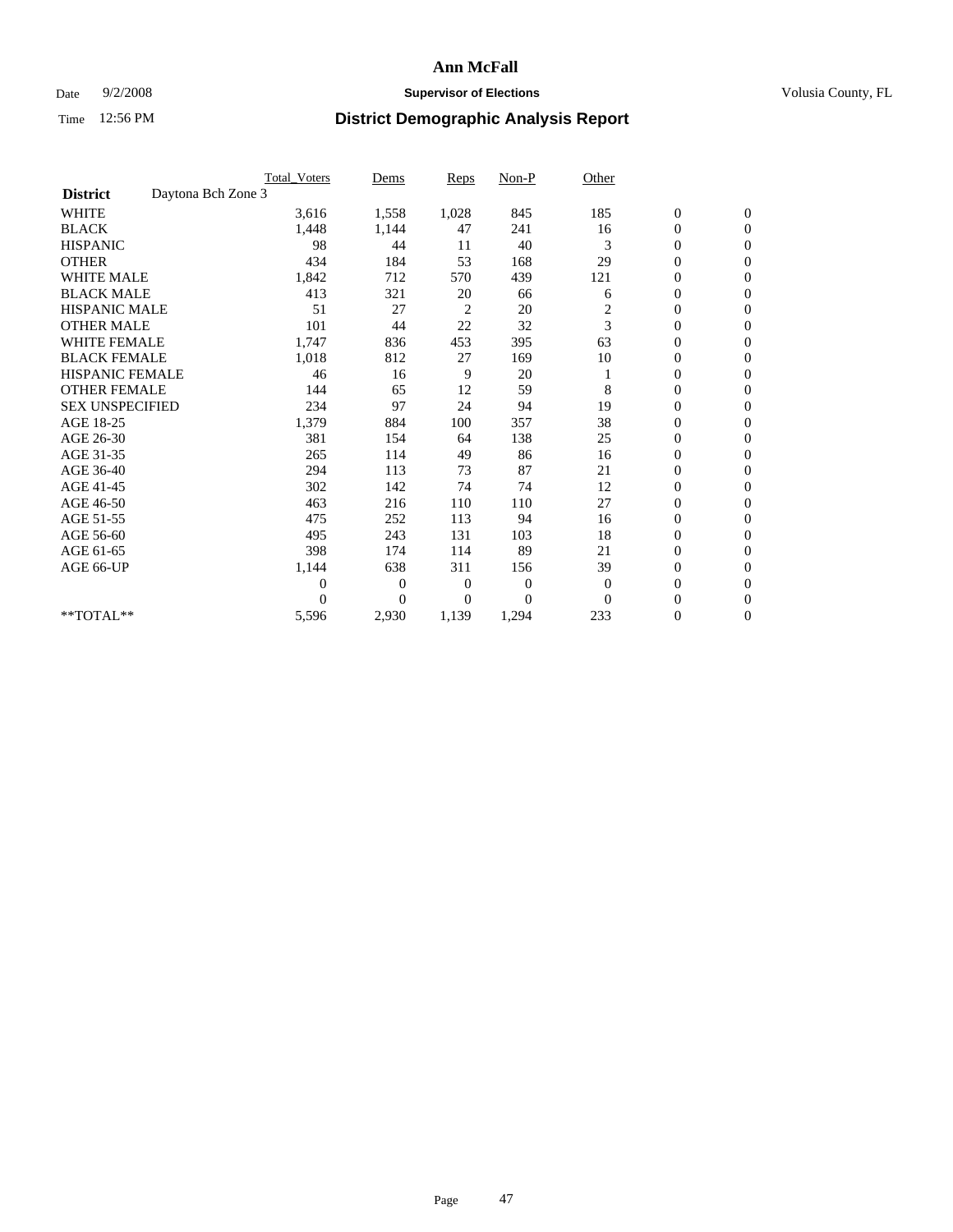## Date 9/2/2008 **Supervisor of Elections Supervisor of Elections** Volusia County, FL

|                        |                    | <b>Total Voters</b> | Dems           | <b>Reps</b>    | $Non-P$      | Other          |                  |                  |  |
|------------------------|--------------------|---------------------|----------------|----------------|--------------|----------------|------------------|------------------|--|
| <b>District</b>        | Daytona Bch Zone 3 |                     |                |                |              |                |                  |                  |  |
| <b>WHITE</b>           |                    | 3,616               | 1,558          | 1,028          | 845          | 185            | $\boldsymbol{0}$ | $\boldsymbol{0}$ |  |
| <b>BLACK</b>           |                    | 1,448               | 1,144          | 47             | 241          | 16             | $\boldsymbol{0}$ | $\mathbf{0}$     |  |
| <b>HISPANIC</b>        |                    | 98                  | 44             | 11             | 40           | 3              | $\overline{0}$   | $\mathbf{0}$     |  |
| <b>OTHER</b>           |                    | 434                 | 184            | 53             | 168          | 29             | $\boldsymbol{0}$ | $\Omega$         |  |
| <b>WHITE MALE</b>      |                    | 1,842               | 712            | 570            | 439          | 121            | $\overline{0}$   | $\mathbf{0}$     |  |
| <b>BLACK MALE</b>      |                    | 413                 | 321            | 20             | 66           | 6              | $\boldsymbol{0}$ | $\mathbf{0}$     |  |
| <b>HISPANIC MALE</b>   |                    | 51                  | 27             | $\mathfrak{2}$ | 20           | $\overline{c}$ | $\boldsymbol{0}$ | $\mathbf{0}$     |  |
| <b>OTHER MALE</b>      |                    | 101                 | 44             | 22             | 32           | 3              | $\boldsymbol{0}$ | $\mathbf{0}$     |  |
| <b>WHITE FEMALE</b>    |                    | 1,747               | 836            | 453            | 395          | 63             | $\overline{0}$   | $\mathbf{0}$     |  |
| <b>BLACK FEMALE</b>    |                    | 1,018               | 812            | 27             | 169          | 10             | $\boldsymbol{0}$ | $\mathbf{0}$     |  |
| <b>HISPANIC FEMALE</b> |                    | 46                  | 16             | 9              | 20           |                | $\boldsymbol{0}$ | $\mathbf{0}$     |  |
| <b>OTHER FEMALE</b>    |                    | 144                 | 65             | 12             | 59           | 8              | $\mathbf{0}$     | $\mathbf{0}$     |  |
| <b>SEX UNSPECIFIED</b> |                    | 234                 | 97             | 24             | 94           | 19             | $\overline{0}$   | $\mathbf{0}$     |  |
| AGE 18-25              |                    | 1,379               | 884            | 100            | 357          | 38             | $\overline{0}$   | $\mathbf{0}$     |  |
| AGE 26-30              |                    | 381                 | 154            | 64             | 138          | 25             | $\overline{0}$   | $\mathbf{0}$     |  |
| AGE 31-35              |                    | 265                 | 114            | 49             | 86           | 16             | $\boldsymbol{0}$ | $\mathbf{0}$     |  |
| AGE 36-40              |                    | 294                 | 113            | 73             | 87           | 21             | $\boldsymbol{0}$ | $\mathbf{0}$     |  |
| AGE 41-45              |                    | 302                 | 142            | 74             | 74           | 12             | $\overline{0}$   | $\mathbf{0}$     |  |
| AGE 46-50              |                    | 463                 | 216            | 110            | 110          | 27             | $\boldsymbol{0}$ | $\mathbf{0}$     |  |
| AGE 51-55              |                    | 475                 | 252            | 113            | 94           | 16             | $\boldsymbol{0}$ | $\mathbf{0}$     |  |
| AGE 56-60              |                    | 495                 | 243            | 131            | 103          | 18             | $\overline{0}$   | $\Omega$         |  |
| AGE 61-65              |                    | 398                 | 174            | 114            | 89           | 21             | $\overline{0}$   | $\mathbf{0}$     |  |
| AGE 66-UP              |                    | 1,144               | 638            | 311            | 156          | 39             | $\boldsymbol{0}$ | $\mathbf{0}$     |  |
|                        |                    | $\overline{0}$      | $\overline{0}$ | 0              | $\mathbf{0}$ | $\mathbf{0}$   | $\overline{0}$   | $\mathbf{0}$     |  |
|                        |                    | $\theta$            | $\overline{0}$ | $\Omega$       | $\Omega$     | $\Omega$       | $\boldsymbol{0}$ | $\mathbf{0}$     |  |
| **TOTAL**              |                    | 5,596               | 2,930          | 1,139          | 1,294        | 233            | 0                | $\mathbf{0}$     |  |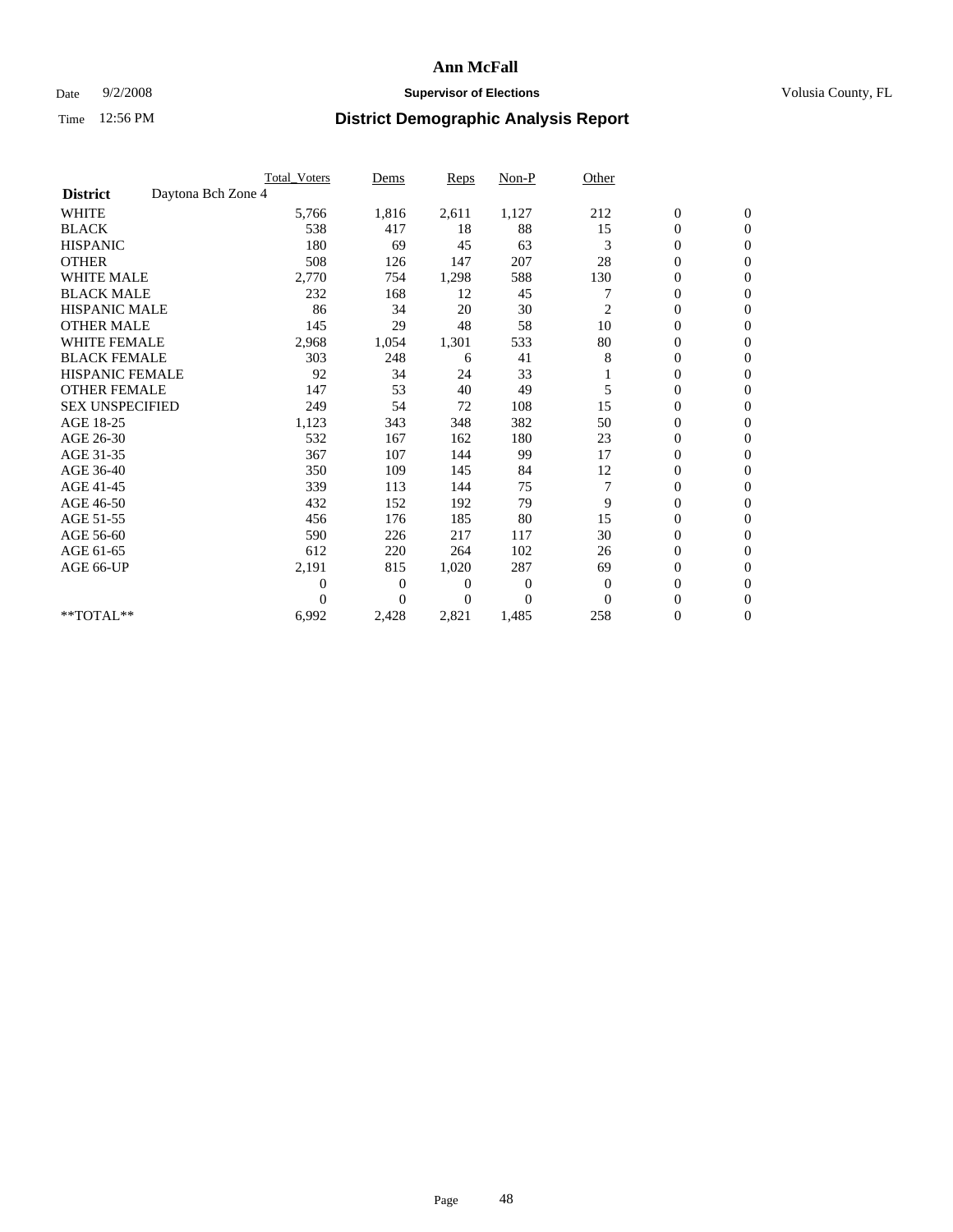## Date 9/2/2008 **Supervisor of Elections Supervisor of Elections** Volusia County, FL

|                        |                    | Total Voters | Dems           | <b>Reps</b> | Non-P            | Other          |                  |                |  |
|------------------------|--------------------|--------------|----------------|-------------|------------------|----------------|------------------|----------------|--|
| <b>District</b>        | Daytona Bch Zone 4 |              |                |             |                  |                |                  |                |  |
| <b>WHITE</b>           |                    | 5,766        | 1,816          | 2,611       | 1,127            | 212            | $\boldsymbol{0}$ | $\mathbf{0}$   |  |
| <b>BLACK</b>           |                    | 538          | 417            | 18          | 88               | 15             | $\boldsymbol{0}$ | $\mathbf{0}$   |  |
| <b>HISPANIC</b>        |                    | 180          | 69             | 45          | 63               | 3              | $\overline{0}$   | $\mathbf{0}$   |  |
| <b>OTHER</b>           |                    | 508          | 126            | 147         | 207              | 28             | $\overline{0}$   | $\mathbf{0}$   |  |
| <b>WHITE MALE</b>      |                    | 2,770        | 754            | 1,298       | 588              | 130            | 0                | $\mathbf{0}$   |  |
| <b>BLACK MALE</b>      |                    | 232          | 168            | 12          | 45               |                | $\boldsymbol{0}$ | $\mathbf{0}$   |  |
| <b>HISPANIC MALE</b>   |                    | 86           | 34             | 20          | 30               | 2              | $\boldsymbol{0}$ | $\Omega$       |  |
| <b>OTHER MALE</b>      |                    | 145          | 29             | 48          | 58               | 10             | 0                | $\mathbf{0}$   |  |
| <b>WHITE FEMALE</b>    |                    | 2,968        | 1,054          | 1,301       | 533              | 80             | $\overline{0}$   | $\mathbf{0}$   |  |
| <b>BLACK FEMALE</b>    |                    | 303          | 248            | 6           | 41               | 8              | $\boldsymbol{0}$ | $\mathbf{0}$   |  |
| <b>HISPANIC FEMALE</b> |                    | 92           | 34             | 24          | 33               |                | $\boldsymbol{0}$ | $\mathbf{0}$   |  |
| <b>OTHER FEMALE</b>    |                    | 147          | 53             | 40          | 49               | 5              | $\overline{0}$   | $\Omega$       |  |
| <b>SEX UNSPECIFIED</b> |                    | 249          | 54             | 72          | 108              | 15             | $\overline{0}$   | $\mathbf{0}$   |  |
| AGE 18-25              |                    | 1,123        | 343            | 348         | 382              | 50             | $\overline{0}$   | $\mathbf{0}$   |  |
| AGE 26-30              |                    | 532          | 167            | 162         | 180              | 23             | $\overline{0}$   | $\mathbf{0}$   |  |
| AGE 31-35              |                    | 367          | 107            | 144         | 99               | 17             | $\boldsymbol{0}$ | $\mathbf{0}$   |  |
| AGE 36-40              |                    | 350          | 109            | 145         | 84               | 12             | $\boldsymbol{0}$ | $\mathbf{0}$   |  |
| AGE 41-45              |                    | 339          | 113            | 144         | 75               |                | $\overline{0}$   | $\mathbf{0}$   |  |
| AGE 46-50              |                    | 432          | 152            | 192         | 79               | 9              | $\mathbf{0}$     | $\mathbf{0}$   |  |
| AGE 51-55              |                    | 456          | 176            | 185         | 80               | 15             | $\boldsymbol{0}$ | $\mathbf{0}$   |  |
| AGE 56-60              |                    | 590          | 226            | 217         | 117              | 30             | $\overline{0}$   | $\Omega$       |  |
| AGE 61-65              |                    | 612          | 220            | 264         | 102              | 26             | $\boldsymbol{0}$ | $\overline{0}$ |  |
| AGE 66-UP              |                    | 2,191        | 815            | 1,020       | 287              | 69             | $\overline{0}$   | $\mathbf{0}$   |  |
|                        |                    | $\theta$     | $\overline{0}$ | 0           | $\boldsymbol{0}$ | $\overline{0}$ | $\overline{0}$   | $\Omega$       |  |
|                        |                    | $\theta$     | $\theta$       | 0           | $\overline{0}$   | $\Omega$       | $\overline{0}$   | $\overline{0}$ |  |
| **TOTAL**              |                    | 6,992        | 2,428          | 2,821       | 1,485            | 258            | 0                | $\mathbf{0}$   |  |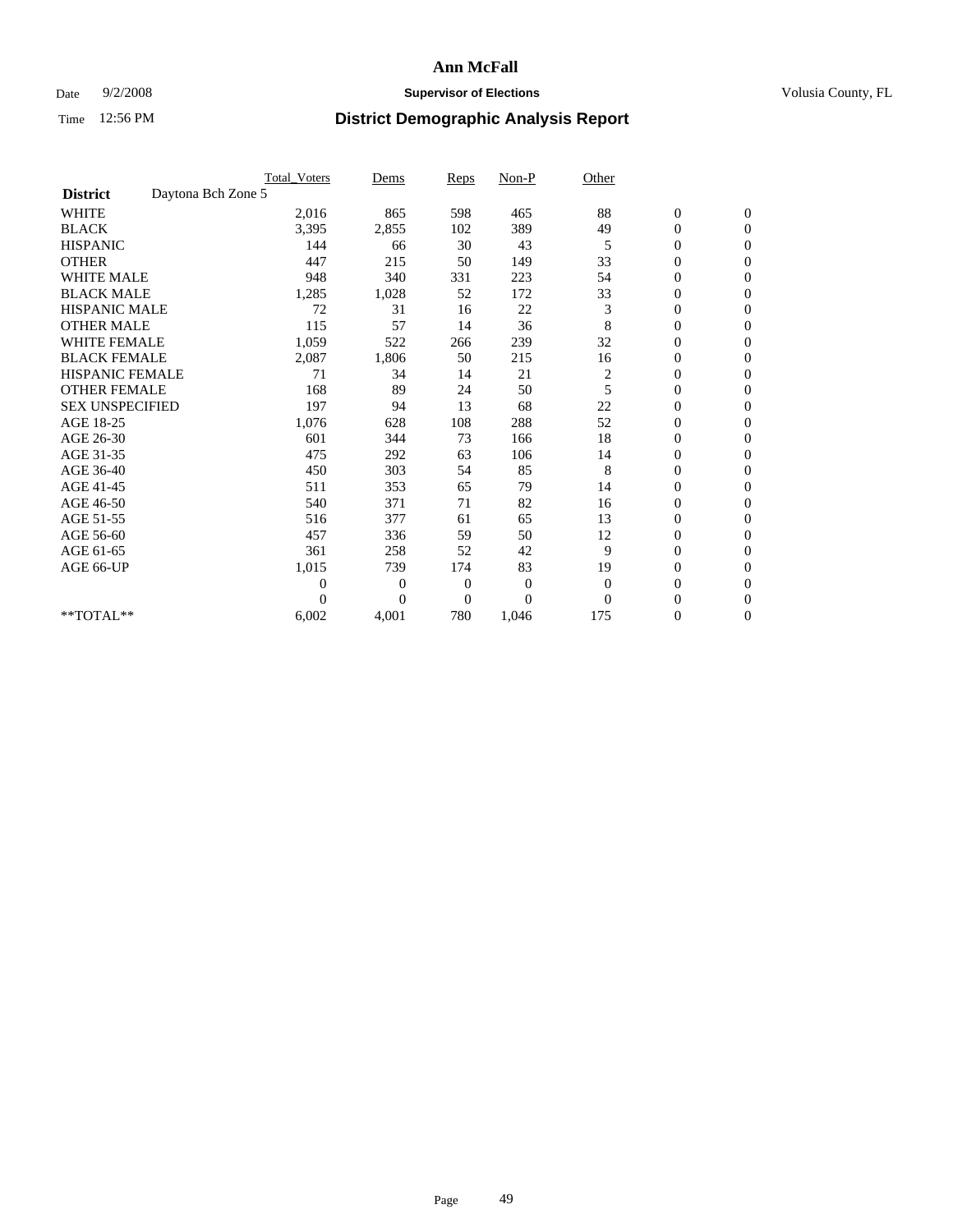## Date 9/2/2008 **Supervisor of Elections Supervisor of Elections** Volusia County, FL

|                        |                    | <b>Total Voters</b> | Dems           | <b>Reps</b>    | $Non-P$          | Other    |                  |                |  |
|------------------------|--------------------|---------------------|----------------|----------------|------------------|----------|------------------|----------------|--|
| <b>District</b>        | Daytona Bch Zone 5 |                     |                |                |                  |          |                  |                |  |
| <b>WHITE</b>           |                    | 2,016               | 865            | 598            | 465              | 88       | $\boldsymbol{0}$ | $\mathbf{0}$   |  |
| <b>BLACK</b>           |                    | 3,395               | 2,855          | 102            | 389              | 49       | $\boldsymbol{0}$ | $\mathbf{0}$   |  |
| <b>HISPANIC</b>        |                    | 144                 | 66             | 30             | 43               | 5        | $\mathbf{0}$     | $\mathbf{0}$   |  |
| <b>OTHER</b>           |                    | 447                 | 215            | 50             | 149              | 33       | $\overline{0}$   | $\mathbf{0}$   |  |
| <b>WHITE MALE</b>      |                    | 948                 | 340            | 331            | 223              | 54       | $\boldsymbol{0}$ | $\mathbf{0}$   |  |
| <b>BLACK MALE</b>      |                    | 1,285               | 1,028          | 52             | 172              | 33       | $\boldsymbol{0}$ | $\mathbf{0}$   |  |
| <b>HISPANIC MALE</b>   |                    | 72                  | 31             | 16             | 22               | 3        | $\boldsymbol{0}$ | $\Omega$       |  |
| <b>OTHER MALE</b>      |                    | 115                 | 57             | 14             | 36               | 8        | 0                | $\mathbf{0}$   |  |
| <b>WHITE FEMALE</b>    |                    | 1,059               | 522            | 266            | 239              | 32       | $\overline{0}$   | $\mathbf{0}$   |  |
| <b>BLACK FEMALE</b>    |                    | 2,087               | 1,806          | 50             | 215              | 16       | $\boldsymbol{0}$ | $\mathbf{0}$   |  |
| <b>HISPANIC FEMALE</b> |                    | 71                  | 34             | 14             | 21               | 2        | $\boldsymbol{0}$ | $\mathbf{0}$   |  |
| <b>OTHER FEMALE</b>    |                    | 168                 | 89             | 24             | 50               | 5        | $\overline{0}$   | $\Omega$       |  |
| <b>SEX UNSPECIFIED</b> |                    | 197                 | 94             | 13             | 68               | 22       | $\overline{0}$   | $\mathbf{0}$   |  |
| AGE 18-25              |                    | 1,076               | 628            | 108            | 288              | 52       | 0                | $\mathbf{0}$   |  |
| AGE 26-30              |                    | 601                 | 344            | 73             | 166              | 18       | $\overline{0}$   | $\mathbf{0}$   |  |
| AGE 31-35              |                    | 475                 | 292            | 63             | 106              | 14       | $\boldsymbol{0}$ | $\mathbf{0}$   |  |
| AGE 36-40              |                    | 450                 | 303            | 54             | 85               | 8        | $\boldsymbol{0}$ | $\mathbf{0}$   |  |
| AGE 41-45              |                    | 511                 | 353            | 65             | 79               | 14       | $\overline{0}$   | $\mathbf{0}$   |  |
| AGE 46-50              |                    | 540                 | 371            | 71             | 82               | 16       | $\overline{0}$   | $\mathbf{0}$   |  |
| AGE 51-55              |                    | 516                 | 377            | 61             | 65               | 13       | $\boldsymbol{0}$ | $\mathbf{0}$   |  |
| AGE 56-60              |                    | 457                 | 336            | 59             | 50               | 12       | $\overline{0}$   | $\Omega$       |  |
| AGE 61-65              |                    | 361                 | 258            | 52             | 42               | 9        | $\boldsymbol{0}$ | $\overline{0}$ |  |
| AGE 66-UP              |                    | 1,015               | 739            | 174            | 83               | 19       | $\overline{0}$   | $\mathbf{0}$   |  |
|                        |                    | $\theta$            | 0              | $\mathbf{0}$   | $\boldsymbol{0}$ | $\Omega$ | $\overline{0}$   | $\Omega$       |  |
|                        |                    | $\Omega$            | $\overline{0}$ | $\overline{0}$ | $\theta$         | $\Omega$ | $\overline{0}$   | $\overline{0}$ |  |
| **TOTAL**              |                    | 6,002               | 4,001          | 780            | 1,046            | 175      | 0                | $\mathbf{0}$   |  |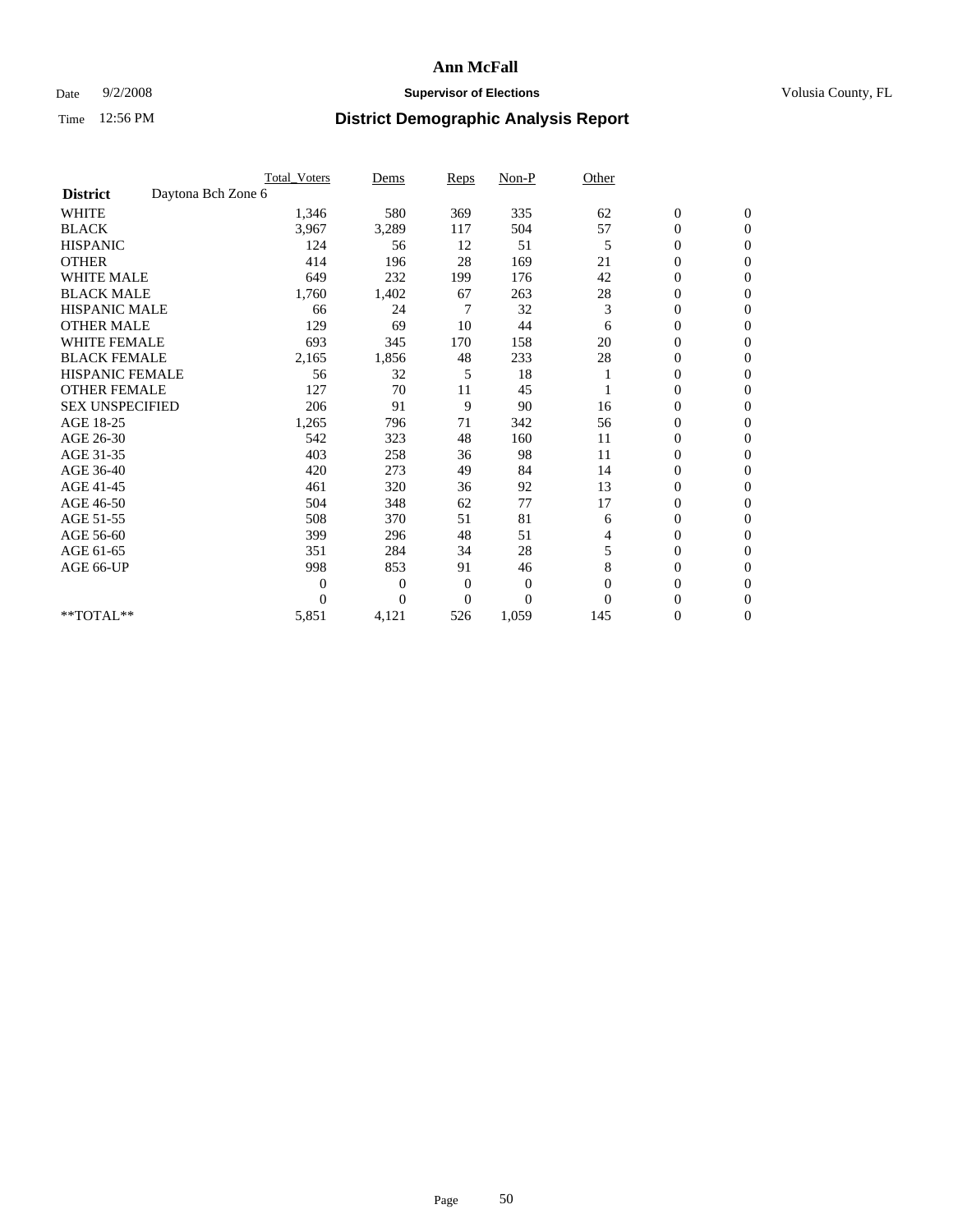## Date 9/2/2008 **Supervisor of Elections Supervisor of Elections** Volusia County, FL

|                        |                    | <b>Total_Voters</b> | Dems     | Reps           | $Non-P$        | Other    |                  |                  |  |
|------------------------|--------------------|---------------------|----------|----------------|----------------|----------|------------------|------------------|--|
| <b>District</b>        | Daytona Bch Zone 6 |                     |          |                |                |          |                  |                  |  |
| <b>WHITE</b>           |                    | 1,346               | 580      | 369            | 335            | 62       | $\boldsymbol{0}$ | $\boldsymbol{0}$ |  |
| <b>BLACK</b>           |                    | 3,967               | 3,289    | 117            | 504            | 57       | 0                | $\mathbf{0}$     |  |
| <b>HISPANIC</b>        |                    | 124                 | 56       | 12             | 51             | 5        | $\mathbf{0}$     | $\mathbf{0}$     |  |
| <b>OTHER</b>           |                    | 414                 | 196      | 28             | 169            | 21       | 0                | $\Omega$         |  |
| <b>WHITE MALE</b>      |                    | 649                 | 232      | 199            | 176            | 42       | 0                | $\mathbf{0}$     |  |
| <b>BLACK MALE</b>      |                    | 1,760               | 1,402    | 67             | 263            | 28       | 0                | $\mathbf{0}$     |  |
| <b>HISPANIC MALE</b>   |                    | 66                  | 24       | 7              | 32             | 3        | 0                | $\mathbf{0}$     |  |
| <b>OTHER MALE</b>      |                    | 129                 | 69       | 10             | 44             | 6        | 0                | $\Omega$         |  |
| <b>WHITE FEMALE</b>    |                    | 693                 | 345      | 170            | 158            | 20       | 0                | $\mathbf{0}$     |  |
| <b>BLACK FEMALE</b>    |                    | 2,165               | 1,856    | 48             | 233            | 28       | 0                | $\mathbf{0}$     |  |
| <b>HISPANIC FEMALE</b> |                    | 56                  | 32       | 5              | 18             |          | 0                | $\mathbf{0}$     |  |
| <b>OTHER FEMALE</b>    |                    | 127                 | 70       | 11             | 45             |          | 0                | $\Omega$         |  |
| <b>SEX UNSPECIFIED</b> |                    | 206                 | 91       | 9              | 90             | 16       | 0                | $\mathbf{0}$     |  |
| AGE 18-25              |                    | 1,265               | 796      | 71             | 342            | 56       | 0                | $\mathbf{0}$     |  |
| AGE 26-30              |                    | 542                 | 323      | 48             | 160            | 11       | 0                | $\mathbf{0}$     |  |
| AGE 31-35              |                    | 403                 | 258      | 36             | 98             | 11       | 0                | $\mathbf{0}$     |  |
| AGE 36-40              |                    | 420                 | 273      | 49             | 84             | 14       | 0                | $\mathbf{0}$     |  |
| AGE 41-45              |                    | 461                 | 320      | 36             | 92             | 13       | 0                | $\Omega$         |  |
| AGE 46-50              |                    | 504                 | 348      | 62             | 77             | 17       | 0                | $\mathbf{0}$     |  |
| AGE 51-55              |                    | 508                 | 370      | 51             | 81             | 6        | 0                | $\mathbf{0}$     |  |
| AGE 56-60              |                    | 399                 | 296      | 48             | 51             | 4        | 0                | $\Omega$         |  |
| AGE 61-65              |                    | 351                 | 284      | 34             | 28             | 5        | 0                | $\mathbf{0}$     |  |
| AGE 66-UP              |                    | 998                 | 853      | 91             | 46             | 8        | 0                | $\mathbf{0}$     |  |
|                        |                    | $\overline{0}$      | 0        | $\overline{0}$ | $\overline{0}$ | $\Omega$ | 0                | $\mathbf{0}$     |  |
|                        |                    | 0                   | $\Omega$ | $\theta$       | $\theta$       | $\Omega$ | 0                | $\overline{0}$   |  |
| **TOTAL**              |                    | 5,851               | 4,121    | 526            | 1,059          | 145      | 0                | $\overline{0}$   |  |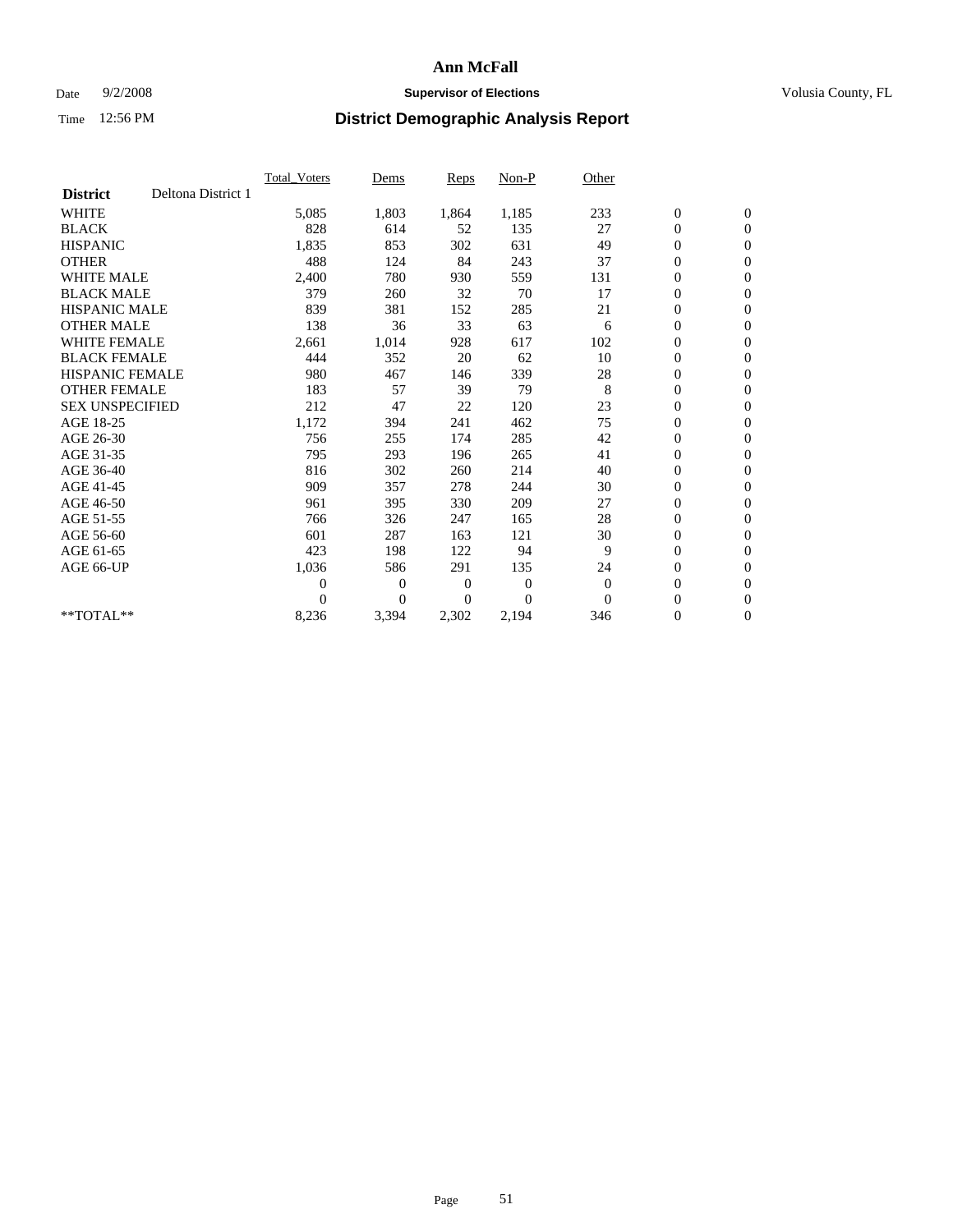### Date  $9/2/2008$  **Supervisor of Elections** Volusia County, FL

|                        |                    | Total Voters   | Dems           | <b>Reps</b> | Non-P        | Other    |                  |                  |  |
|------------------------|--------------------|----------------|----------------|-------------|--------------|----------|------------------|------------------|--|
| <b>District</b>        | Deltona District 1 |                |                |             |              |          |                  |                  |  |
| <b>WHITE</b>           |                    | 5,085          | 1,803          | 1,864       | 1,185        | 233      | $\boldsymbol{0}$ | $\boldsymbol{0}$ |  |
| <b>BLACK</b>           |                    | 828            | 614            | 52          | 135          | 27       | $\boldsymbol{0}$ | $\mathbf{0}$     |  |
| <b>HISPANIC</b>        |                    | 1,835          | 853            | 302         | 631          | 49       | $\overline{0}$   | $\mathbf{0}$     |  |
| <b>OTHER</b>           |                    | 488            | 124            | 84          | 243          | 37       | $\boldsymbol{0}$ | $\mathbf{0}$     |  |
| <b>WHITE MALE</b>      |                    | 2,400          | 780            | 930         | 559          | 131      | $\boldsymbol{0}$ | $\mathbf{0}$     |  |
| <b>BLACK MALE</b>      |                    | 379            | 260            | 32          | 70           | 17       | $\boldsymbol{0}$ | $\mathbf{0}$     |  |
| <b>HISPANIC MALE</b>   |                    | 839            | 381            | 152         | 285          | 21       | $\boldsymbol{0}$ | $\mathbf{0}$     |  |
| <b>OTHER MALE</b>      |                    | 138            | 36             | 33          | 63           | 6        | $\boldsymbol{0}$ | $\mathbf{0}$     |  |
| <b>WHITE FEMALE</b>    |                    | 2,661          | 1,014          | 928         | 617          | 102      | $\mathbf{0}$     | $\mathbf{0}$     |  |
| <b>BLACK FEMALE</b>    |                    | 444            | 352            | 20          | 62           | 10       | $\boldsymbol{0}$ | $\mathbf{0}$     |  |
| <b>HISPANIC FEMALE</b> |                    | 980            | 467            | 146         | 339          | 28       | $\boldsymbol{0}$ | $\mathbf{0}$     |  |
| <b>OTHER FEMALE</b>    |                    | 183            | 57             | 39          | 79           | 8        | $\mathbf{0}$     | $\mathbf{0}$     |  |
| <b>SEX UNSPECIFIED</b> |                    | 212            | 47             | 22          | 120          | 23       | $\boldsymbol{0}$ | $\mathbf{0}$     |  |
| AGE 18-25              |                    | 1,172          | 394            | 241         | 462          | 75       | $\boldsymbol{0}$ | $\mathbf{0}$     |  |
| AGE 26-30              |                    | 756            | 255            | 174         | 285          | 42       | $\overline{0}$   | $\mathbf{0}$     |  |
| AGE 31-35              |                    | 795            | 293            | 196         | 265          | 41       | $\boldsymbol{0}$ | $\mathbf{0}$     |  |
| AGE 36-40              |                    | 816            | 302            | 260         | 214          | 40       | $\boldsymbol{0}$ | $\mathbf{0}$     |  |
| AGE 41-45              |                    | 909            | 357            | 278         | 244          | 30       | $\overline{0}$   | $\mathbf{0}$     |  |
| AGE 46-50              |                    | 961            | 395            | 330         | 209          | 27       | $\boldsymbol{0}$ | $\mathbf{0}$     |  |
| AGE 51-55              |                    | 766            | 326            | 247         | 165          | 28       | $\boldsymbol{0}$ | $\mathbf{0}$     |  |
| AGE 56-60              |                    | 601            | 287            | 163         | 121          | 30       | $\boldsymbol{0}$ | $\mathbf{0}$     |  |
| AGE 61-65              |                    | 423            | 198            | 122         | 94           | 9        | $\mathbf{0}$     | $\mathbf{0}$     |  |
| AGE 66-UP              |                    | 1,036          | 586            | 291         | 135          | 24       | $\boldsymbol{0}$ | $\mathbf{0}$     |  |
|                        |                    | $\overline{0}$ | $\overline{0}$ | 0           | $\mathbf{0}$ | $\theta$ | $\overline{0}$   | $\mathbf{0}$     |  |
|                        |                    | $\Omega$       | $\overline{0}$ | $\Omega$    | $\Omega$     | $\Omega$ | $\boldsymbol{0}$ | $\mathbf{0}$     |  |
| $*$ TOTAL $**$         |                    | 8,236          | 3,394          | 2,302       | 2,194        | 346      | 0                | $\mathbf{0}$     |  |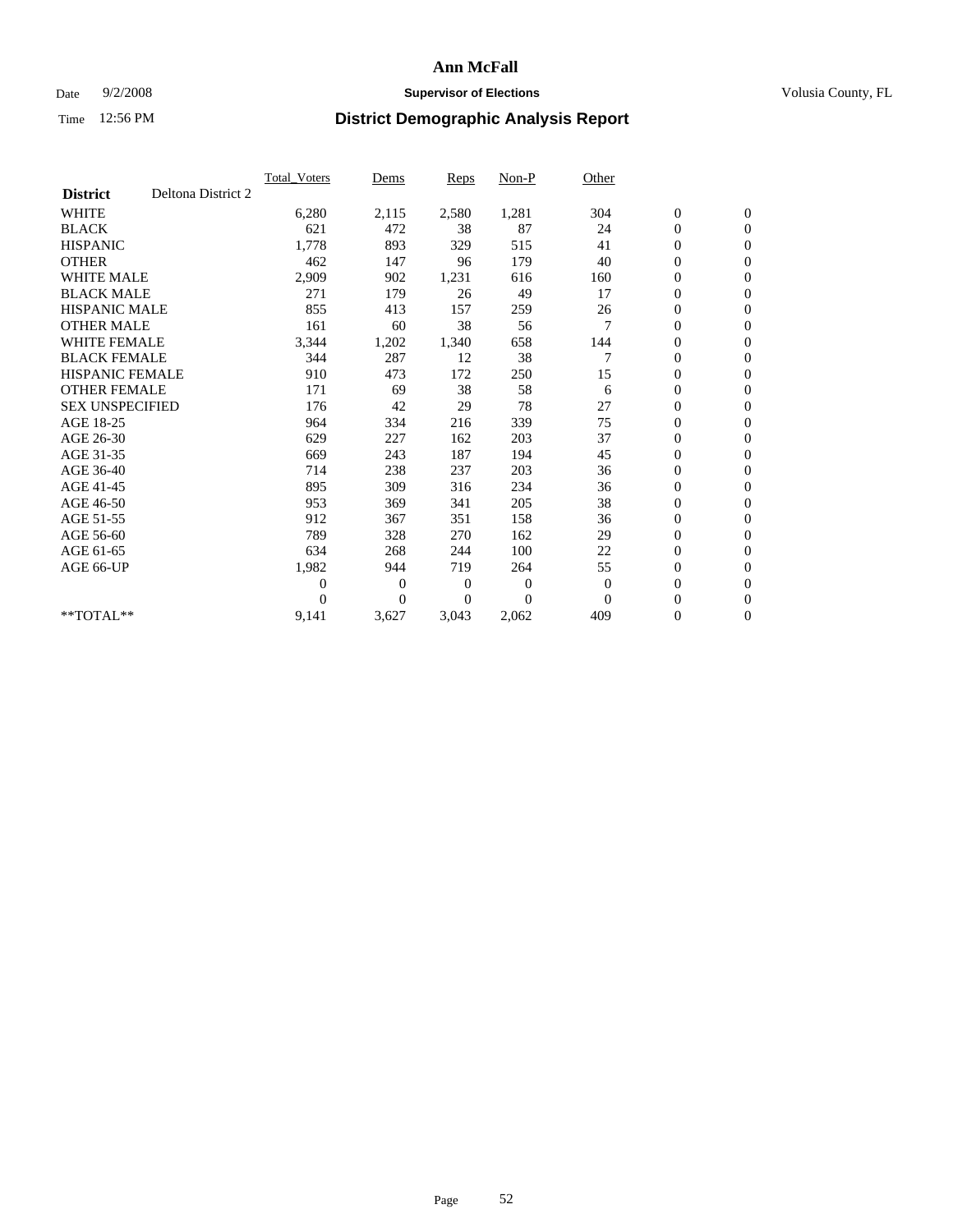### Date  $9/2/2008$  **Supervisor of Elections** Volusia County, FL

|                        |                    | <b>Total Voters</b> | Dems           | <b>Reps</b>    | Non-P        | Other        |                  |                  |  |
|------------------------|--------------------|---------------------|----------------|----------------|--------------|--------------|------------------|------------------|--|
| <b>District</b>        | Deltona District 2 |                     |                |                |              |              |                  |                  |  |
| <b>WHITE</b>           |                    | 6,280               | 2,115          | 2,580          | 1,281        | 304          | $\boldsymbol{0}$ | $\boldsymbol{0}$ |  |
| <b>BLACK</b>           |                    | 621                 | 472            | 38             | 87           | 24           | $\boldsymbol{0}$ | $\mathbf{0}$     |  |
| <b>HISPANIC</b>        |                    | 1,778               | 893            | 329            | 515          | 41           | $\boldsymbol{0}$ | $\mathbf{0}$     |  |
| <b>OTHER</b>           |                    | 462                 | 147            | 96             | 179          | 40           | $\boldsymbol{0}$ | $\mathbf{0}$     |  |
| <b>WHITE MALE</b>      |                    | 2,909               | 902            | 1,231          | 616          | 160          | $\boldsymbol{0}$ | $\mathbf{0}$     |  |
| <b>BLACK MALE</b>      |                    | 271                 | 179            | 26             | 49           | 17           | $\overline{0}$   | $\mathbf{0}$     |  |
| <b>HISPANIC MALE</b>   |                    | 855                 | 413            | 157            | 259          | 26           | $\boldsymbol{0}$ | $\mathbf{0}$     |  |
| <b>OTHER MALE</b>      |                    | 161                 | 60             | 38             | 56           | 7            | $\overline{0}$   | $\mathbf{0}$     |  |
| <b>WHITE FEMALE</b>    |                    | 3,344               | 1,202          | 1,340          | 658          | 144          | $\boldsymbol{0}$ | $\mathbf{0}$     |  |
| <b>BLACK FEMALE</b>    |                    | 344                 | 287            | 12             | 38           | 7            | $\boldsymbol{0}$ | $\mathbf{0}$     |  |
| <b>HISPANIC FEMALE</b> |                    | 910                 | 473            | 172            | 250          | 15           | $\boldsymbol{0}$ | $\mathbf{0}$     |  |
| <b>OTHER FEMALE</b>    |                    | 171                 | 69             | 38             | 58           | 6            | $\mathbf{0}$     | $\mathbf{0}$     |  |
| <b>SEX UNSPECIFIED</b> |                    | 176                 | 42             | 29             | 78           | 27           | $\boldsymbol{0}$ | $\mathbf{0}$     |  |
| AGE 18-25              |                    | 964                 | 334            | 216            | 339          | 75           | $\boldsymbol{0}$ | $\mathbf{0}$     |  |
| AGE 26-30              |                    | 629                 | 227            | 162            | 203          | 37           | $\mathbf{0}$     | $\mathbf{0}$     |  |
| AGE 31-35              |                    | 669                 | 243            | 187            | 194          | 45           | $\boldsymbol{0}$ | $\mathbf{0}$     |  |
| AGE 36-40              |                    | 714                 | 238            | 237            | 203          | 36           | $\boldsymbol{0}$ | $\mathbf{0}$     |  |
| AGE 41-45              |                    | 895                 | 309            | 316            | 234          | 36           | $\boldsymbol{0}$ | $\mathbf{0}$     |  |
| AGE 46-50              |                    | 953                 | 369            | 341            | 205          | 38           | $\boldsymbol{0}$ | $\Omega$         |  |
| AGE 51-55              |                    | 912                 | 367            | 351            | 158          | 36           | $\boldsymbol{0}$ | $\mathbf{0}$     |  |
| AGE 56-60              |                    | 789                 | 328            | 270            | 162          | 29           | $\overline{0}$   | $\mathbf{0}$     |  |
| AGE 61-65              |                    | 634                 | 268            | 244            | 100          | 22           | $\overline{0}$   | $\mathbf{0}$     |  |
| AGE 66-UP              |                    | 1,982               | 944            | 719            | 264          | 55           | $\boldsymbol{0}$ | $\mathbf{0}$     |  |
|                        |                    | $\overline{0}$      | $\overline{0}$ | $\mathbf{0}$   | $\mathbf{0}$ | $\mathbf{0}$ | $\mathbf{0}$     | $\mathbf{0}$     |  |
|                        |                    | $\theta$            | $\overline{0}$ | $\overline{0}$ | $\theta$     | $\mathbf{0}$ | $\boldsymbol{0}$ | $\mathbf{0}$     |  |
| **TOTAL**              |                    | 9,141               | 3,627          | 3,043          | 2,062        | 409          | 0                | $\boldsymbol{0}$ |  |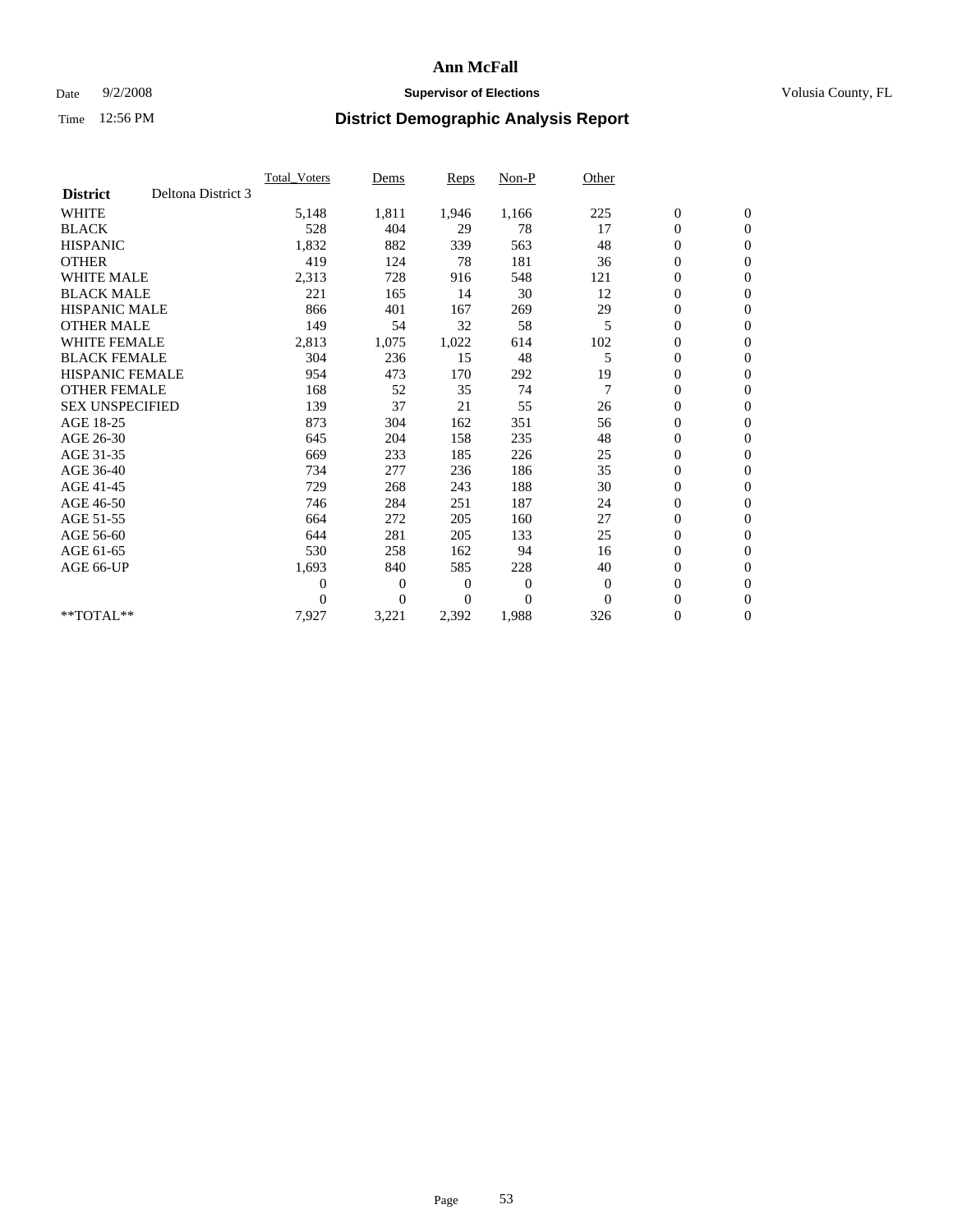### Date  $9/2/2008$  **Supervisor of Elections** Volusia County, FL

|                        |                    | <b>Total Voters</b> | Dems           | <b>Reps</b>    | Non-P          | Other    |                  |                  |  |
|------------------------|--------------------|---------------------|----------------|----------------|----------------|----------|------------------|------------------|--|
| <b>District</b>        | Deltona District 3 |                     |                |                |                |          |                  |                  |  |
| <b>WHITE</b>           |                    | 5,148               | 1,811          | 1,946          | 1,166          | 225      | $\boldsymbol{0}$ | $\boldsymbol{0}$ |  |
| <b>BLACK</b>           |                    | 528                 | 404            | 29             | 78             | 17       | $\boldsymbol{0}$ | $\mathbf{0}$     |  |
| <b>HISPANIC</b>        |                    | 1,832               | 882            | 339            | 563            | 48       | $\boldsymbol{0}$ | $\mathbf{0}$     |  |
| <b>OTHER</b>           |                    | 419                 | 124            | 78             | 181            | 36       | 0                | $\mathbf{0}$     |  |
| <b>WHITE MALE</b>      |                    | 2,313               | 728            | 916            | 548            | 121      | 0                | $\mathbf{0}$     |  |
| <b>BLACK MALE</b>      |                    | 221                 | 165            | 14             | 30             | 12       | $\overline{0}$   | $\mathbf{0}$     |  |
| <b>HISPANIC MALE</b>   |                    | 866                 | 401            | 167            | 269            | 29       | 0                | $\mathbf{0}$     |  |
| <b>OTHER MALE</b>      |                    | 149                 | 54             | 32             | 58             | 5        | 0                | $\mathbf{0}$     |  |
| <b>WHITE FEMALE</b>    |                    | 2,813               | 1,075          | 1,022          | 614            | 102      | $\boldsymbol{0}$ | $\mathbf{0}$     |  |
| <b>BLACK FEMALE</b>    |                    | 304                 | 236            | 15             | 48             | 5        | 0                | $\mathbf{0}$     |  |
| HISPANIC FEMALE        |                    | 954                 | 473            | 170            | 292            | 19       | 0                | $\mathbf{0}$     |  |
| <b>OTHER FEMALE</b>    |                    | 168                 | 52             | 35             | 74             | 7        | $\overline{0}$   | $\mathbf{0}$     |  |
| <b>SEX UNSPECIFIED</b> |                    | 139                 | 37             | 21             | 55             | 26       | 0                | $\Omega$         |  |
| AGE 18-25              |                    | 873                 | 304            | 162            | 351            | 56       | 0                | $\mathbf{0}$     |  |
| AGE 26-30              |                    | 645                 | 204            | 158            | 235            | 48       | $\boldsymbol{0}$ | $\Omega$         |  |
| AGE 31-35              |                    | 669                 | 233            | 185            | 226            | 25       | 0                | $\mathbf{0}$     |  |
| AGE 36-40              |                    | 734                 | 277            | 236            | 186            | 35       | 0                | $\mathbf{0}$     |  |
| AGE 41-45              |                    | 729                 | 268            | 243            | 188            | 30       | 0                | $\mathbf{0}$     |  |
| AGE 46-50              |                    | 746                 | 284            | 251            | 187            | 24       | 0                | $\mathbf{0}$     |  |
| AGE 51-55              |                    | 664                 | 272            | 205            | 160            | 27       | $\boldsymbol{0}$ | $\mathbf{0}$     |  |
| AGE 56-60              |                    | 644                 | 281            | 205            | 133            | 25       | $\overline{0}$   | $\mathbf{0}$     |  |
| AGE 61-65              |                    | 530                 | 258            | 162            | 94             | 16       | 0                | $\mathbf{0}$     |  |
| AGE 66-UP              |                    | 1,693               | 840            | 585            | 228            | 40       | 0                | $\mathbf{0}$     |  |
|                        |                    | 0                   | $\mathbf{0}$   | $\overline{0}$ | $\overline{0}$ | $\theta$ | $\overline{0}$   | $\mathbf{0}$     |  |
|                        |                    | 0                   | $\overline{0}$ | 0              | $\Omega$       | $\theta$ | 0                | $\mathbf{0}$     |  |
| **TOTAL**              |                    | 7,927               | 3,221          | 2,392          | 1,988          | 326      | 0                | $\boldsymbol{0}$ |  |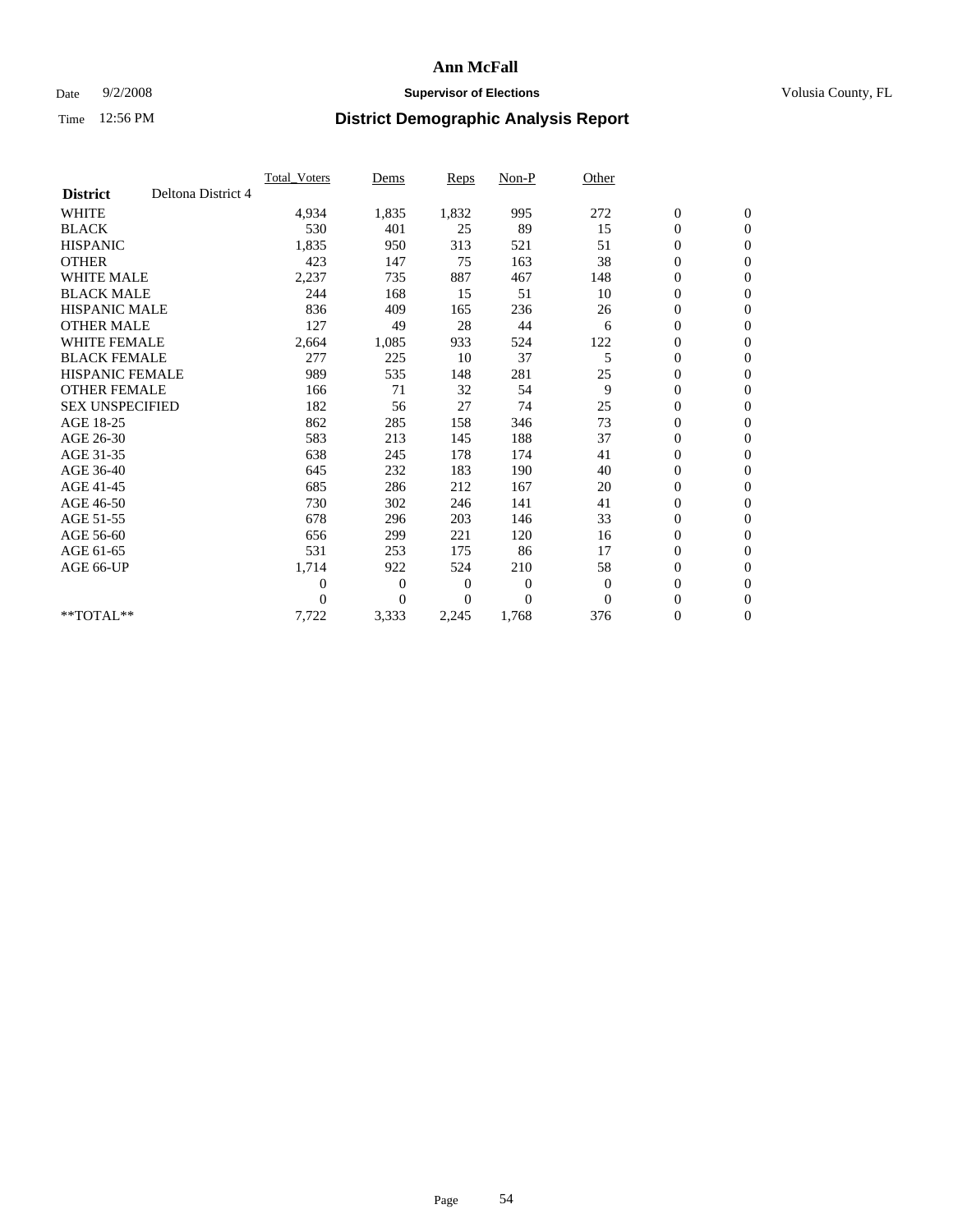## Date 9/2/2008 **Supervisor of Elections Supervisor of Elections** Volusia County, FL

|                        |                    | <b>Total Voters</b> | Dems         | <b>Reps</b> | Non-P          | Other          |                  |                  |  |
|------------------------|--------------------|---------------------|--------------|-------------|----------------|----------------|------------------|------------------|--|
| <b>District</b>        | Deltona District 4 |                     |              |             |                |                |                  |                  |  |
| <b>WHITE</b>           |                    | 4,934               | 1,835        | 1,832       | 995            | 272            | $\boldsymbol{0}$ | $\boldsymbol{0}$ |  |
| <b>BLACK</b>           |                    | 530                 | 401          | 25          | 89             | 15             | $\boldsymbol{0}$ | $\mathbf{0}$     |  |
| <b>HISPANIC</b>        |                    | 1,835               | 950          | 313         | 521            | 51             | $\mathbf{0}$     | $\mathbf{0}$     |  |
| <b>OTHER</b>           |                    | 423                 | 147          | 75          | 163            | 38             | 0                | $\mathbf{0}$     |  |
| <b>WHITE MALE</b>      |                    | 2,237               | 735          | 887         | 467            | 148            | 0                | $\mathbf{0}$     |  |
| <b>BLACK MALE</b>      |                    | 244                 | 168          | 15          | 51             | 10             | $\boldsymbol{0}$ | $\mathbf{0}$     |  |
| <b>HISPANIC MALE</b>   |                    | 836                 | 409          | 165         | 236            | 26             | 0                | $\mathbf{0}$     |  |
| <b>OTHER MALE</b>      |                    | 127                 | 49           | 28          | 44             | 6              | 0                | $\mathbf{0}$     |  |
| <b>WHITE FEMALE</b>    |                    | 2,664               | 1,085        | 933         | 524            | 122            | 0                | $\mathbf{0}$     |  |
| <b>BLACK FEMALE</b>    |                    | 277                 | 225          | 10          | 37             | 5              | $\boldsymbol{0}$ | $\mathbf{0}$     |  |
| <b>HISPANIC FEMALE</b> |                    | 989                 | 535          | 148         | 281            | 25             | 0                | $\mathbf{0}$     |  |
| <b>OTHER FEMALE</b>    |                    | 166                 | 71           | 32          | 54             | 9              | $\overline{0}$   | $\mathbf{0}$     |  |
| <b>SEX UNSPECIFIED</b> |                    | 182                 | 56           | 27          | 74             | 25             | 0                | $\mathbf{0}$     |  |
| AGE 18-25              |                    | 862                 | 285          | 158         | 346            | 73             | 0                | $\mathbf{0}$     |  |
| AGE 26-30              |                    | 583                 | 213          | 145         | 188            | 37             | $\overline{0}$   | $\mathbf{0}$     |  |
| AGE 31-35              |                    | 638                 | 245          | 178         | 174            | 41             | 0                | $\mathbf{0}$     |  |
| AGE 36-40              |                    | 645                 | 232          | 183         | 190            | 40             | 0                | $\mathbf{0}$     |  |
| AGE 41-45              |                    | 685                 | 286          | 212         | 167            | 20             | 0                | $\mathbf{0}$     |  |
| AGE 46-50              |                    | 730                 | 302          | 246         | 141            | 41             | 0                | $\mathbf{0}$     |  |
| AGE 51-55              |                    | 678                 | 296          | 203         | 146            | 33             | 0                | $\mathbf{0}$     |  |
| AGE 56-60              |                    | 656                 | 299          | 221         | 120            | 16             | $\boldsymbol{0}$ | $\Omega$         |  |
| AGE 61-65              |                    | 531                 | 253          | 175         | 86             | 17             | 0                | $\mathbf{0}$     |  |
| AGE 66-UP              |                    | 1,714               | 922          | 524         | 210            | 58             | 0                | $\mathbf{0}$     |  |
|                        |                    | 0                   | $\mathbf{0}$ | 0           | $\overline{0}$ | $\theta$       | 0                | $\mathbf{0}$     |  |
|                        |                    | 0                   | $\Omega$     | 0           | $\Omega$       | $\overline{0}$ | $\overline{0}$   | $\mathbf{0}$     |  |
| $*$ TOTAL $**$         |                    | 7,722               | 3,333        | 2,245       | 1,768          | 376            | 0                | $\overline{0}$   |  |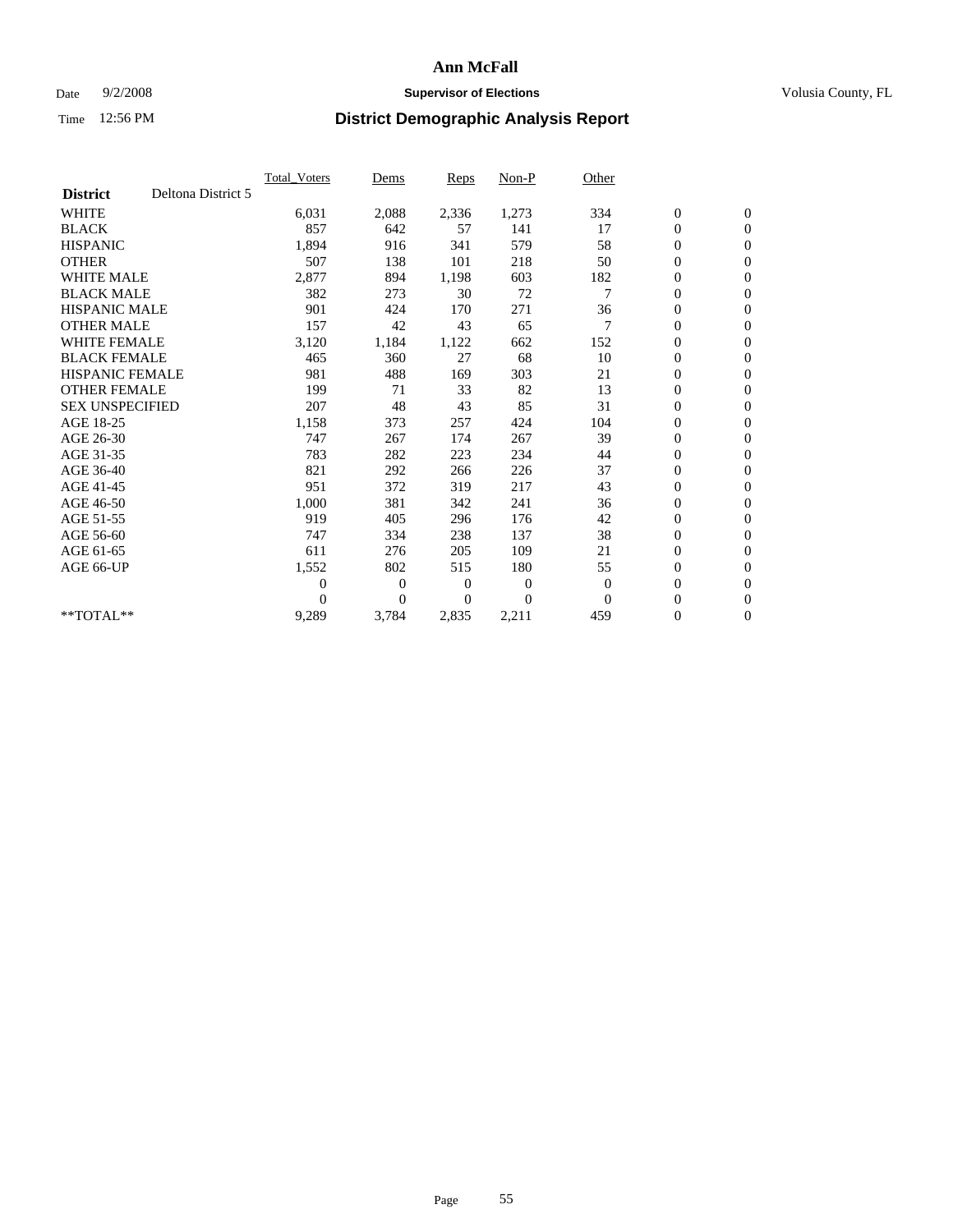## Date 9/2/2008 **Supervisor of Elections Supervisor of Elections** Volusia County, FL

|                        |                    | <b>Total Voters</b> | Dems           | <b>Reps</b> | Non-P          | Other    |                  |                  |  |
|------------------------|--------------------|---------------------|----------------|-------------|----------------|----------|------------------|------------------|--|
| <b>District</b>        | Deltona District 5 |                     |                |             |                |          |                  |                  |  |
| <b>WHITE</b>           |                    | 6,031               | 2,088          | 2,336       | 1,273          | 334      | $\boldsymbol{0}$ | $\boldsymbol{0}$ |  |
| <b>BLACK</b>           |                    | 857                 | 642            | 57          | 141            | 17       | 0                | $\mathbf{0}$     |  |
| <b>HISPANIC</b>        |                    | 1,894               | 916            | 341         | 579            | 58       | $\mathbf{0}$     | $\mathbf{0}$     |  |
| <b>OTHER</b>           |                    | 507                 | 138            | 101         | 218            | 50       | 0                | $\mathbf{0}$     |  |
| <b>WHITE MALE</b>      |                    | 2,877               | 894            | 1,198       | 603            | 182      | 0                | $\mathbf{0}$     |  |
| <b>BLACK MALE</b>      |                    | 382                 | 273            | 30          | 72             | 7        | $\boldsymbol{0}$ | $\mathbf{0}$     |  |
| <b>HISPANIC MALE</b>   |                    | 901                 | 424            | 170         | 271            | 36       | 0                | $\mathbf{0}$     |  |
| <b>OTHER MALE</b>      |                    | 157                 | 42             | 43          | 65             | 7        | 0                | $\mathbf{0}$     |  |
| <b>WHITE FEMALE</b>    |                    | 3,120               | 1,184          | 1,122       | 662            | 152      | 0                | $\mathbf{0}$     |  |
| <b>BLACK FEMALE</b>    |                    | 465                 | 360            | 27          | 68             | 10       | 0                | $\mathbf{0}$     |  |
| <b>HISPANIC FEMALE</b> |                    | 981                 | 488            | 169         | 303            | 21       | 0                | $\mathbf{0}$     |  |
| <b>OTHER FEMALE</b>    |                    | 199                 | 71             | 33          | 82             | 13       | 0                | $\mathbf{0}$     |  |
| <b>SEX UNSPECIFIED</b> |                    | 207                 | 48             | 43          | 85             | 31       | 0                | $\mathbf{0}$     |  |
| AGE 18-25              |                    | 1,158               | 373            | 257         | 424            | 104      | 0                | $\mathbf{0}$     |  |
| AGE 26-30              |                    | 747                 | 267            | 174         | 267            | 39       | 0                | $\mathbf{0}$     |  |
| AGE 31-35              |                    | 783                 | 282            | 223         | 234            | 44       | 0                | $\mathbf{0}$     |  |
| AGE 36-40              |                    | 821                 | 292            | 266         | 226            | 37       | 0                | $\mathbf{0}$     |  |
| AGE 41-45              |                    | 951                 | 372            | 319         | 217            | 43       | $\overline{0}$   | $\mathbf{0}$     |  |
| AGE 46-50              |                    | 1,000               | 381            | 342         | 241            | 36       | 0                | $\mathbf{0}$     |  |
| AGE 51-55              |                    | 919                 | 405            | 296         | 176            | 42       | 0                | $\mathbf{0}$     |  |
| AGE 56-60              |                    | 747                 | 334            | 238         | 137            | 38       | 0                | $\Omega$         |  |
| AGE 61-65              |                    | 611                 | 276            | 205         | 109            | 21       | 0                | $\mathbf{0}$     |  |
| AGE 66-UP              |                    | 1,552               | 802            | 515         | 180            | 55       | 0                | $\mathbf{0}$     |  |
|                        |                    | 0                   | $\mathbf{0}$   | 0           | $\overline{0}$ | $\theta$ | 0                | $\mathbf{0}$     |  |
|                        |                    | 0                   | $\overline{0}$ | 0           | $\Omega$       | $\Omega$ | 0                | $\mathbf{0}$     |  |
| $*$ TOTAL $**$         |                    | 9,289               | 3,784          | 2,835       | 2,211          | 459      | 0                | $\overline{0}$   |  |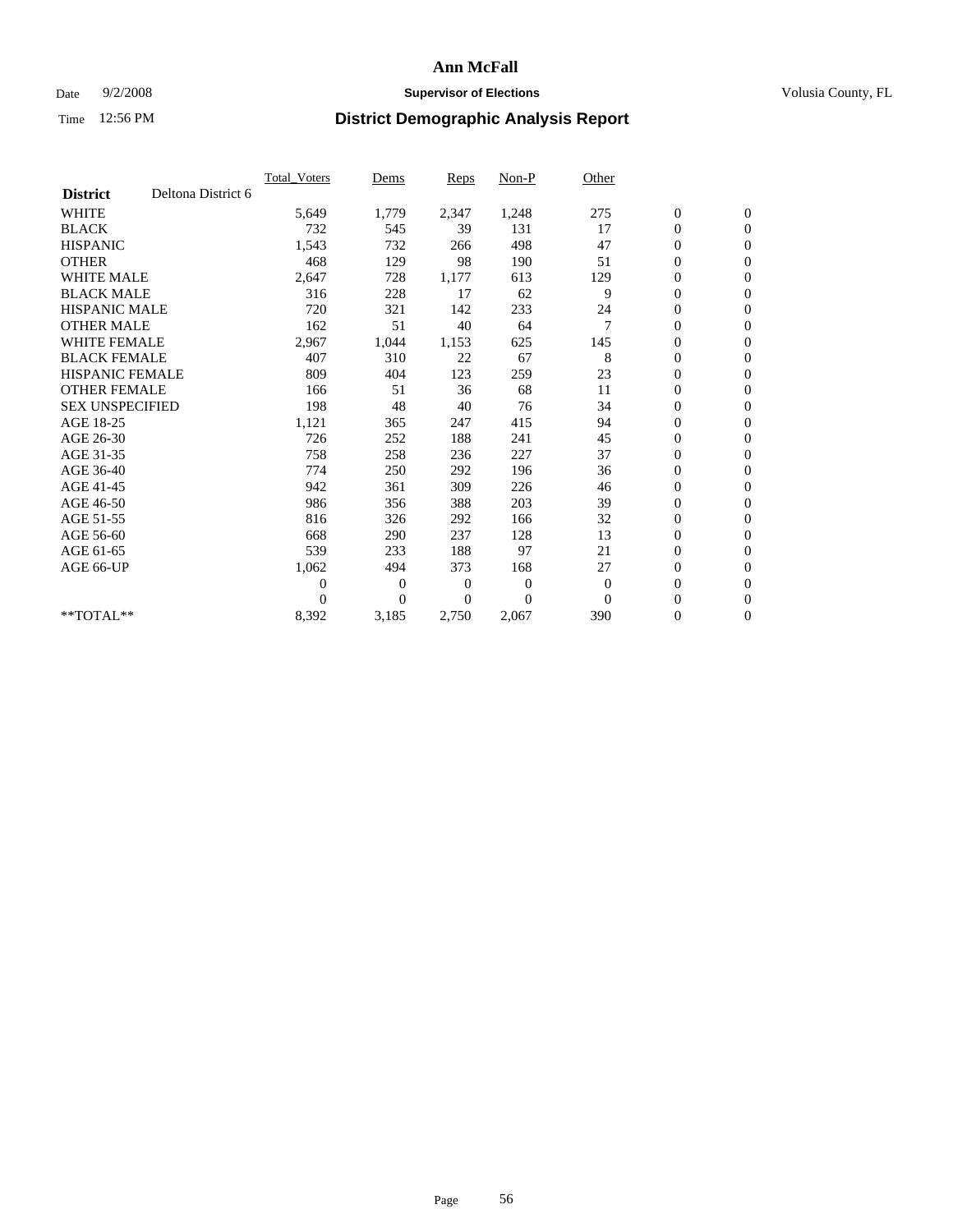### Date  $9/2/2008$  **Supervisor of Elections** Volusia County, FL

|                        |                    | <b>Total Voters</b> | Dems         | <b>Reps</b>    | Non-P          | Other    |                  |                  |  |
|------------------------|--------------------|---------------------|--------------|----------------|----------------|----------|------------------|------------------|--|
| <b>District</b>        | Deltona District 6 |                     |              |                |                |          |                  |                  |  |
| <b>WHITE</b>           |                    | 5,649               | 1,779        | 2,347          | 1,248          | 275      | $\boldsymbol{0}$ | $\boldsymbol{0}$ |  |
| <b>BLACK</b>           |                    | 732                 | 545          | 39             | 131            | 17       | $\boldsymbol{0}$ | $\mathbf{0}$     |  |
| <b>HISPANIC</b>        |                    | 1,543               | 732          | 266            | 498            | 47       | $\overline{0}$   | $\mathbf{0}$     |  |
| <b>OTHER</b>           |                    | 468                 | 129          | 98             | 190            | 51       | 0                | $\mathbf{0}$     |  |
| <b>WHITE MALE</b>      |                    | 2,647               | 728          | 1,177          | 613            | 129      | 0                | $\mathbf{0}$     |  |
| <b>BLACK MALE</b>      |                    | 316                 | 228          | 17             | 62             | 9        | $\overline{0}$   | $\mathbf{0}$     |  |
| <b>HISPANIC MALE</b>   |                    | 720                 | 321          | 142            | 233            | 24       | 0                | $\mathbf{0}$     |  |
| <b>OTHER MALE</b>      |                    | 162                 | 51           | 40             | 64             | 7        | 0                | $\mathbf{0}$     |  |
| <b>WHITE FEMALE</b>    |                    | 2,967               | 1,044        | 1,153          | 625            | 145      | 0                | $\mathbf{0}$     |  |
| <b>BLACK FEMALE</b>    |                    | 407                 | 310          | 22             | 67             | 8        | 0                | $\mathbf{0}$     |  |
| <b>HISPANIC FEMALE</b> |                    | 809                 | 404          | 123            | 259            | 23       | 0                | $\mathbf{0}$     |  |
| <b>OTHER FEMALE</b>    |                    | 166                 | 51           | 36             | 68             | 11       | 0                | $\mathbf{0}$     |  |
| <b>SEX UNSPECIFIED</b> |                    | 198                 | 48           | 40             | 76             | 34       | 0                | $\mathbf{0}$     |  |
| AGE 18-25              |                    | 1,121               | 365          | 247            | 415            | 94       | 0                | $\mathbf{0}$     |  |
| AGE 26-30              |                    | 726                 | 252          | 188            | 241            | 45       | 0                | $\mathbf{0}$     |  |
| AGE 31-35              |                    | 758                 | 258          | 236            | 227            | 37       | 0                | $\mathbf{0}$     |  |
| AGE 36-40              |                    | 774                 | 250          | 292            | 196            | 36       | 0                | $\mathbf{0}$     |  |
| AGE 41-45              |                    | 942                 | 361          | 309            | 226            | 46       | 0                | $\mathbf{0}$     |  |
| AGE 46-50              |                    | 986                 | 356          | 388            | 203            | 39       | 0                | $\mathbf{0}$     |  |
| AGE 51-55              |                    | 816                 | 326          | 292            | 166            | 32       | 0                | $\mathbf{0}$     |  |
| AGE 56-60              |                    | 668                 | 290          | 237            | 128            | 13       | $\boldsymbol{0}$ | $\Omega$         |  |
| AGE 61-65              |                    | 539                 | 233          | 188            | 97             | 21       | 0                | $\mathbf{0}$     |  |
| AGE 66-UP              |                    | 1,062               | 494          | 373            | 168            | 27       | 0                | $\mathbf{0}$     |  |
|                        |                    | 0                   | $\mathbf{0}$ | $\overline{0}$ | $\overline{0}$ | $\theta$ | 0                | $\mathbf{0}$     |  |
|                        |                    | 0                   | $\Omega$     | $\theta$       | $\Omega$       | $\Omega$ | 0                | $\mathbf{0}$     |  |
| $*$ TOTAL $**$         |                    | 8,392               | 3,185        | 2,750          | 2,067          | 390      | 0                | $\overline{0}$   |  |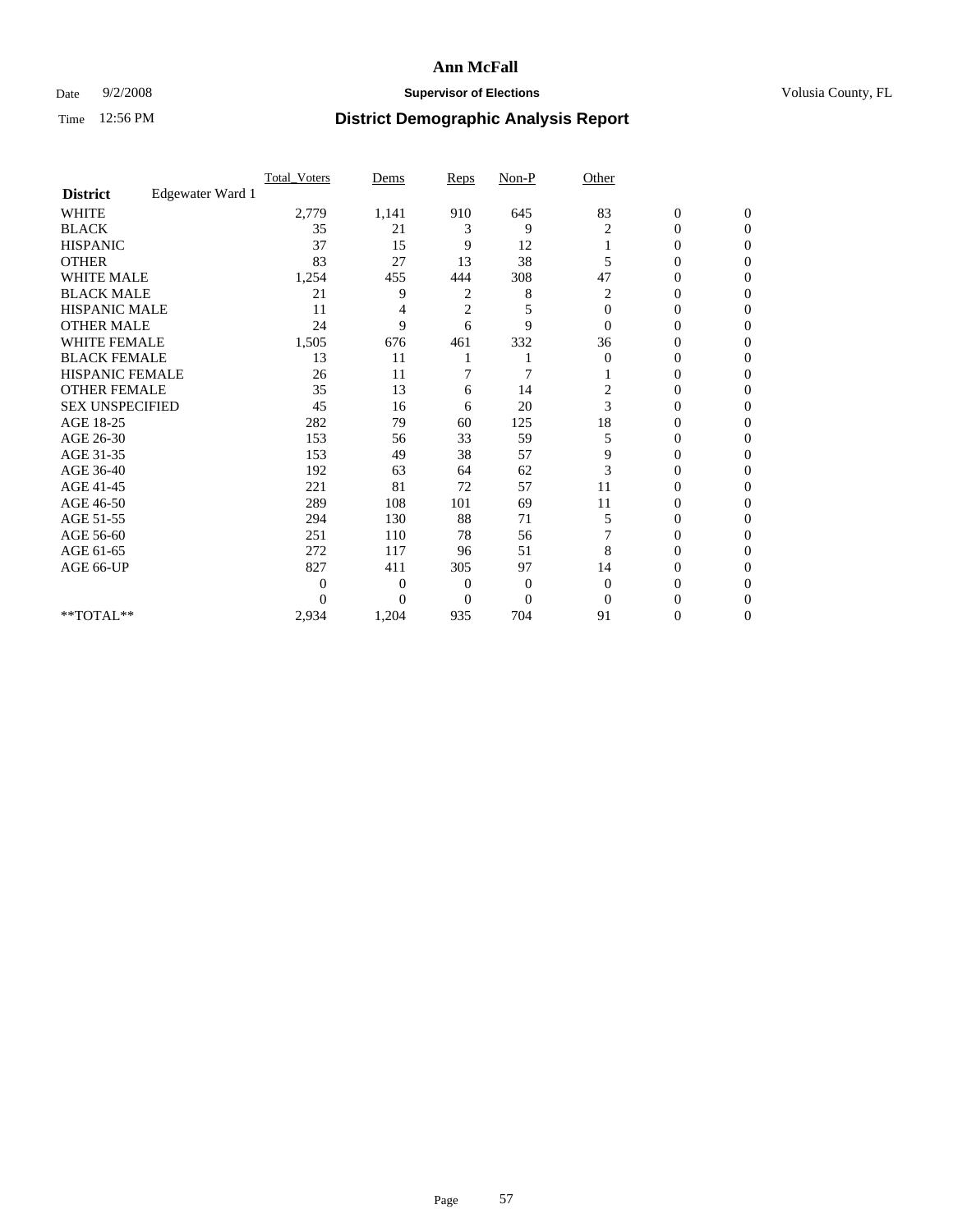## Date 9/2/2008 **Supervisor of Elections Supervisor of Elections** Volusia County, FL

|                        |                  | Total Voters | Dems           | <b>Reps</b>    | $Non-P$        | Other        |                  |              |  |
|------------------------|------------------|--------------|----------------|----------------|----------------|--------------|------------------|--------------|--|
| <b>District</b>        | Edgewater Ward 1 |              |                |                |                |              |                  |              |  |
| <b>WHITE</b>           |                  | 2,779        | 1,141          | 910            | 645            | 83           | $\boldsymbol{0}$ | $\mathbf{0}$ |  |
| <b>BLACK</b>           |                  | 35           | 21             | 3              | 9              | 2            | $\overline{0}$   | $\Omega$     |  |
| <b>HISPANIC</b>        |                  | 37           | 15             | 9              | 12             |              | 0                | $\Omega$     |  |
| <b>OTHER</b>           |                  | 83           | 27             | 13             | 38             | 5            | 0                | $\Omega$     |  |
| <b>WHITE MALE</b>      |                  | 1,254        | 455            | 444            | 308            | 47           | 0                | 0            |  |
| <b>BLACK MALE</b>      |                  | 21           | 9              | 2              | 8              | 2            | $\mathbf{0}$     | $\Omega$     |  |
| HISPANIC MALE          |                  | 11           |                | $\overline{c}$ | 5              | $\mathbf{0}$ | 0                | $\Omega$     |  |
| <b>OTHER MALE</b>      |                  | 24           | 9              | 6              | 9              | $\Omega$     | 0                | 0            |  |
| <b>WHITE FEMALE</b>    |                  | 1,505        | 676            | 461            | 332            | 36           | 0                | $\Omega$     |  |
| <b>BLACK FEMALE</b>    |                  | 13           | 11             |                |                | $\mathbf{0}$ | $\overline{0}$   | $\Omega$     |  |
| <b>HISPANIC FEMALE</b> |                  | 26           | 11             | 7              | 7              |              | 0                | 0            |  |
| <b>OTHER FEMALE</b>    |                  | 35           | 13             | 6              | 14             | 2            | 0                | 0            |  |
| <b>SEX UNSPECIFIED</b> |                  | 45           | 16             | 6              | 20             | 3            | 0                | $\Omega$     |  |
| AGE 18-25              |                  | 282          | 79             | 60             | 125            | 18           | 0                | $\Omega$     |  |
| AGE 26-30              |                  | 153          | 56             | 33             | 59             | 5            | 0                | $\Omega$     |  |
| AGE 31-35              |                  | 153          | 49             | 38             | 57             | 9            | 0                | $\Omega$     |  |
| AGE 36-40              |                  | 192          | 63             | 64             | 62             | 3            | 0                | 0            |  |
| AGE 41-45              |                  | 221          | 81             | 72             | 57             | 11           | 0                | $\Omega$     |  |
| AGE 46-50              |                  | 289          | 108            | 101            | 69             | 11           | 0                | $\Omega$     |  |
| AGE 51-55              |                  | 294          | 130            | 88             | 71             | 5            | 0                | 0            |  |
| AGE 56-60              |                  | 251          | 110            | 78             | 56             |              | 0                | $\Omega$     |  |
| AGE 61-65              |                  | 272          | 117            | 96             | 51             | 8            | $\overline{0}$   | $\Omega$     |  |
| AGE 66-UP              |                  | 827          | 411            | 305            | 97             | 14           | 0                | 0            |  |
|                        |                  | 0            | $\overline{0}$ | $\mathbf{0}$   | $\mathbf{0}$   | $\Omega$     | 0                | $\Omega$     |  |
|                        |                  | 0            | $\overline{0}$ | $\overline{0}$ | $\overline{0}$ | $\Omega$     | 0                | 0            |  |
| **TOTAL**              |                  | 2,934        | 1,204          | 935            | 704            | 91           | 0                | 0            |  |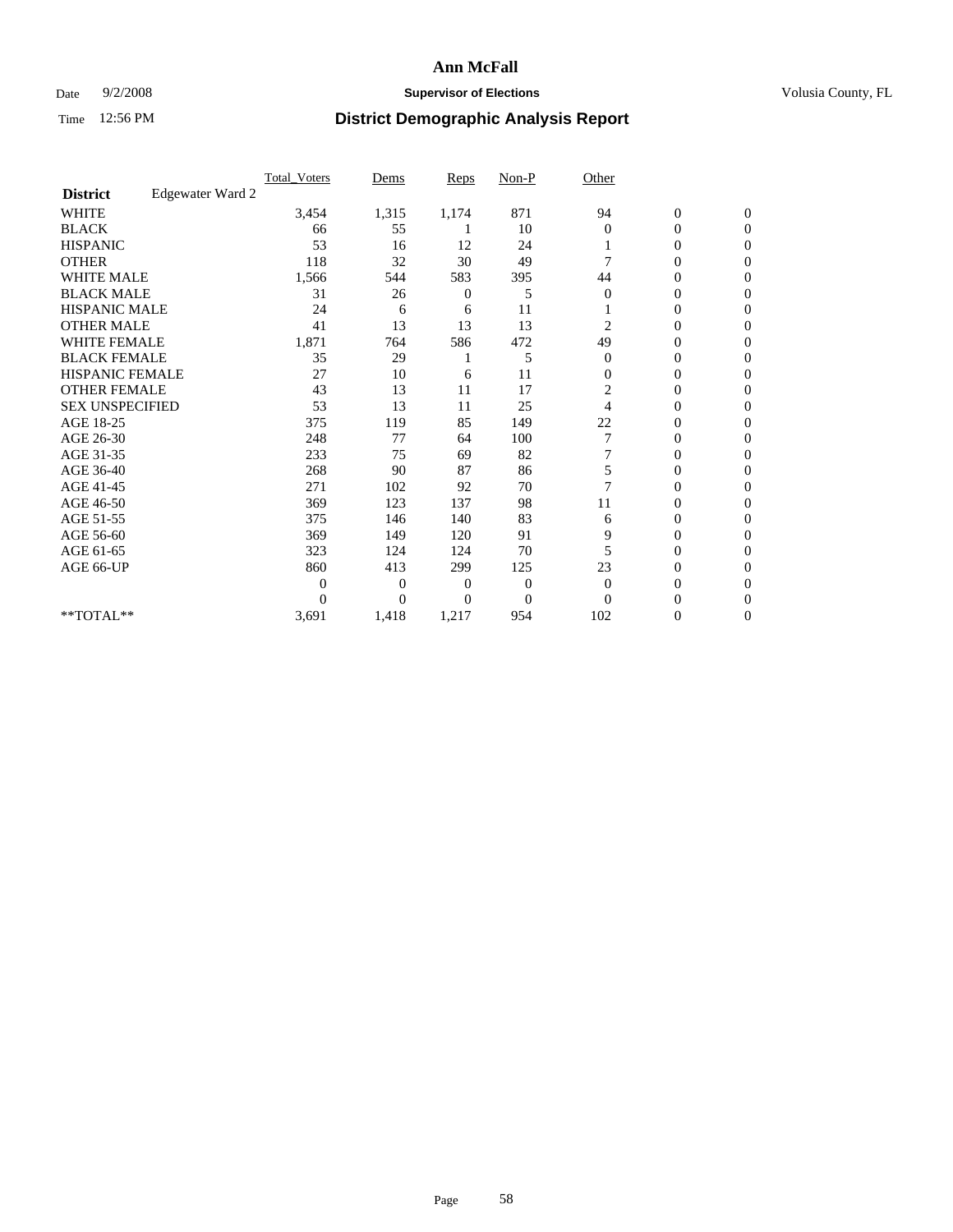## Date 9/2/2008 **Supervisor of Elections Supervisor of Elections** Volusia County, FL

|                        |                  | <b>Total Voters</b> | Dems           | <b>Reps</b> | $Non-P$      | Other          |                  |                  |  |
|------------------------|------------------|---------------------|----------------|-------------|--------------|----------------|------------------|------------------|--|
| <b>District</b>        | Edgewater Ward 2 |                     |                |             |              |                |                  |                  |  |
| <b>WHITE</b>           |                  | 3,454               | 1,315          | 1,174       | 871          | 94             | $\boldsymbol{0}$ | $\boldsymbol{0}$ |  |
| <b>BLACK</b>           |                  | 66                  | 55             |             | 10           | $\Omega$       | $\overline{0}$   | $\Omega$         |  |
| <b>HISPANIC</b>        |                  | 53                  | 16             | 12          | 24           |                | 0                | $\Omega$         |  |
| <b>OTHER</b>           |                  | 118                 | 32             | 30          | 49           |                | 0                | $\Omega$         |  |
| <b>WHITE MALE</b>      |                  | 1,566               | 544            | 583         | 395          | 44             | $\mathbf{0}$     | $\mathbf{0}$     |  |
| <b>BLACK MALE</b>      |                  | 31                  | 26             | 0           | 5            | $\overline{0}$ | $\overline{0}$   | $\Omega$         |  |
| <b>HISPANIC MALE</b>   |                  | 24                  | 6              | 6           | 11           |                | 0                | $\Omega$         |  |
| <b>OTHER MALE</b>      |                  | 41                  | 13             | 13          | 13           | 2              | 0                | 0                |  |
| <b>WHITE FEMALE</b>    |                  | 1,871               | 764            | 586         | 472          | 49             | 0                | $\Omega$         |  |
| <b>BLACK FEMALE</b>    |                  | 35                  | 29             |             | 5            | $\mathbf{0}$   | $\boldsymbol{0}$ | $\Omega$         |  |
| <b>HISPANIC FEMALE</b> |                  | 27                  | 10             | 6           | 11           | $\Omega$       | 0                | $\mathbf{0}$     |  |
| <b>OTHER FEMALE</b>    |                  | 43                  | 13             | 11          | 17           | $\overline{c}$ | 0                | $\Omega$         |  |
| <b>SEX UNSPECIFIED</b> |                  | 53                  | 13             | 11          | 25           | 4              | $\overline{0}$   | $\mathbf{0}$     |  |
| AGE 18-25              |                  | 375                 | 119            | 85          | 149          | 22             | 0                | $\Omega$         |  |
| AGE 26-30              |                  | 248                 | 77             | 64          | 100          |                | 0                | $\Omega$         |  |
| AGE 31-35              |                  | 233                 | 75             | 69          | 82           | 7              | $\boldsymbol{0}$ | $\Omega$         |  |
| AGE 36-40              |                  | 268                 | 90             | 87          | 86           | 5              | 0                | 0                |  |
| AGE 41-45              |                  | 271                 | 102            | 92          | 70           |                | 0                | $\Omega$         |  |
| AGE 46-50              |                  | 369                 | 123            | 137         | 98           | 11             | 0                | $\Omega$         |  |
| AGE 51-55              |                  | 375                 | 146            | 140         | 83           | 6              | 0                | $\mathbf{0}$     |  |
| AGE 56-60              |                  | 369                 | 149            | 120         | 91           | 9              | 0                | 0                |  |
| AGE 61-65              |                  | 323                 | 124            | 124         | 70           | 5              | $\overline{0}$   | $\Omega$         |  |
| AGE 66-UP              |                  | 860                 | 413            | 299         | 125          | 23             | 0                | 0                |  |
|                        |                  | 0                   | $\overline{0}$ | 0           | $\mathbf{0}$ | $\mathbf{0}$   | 0                | $\Omega$         |  |
|                        |                  | $\theta$            | $\overline{0}$ | $\Omega$    | $\Omega$     | $\Omega$       | 0                | $\Omega$         |  |
| **TOTAL**              |                  | 3,691               | 1,418          | 1,217       | 954          | 102            | 0                | $\mathbf{0}$     |  |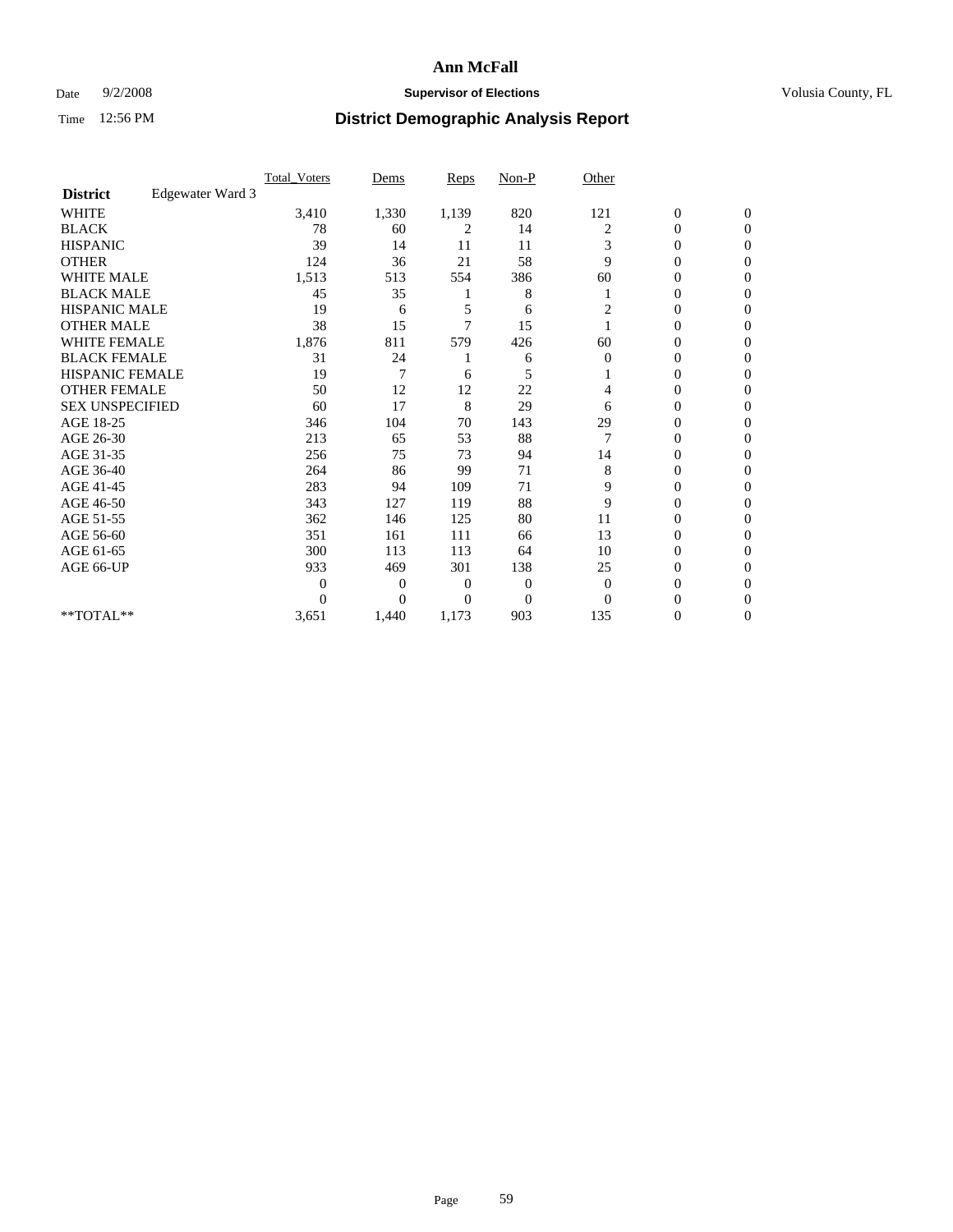## Date 9/2/2008 **Supervisor of Elections Supervisor of Elections** Volusia County, FL

|                        |                  | <b>Total_Voters</b> | Dems           | <b>Reps</b> | $Non-P$  | Other          |                  |                  |  |
|------------------------|------------------|---------------------|----------------|-------------|----------|----------------|------------------|------------------|--|
| <b>District</b>        | Edgewater Ward 3 |                     |                |             |          |                |                  |                  |  |
| <b>WHITE</b>           |                  | 3,410               | 1,330          | 1,139       | 820      | 121            | $\boldsymbol{0}$ | $\boldsymbol{0}$ |  |
| <b>BLACK</b>           |                  | 78                  | 60             | 2           | 14       | 2              | $\overline{0}$   | $\mathbf{0}$     |  |
| <b>HISPANIC</b>        |                  | 39                  | 14             | 11          | 11       | 3              | 0                | $\Omega$         |  |
| <b>OTHER</b>           |                  | 124                 | 36             | 21          | 58       | 9              | 0                | $\Omega$         |  |
| <b>WHITE MALE</b>      |                  | 1,513               | 513            | 554         | 386      | 60             | 0                | $\mathbf{0}$     |  |
| <b>BLACK MALE</b>      |                  | 45                  | 35             |             | 8        |                | 0                | $\Omega$         |  |
| <b>HISPANIC MALE</b>   |                  | 19                  | 6              | 5           | 6        | 2              | 0                | $\Omega$         |  |
| <b>OTHER MALE</b>      |                  | 38                  | 15             | 7           | 15       |                | 0                | 0                |  |
| <b>WHITE FEMALE</b>    |                  | 1,876               | 811            | 579         | 426      | 60             | 0                | $\mathbf{0}$     |  |
| <b>BLACK FEMALE</b>    |                  | 31                  | 24             |             | 6        | $\overline{0}$ | 0                | $\Omega$         |  |
| <b>HISPANIC FEMALE</b> |                  | 19                  | 7              | 6           | 5        |                | 0                | $\mathbf{0}$     |  |
| <b>OTHER FEMALE</b>    |                  | 50                  | 12             | 12          | 22       | 4              | 0                | $\Omega$         |  |
| <b>SEX UNSPECIFIED</b> |                  | 60                  | 17             | 8           | 29       | 6              | $\overline{0}$   | $\mathbf{0}$     |  |
| AGE 18-25              |                  | 346                 | 104            | 70          | 143      | 29             | 0                | $\Omega$         |  |
| AGE 26-30              |                  | 213                 | 65             | 53          | 88       |                | 0                | $\Omega$         |  |
| AGE 31-35              |                  | 256                 | 75             | 73          | 94       | 14             | $\boldsymbol{0}$ | $\Omega$         |  |
| AGE 36-40              |                  | 264                 | 86             | 99          | 71       | 8              | 0                | 0                |  |
| AGE 41-45              |                  | 283                 | 94             | 109         | 71       | 9              | 0                | $\Omega$         |  |
| AGE 46-50              |                  | 343                 | 127            | 119         | 88       | 9              | 0                | $\Omega$         |  |
| AGE 51-55              |                  | 362                 | 146            | 125         | 80       | 11             | 0                | $\mathbf{0}$     |  |
| AGE 56-60              |                  | 351                 | 161            | 111         | 66       | 13             | 0                | 0                |  |
| AGE 61-65              |                  | 300                 | 113            | 113         | 64       | 10             | 0                | $\mathbf{0}$     |  |
| AGE 66-UP              |                  | 933                 | 469            | 301         | 138      | 25             | 0                | $\Omega$         |  |
|                        |                  | 0                   | 0              | 0           | 0        | $\mathbf{0}$   | 0                | $\Omega$         |  |
|                        |                  | $\theta$            | $\overline{0}$ | $\Omega$    | $\Omega$ | $\Omega$       | 0                | $\Omega$         |  |
| **TOTAL**              |                  | 3,651               | 1,440          | 1,173       | 903      | 135            | 0                | $\mathbf{0}$     |  |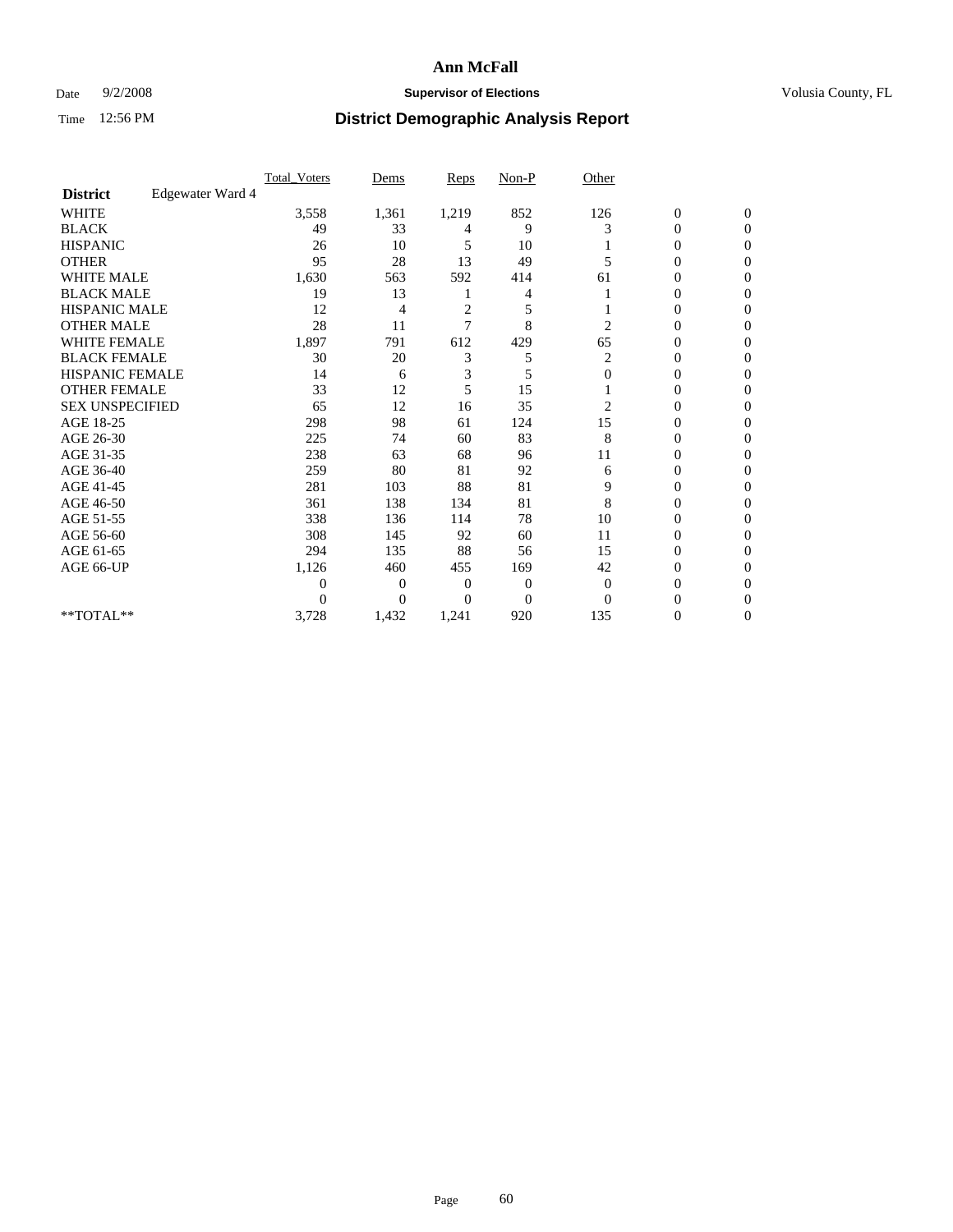## Date 9/2/2008 **Supervisor of Elections Supervisor of Elections** Volusia County, FL

|                        |                  | Total Voters | Dems           | <b>Reps</b> | $Non-P$  | Other        |                  |                  |  |
|------------------------|------------------|--------------|----------------|-------------|----------|--------------|------------------|------------------|--|
| <b>District</b>        | Edgewater Ward 4 |              |                |             |          |              |                  |                  |  |
| <b>WHITE</b>           |                  | 3,558        | 1,361          | 1,219       | 852      | 126          | $\boldsymbol{0}$ | $\boldsymbol{0}$ |  |
| <b>BLACK</b>           |                  | 49           | 33             | 4           | 9        | 3            | $\overline{0}$   | $\Omega$         |  |
| <b>HISPANIC</b>        |                  | 26           | 10             | 5           | 10       |              | 0                | $\Omega$         |  |
| <b>OTHER</b>           |                  | 95           | 28             | 13          | 49       | 5            | 0                | $\Omega$         |  |
| <b>WHITE MALE</b>      |                  | 1,630        | 563            | 592         | 414      | 61           | $\overline{0}$   | $\Omega$         |  |
| <b>BLACK MALE</b>      |                  | 19           | 13             |             | 4        |              | $\overline{0}$   | $\Omega$         |  |
| <b>HISPANIC MALE</b>   |                  | 12           | 4              | 2           | 5        |              | 0                | 0                |  |
| <b>OTHER MALE</b>      |                  | 28           | 11             | 7           | 8        | 2            | 0                | 0                |  |
| <b>WHITE FEMALE</b>    |                  | 1,897        | 791            | 612         | 429      | 65           | 0                | $\Omega$         |  |
| <b>BLACK FEMALE</b>    |                  | 30           | 20             | 3           | 5        | 2            | 0                | $\Omega$         |  |
| HISPANIC FEMALE        |                  | 14           | 6              | 3           | 5        | $\Omega$     | 0                | $\Omega$         |  |
| <b>OTHER FEMALE</b>    |                  | 33           | 12             | 5           | 15       |              | 0                | $\Omega$         |  |
| <b>SEX UNSPECIFIED</b> |                  | 65           | 12             | 16          | 35       | 2            | 0                | $\Omega$         |  |
| AGE 18-25              |                  | 298          | 98             | 61          | 124      | 15           | 0                | 0                |  |
| AGE 26-30              |                  | 225          | 74             | 60          | 83       | 8            | 0                | $\Omega$         |  |
| AGE 31-35              |                  | 238          | 63             | 68          | 96       | 11           | 0                | $\Omega$         |  |
| AGE 36-40              |                  | 259          | 80             | 81          | 92       | 6            | 0                | 0                |  |
| AGE 41-45              |                  | 281          | 103            | 88          | 81       | 9            | 0                | $\Omega$         |  |
| AGE 46-50              |                  | 361          | 138            | 134         | 81       | 8            | 0                | $\Omega$         |  |
| AGE 51-55              |                  | 338          | 136            | 114         | 78       | 10           | 0                | $\mathbf{0}$     |  |
| AGE 56-60              |                  | 308          | 145            | 92          | 60       | 11           | 0                | 0                |  |
| AGE 61-65              |                  | 294          | 135            | 88          | 56       | 15           | 0                | $\Omega$         |  |
| AGE 66-UP              |                  | 1,126        | 460            | 455         | 169      | 42           | 0                | 0                |  |
|                        |                  | 0            | 0              | 0           | 0        | $\mathbf{0}$ | 0                | $\Omega$         |  |
|                        |                  | $\theta$     | $\overline{0}$ | $\Omega$    | $\Omega$ | $\Omega$     | 0                | $\Omega$         |  |
| **TOTAL**              |                  | 3,728        | 1,432          | 1,241       | 920      | 135          | 0                | $\mathbf{0}$     |  |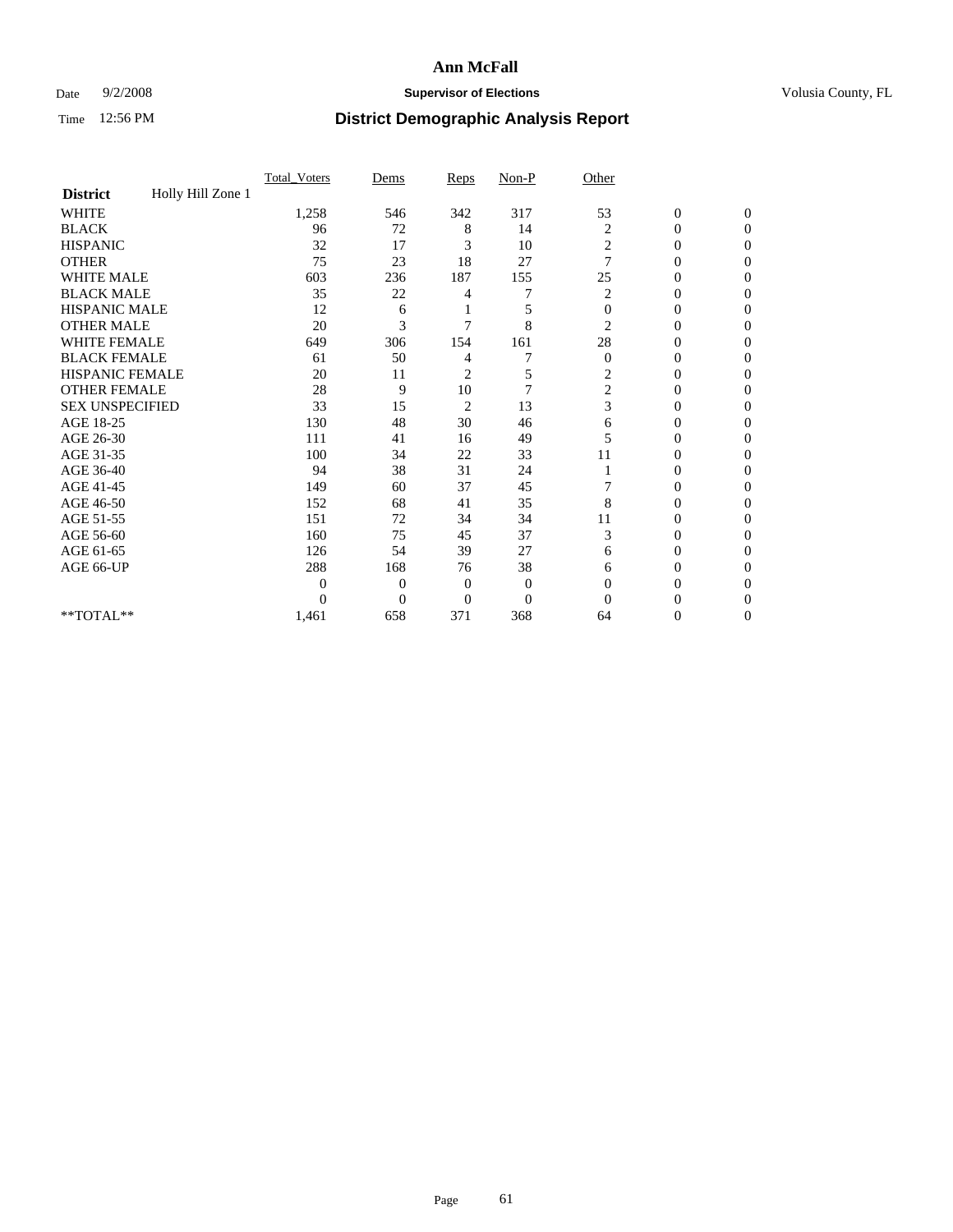### Date  $9/2/2008$  **Supervisor of Elections** Volusia County, FL

|                        |                   | Total Voters   | Dems           | Reps           | Non-P          | Other          |                  |                  |
|------------------------|-------------------|----------------|----------------|----------------|----------------|----------------|------------------|------------------|
| <b>District</b>        | Holly Hill Zone 1 |                |                |                |                |                |                  |                  |
| <b>WHITE</b>           |                   | 1,258          | 546            | 342            | 317            | 53             | $\boldsymbol{0}$ | $\boldsymbol{0}$ |
| <b>BLACK</b>           |                   | 96             | 72             | 8              | 14             | $\overline{c}$ | 0                | $\Omega$         |
| <b>HISPANIC</b>        |                   | 32             | 17             | 3              | 10             | 2              | $\mathbf{0}$     | $\Omega$         |
| <b>OTHER</b>           |                   | 75             | 23             | 18             | 27             | 7              | 0                | $\Omega$         |
| <b>WHITE MALE</b>      |                   | 603            | 236            | 187            | 155            | 25             | $\theta$         | $\Omega$         |
| <b>BLACK MALE</b>      |                   | 35             | 22             | 4              | 7              | 2              | $\overline{0}$   | $\mathbf{0}$     |
| <b>HISPANIC MALE</b>   |                   | 12             | 6              |                | 5              | $\mathbf{0}$   | $\boldsymbol{0}$ | 0                |
| <b>OTHER MALE</b>      |                   | 20             | 3              | 7              | 8              | $\overline{2}$ | $\theta$         | $\Omega$         |
| <b>WHITE FEMALE</b>    |                   | 649            | 306            | 154            | 161            | 28             | $\overline{0}$   | $\Omega$         |
| <b>BLACK FEMALE</b>    |                   | 61             | 50             | 4              | 7              | $\mathbf{0}$   | 0                | $\mathbf{0}$     |
| <b>HISPANIC FEMALE</b> |                   | 20             | 11             | 2              | 5              | 2              | 0                | $\Omega$         |
| <b>OTHER FEMALE</b>    |                   | 28             | 9              | 10             | $\overline{7}$ | $\overline{c}$ | $\overline{0}$   | $\Omega$         |
| <b>SEX UNSPECIFIED</b> |                   | 33             | 15             | $\overline{c}$ | 13             | 3              | 0                | $\mathbf{0}$     |
| AGE 18-25              |                   | 130            | 48             | 30             | 46             | 6              | 0                | $\Omega$         |
| AGE 26-30              |                   | 111            | 41             | 16             | 49             | 5              | 0                | 0                |
| AGE 31-35              |                   | 100            | 34             | 22             | 33             | 11             | $\overline{0}$   | 0                |
| AGE 36-40              |                   | 94             | 38             | 31             | 24             |                | $\overline{0}$   | $\theta$         |
| AGE 41-45              |                   | 149            | 60             | 37             | 45             |                | 0                | 0                |
| AGE 46-50              |                   | 152            | 68             | 41             | 35             | 8              | $\overline{0}$   | $\mathbf{0}$     |
| AGE 51-55              |                   | 151            | 72             | 34             | 34             | 11             | 0                | $\mathbf{0}$     |
| AGE 56-60              |                   | 160            | 75             | 45             | 37             | 3              | 0                | $\Omega$         |
| AGE 61-65              |                   | 126            | 54             | 39             | 27             | 6              | $\overline{0}$   | $\Omega$         |
| AGE 66-UP              |                   | 288            | 168            | 76             | 38             | 6              | 0                | $\mathbf{0}$     |
|                        |                   | $\overline{0}$ | $\overline{0}$ | $\mathbf{0}$   | $\mathbf{0}$   | $\mathbf{0}$   | 0                | $\Omega$         |
|                        |                   | $\theta$       | $\overline{0}$ | $\mathbf{0}$   | $\overline{0}$ | $\Omega$       | $\theta$         | $\overline{0}$   |
| **TOTAL**              |                   | 1,461          | 658            | 371            | 368            | 64             | 0                | $\mathbf{0}$     |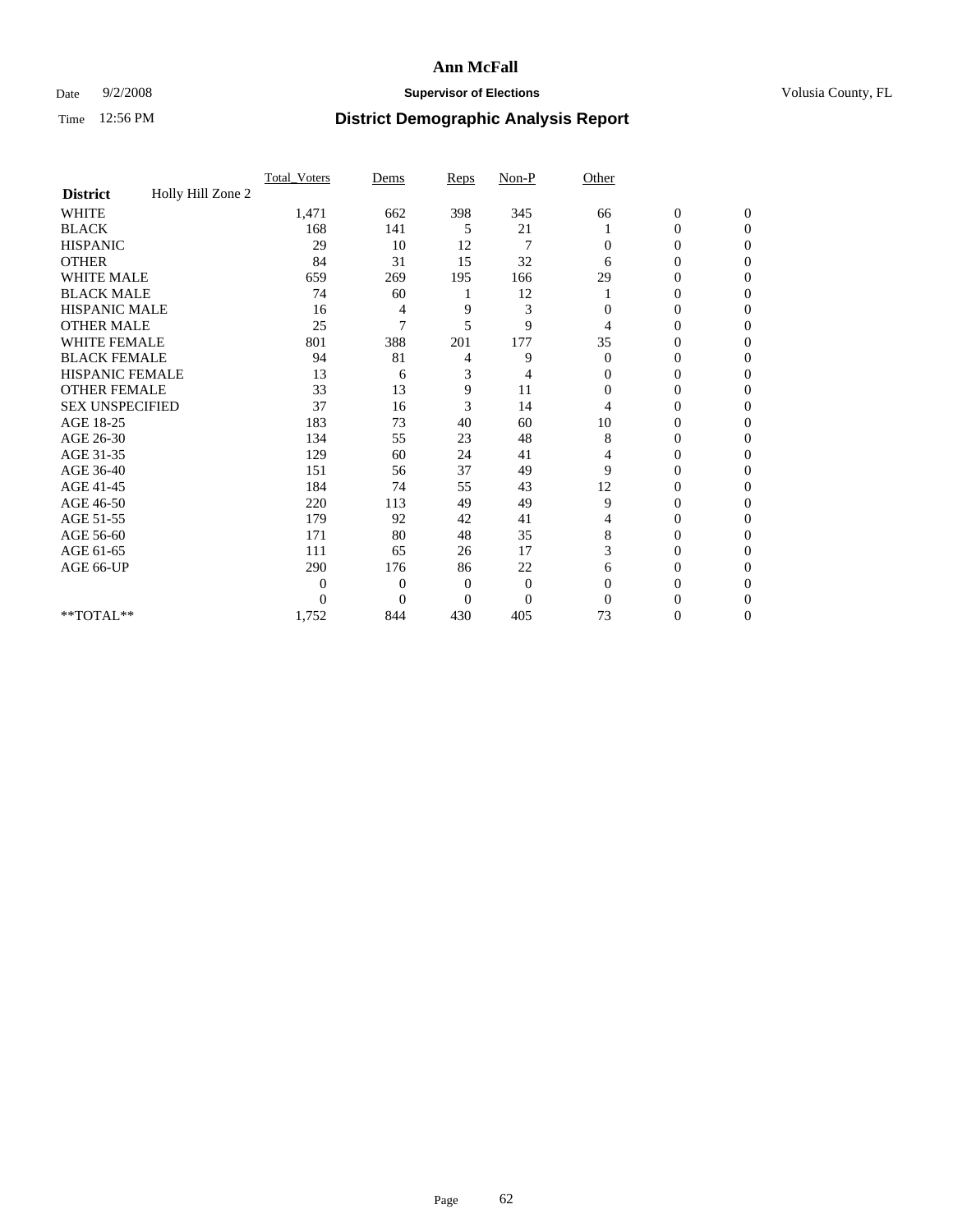## Date 9/2/2008 **Supervisor of Elections Supervisor of Elections** Volusia County, FL

|                        |                   | Total Voters   | Dems           | Reps           | $Non-P$        | Other        |                  |              |  |
|------------------------|-------------------|----------------|----------------|----------------|----------------|--------------|------------------|--------------|--|
| <b>District</b>        | Holly Hill Zone 2 |                |                |                |                |              |                  |              |  |
| <b>WHITE</b>           |                   | 1,471          | 662            | 398            | 345            | 66           | $\boldsymbol{0}$ | $\mathbf{0}$ |  |
| <b>BLACK</b>           |                   | 168            | 141            | 5              | 21             |              | $\boldsymbol{0}$ | $\Omega$     |  |
| <b>HISPANIC</b>        |                   | 29             | 10             | 12             | 7              | $\Omega$     | 0                | $\Omega$     |  |
| <b>OTHER</b>           |                   | 84             | 31             | 15             | 32             | 6            | 0                | $\Omega$     |  |
| <b>WHITE MALE</b>      |                   | 659            | 269            | 195            | 166            | 29           | 0                | $\Omega$     |  |
| <b>BLACK MALE</b>      |                   | 74             | 60             |                | 12             |              | $\mathbf{0}$     | $\Omega$     |  |
| HISPANIC MALE          |                   | 16             | 4              | 9              | 3              | $\mathbf{0}$ | $\overline{0}$   | $\Omega$     |  |
| <b>OTHER MALE</b>      |                   | 25             | 7              | 5              | 9              | 4            | 0                | 0            |  |
| <b>WHITE FEMALE</b>    |                   | 801            | 388            | 201            | 177            | 35           | 0                | $\Omega$     |  |
| <b>BLACK FEMALE</b>    |                   | 94             | 81             | 4              | 9              | $\mathbf{0}$ | $\overline{0}$   | $\mathbf{0}$ |  |
| <b>HISPANIC FEMALE</b> |                   | 13             | 6              | 3              | 4              | 0            | 0                | $\Omega$     |  |
| <b>OTHER FEMALE</b>    |                   | 33             | 13             | 9              | 11             | $\Omega$     | 0                | 0            |  |
| <b>SEX UNSPECIFIED</b> |                   | 37             | 16             | 3              | 14             | 4            | 0                | $\Omega$     |  |
| AGE 18-25              |                   | 183            | 73             | 40             | 60             | 10           | 0                | $\mathbf{0}$ |  |
| AGE 26-30              |                   | 134            | 55             | 23             | 48             | 8            | 0                | $\Omega$     |  |
| AGE 31-35              |                   | 129            | 60             | 24             | 41             | 4            | 0                | $\Omega$     |  |
| AGE 36-40              |                   | 151            | 56             | 37             | 49             | 9            | 0                | 0            |  |
| AGE 41-45              |                   | 184            | 74             | 55             | 43             | 12           | 0                | $\Omega$     |  |
| AGE 46-50              |                   | 220            | 113            | 49             | 49             | 9            | $\overline{0}$   | $\Omega$     |  |
| AGE 51-55              |                   | 179            | 92             | 42             | 41             | 4            | 0                | 0            |  |
| AGE 56-60              |                   | 171            | 80             | 48             | 35             | 8            | 0                | $\Omega$     |  |
| AGE 61-65              |                   | 111            | 65             | 26             | 17             | 3            | $\overline{0}$   | $\Omega$     |  |
| AGE 66-UP              |                   | 290            | 176            | 86             | 22             | 6            | 0                | 0            |  |
|                        |                   | $\overline{0}$ | $\overline{0}$ | $\mathbf{0}$   | $\mathbf{0}$   | $\Omega$     | 0                | $\Omega$     |  |
|                        |                   | $\Omega$       | $\overline{0}$ | $\overline{0}$ | $\overline{0}$ | $\Omega$     | 0                | $\Omega$     |  |
| **TOTAL**              |                   | 1,752          | 844            | 430            | 405            | 73           | 0                | 0            |  |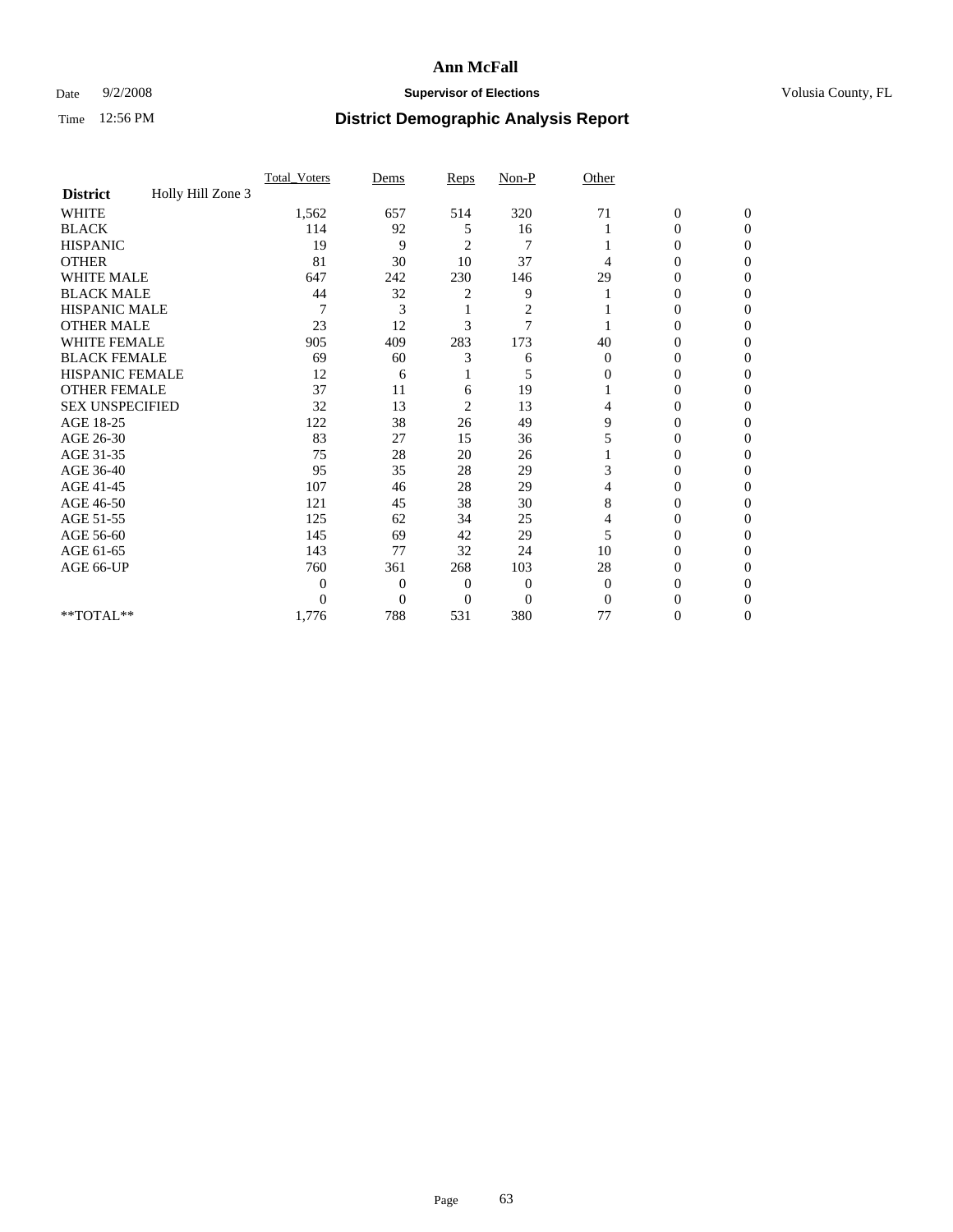## Date 9/2/2008 **Supervisor of Elections Supervisor of Elections** Volusia County, FL

|                        |                   | Total Voters   | Dems           | Reps     | $Non-P$                 | Other        |                  |                  |  |
|------------------------|-------------------|----------------|----------------|----------|-------------------------|--------------|------------------|------------------|--|
| <b>District</b>        | Holly Hill Zone 3 |                |                |          |                         |              |                  |                  |  |
| <b>WHITE</b>           |                   | 1,562          | 657            | 514      | 320                     | 71           | $\boldsymbol{0}$ | $\boldsymbol{0}$ |  |
| <b>BLACK</b>           |                   | 114            | 92             | 5        | 16                      |              | $\overline{0}$   | $\Omega$         |  |
| <b>HISPANIC</b>        |                   | 19             | 9              | 2        | 7                       |              | 0                | $\Omega$         |  |
| <b>OTHER</b>           |                   | 81             | 30             | 10       | 37                      | 4            | 0                | $\Omega$         |  |
| <b>WHITE MALE</b>      |                   | 647            | 242            | 230      | 146                     | 29           | 0                | $\Omega$         |  |
| <b>BLACK MALE</b>      |                   | 44             | 32             | 2        | 9                       |              | 0                | 0                |  |
| <b>HISPANIC MALE</b>   |                   | 7              | 3              |          | $\overline{\mathbf{c}}$ |              | 0                | 0                |  |
| <b>OTHER MALE</b>      |                   | 23             | 12             | 3        | $\overline{7}$          |              | $\theta$         | 0                |  |
| <b>WHITE FEMALE</b>    |                   | 905            | 409            | 283      | 173                     | 40           | 0                | $\Omega$         |  |
| <b>BLACK FEMALE</b>    |                   | 69             | 60             | 3        | 6                       | $\mathbf{0}$ | 0                | $\Omega$         |  |
| HISPANIC FEMALE        |                   | 12             | 6              |          | 5                       | 0            | 0                | 0                |  |
| <b>OTHER FEMALE</b>    |                   | 37             | 11             | 6        | 19                      |              | 0                | $\Omega$         |  |
| <b>SEX UNSPECIFIED</b> |                   | 32             | 13             | 2        | 13                      | 4            | $\overline{0}$   | 0                |  |
| AGE 18-25              |                   | 122            | 38             | 26       | 49                      | 9            | 0                | 0                |  |
| AGE 26-30              |                   | 83             | 27             | 15       | 36                      | 5            | 0                | 0                |  |
| AGE 31-35              |                   | 75             | 28             | 20       | 26                      |              | 0                | $\Omega$         |  |
| AGE 36-40              |                   | 95             | 35             | 28       | 29                      | 3            | 0                | 0                |  |
| AGE 41-45              |                   | 107            | 46             | 28       | 29                      | 4            | 0                | 0                |  |
| AGE 46-50              |                   | 121            | 45             | 38       | 30                      | 8            | $\overline{0}$   | $\Omega$         |  |
| AGE 51-55              |                   | 125            | 62             | 34       | 25                      | 4            | 0                | $\Omega$         |  |
| AGE 56-60              |                   | 145            | 69             | 42       | 29                      | 5            | 0                | 0                |  |
| AGE 61-65              |                   | 143            | 77             | 32       | 24                      | 10           | $\overline{0}$   | 0                |  |
| AGE 66-UP              |                   | 760            | 361            | 268      | 103                     | 28           | 0                | 0                |  |
|                        |                   | $\overline{0}$ | $\overline{0}$ | 0        | 0                       | $\theta$     | 0                | 0                |  |
|                        |                   | $\overline{0}$ | $\overline{0}$ | $\Omega$ | $\Omega$                | $\Omega$     | 0                | $\Omega$         |  |
| **TOTAL**              |                   | 1,776          | 788            | 531      | 380                     | 77           | 0                | $\mathbf{0}$     |  |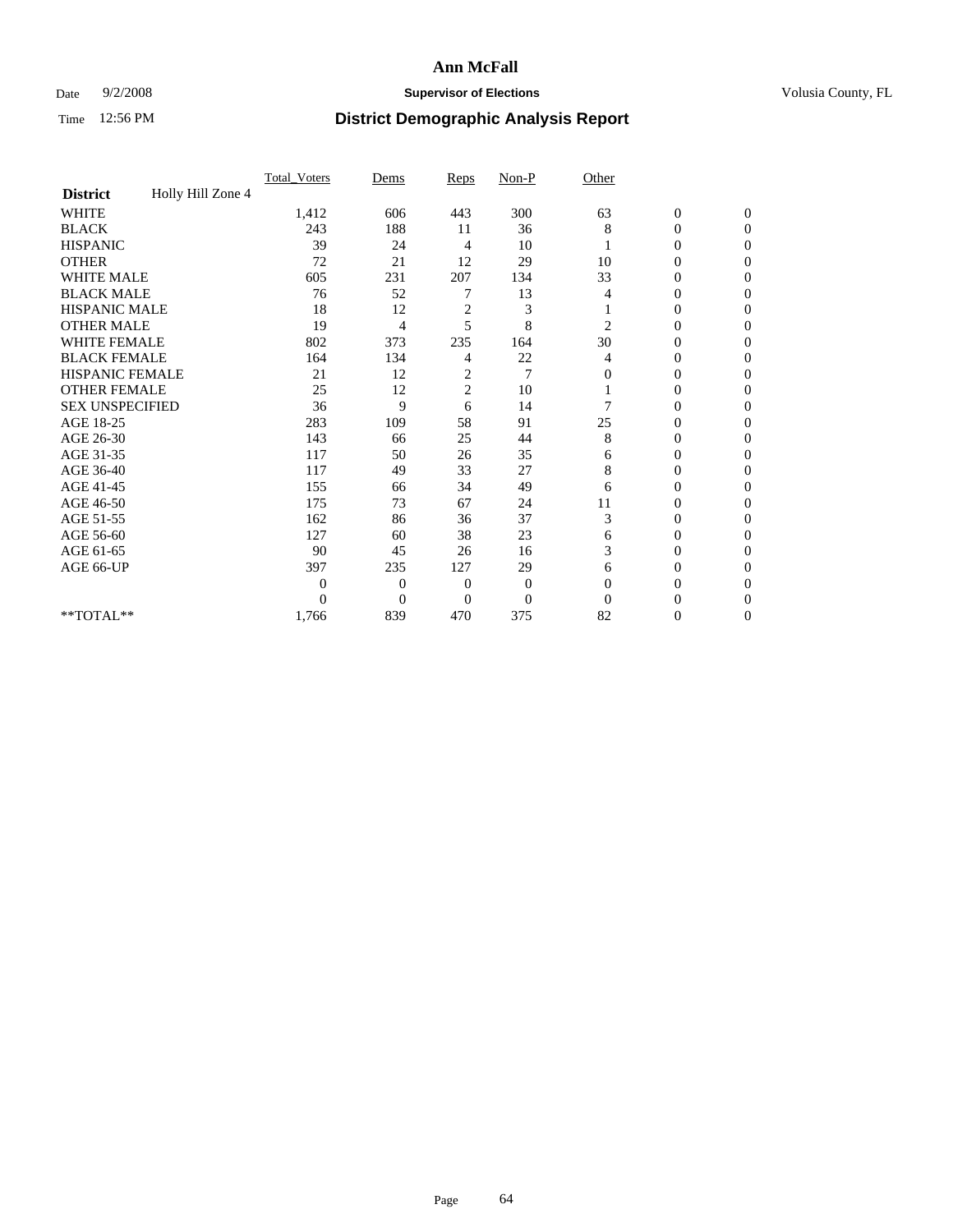## Date 9/2/2008 **Supervisor of Elections Supervisor of Elections** Volusia County, FL

|                        |                   | Total Voters | Dems           | Reps           | $Non-P$          | Other          |                  |              |  |
|------------------------|-------------------|--------------|----------------|----------------|------------------|----------------|------------------|--------------|--|
| <b>District</b>        | Holly Hill Zone 4 |              |                |                |                  |                |                  |              |  |
| <b>WHITE</b>           |                   | 1,412        | 606            | 443            | 300              | 63             | $\boldsymbol{0}$ | $\mathbf{0}$ |  |
| <b>BLACK</b>           |                   | 243          | 188            | 11             | 36               | 8              | $\overline{0}$   | $\mathbf{0}$ |  |
| <b>HISPANIC</b>        |                   | 39           | 24             | 4              | 10               |                | $\mathbf{0}$     | $\Omega$     |  |
| <b>OTHER</b>           |                   | 72           | 21             | 12             | 29               | 10             | 0                | $\Omega$     |  |
| <b>WHITE MALE</b>      |                   | 605          | 231            | 207            | 134              | 33             | 0                | $\Omega$     |  |
| <b>BLACK MALE</b>      |                   | 76           | 52             |                | 13               | 4              | $\mathbf{0}$     | $\Omega$     |  |
| HISPANIC MALE          |                   | 18           | 12             | $\overline{c}$ | 3                |                | $\overline{0}$   | $\Omega$     |  |
| <b>OTHER MALE</b>      |                   | 19           | 4              | 5              | 8                | $\overline{2}$ | 0                | $\Omega$     |  |
| <b>WHITE FEMALE</b>    |                   | 802          | 373            | 235            | 164              | 30             | 0                | $\Omega$     |  |
| <b>BLACK FEMALE</b>    |                   | 164          | 134            | 4              | 22               | 4              | $\overline{0}$   | $\mathbf{0}$ |  |
| <b>HISPANIC FEMALE</b> |                   | 21           | 12             | 2              | $\overline{7}$   | $\Omega$       | 0                | $\Omega$     |  |
| <b>OTHER FEMALE</b>    |                   | 25           | 12             | $\overline{c}$ | 10               |                | 0                | 0            |  |
| <b>SEX UNSPECIFIED</b> |                   | 36           | 9              | 6              | 14               |                | 0                | $\Omega$     |  |
| AGE 18-25              |                   | 283          | 109            | 58             | 91               | 25             | 0                | $\mathbf{0}$ |  |
| AGE 26-30              |                   | 143          | 66             | 25             | 44               | 8              | 0                | $\Omega$     |  |
| AGE 31-35              |                   | 117          | 50             | 26             | 35               | 6              | 0                | $\Omega$     |  |
| AGE 36-40              |                   | 117          | 49             | 33             | 27               | 8              | 0                | $\Omega$     |  |
| AGE 41-45              |                   | 155          | 66             | 34             | 49               | 6              | 0                | $\Omega$     |  |
| AGE 46-50              |                   | 175          | 73             | 67             | 24               | 11             | $\overline{0}$   | $\Omega$     |  |
| AGE 51-55              |                   | 162          | 86             | 36             | 37               | 3              | 0                | 0            |  |
| AGE 56-60              |                   | 127          | 60             | 38             | 23               | 6              | 0                | $\Omega$     |  |
| AGE 61-65              |                   | 90           | 45             | 26             | 16               | 3              | 0                | $\Omega$     |  |
| AGE 66-UP              |                   | 397          | 235            | 127            | 29               | 6              | 0                | 0            |  |
|                        |                   | $\Omega$     | $\overline{0}$ | $\mathbf{0}$   | $\boldsymbol{0}$ | $\Omega$       | 0                | $\Omega$     |  |
|                        |                   | $\theta$     | $\overline{0}$ | $\overline{0}$ | $\overline{0}$   | $\Omega$       | 0                | $\Omega$     |  |
| **TOTAL**              |                   | 1,766        | 839            | 470            | 375              | 82             | 0                | $\mathbf{0}$ |  |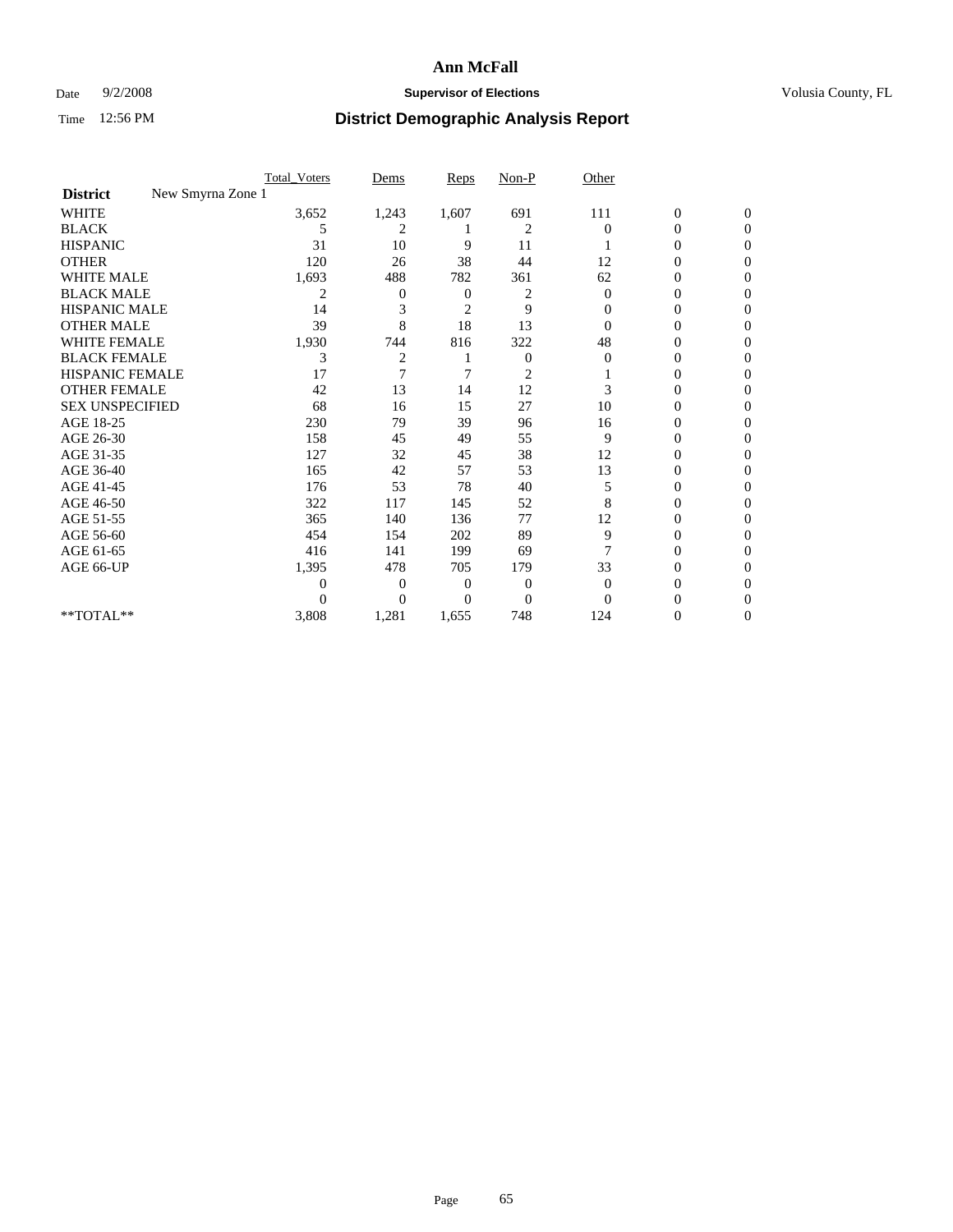## Date 9/2/2008 **Supervisor of Elections Supervisor of Elections** Volusia County, FL

|                                      | <b>Total_Voters</b> | Dems           | <b>Reps</b>    | $Non-P$  | Other          |                  |                  |  |
|--------------------------------------|---------------------|----------------|----------------|----------|----------------|------------------|------------------|--|
| New Smyrna Zone 1<br><b>District</b> |                     |                |                |          |                |                  |                  |  |
| <b>WHITE</b>                         | 3,652               | 1,243          | 1,607          | 691      | 111            | $\boldsymbol{0}$ | $\boldsymbol{0}$ |  |
| <b>BLACK</b>                         | 5                   | 2              |                | 2        | $\Omega$       | $\overline{0}$   | $\Omega$         |  |
| <b>HISPANIC</b>                      | 31                  | 10             | 9              | 11       |                | 0                | $\Omega$         |  |
| <b>OTHER</b>                         | 120                 | 26             | 38             | 44       | 12             | 0                | $\Omega$         |  |
| <b>WHITE MALE</b>                    | 1,693               | 488            | 782            | 361      | 62             | 0                | $\Omega$         |  |
| <b>BLACK MALE</b>                    | 2                   | 0              | 0              | 2        | $\mathbf{0}$   | 0                | 0                |  |
| <b>HISPANIC MALE</b>                 | 14                  | 3              | $\overline{2}$ | 9        | 0              | 0                | 0                |  |
| <b>OTHER MALE</b>                    | 39                  | 8              | 18             | 13       | 0              | 0                | 0                |  |
| <b>WHITE FEMALE</b>                  | 1,930               | 744            | 816            | 322      | 48             | 0                | $\Omega$         |  |
| <b>BLACK FEMALE</b>                  | 3                   | $\overline{c}$ |                | 0        | $\mathbf{0}$   | 0                | $\Omega$         |  |
| <b>HISPANIC FEMALE</b>               | 17                  | 7              | 7              | 2        |                | 0                | 0                |  |
| <b>OTHER FEMALE</b>                  | 42                  | 13             | 14             | 12       | 3              | 0                | $\Omega$         |  |
| <b>SEX UNSPECIFIED</b>               | 68                  | 16             | 15             | 27       | 10             | $\overline{0}$   | 0                |  |
| AGE 18-25                            | 230                 | 79             | 39             | 96       | 16             | 0                | 0                |  |
| AGE 26-30                            | 158                 | 45             | 49             | 55       | 9              | 0                | $\Omega$         |  |
| AGE 31-35                            | 127                 | 32             | 45             | 38       | 12             | 0                | $\Omega$         |  |
| AGE 36-40                            | 165                 | 42             | 57             | 53       | 13             | 0                | 0                |  |
| AGE 41-45                            | 176                 | 53             | 78             | 40       | 5              | 0                | 0                |  |
| AGE 46-50                            | 322                 | 117            | 145            | 52       | 8              | 0                | $\Omega$         |  |
| AGE 51-55                            | 365                 | 140            | 136            | 77       | 12             | 0                | $\Omega$         |  |
| AGE 56-60                            | 454                 | 154            | 202            | 89       | 9              | 0                | 0                |  |
| AGE 61-65                            | 416                 | 141            | 199            | 69       | 7              | $\overline{0}$   | 0                |  |
| AGE 66-UP                            | 1,395               | 478            | 705            | 179      | 33             | 0                | 0                |  |
|                                      | 0                   | 0              | 0              | 0        | $\overline{0}$ | 0                | 0                |  |
|                                      | $\theta$            | $\overline{0}$ | $\Omega$       | $\Omega$ | $\Omega$       | 0                | $\Omega$         |  |
| **TOTAL**                            | 3,808               | 1,281          | 1,655          | 748      | 124            | 0                | $\overline{0}$   |  |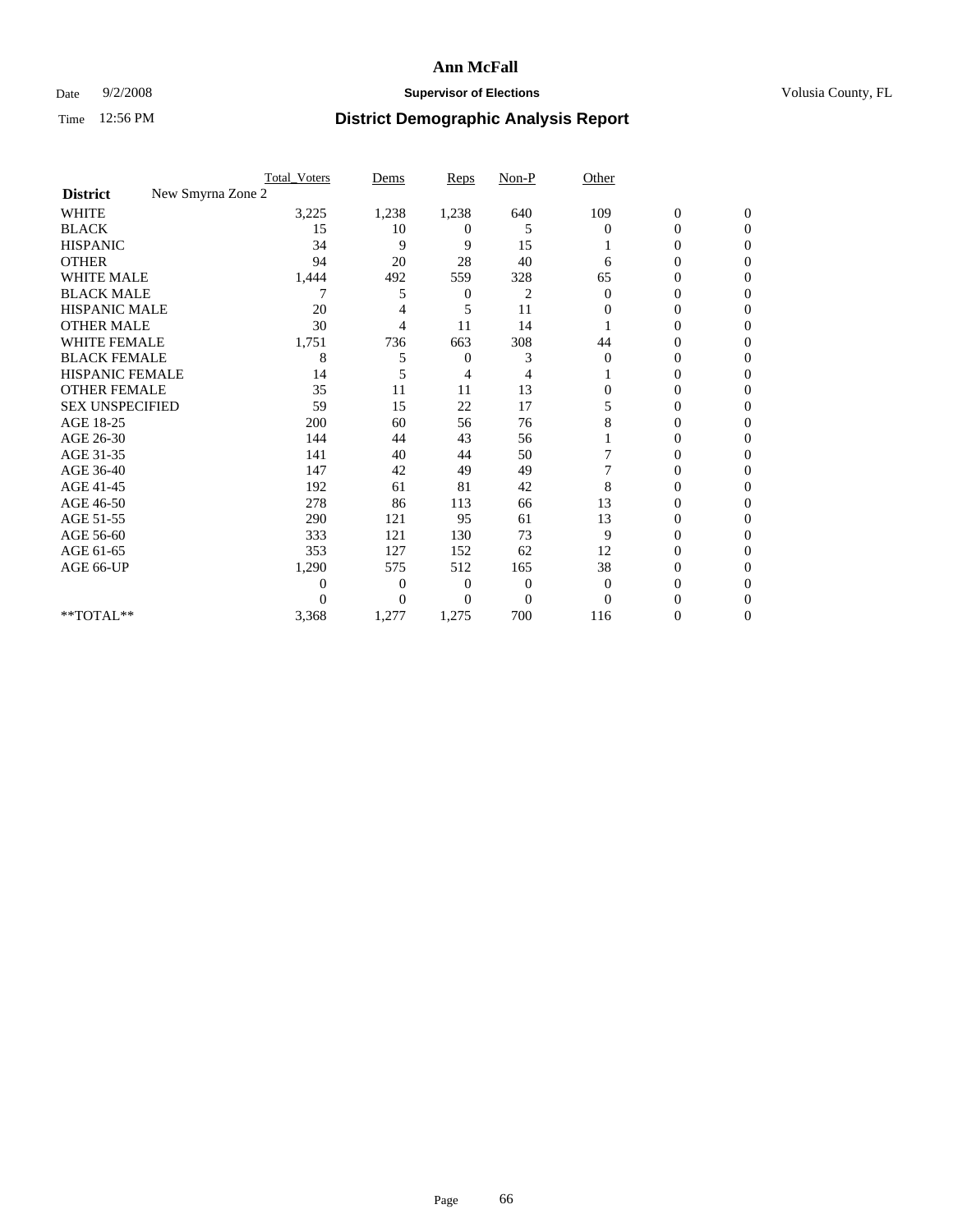## Date 9/2/2008 **Supervisor of Elections Supervisor of Elections** Volusia County, FL

|                        | <b>Total_Voters</b> | Dems           | <b>Reps</b>    | $Non-P$        | Other        |                  |                  |  |
|------------------------|---------------------|----------------|----------------|----------------|--------------|------------------|------------------|--|
| <b>District</b>        | New Smyrna Zone 2   |                |                |                |              |                  |                  |  |
| <b>WHITE</b>           | 3,225               | 1,238          | 1,238          | 640            | 109          | $\boldsymbol{0}$ | $\boldsymbol{0}$ |  |
| <b>BLACK</b>           | 15                  | 10             | 0              | 5              | $\Omega$     | $\overline{0}$   | $\Omega$         |  |
| <b>HISPANIC</b>        | 34                  | 9              | 9              | 15             |              | 0                | $\Omega$         |  |
| <b>OTHER</b>           | 94                  | 20             | 28             | 40             | 6            | 0                | $\Omega$         |  |
| <b>WHITE MALE</b>      | 1,444               | 492            | 559            | 328            | 65           | 0                | 0                |  |
| <b>BLACK MALE</b>      |                     | 5              | 0              | 2              | $\mathbf{0}$ | 0                | 0                |  |
| <b>HISPANIC MALE</b>   | 20                  |                | 5              | 11             | 0            | 0                | 0                |  |
| <b>OTHER MALE</b>      | 30                  | 4              | 11             | 14             |              | 0                | 0                |  |
| <b>WHITE FEMALE</b>    | 1,751               | 736            | 663            | 308            | 44           | 0                | $\Omega$         |  |
| <b>BLACK FEMALE</b>    | 8                   | 5              | $\overline{0}$ | 3              | $\mathbf{0}$ | 0                | $\Omega$         |  |
| <b>HISPANIC FEMALE</b> | 14                  | 5              | 4              | 4              |              | 0                | 0                |  |
| <b>OTHER FEMALE</b>    | 35                  | 11             | 11             | 13             | $\Omega$     | 0                | $\Omega$         |  |
| <b>SEX UNSPECIFIED</b> | 59                  | 15             | 22             | 17             |              | 0                | 0                |  |
| AGE 18-25              | 200                 | 60             | 56             | 76             | 8            | 0                | 0                |  |
| AGE 26-30              | 144                 | 44             | 43             | 56             |              | 0                | 0                |  |
| AGE 31-35              | 141                 | 40             | 44             | 50             |              | 0                | $\Omega$         |  |
| AGE 36-40              | 147                 | 42             | 49             | 49             |              | 0                | 0                |  |
| AGE 41-45              | 192                 | 61             | 81             | 42             | 8            | 0                | 0                |  |
| AGE 46-50              | 278                 | 86             | 113            | 66             | 13           | 0                | $\Omega$         |  |
| AGE 51-55              | 290                 | 121            | 95             | 61             | 13           | 0                | $\Omega$         |  |
| AGE 56-60              | 333                 | 121            | 130            | 73             | 9            | 0                | 0                |  |
| AGE 61-65              | 353                 | 127            | 152            | 62             | 12           | $\overline{0}$   | 0                |  |
| AGE 66-UP              | 1,290               | 575            | 512            | 165            | 38           | 0                | 0                |  |
|                        | 0                   | 0              | 0              | $\overline{0}$ | $\mathbf{0}$ | 0                | 0                |  |
|                        | $\theta$            | $\overline{0}$ | 0              | $\Omega$       | $\Omega$     | 0                | $\Omega$         |  |
| **TOTAL**              | 3,368               | 1,277          | 1,275          | 700            | 116          | 0                | $\overline{0}$   |  |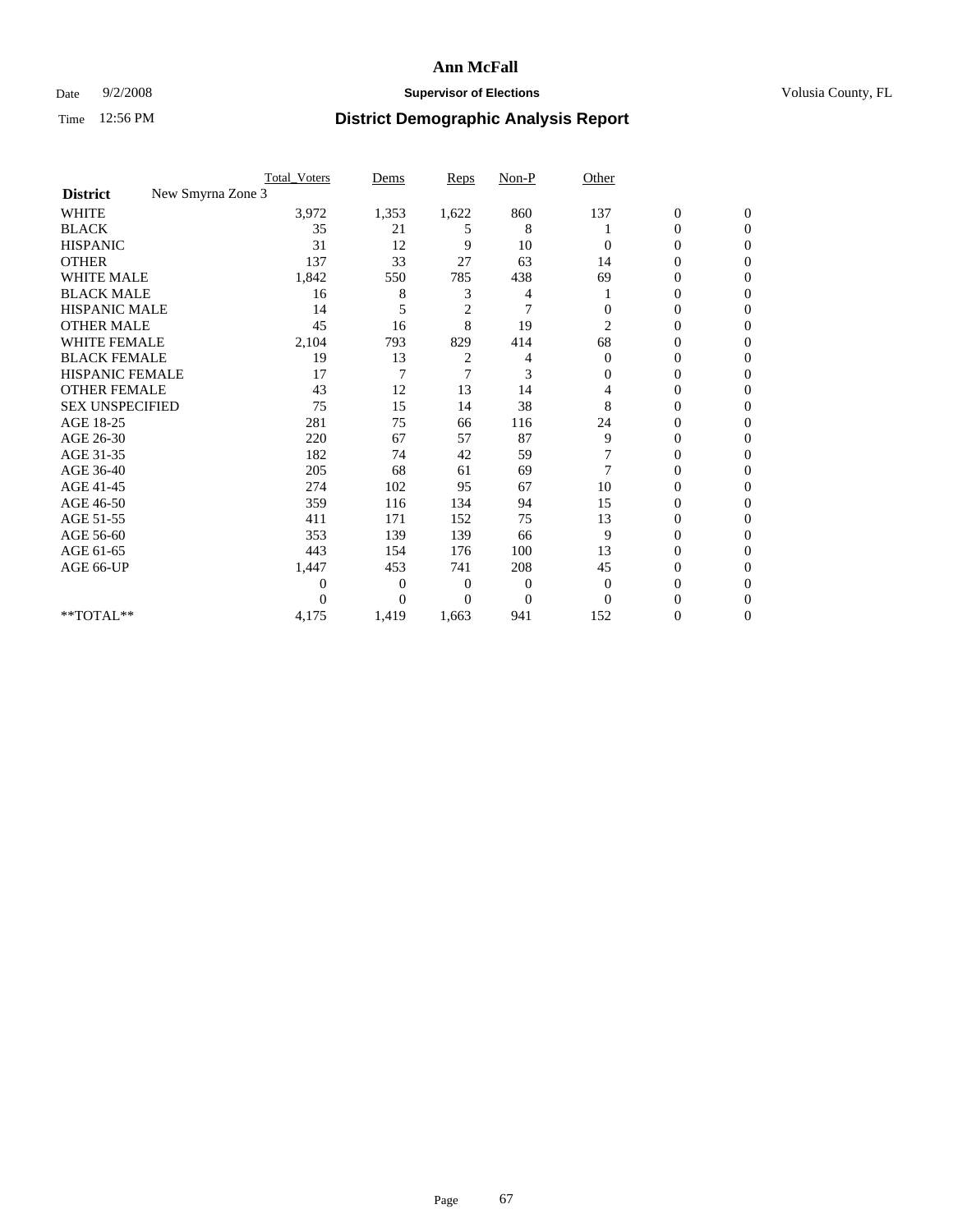## Date 9/2/2008 **Supervisor of Elections Supervisor of Elections** Volusia County, FL

|                                      | <b>Total_Voters</b> | Dems           | <b>Reps</b>    | $Non-P$  | Other        |                  |                  |  |
|--------------------------------------|---------------------|----------------|----------------|----------|--------------|------------------|------------------|--|
| New Smyrna Zone 3<br><b>District</b> |                     |                |                |          |              |                  |                  |  |
| <b>WHITE</b>                         | 3,972               | 1,353          | 1,622          | 860      | 137          | $\boldsymbol{0}$ | $\boldsymbol{0}$ |  |
| <b>BLACK</b>                         | 35                  | 21             | 5              | 8        |              | $\boldsymbol{0}$ | $\Omega$         |  |
| <b>HISPANIC</b>                      | 31                  | 12             | 9              | 10       | $\Omega$     | 0                | $\Omega$         |  |
| <b>OTHER</b>                         | 137                 | 33             | 27             | 63       | 14           | 0                | $\Omega$         |  |
| <b>WHITE MALE</b>                    | 1,842               | 550            | 785            | 438      | 69           | 0                | $\Omega$         |  |
| <b>BLACK MALE</b>                    | 16                  | 8              | 3              | 4        |              | $\overline{0}$   | 0                |  |
| <b>HISPANIC MALE</b>                 | 14                  | 5              | $\overline{2}$ | 7        | 0            | 0                | 0                |  |
| <b>OTHER MALE</b>                    | 45                  | 16             | 8              | 19       | 2            | 0                | 0                |  |
| <b>WHITE FEMALE</b>                  | 2,104               | 793            | 829            | 414      | 68           | 0                | $\Omega$         |  |
| <b>BLACK FEMALE</b>                  | 19                  | 13             | 2              | 4        | $\mathbf{0}$ | 0                | $\Omega$         |  |
| <b>HISPANIC FEMALE</b>               | 17                  | 7              | 7              | 3        | 0            | 0                | $\Omega$         |  |
| <b>OTHER FEMALE</b>                  | 43                  | 12             | 13             | 14       | 4            | 0                | $\Omega$         |  |
| <b>SEX UNSPECIFIED</b>               | 75                  | 15             | 14             | 38       | 8            | $\overline{0}$   | $\Omega$         |  |
| AGE 18-25                            | 281                 | 75             | 66             | 116      | 24           | 0                | 0                |  |
| AGE 26-30                            | 220                 | 67             | 57             | 87       | 9            | 0                | $\Omega$         |  |
| AGE 31-35                            | 182                 | 74             | 42             | 59       | 7            | $\boldsymbol{0}$ | $\Omega$         |  |
| AGE 36-40                            | 205                 | 68             | 61             | 69       |              | 0                | 0                |  |
| AGE 41-45                            | 274                 | 102            | 95             | 67       | 10           | 0                | $\Omega$         |  |
| AGE 46-50                            | 359                 | 116            | 134            | 94       | 15           | 0                | $\Omega$         |  |
| AGE 51-55                            | 411                 | 171            | 152            | 75       | 13           | 0                | $\mathbf{0}$     |  |
| AGE 56-60                            | 353                 | 139            | 139            | 66       | 9            | 0                | 0                |  |
| AGE 61-65                            | 443                 | 154            | 176            | 100      | 13           | $\overline{0}$   | $\Omega$         |  |
| AGE 66-UP                            | 1,447               | 453            | 741            | 208      | 45           | 0                | 0                |  |
|                                      | 0                   | 0              | 0              | 0        | $\mathbf{0}$ | 0                | $\Omega$         |  |
|                                      | $\theta$            | $\overline{0}$ | $\Omega$       | $\Omega$ | $\Omega$     | 0                | $\Omega$         |  |
| **TOTAL**                            | 4,175               | 1,419          | 1,663          | 941      | 152          | 0                | $\overline{0}$   |  |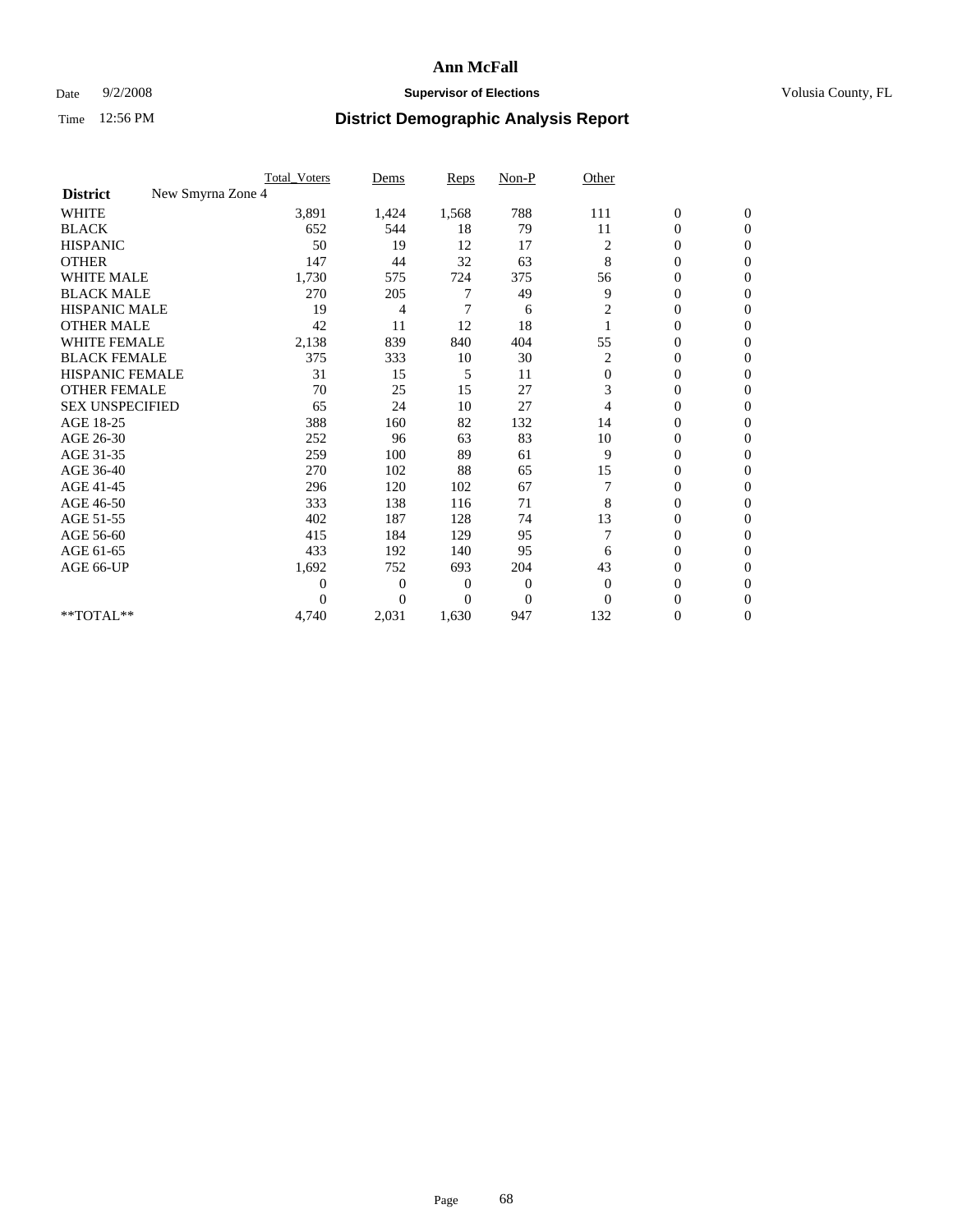## Date 9/2/2008 **Supervisor of Elections Supervisor of Elections** Volusia County, FL

|                                      | <b>Total_Voters</b> | Dems           | <b>Reps</b> | $Non-P$      | Other          |                  |                  |  |
|--------------------------------------|---------------------|----------------|-------------|--------------|----------------|------------------|------------------|--|
| New Smyrna Zone 4<br><b>District</b> |                     |                |             |              |                |                  |                  |  |
| <b>WHITE</b>                         | 3,891               | 1,424          | 1,568       | 788          | 111            | $\boldsymbol{0}$ | $\boldsymbol{0}$ |  |
| <b>BLACK</b>                         | 652                 | 544            | 18          | 79           | 11             | $\boldsymbol{0}$ | $\mathbf{0}$     |  |
| <b>HISPANIC</b>                      | 50                  | 19             | 12          | 17           | 2              | $\overline{0}$   | $\Omega$         |  |
| <b>OTHER</b>                         | 147                 | 44             | 32          | 63           | 8              | $\boldsymbol{0}$ | $\Omega$         |  |
| <b>WHITE MALE</b>                    | 1,730               | 575            | 724         | 375          | 56             | $\overline{0}$   | $\mathbf{0}$     |  |
| <b>BLACK MALE</b>                    | 270                 | 205            | 7           | 49           | 9              | $\overline{0}$   | $\mathbf{0}$     |  |
| <b>HISPANIC MALE</b>                 | 19                  | 4              | 7           | 6            | $\overline{c}$ | 0                | $\Omega$         |  |
| <b>OTHER MALE</b>                    | 42                  | 11             | 12          | 18           |                | 0                | $\Omega$         |  |
| <b>WHITE FEMALE</b>                  | 2,138               | 839            | 840         | 404          | 55             | $\overline{0}$   | $\mathbf{0}$     |  |
| <b>BLACK FEMALE</b>                  | 375                 | 333            | 10          | 30           | 2              | $\boldsymbol{0}$ | $\Omega$         |  |
| <b>HISPANIC FEMALE</b>               | 31                  | 15             | 5           | 11           | $\mathbf{0}$   | 0                | $\mathbf{0}$     |  |
| <b>OTHER FEMALE</b>                  | 70                  | 25             | 15          | 27           | 3              | 0                | $\Omega$         |  |
| <b>SEX UNSPECIFIED</b>               | 65                  | 24             | 10          | 27           | 4              | $\overline{0}$   | $\mathbf{0}$     |  |
| AGE 18-25                            | 388                 | 160            | 82          | 132          | 14             | 0                | $\mathbf{0}$     |  |
| AGE 26-30                            | 252                 | 96             | 63          | 83           | 10             | $\overline{0}$   | $\Omega$         |  |
| AGE 31-35                            | 259                 | 100            | 89          | 61           | 9              | $\boldsymbol{0}$ | $\mathbf{0}$     |  |
| AGE 36-40                            | 270                 | 102            | 88          | 65           | 15             | 0                | $\Omega$         |  |
| AGE 41-45                            | 296                 | 120            | 102         | 67           |                | $\mathbf{0}$     | $\Omega$         |  |
| AGE 46-50                            | 333                 | 138            | 116         | 71           | 8              | $\boldsymbol{0}$ | $\Omega$         |  |
| AGE 51-55                            | 402                 | 187            | 128         | 74           | 13             | 0                | $\mathbf{0}$     |  |
| AGE 56-60                            | 415                 | 184            | 129         | 95           |                | $\mathbf{0}$     | $\Omega$         |  |
| AGE 61-65                            | 433                 | 192            | 140         | 95           | 6              | $\overline{0}$   | $\mathbf{0}$     |  |
| AGE 66-UP                            | 1,692               | 752            | 693         | 204          | 43             | 0                | $\mathbf{0}$     |  |
|                                      | $\overline{0}$      | $\overline{0}$ | 0           | $\mathbf{0}$ | $\mathbf{0}$   | $\overline{0}$   | $\Omega$         |  |
|                                      | $\theta$            | $\Omega$       | $\Omega$    | $\Omega$     | $\Omega$       | 0                | $\Omega$         |  |
| **TOTAL**                            | 4,740               | 2,031          | 1,630       | 947          | 132            | 0                | $\mathbf{0}$     |  |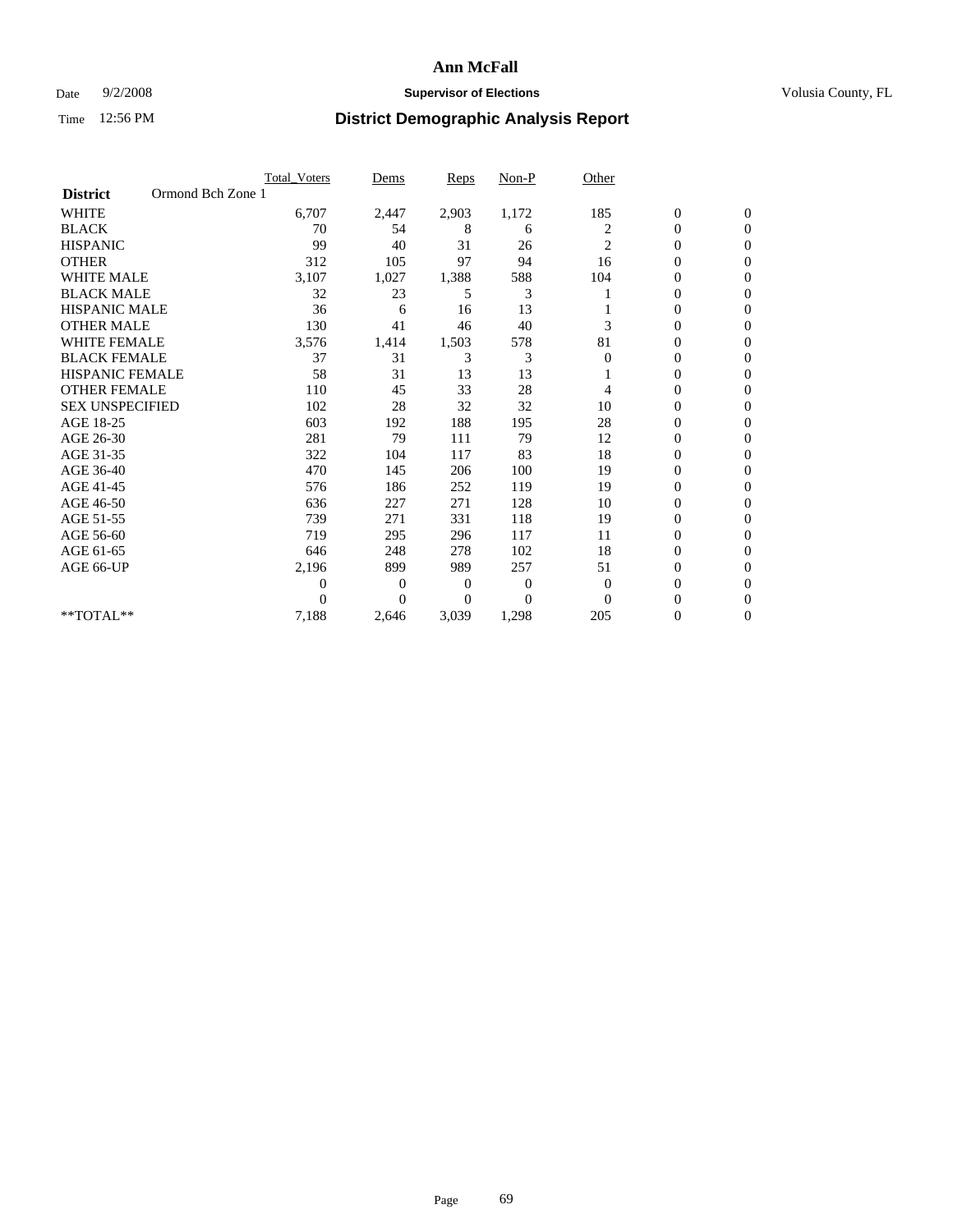## Date 9/2/2008 **Supervisor of Elections Supervisor of Elections** Volusia County, FL

|                        | Total Voters      | Dems           | <b>Reps</b> | Non-P    | Other          |                  |                  |  |
|------------------------|-------------------|----------------|-------------|----------|----------------|------------------|------------------|--|
| <b>District</b>        | Ormond Bch Zone 1 |                |             |          |                |                  |                  |  |
| <b>WHITE</b>           | 6,707             | 2,447          | 2,903       | 1,172    | 185            | $\boldsymbol{0}$ | $\boldsymbol{0}$ |  |
| <b>BLACK</b>           | 70                | 54             | 8           | 6        | 2              | $\boldsymbol{0}$ | $\bf{0}$         |  |
| <b>HISPANIC</b>        | 99                | 40             | 31          | 26       | $\overline{c}$ | $\overline{0}$   | $\Omega$         |  |
| <b>OTHER</b>           | 312               | 105            | 97          | 94       | 16             | 0                | $\Omega$         |  |
| <b>WHITE MALE</b>      | 3,107             | 1,027          | 1,388       | 588      | 104            | 0                | $\mathbf{0}$     |  |
| <b>BLACK MALE</b>      | 32                | 23             | 5           | 3        |                | $\overline{0}$   | $\overline{0}$   |  |
| <b>HISPANIC MALE</b>   | 36                | 6              | 16          | 13       |                | 0                | $\Omega$         |  |
| <b>OTHER MALE</b>      | 130               | 41             | 46          | 40       | 3              | 0                | $\Omega$         |  |
| WHITE FEMALE           | 3,576             | 1,414          | 1,503       | 578      | 81             | 0                | $\mathbf{0}$     |  |
| <b>BLACK FEMALE</b>    | 37                | 31             | 3           | 3        | $\overline{0}$ | $\boldsymbol{0}$ | $\Omega$         |  |
| <b>HISPANIC FEMALE</b> | 58                | 31             | 13          | 13       |                | 0                | $\mathbf{0}$     |  |
| <b>OTHER FEMALE</b>    | 110               | 45             | 33          | 28       | 4              | 0                | $\Omega$         |  |
| <b>SEX UNSPECIFIED</b> | 102               | 28             | 32          | 32       | 10             | $\overline{0}$   | $\overline{0}$   |  |
| AGE 18-25              | 603               | 192            | 188         | 195      | 28             | 0                | $\overline{0}$   |  |
| AGE 26-30              | 281               | 79             | 111         | 79       | 12             | $\overline{0}$   | $\Omega$         |  |
| AGE 31-35              | 322               | 104            | 117         | 83       | 18             | $\boldsymbol{0}$ | $\overline{0}$   |  |
| AGE 36-40              | 470               | 145            | 206         | 100      | 19             | 0                | 0                |  |
| AGE 41-45              | 576               | 186            | 252         | 119      | 19             | 0                | $\Omega$         |  |
| AGE 46-50              | 636               | 227            | 271         | 128      | 10             | 0                | $\Omega$         |  |
| AGE 51-55              | 739               | 271            | 331         | 118      | 19             | 0                | $\mathbf{0}$     |  |
| AGE 56-60              | 719               | 295            | 296         | 117      | 11             | $\overline{0}$   | $\Omega$         |  |
| AGE 61-65              | 646               | 248            | 278         | 102      | 18             | $\overline{0}$   | $\mathbf{0}$     |  |
| AGE 66-UP              | 2,196             | 899            | 989         | 257      | 51             | $\boldsymbol{0}$ | $\bf{0}$         |  |
|                        | $\boldsymbol{0}$  | $\overline{0}$ | 0           | 0        | 0              | 0                | $\Omega$         |  |
|                        | $\theta$          | $\Omega$       | $\Omega$    | $\Omega$ | $\Omega$       | 0                | $\Omega$         |  |
| **TOTAL**              | 7,188             | 2,646          | 3,039       | 1,298    | 205            | 0                | $\mathbf{0}$     |  |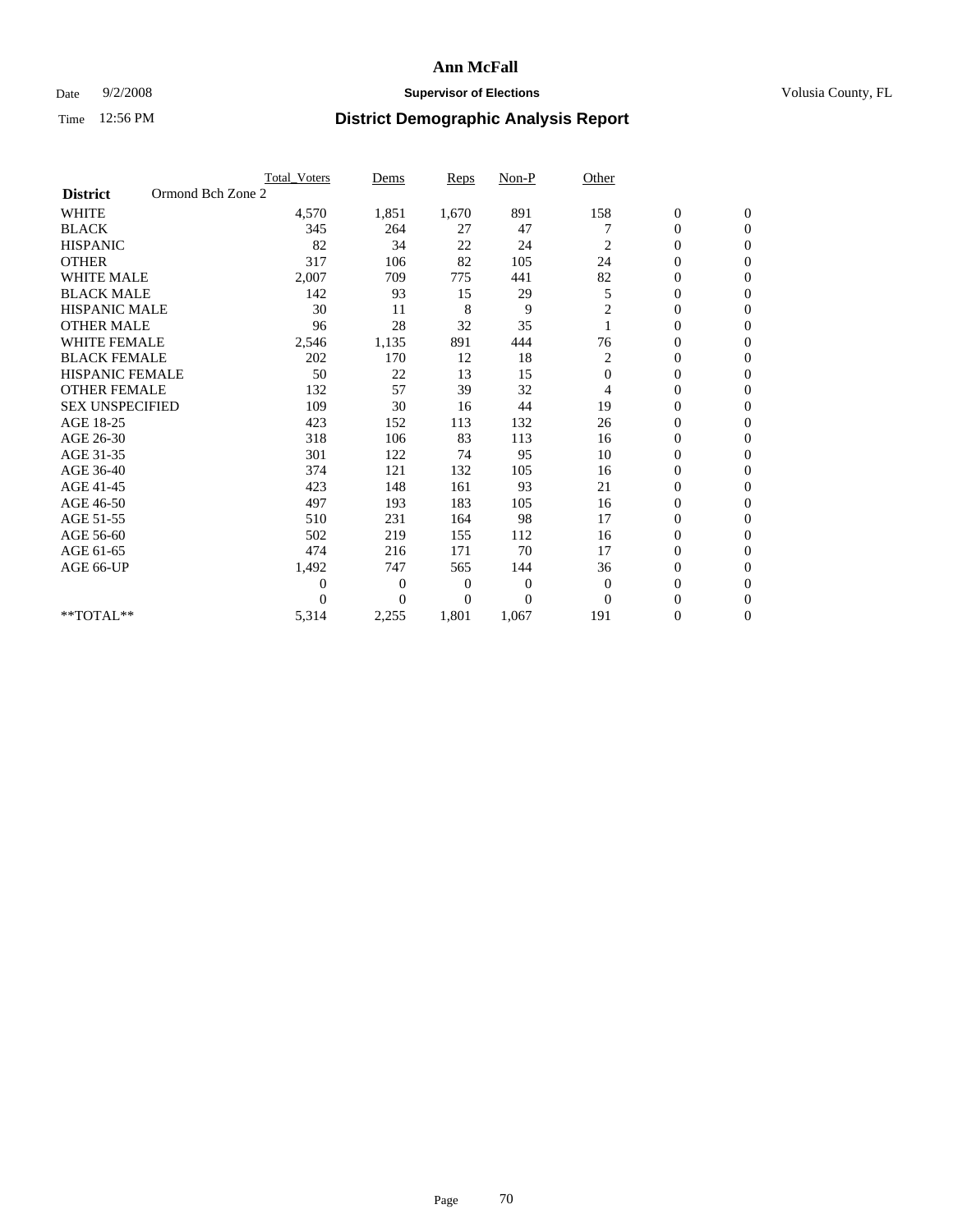## Date 9/2/2008 **Supervisor of Elections Supervisor of Elections** Volusia County, FL

|                        |                   | Total Voters   | Dems           | <b>Reps</b> | Non-P        | Other          |                  |                  |
|------------------------|-------------------|----------------|----------------|-------------|--------------|----------------|------------------|------------------|
| <b>District</b>        | Ormond Bch Zone 2 |                |                |             |              |                |                  |                  |
| <b>WHITE</b>           |                   | 4,570          | 1,851          | 1,670       | 891          | 158            | $\boldsymbol{0}$ | $\boldsymbol{0}$ |
| <b>BLACK</b>           |                   | 345            | 264            | 27          | 47           |                | $\boldsymbol{0}$ | $\mathbf{0}$     |
| <b>HISPANIC</b>        |                   | 82             | 34             | 22          | 24           | 2              | $\overline{0}$   | $\mathbf{0}$     |
| <b>OTHER</b>           |                   | 317            | 106            | 82          | 105          | 24             | 0                | $\Omega$         |
| <b>WHITE MALE</b>      |                   | 2,007          | 709            | 775         | 441          | 82             | $\overline{0}$   | $\mathbf{0}$     |
| <b>BLACK MALE</b>      |                   | 142            | 93             | 15          | 29           | 5              | $\overline{0}$   | $\mathbf{0}$     |
| <b>HISPANIC MALE</b>   |                   | 30             | 11             | 8           | 9            | $\overline{c}$ | $\overline{0}$   | $\mathbf{0}$     |
| <b>OTHER MALE</b>      |                   | 96             | 28             | 32          | 35           |                | $\boldsymbol{0}$ | $\mathbf{0}$     |
| <b>WHITE FEMALE</b>    |                   | 2,546          | 1,135          | 891         | 444          | 76             | $\overline{0}$   | $\mathbf{0}$     |
| <b>BLACK FEMALE</b>    |                   | 202            | 170            | 12          | 18           | 2              | $\boldsymbol{0}$ | $\Omega$         |
| <b>HISPANIC FEMALE</b> |                   | 50             | 22             | 13          | 15           | $\mathbf{0}$   | 0                | $\mathbf{0}$     |
| <b>OTHER FEMALE</b>    |                   | 132            | 57             | 39          | 32           | 4              | $\overline{0}$   | $\Omega$         |
| <b>SEX UNSPECIFIED</b> |                   | 109            | 30             | 16          | 44           | 19             | $\overline{0}$   | $\mathbf{0}$     |
| AGE 18-25              |                   | 423            | 152            | 113         | 132          | 26             | 0                | $\mathbf{0}$     |
| AGE 26-30              |                   | 318            | 106            | 83          | 113          | 16             | $\overline{0}$   | $\mathbf{0}$     |
| AGE 31-35              |                   | 301            | 122            | 74          | 95           | 10             | $\boldsymbol{0}$ | $\mathbf{0}$     |
| AGE 36-40              |                   | 374            | 121            | 132         | 105          | 16             | 0                | $\mathbf{0}$     |
| AGE 41-45              |                   | 423            | 148            | 161         | 93           | 21             | $\overline{0}$   | $\Omega$         |
| AGE 46-50              |                   | 497            | 193            | 183         | 105          | 16             | $\boldsymbol{0}$ | $\Omega$         |
| AGE 51-55              |                   | 510            | 231            | 164         | 98           | 17             | $\boldsymbol{0}$ | $\mathbf{0}$     |
| AGE 56-60              |                   | 502            | 219            | 155         | 112          | 16             | $\overline{0}$   | $\Omega$         |
| AGE 61-65              |                   | 474            | 216            | 171         | 70           | 17             | $\overline{0}$   | $\mathbf{0}$     |
| AGE 66-UP              |                   | 1,492          | 747            | 565         | 144          | 36             | $\boldsymbol{0}$ | $\mathbf{0}$     |
|                        |                   | $\overline{0}$ | $\overline{0}$ | 0           | $\mathbf{0}$ | $\mathbf{0}$   | $\overline{0}$   | $\mathbf{0}$     |
|                        |                   | $\theta$       | $\Omega$       | $\Omega$    | $\theta$     | $\Omega$       | $\overline{0}$   | $\mathbf{0}$     |
| **TOTAL**              |                   | 5,314          | 2,255          | 1,801       | 1,067        | 191            | 0                | $\mathbf{0}$     |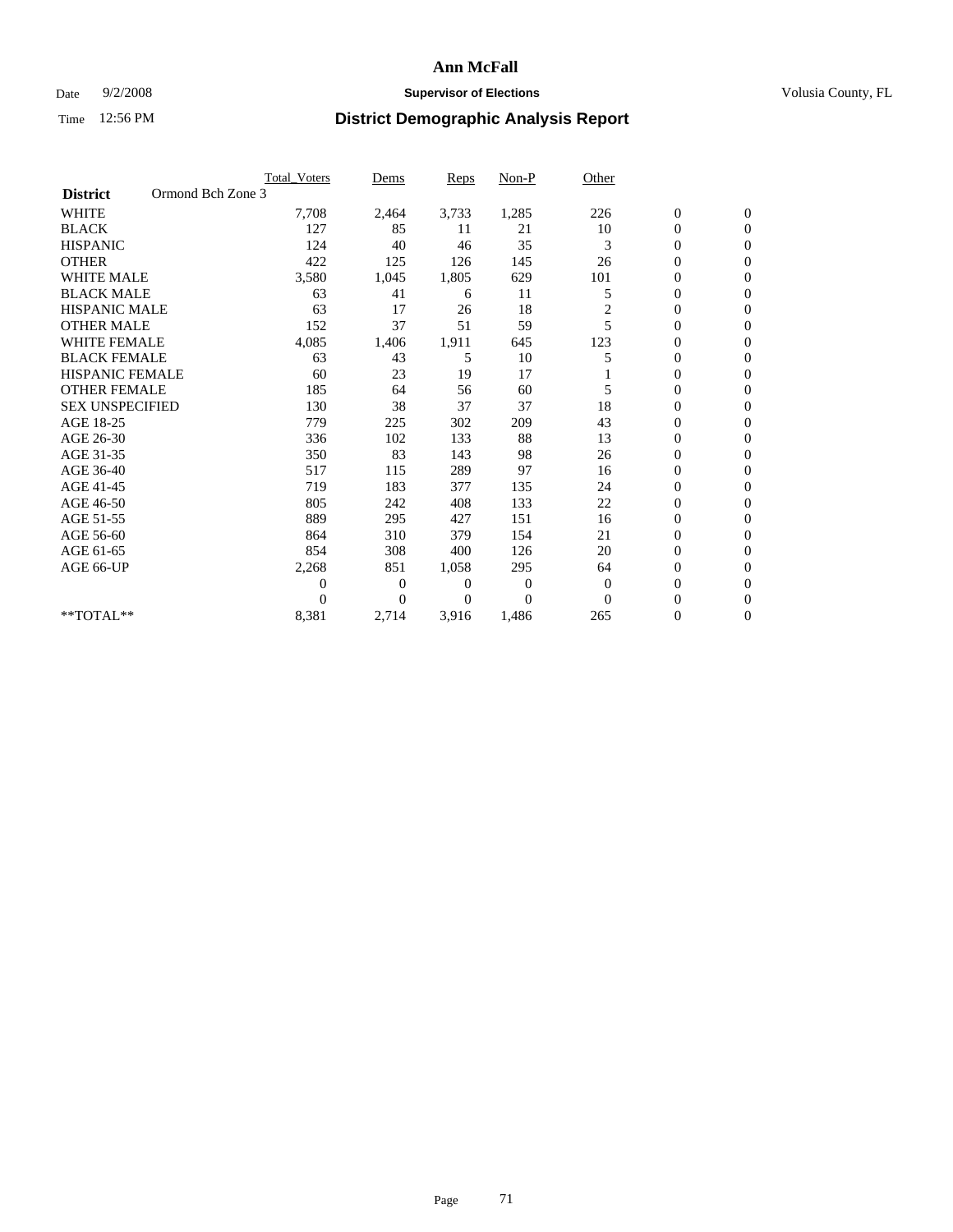## Date 9/2/2008 **Supervisor of Elections Supervisor of Elections** Volusia County, FL

|                                      | <b>Total Voters</b> | Dems           | <b>Reps</b>  | Non-P        | Other          |                  |                  |  |
|--------------------------------------|---------------------|----------------|--------------|--------------|----------------|------------------|------------------|--|
| Ormond Bch Zone 3<br><b>District</b> |                     |                |              |              |                |                  |                  |  |
| <b>WHITE</b>                         | 7,708               | 2,464          | 3,733        | 1,285        | 226            | $\boldsymbol{0}$ | $\boldsymbol{0}$ |  |
| <b>BLACK</b>                         | 127                 | 85             | 11           | 21           | 10             | $\boldsymbol{0}$ | $\mathbf{0}$     |  |
| <b>HISPANIC</b>                      | 124                 | 40             | 46           | 35           | 3              | $\overline{0}$   | $\mathbf{0}$     |  |
| <b>OTHER</b>                         | 422                 | 125            | 126          | 145          | 26             | 0                | $\mathbf{0}$     |  |
| <b>WHITE MALE</b>                    | 3,580               | 1,045          | 1,805        | 629          | 101            | $\boldsymbol{0}$ | $\mathbf{0}$     |  |
| <b>BLACK MALE</b>                    | 63                  | 41             | 6            | 11           | 5              | $\overline{0}$   | $\mathbf{0}$     |  |
| <b>HISPANIC MALE</b>                 | 63                  | 17             | 26           | 18           | $\overline{c}$ | 0                | $\Omega$         |  |
| <b>OTHER MALE</b>                    | 152                 | 37             | 51           | 59           | 5              | $\overline{0}$   | $\mathbf{0}$     |  |
| <b>WHITE FEMALE</b>                  | 4,085               | 1,406          | 1,911        | 645          | 123            | $\mathbf{0}$     | $\mathbf{0}$     |  |
| <b>BLACK FEMALE</b>                  | 63                  | 43             | 5            | 10           | 5              | $\overline{0}$   | $\mathbf{0}$     |  |
| <b>HISPANIC FEMALE</b>               | 60                  | 23             | 19           | 17           |                | $\boldsymbol{0}$ | $\mathbf{0}$     |  |
| <b>OTHER FEMALE</b>                  | 185                 | 64             | 56           | 60           | 5              | $\mathbf{0}$     | $\mathbf{0}$     |  |
| <b>SEX UNSPECIFIED</b>               | 130                 | 38             | 37           | 37           | 18             | 0                | $\Omega$         |  |
| AGE 18-25                            | 779                 | 225            | 302          | 209          | 43             | $\overline{0}$   | $\mathbf{0}$     |  |
| AGE 26-30                            | 336                 | 102            | 133          | 88           | 13             | $\overline{0}$   | $\Omega$         |  |
| AGE 31-35                            | 350                 | 83             | 143          | 98           | 26             | $\boldsymbol{0}$ | $\mathbf{0}$     |  |
| AGE 36-40                            | 517                 | 115            | 289          | 97           | 16             | $\boldsymbol{0}$ | $\mathbf{0}$     |  |
| AGE 41-45                            | 719                 | 183            | 377          | 135          | 24             | $\boldsymbol{0}$ | $\mathbf{0}$     |  |
| AGE 46-50                            | 805                 | 242            | 408          | 133          | 22             | 0                | $\Omega$         |  |
| AGE 51-55                            | 889                 | 295            | 427          | 151          | 16             | $\overline{0}$   | $\mathbf{0}$     |  |
| AGE 56-60                            | 864                 | 310            | 379          | 154          | 21             | $\overline{0}$   | $\mathbf{0}$     |  |
| AGE 61-65                            | 854                 | 308            | 400          | 126          | 20             | 0                | $\Omega$         |  |
| AGE 66-UP                            | 2,268               | 851            | 1,058        | 295          | 64             | 0                | $\mathbf{0}$     |  |
|                                      | $\overline{0}$      | $\overline{0}$ | 0            | $\mathbf{0}$ | $\overline{0}$ | $\mathbf{0}$     | $\mathbf{0}$     |  |
|                                      | $\theta$            | $\overline{0}$ | $\mathbf{0}$ | $\Omega$     | $\mathbf{0}$   | 0                | $\overline{0}$   |  |
| **TOTAL**                            | 8,381               | 2,714          | 3,916        | 1,486        | 265            | 0                | $\boldsymbol{0}$ |  |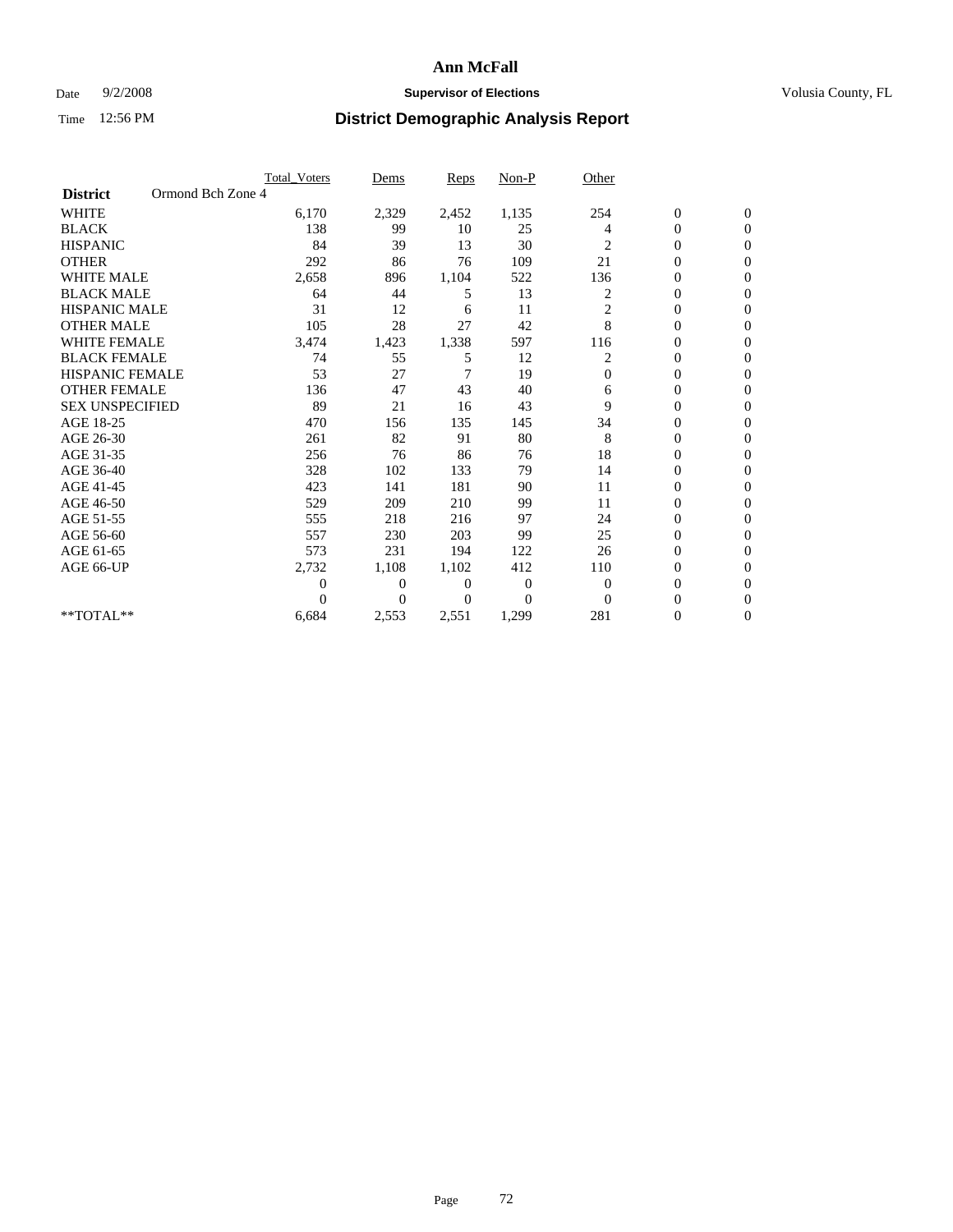### Date  $9/2/2008$  **Supervisor of Elections** Volusia County, FL

|                        |                   | Total Voters     | Dems           | <b>Reps</b>  | Non-P          | Other          |                  |                |  |
|------------------------|-------------------|------------------|----------------|--------------|----------------|----------------|------------------|----------------|--|
| <b>District</b>        | Ormond Bch Zone 4 |                  |                |              |                |                |                  |                |  |
| <b>WHITE</b>           |                   | 6,170            | 2,329          | 2,452        | 1,135          | 254            | $\boldsymbol{0}$ | $\mathbf{0}$   |  |
| <b>BLACK</b>           |                   | 138              | 99             | 10           | 25             | 4              | $\boldsymbol{0}$ | $\mathbf{0}$   |  |
| <b>HISPANIC</b>        |                   | 84               | 39             | 13           | 30             | 2              | $\overline{0}$   | $\mathbf{0}$   |  |
| <b>OTHER</b>           |                   | 292              | 86             | 76           | 109            | 21             | 0                | $\Omega$       |  |
| <b>WHITE MALE</b>      |                   | 2,658            | 896            | 1,104        | 522            | 136            | 0                | $\Omega$       |  |
| <b>BLACK MALE</b>      |                   | 64               | 44             | 5            | 13             | 2              | $\boldsymbol{0}$ | $\Omega$       |  |
| <b>HISPANIC MALE</b>   |                   | 31               | 12             | 6            | 11             | $\overline{c}$ | $\boldsymbol{0}$ | $\Omega$       |  |
| <b>OTHER MALE</b>      |                   | 105              | 28             | 27           | 42             | 8              | 0                | $\overline{0}$ |  |
| <b>WHITE FEMALE</b>    |                   | 3,474            | 1,423          | 1,338        | 597            | 116            | 0                | $\Omega$       |  |
| <b>BLACK FEMALE</b>    |                   | 74               | 55             | 5            | 12             | 2              | $\boldsymbol{0}$ | $\overline{0}$ |  |
| <b>HISPANIC FEMALE</b> |                   | 53               | 27             | 7            | 19             | $\overline{0}$ | 0                | $\mathbf{0}$   |  |
| <b>OTHER FEMALE</b>    |                   | 136              | 47             | 43           | 40             | 6              | 0                | $\Omega$       |  |
| <b>SEX UNSPECIFIED</b> |                   | 89               | 21             | 16           | 43             | 9              | $\overline{0}$   | $\mathbf{0}$   |  |
| AGE 18-25              |                   | 470              | 156            | 135          | 145            | 34             | 0                | $\mathbf{0}$   |  |
| AGE 26-30              |                   | 261              | 82             | 91           | 80             | 8              | 0                | $\mathbf{0}$   |  |
| AGE 31-35              |                   | 256              | 76             | 86           | 76             | 18             | $\boldsymbol{0}$ | $\mathbf{0}$   |  |
| AGE 36-40              |                   | 328              | 102            | 133          | 79             | 14             | 0                | $\mathbf{0}$   |  |
| AGE 41-45              |                   | 423              | 141            | 181          | 90             | 11             | $\overline{0}$   | $\Omega$       |  |
| AGE 46-50              |                   | 529              | 209            | 210          | 99             | 11             | $\overline{0}$   | $\mathbf{0}$   |  |
| AGE 51-55              |                   | 555              | 218            | 216          | 97             | 24             | $\boldsymbol{0}$ | $\bf{0}$       |  |
| AGE 56-60              |                   | 557              | 230            | 203          | 99             | 25             | $\overline{0}$   | $\Omega$       |  |
| AGE 61-65              |                   | 573              | 231            | 194          | 122            | 26             | $\overline{0}$   | $\Omega$       |  |
| AGE 66-UP              |                   | 2,732            | 1,108          | 1,102        | 412            | 110            | 0                | $\mathbf{0}$   |  |
|                        |                   | $\boldsymbol{0}$ | $\overline{0}$ | $\mathbf{0}$ | 0              | $\overline{0}$ | 0                | $\Omega$       |  |
|                        |                   | $\Omega$         | $\theta$       | 0            | $\overline{0}$ | $\Omega$       | $\overline{0}$   | $\overline{0}$ |  |
| **TOTAL**              |                   | 6,684            | 2,553          | 2,551        | 1,299          | 281            | 0                | $\overline{0}$ |  |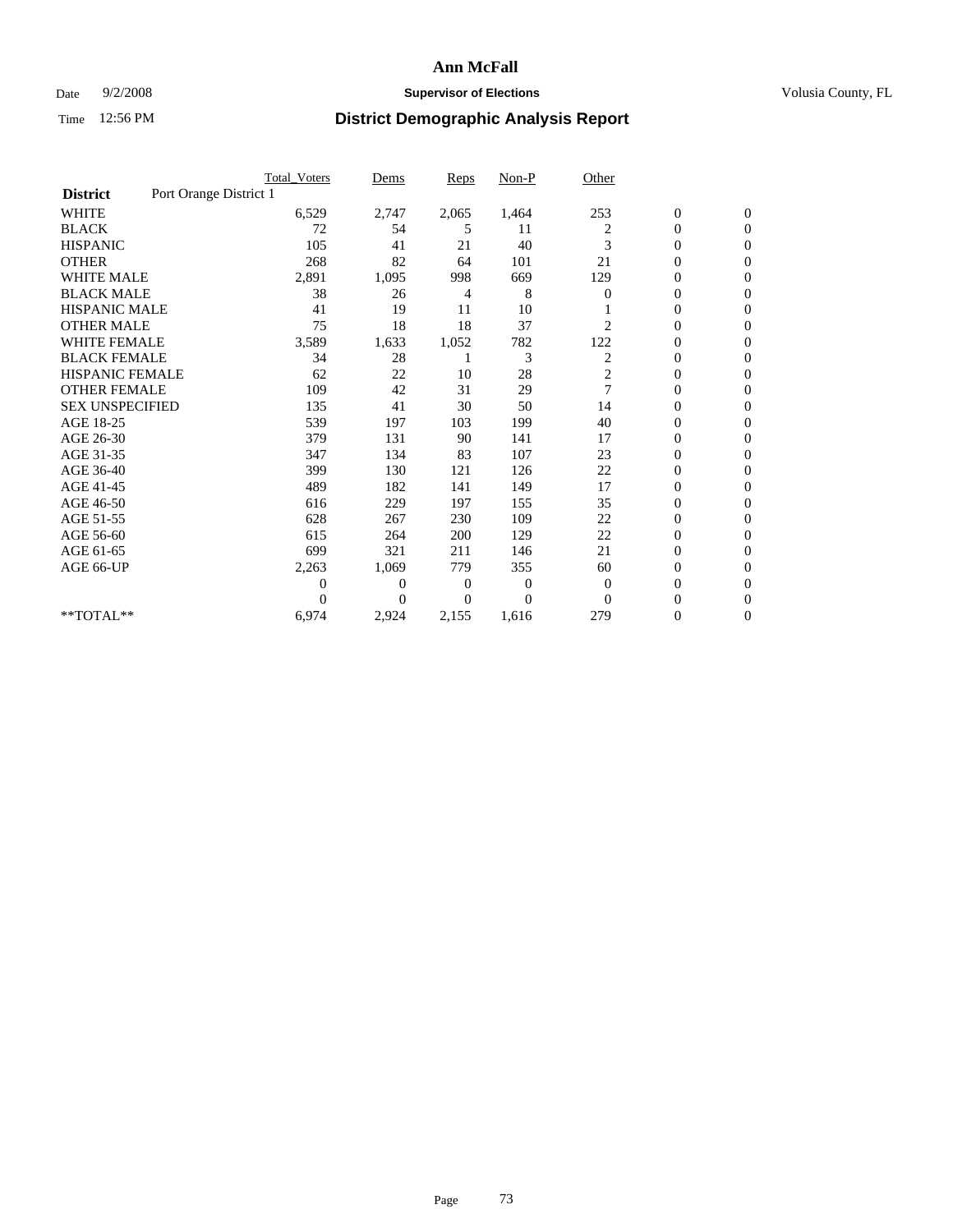#### Date  $9/2/2008$  **Supervisor of Elections** Volusia County, FL

|                        |                        | <b>Total Voters</b> | Dems           | <b>Reps</b> | $Non-P$  | Other          |                  |                  |
|------------------------|------------------------|---------------------|----------------|-------------|----------|----------------|------------------|------------------|
| <b>District</b>        | Port Orange District 1 |                     |                |             |          |                |                  |                  |
| <b>WHITE</b>           |                        | 6,529               | 2,747          | 2,065       | 1,464    | 253            | $\boldsymbol{0}$ | $\boldsymbol{0}$ |
| <b>BLACK</b>           |                        | 72                  | 54             | 5           | 11       | 2              | $\boldsymbol{0}$ | $\mathbf{0}$     |
| <b>HISPANIC</b>        |                        | 105                 | 41             | 21          | 40       | 3              | $\overline{0}$   | $\mathbf{0}$     |
| <b>OTHER</b>           |                        | 268                 | 82             | 64          | 101      | 21             | 0                | $\Omega$         |
| <b>WHITE MALE</b>      |                        | 2,891               | 1,095          | 998         | 669      | 129            | $\overline{0}$   | $\mathbf{0}$     |
| <b>BLACK MALE</b>      |                        | 38                  | 26             | 4           | 8        | $\bf{0}$       | $\overline{0}$   | $\mathbf{0}$     |
| <b>HISPANIC MALE</b>   |                        | 41                  | 19             | 11          | 10       |                | 0                | $\Omega$         |
| <b>OTHER MALE</b>      |                        | 75                  | 18             | 18          | 37       | 2              | 0                | $\mathbf{0}$     |
| <b>WHITE FEMALE</b>    |                        | 3,589               | 1,633          | 1,052       | 782      | 122            | $\overline{0}$   | $\mathbf{0}$     |
| <b>BLACK FEMALE</b>    |                        | 34                  | 28             |             | 3        | 2              | $\boldsymbol{0}$ | $\Omega$         |
| <b>HISPANIC FEMALE</b> |                        | 62                  | 22             | 10          | 28       | 2              | 0                | $\mathbf{0}$     |
| <b>OTHER FEMALE</b>    |                        | 109                 | 42             | 31          | 29       | $\overline{7}$ | $\overline{0}$   | $\Omega$         |
| <b>SEX UNSPECIFIED</b> |                        | 135                 | 41             | 30          | 50       | 14             | $\overline{0}$   | $\mathbf{0}$     |
| AGE 18-25              |                        | 539                 | 197            | 103         | 199      | 40             | $\mathbf{0}$     | $\mathbf{0}$     |
| AGE 26-30              |                        | 379                 | 131            | 90          | 141      | 17             | $\overline{0}$   | $\mathbf{0}$     |
| AGE 31-35              |                        | 347                 | 134            | 83          | 107      | 23             | $\boldsymbol{0}$ | $\mathbf{0}$     |
| AGE 36-40              |                        | 399                 | 130            | 121         | 126      | 22             | 0                | $\mathbf{0}$     |
| AGE 41-45              |                        | 489                 | 182            | 141         | 149      | 17             | $\overline{0}$   | $\Omega$         |
| AGE 46-50              |                        | 616                 | 229            | 197         | 155      | 35             | $\boldsymbol{0}$ | $\Omega$         |
| AGE 51-55              |                        | 628                 | 267            | 230         | 109      | 22             | $\boldsymbol{0}$ | $\mathbf{0}$     |
| AGE 56-60              |                        | 615                 | 264            | 200         | 129      | 22             | $\overline{0}$   | $\Omega$         |
| AGE 61-65              |                        | 699                 | 321            | 211         | 146      | 21             | $\overline{0}$   | $\mathbf{0}$     |
| AGE 66-UP              |                        | 2,263               | 1,069          | 779         | 355      | 60             | $\boldsymbol{0}$ | $\mathbf{0}$     |
|                        |                        | 0                   | $\overline{0}$ | 0           | 0        | $\mathbf{0}$   | $\overline{0}$   | $\mathbf{0}$     |
|                        |                        | $\theta$            | $\Omega$       | $\Omega$    | $\theta$ | $\Omega$       | $\overline{0}$   | $\mathbf{0}$     |
| **TOTAL**              |                        | 6,974               | 2,924          | 2,155       | 1,616    | 279            | 0                | $\mathbf{0}$     |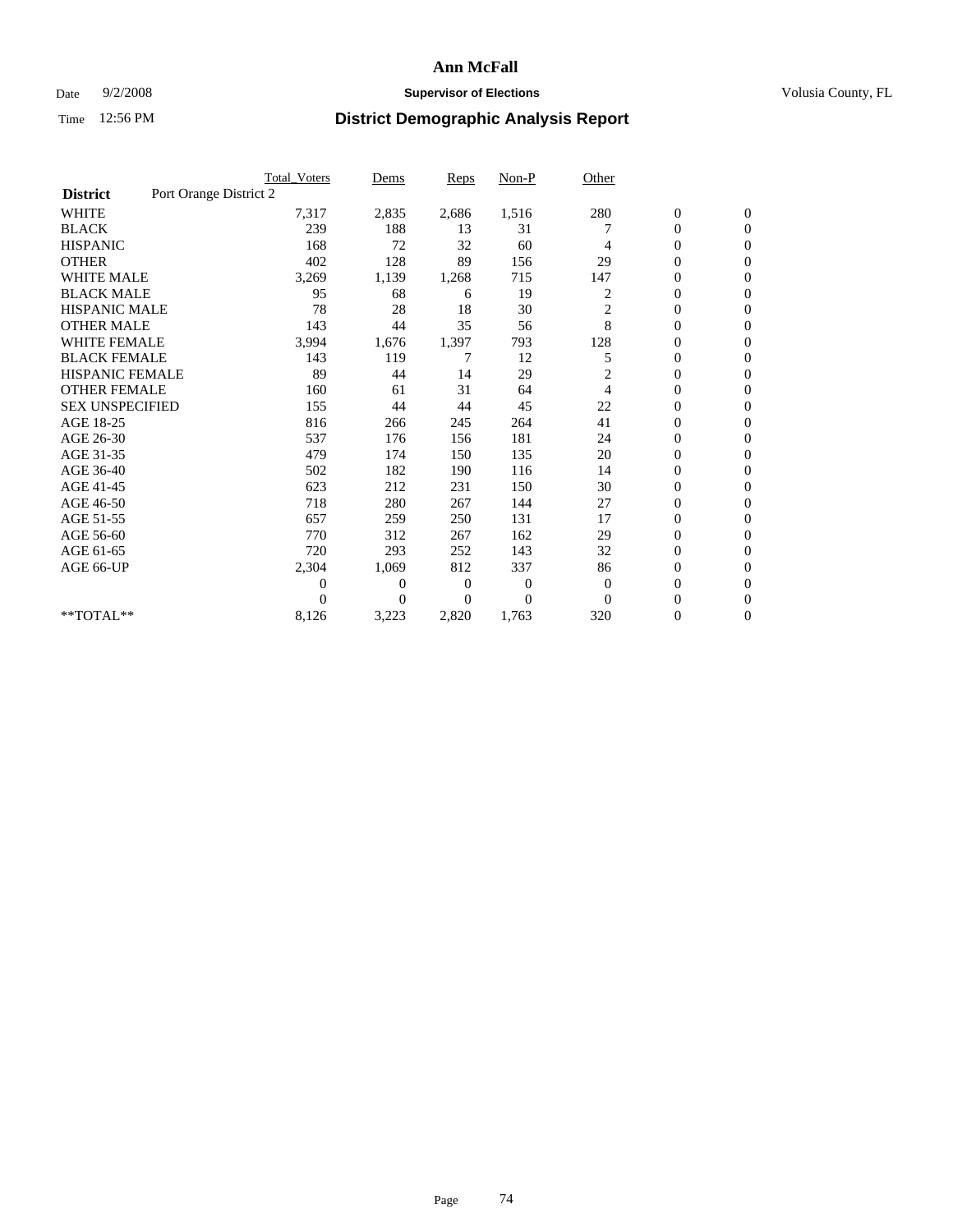#### Date  $9/2/2008$  **Supervisor of Elections** Volusia County, FL

|                        |                        | <b>Total Voters</b> | Dems           | <b>Reps</b> | $Non-P$  | Other          |                  |                  |  |
|------------------------|------------------------|---------------------|----------------|-------------|----------|----------------|------------------|------------------|--|
| <b>District</b>        | Port Orange District 2 |                     |                |             |          |                |                  |                  |  |
| <b>WHITE</b>           |                        | 7,317               | 2,835          | 2,686       | 1,516    | 280            | $\boldsymbol{0}$ | $\boldsymbol{0}$ |  |
| <b>BLACK</b>           |                        | 239                 | 188            | 13          | 31       |                | $\boldsymbol{0}$ | $\mathbf{0}$     |  |
| <b>HISPANIC</b>        |                        | 168                 | 72             | 32          | 60       | 4              | $\overline{0}$   | $\mathbf{0}$     |  |
| <b>OTHER</b>           |                        | 402                 | 128            | 89          | 156      | 29             | $\boldsymbol{0}$ | $\Omega$         |  |
| <b>WHITE MALE</b>      |                        | 3,269               | 1,139          | 1,268       | 715      | 147            | $\overline{0}$   | $\mathbf{0}$     |  |
| <b>BLACK MALE</b>      |                        | 95                  | 68             | 6           | 19       | 2              | $\boldsymbol{0}$ | $\mathbf{0}$     |  |
| <b>HISPANIC MALE</b>   |                        | 78                  | 28             | 18          | 30       | 2              | $\boldsymbol{0}$ | $\mathbf{0}$     |  |
| <b>OTHER MALE</b>      |                        | 143                 | 44             | 35          | 56       | 8              | $\boldsymbol{0}$ | $\mathbf{0}$     |  |
| <b>WHITE FEMALE</b>    |                        | 3,994               | 1,676          | 1,397       | 793      | 128            | $\overline{0}$   | $\mathbf{0}$     |  |
| <b>BLACK FEMALE</b>    |                        | 143                 | 119            | 7           | 12       | 5              | $\boldsymbol{0}$ | $\mathbf{0}$     |  |
| <b>HISPANIC FEMALE</b> |                        | 89                  | 44             | 14          | 29       | 2              | 0                | $\mathbf{0}$     |  |
| <b>OTHER FEMALE</b>    |                        | 160                 | 61             | 31          | 64       | $\overline{4}$ | $\overline{0}$   | $\mathbf{0}$     |  |
| <b>SEX UNSPECIFIED</b> |                        | 155                 | 44             | 44          | 45       | 22             | $\overline{0}$   | $\mathbf{0}$     |  |
| AGE 18-25              |                        | 816                 | 266            | 245         | 264      | 41             | $\overline{0}$   | $\mathbf{0}$     |  |
| AGE 26-30              |                        | 537                 | 176            | 156         | 181      | 24             | $\overline{0}$   | $\mathbf{0}$     |  |
| AGE 31-35              |                        | 479                 | 174            | 150         | 135      | 20             | $\boldsymbol{0}$ | $\mathbf{0}$     |  |
| AGE 36-40              |                        | 502                 | 182            | 190         | 116      | 14             | 0                | $\mathbf{0}$     |  |
| AGE 41-45              |                        | 623                 | 212            | 231         | 150      | 30             | $\overline{0}$   | $\mathbf{0}$     |  |
| AGE 46-50              |                        | 718                 | 280            | 267         | 144      | 27             | $\boldsymbol{0}$ | $\mathbf{0}$     |  |
| AGE 51-55              |                        | 657                 | 259            | 250         | 131      | 17             | $\boldsymbol{0}$ | $\mathbf{0}$     |  |
| AGE 56-60              |                        | 770                 | 312            | 267         | 162      | 29             | $\overline{0}$   | $\Omega$         |  |
| AGE 61-65              |                        | 720                 | 293            | 252         | 143      | 32             | $\overline{0}$   | $\mathbf{0}$     |  |
| AGE 66-UP              |                        | 2,304               | 1,069          | 812         | 337      | 86             | $\boldsymbol{0}$ | $\mathbf{0}$     |  |
|                        |                        | $\overline{0}$      | $\overline{0}$ | 0           | 0        | $\mathbf{0}$   | $\overline{0}$   | $\mathbf{0}$     |  |
|                        |                        | $\theta$            | $\Omega$       | $\Omega$    | $\theta$ | $\Omega$       | $\boldsymbol{0}$ | $\mathbf{0}$     |  |
| **TOTAL**              |                        | 8,126               | 3,223          | 2,820       | 1,763    | 320            | 0                | $\mathbf{0}$     |  |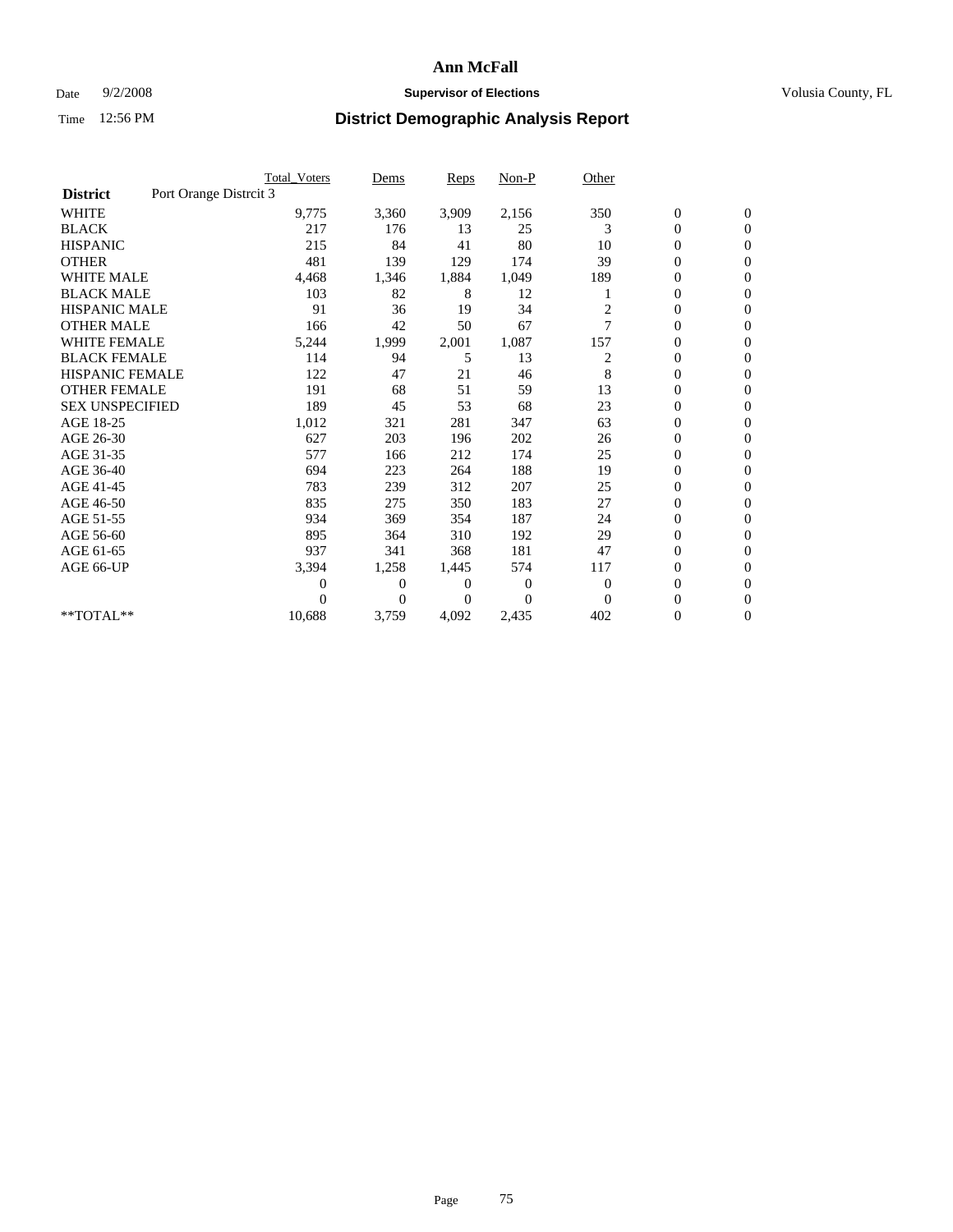### Date 9/2/2008 **Supervisor of Elections Supervisor of Elections** Volusia County, FL

|                        |                        | <b>Total Voters</b> | Dems           | <b>Reps</b> | Non-P    | Other                   |                  |                  |
|------------------------|------------------------|---------------------|----------------|-------------|----------|-------------------------|------------------|------------------|
| <b>District</b>        | Port Orange Distrcit 3 |                     |                |             |          |                         |                  |                  |
| <b>WHITE</b>           |                        | 9,775               | 3,360          | 3,909       | 2,156    | 350                     | $\boldsymbol{0}$ | $\boldsymbol{0}$ |
| <b>BLACK</b>           |                        | 217                 | 176            | 13          | 25       | 3                       | $\boldsymbol{0}$ | $\mathbf{0}$     |
| <b>HISPANIC</b>        |                        | 215                 | 84             | 41          | 80       | 10                      | $\overline{0}$   | $\mathbf{0}$     |
| <b>OTHER</b>           |                        | 481                 | 139            | 129         | 174      | 39                      | $\boldsymbol{0}$ | $\Omega$         |
| <b>WHITE MALE</b>      |                        | 4,468               | 1,346          | 1,884       | 1,049    | 189                     | $\overline{0}$   | $\mathbf{0}$     |
| <b>BLACK MALE</b>      |                        | 103                 | 82             | 8           | 12       |                         | $\overline{0}$   | $\mathbf{0}$     |
| <b>HISPANIC MALE</b>   |                        | 91                  | 36             | 19          | 34       | $\overline{\mathbf{c}}$ | $\overline{0}$   | $\mathbf{0}$     |
| <b>OTHER MALE</b>      |                        | 166                 | 42             | 50          | 67       | 7                       | $\boldsymbol{0}$ | $\mathbf{0}$     |
| <b>WHITE FEMALE</b>    |                        | 5,244               | 1,999          | 2,001       | 1,087    | 157                     | $\overline{0}$   | $\mathbf{0}$     |
| <b>BLACK FEMALE</b>    |                        | 114                 | 94             | 5           | 13       | 2                       | $\boldsymbol{0}$ | $\mathbf{0}$     |
| <b>HISPANIC FEMALE</b> |                        | 122                 | 47             | 21          | 46       | 8                       | $\overline{0}$   | $\mathbf{0}$     |
| <b>OTHER FEMALE</b>    |                        | 191                 | 68             | 51          | 59       | 13                      | $\mathbf{0}$     | $\mathbf{0}$     |
| <b>SEX UNSPECIFIED</b> |                        | 189                 | 45             | 53          | 68       | 23                      | $\overline{0}$   | $\mathbf{0}$     |
| AGE 18-25              |                        | 1,012               | 321            | 281         | 347      | 63                      | $\overline{0}$   | $\mathbf{0}$     |
| AGE 26-30              |                        | 627                 | 203            | 196         | 202      | 26                      | $\overline{0}$   | $\mathbf{0}$     |
| AGE 31-35              |                        | 577                 | 166            | 212         | 174      | 25                      | $\boldsymbol{0}$ | $\mathbf{0}$     |
| AGE 36-40              |                        | 694                 | 223            | 264         | 188      | 19                      | 0                | $\mathbf{0}$     |
| AGE 41-45              |                        | 783                 | 239            | 312         | 207      | 25                      | $\overline{0}$   | $\mathbf{0}$     |
| AGE 46-50              |                        | 835                 | 275            | 350         | 183      | 27                      | $\boldsymbol{0}$ | $\mathbf{0}$     |
| AGE 51-55              |                        | 934                 | 369            | 354         | 187      | 24                      | $\boldsymbol{0}$ | $\mathbf{0}$     |
| AGE 56-60              |                        | 895                 | 364            | 310         | 192      | 29                      | $\overline{0}$   | $\Omega$         |
| AGE 61-65              |                        | 937                 | 341            | 368         | 181      | 47                      | $\overline{0}$   | $\mathbf{0}$     |
| AGE 66-UP              |                        | 3,394               | 1,258          | 1,445       | 574      | 117                     | $\boldsymbol{0}$ | $\mathbf{0}$     |
|                        |                        | 0                   | 0              | 0           | 0        | $\mathbf{0}$            | $\overline{0}$   | $\mathbf{0}$     |
|                        |                        | $\theta$            | $\overline{0}$ | $\Omega$    | $\Omega$ | $\Omega$                | $\boldsymbol{0}$ | $\mathbf{0}$     |
| **TOTAL**              |                        | 10,688              | 3,759          | 4,092       | 2,435    | 402                     | 0                | $\mathbf{0}$     |